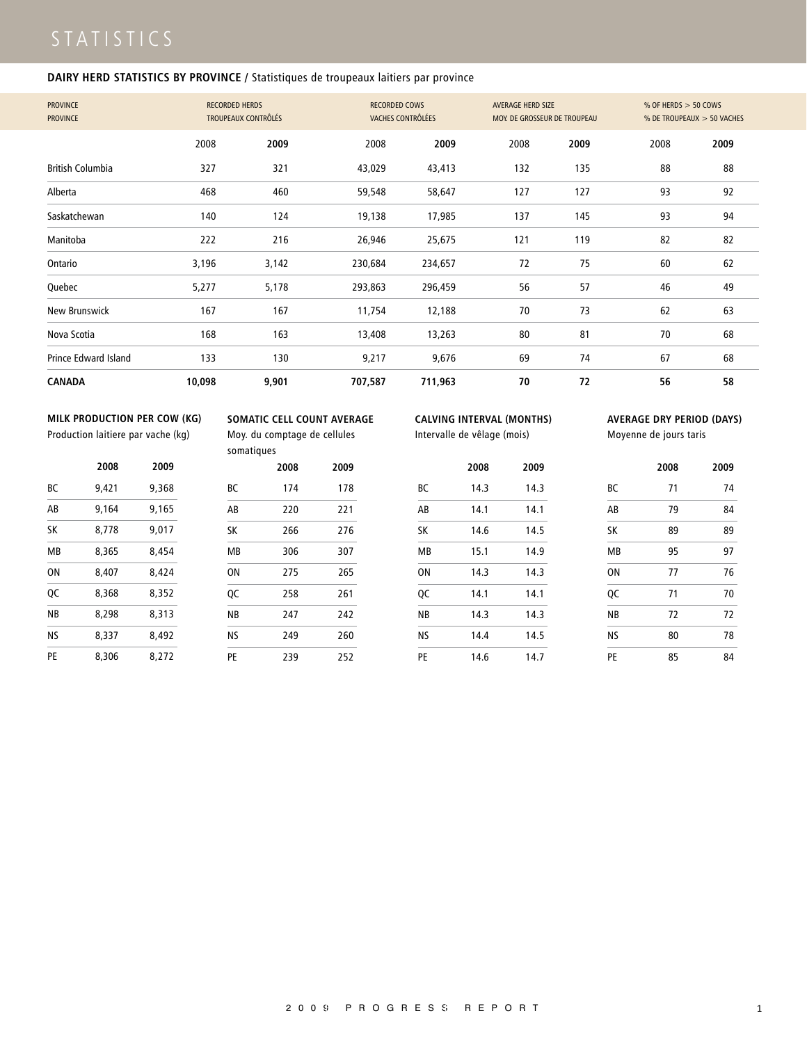### **DAIRY HERD STATISTICS BY PROVINCE /** Statistiques de troupeaux laitiers par province

| <b>PROVINCE</b><br><b>PROVINCE</b> | <b>RECORDED HERDS</b> | <b>TROUPEAUX CONTRÔLÉS</b> | <b>RECORDED COWS</b><br>VACHES CONTRÔLÉES |         | <b>AVERAGE HERD SIZE</b><br>MOY. DE GROSSEUR DE TROUPEAU |      | % OF HERDS $>$ 50 COWS<br>% DE TROUPEAUX > 50 VACHES |      |
|------------------------------------|-----------------------|----------------------------|-------------------------------------------|---------|----------------------------------------------------------|------|------------------------------------------------------|------|
|                                    | 2008                  | 2009                       | 2008                                      | 2009    | 2008                                                     | 2009 | 2008                                                 | 2009 |
| <b>British Columbia</b>            | 327                   | 321                        | 43,029                                    | 43,413  | 132                                                      | 135  | 88                                                   | 88   |
| Alberta                            | 468                   | 460                        | 59,548                                    | 58,647  | 127                                                      | 127  | 93                                                   | 92   |
| Saskatchewan                       | 140                   | 124                        | 19,138                                    | 17,985  | 137                                                      | 145  | 93                                                   | 94   |
| Manitoba                           | 222                   | 216                        | 26,946                                    | 25,675  | 121                                                      | 119  | 82                                                   | 82   |
| Ontario                            | 3,196                 | 3,142                      | 230,684                                   | 234,657 | 72                                                       | 75   | 60                                                   | 62   |
| Quebec                             | 5,277                 | 5,178                      | 293,863                                   | 296,459 | 56                                                       | 57   | 46                                                   | 49   |
| New Brunswick                      | 167                   | 167                        | 11,754                                    | 12,188  | 70                                                       | 73   | 62                                                   | 63   |
| Nova Scotia                        | 168                   | 163                        | 13,408                                    | 13,263  | 80                                                       | 81   | 70                                                   | 68   |
| Prince Edward Island               | 133                   | 130                        | 9,217                                     | 9,676   | 69                                                       | 74   | 67                                                   | 68   |
| <b>CANADA</b>                      | 10,098                | 9,901                      | 707,587                                   | 711,963 | 70                                                       | 72   | 56                                                   | 58   |

### **MILK PRODUCTION PER COW (KG)**

Production laitiere par vache (kg)

|  |   | SOMATIC CELL COUNT AVERAGE |
|--|---|----------------------------|
|  | . |                            |

Moy. du comptage de cellules somatiques

|  | CALVING INTERVAL (MONTHS) |
|--|---------------------------|
|  |                           |

Intervalle de vêlage (mois)

|    | 2008 | 2009 |
|----|------|------|
| ВC | 14.3 | 14.3 |
| AB | 14.1 | 14.1 |
| SK | 14.6 | 14.5 |
| ΜB | 15.1 | 14.9 |
| ON | 14.3 | 14.3 |
| QC | 14.1 | 14.1 |
| ΝB | 14.3 | 14.3 |
| ΝS | 14.4 | 14.5 |
| PE | 14.6 | 14.7 |

### **AVERAGE DRY PERIOD (DAYS)**

Moyenne de jours taris

|    | 2008 | 2009 |
|----|------|------|
| ВC | 71   | 74   |
| AB | 79   | 84   |
| SK | 89   | 89   |
| MB | 95   | 97   |
| ON | 77   | 76   |
| QC | 71   | 70   |
| NB | 72   | 72   |
| ΝS | 80   | 78   |
| PE | 85   | 84   |

|    | 2008  | 2009  |
|----|-------|-------|
| BС | 9.421 | 9,368 |
| AB | 9.164 | 9,165 |
| SK | 8.778 | 9.017 |
| МB | 8.365 | 8,454 |
| ΩN | 8.407 | 8.424 |
| ос | 8.368 | 8.352 |
| ΝB | 8.298 | 8.313 |
| ΝS | 8.337 | 8.492 |
| PE | 8.306 | 8.272 |

| <i><b>somangacs</b></i> |      |      |
|-------------------------|------|------|
|                         | 2008 | 2009 |
| ВC                      | 174  | 178  |
| AB                      | 220  | 221  |
| SK                      | 266  | 276  |
| MB                      | 306  | 307  |
| ON                      | 275  | 265  |
| QC                      | 258  | 261  |
| <b>NB</b>               | 247  | 242  |
| NS                      | 249  | 260  |
| PE                      | 239  | 252  |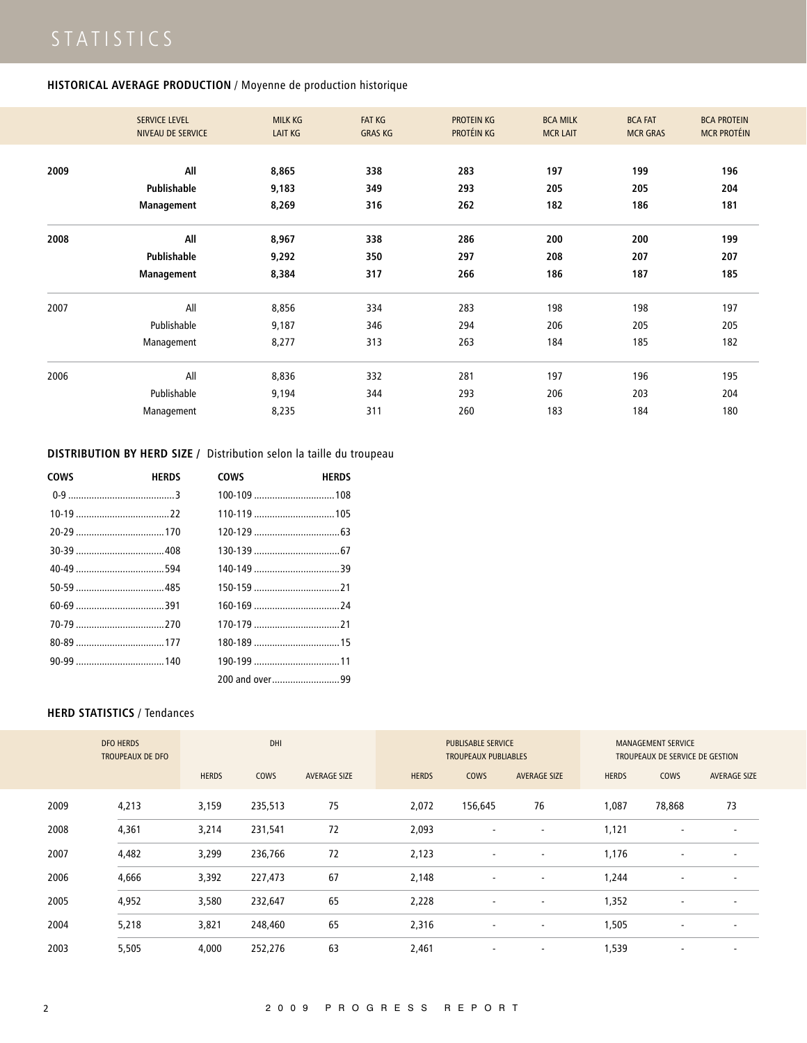### **HISTORICAL AVERAGE PRODUCTION** / Moyenne de production historique

|      | <b>SERVICE LEVEL</b><br>NIVEAU DE SERVICE | <b>MILK KG</b><br><b>LAIT KG</b> | <b>FAT KG</b><br><b>GRAS KG</b> | <b>PROTEIN KG</b><br>PROTÉIN KG | <b>BCA MILK</b><br><b>MCR LAIT</b> | <b>BCA FAT</b><br><b>MCR GRAS</b> | <b>BCA PROTEIN</b><br><b>MCR PROTÉIN</b> |
|------|-------------------------------------------|----------------------------------|---------------------------------|---------------------------------|------------------------------------|-----------------------------------|------------------------------------------|
|      |                                           |                                  |                                 |                                 |                                    |                                   |                                          |
| 2009 | All                                       | 8,865                            | 338                             | 283                             | 197                                | 199                               | 196                                      |
|      | Publishable                               | 9,183                            | 349                             | 293                             | 205                                | 205                               | 204                                      |
|      | Management                                | 8,269                            | 316                             | 262                             | 182                                | 186                               | 181                                      |
| 2008 | All                                       | 8,967                            | 338                             | 286                             | 200                                | 200                               | 199                                      |
|      | Publishable                               | 9,292                            | 350                             | 297                             | 208                                | 207                               | 207                                      |
|      | Management                                | 8,384                            | 317                             | 266                             | 186                                | 187                               | 185                                      |
| 2007 | All                                       | 8,856                            | 334                             | 283                             | 198                                | 198                               | 197                                      |
|      | Publishable                               | 9,187                            | 346                             | 294                             | 206                                | 205                               | 205                                      |
|      | Management                                | 8,277                            | 313                             | 263                             | 184                                | 185                               | 182                                      |
| 2006 | All                                       | 8,836                            | 332                             | 281                             | 197                                | 196                               | 195                                      |
|      | Publishable                               | 9,194                            | 344                             | 293                             | 206                                | 203                               | 204                                      |
|      | Management                                | 8,235                            | 311                             | 260                             | 183                                | 184                               | 180                                      |

**DISTRIBUTION BY HERD SIZE /** Distribution selon la taille du troupeau

| <b>COWS</b> | <b>HERDS</b> | <b>COWS</b>    | <b>HERDS</b> |
|-------------|--------------|----------------|--------------|
|             |              |                |              |
|             |              |                |              |
|             |              |                |              |
|             |              |                |              |
|             |              |                |              |
|             |              |                |              |
|             |              |                |              |
|             |              |                |              |
|             |              |                |              |
|             |              |                |              |
|             |              | 200 and over99 |              |

### **HERD STATISTICS** / Tendances

|      | <b>DFO HERDS</b><br><b>TROUPEAUX DE DFO</b> |              | DHI         |                     |              | <b>PUBLISABLE SERVICE</b><br><b>TROUPEAUX PUBLIABLES</b> |                          |              | <b>MANAGEMENT SERVICE</b><br>TROUPEAUX DE SERVICE DE GESTION |                          |
|------|---------------------------------------------|--------------|-------------|---------------------|--------------|----------------------------------------------------------|--------------------------|--------------|--------------------------------------------------------------|--------------------------|
|      |                                             | <b>HERDS</b> | <b>COWS</b> | <b>AVERAGE SIZE</b> | <b>HERDS</b> | <b>COWS</b>                                              | <b>AVERAGE SIZE</b>      | <b>HERDS</b> | <b>COWS</b>                                                  | <b>AVERAGE SIZE</b>      |
| 2009 | 4,213                                       | 3,159        | 235,513     | 75                  | 2,072        | 156,645                                                  | 76                       | 1,087        | 78,868                                                       | 73                       |
| 2008 | 4,361                                       | 3,214        | 231,541     | 72                  | 2,093        | $\overline{\phantom{a}}$                                 | $\overline{\phantom{a}}$ | 1,121        | $\overline{\phantom{a}}$                                     | $\overline{\phantom{a}}$ |
| 2007 | 4,482                                       | 3,299        | 236,766     | 72                  | 2,123        | $\overline{\phantom{a}}$                                 | $\overline{\phantom{a}}$ | 1,176        |                                                              | $\overline{\phantom{a}}$ |
| 2006 | 4,666                                       | 3,392        | 227,473     | 67                  | 2,148        | $\overline{\phantom{a}}$                                 |                          | 1,244        |                                                              | $\overline{\phantom{a}}$ |
| 2005 | 4,952                                       | 3,580        | 232,647     | 65                  | 2,228        | $\overline{\phantom{a}}$                                 |                          | 1,352        |                                                              | $\overline{\phantom{a}}$ |
| 2004 | 5,218                                       | 3,821        | 248,460     | 65                  | 2,316        | $\overline{\phantom{a}}$                                 | $\overline{\phantom{a}}$ | 1,505        | $\overline{\phantom{a}}$                                     | $\overline{\phantom{a}}$ |
| 2003 | 5,505                                       | 4,000        | 252,276     | 63                  | 2,461        | $\overline{\phantom{a}}$                                 | $\overline{\phantom{a}}$ | 1,539        | $\overline{\phantom{a}}$                                     | $\overline{\phantom{a}}$ |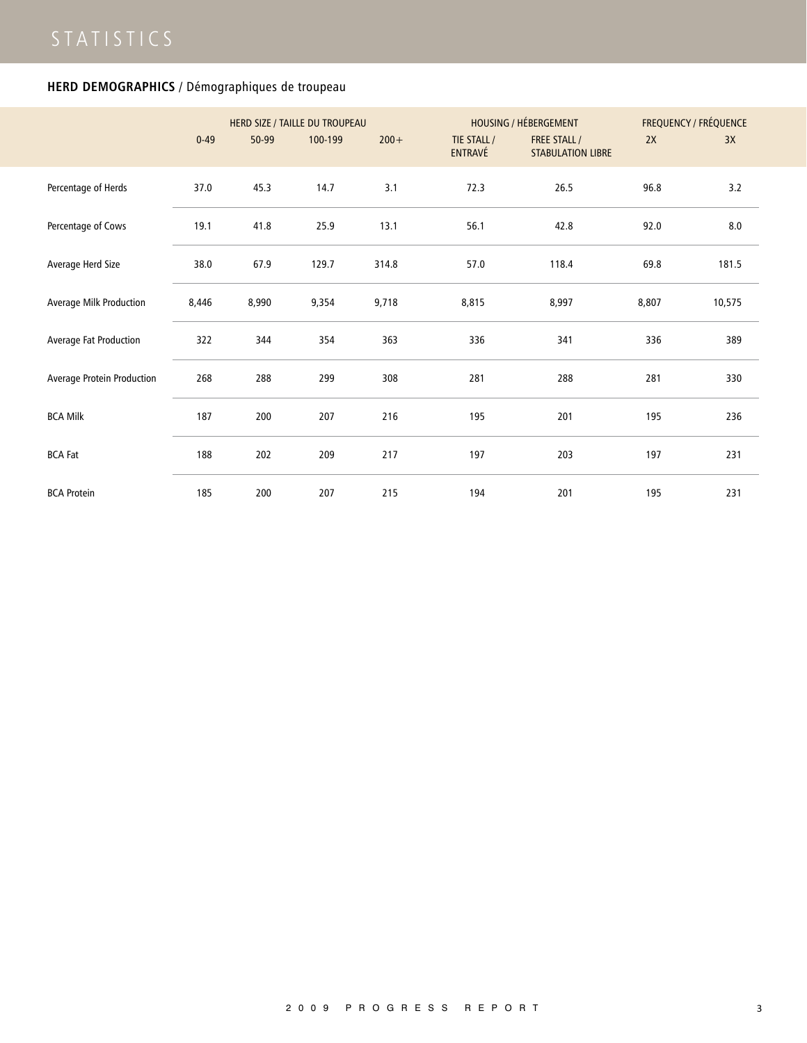## **HERD DEMOGRAPHICS** / Démographiques de troupeau

|                            | $0 - 49$ | 50-99 | HERD SIZE / TAILLE DU TROUPEAU<br>100-199 | $200 +$ | TIE STALL /<br>ENTRAVÉ | <b>HOUSING / HÉBERGEMENT</b><br><b>FREE STALL/</b><br><b>STABULATION LIBRE</b> | 2X    | <b>FREQUENCY / FRÉQUENCE</b><br>3X |
|----------------------------|----------|-------|-------------------------------------------|---------|------------------------|--------------------------------------------------------------------------------|-------|------------------------------------|
| Percentage of Herds        | 37.0     | 45.3  | 14.7                                      | 3.1     | 72.3                   | 26.5                                                                           | 96.8  | 3.2                                |
| Percentage of Cows         | 19.1     | 41.8  | 25.9                                      | 13.1    | 56.1                   | 42.8                                                                           | 92.0  | 8.0                                |
| Average Herd Size          | 38.0     | 67.9  | 129.7                                     | 314.8   | 57.0                   | 118.4                                                                          | 69.8  | 181.5                              |
| Average Milk Production    | 8,446    | 8,990 | 9,354                                     | 9,718   | 8,815                  | 8,997                                                                          | 8,807 | 10,575                             |
| Average Fat Production     | 322      | 344   | 354                                       | 363     | 336                    | 341                                                                            | 336   | 389                                |
| Average Protein Production | 268      | 288   | 299                                       | 308     | 281                    | 288                                                                            | 281   | 330                                |
| <b>BCA Milk</b>            | 187      | 200   | 207                                       | 216     | 195                    | 201                                                                            | 195   | 236                                |
| <b>BCA Fat</b>             | 188      | 202   | 209                                       | 217     | 197                    | 203                                                                            | 197   | 231                                |
| <b>BCA Protein</b>         | 185      | 200   | 207                                       | 215     | 194                    | 201                                                                            | 195   | 231                                |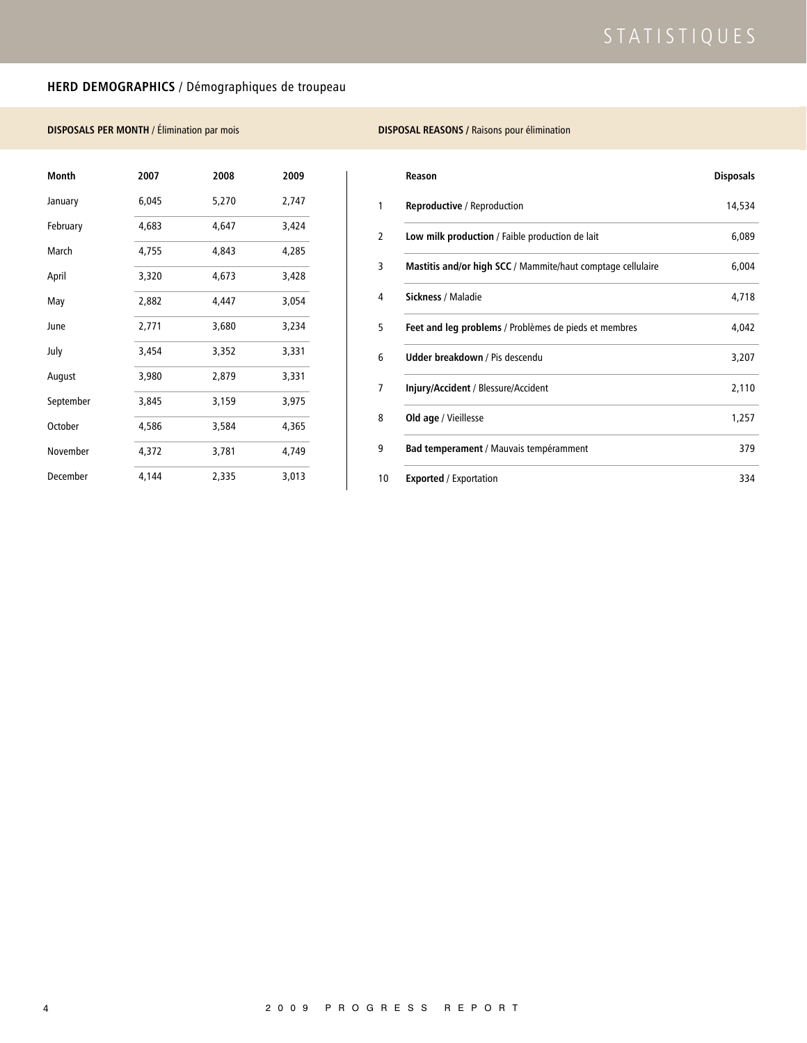## **HERD DEMOGRAPHICS** / Démographiques de troupeau

### **DISPOSALS PER MONTH** / Élimination par mois

| Month     | 2007  | 2008  | 2009  |
|-----------|-------|-------|-------|
| January   | 6,045 | 5,270 | 2,747 |
| February  | 4,683 | 4,647 | 3,424 |
| March     | 4,755 | 4,843 | 4,285 |
| April     | 3,320 | 4,673 | 3,428 |
| May       | 2,882 | 4,447 | 3,054 |
| June      | 2,771 | 3,680 | 3,234 |
| July      | 3,454 | 3,352 | 3,331 |
| August    | 3,980 | 2,879 | 3,331 |
| September | 3,845 | 3,159 | 3,975 |
| October   | 4,586 | 3,584 | 4,365 |
| November  | 4,372 | 3,781 | 4,749 |
| December  | 4,144 | 2,335 | 3,013 |

### **DISPOSAL REASONS /** Raisons pour élimination

| Reason                                                      | <b>Disposals</b> |
|-------------------------------------------------------------|------------------|
| Reproductive / Reproduction                                 | 14,534           |
| Low milk production / Faible production de lait             | 6,089            |
| Mastitis and/or high SCC / Mammite/haut comptage cellulaire | 6,004            |
| Sickness / Maladie                                          | 4,718            |
| Feet and leg problems / Problèmes de pieds et membres       | 4,042            |
| <b>Udder breakdown / Pis descendu</b>                       | 3,207            |
| Injury/Accident / Blessure/Accident                         | 2,110            |
| Old age / Vieillesse                                        | 1,257            |
| Bad temperament / Mauvais tempéramment                      | 379              |
| <b>Exported</b> / Exportation                               | 334              |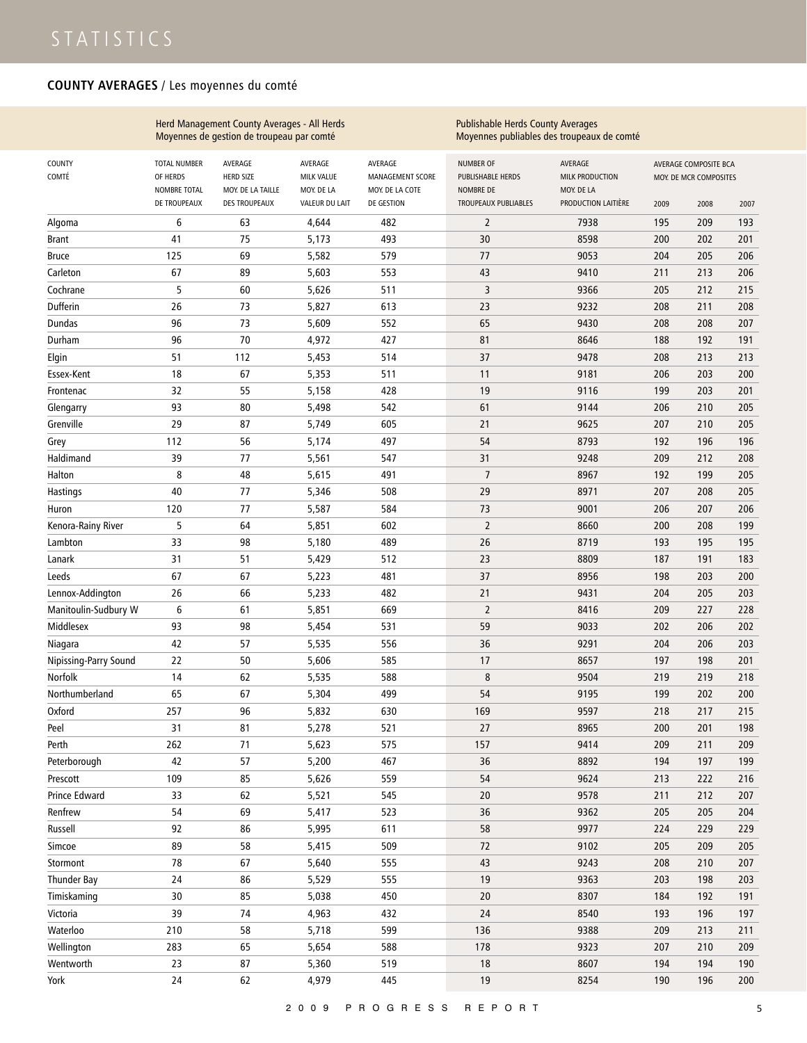## **COUNTY AVERAGES** / Les moyennes du comté

|                       |                                                 | Herd Management County Averages - All Herds<br>Moyennes de gestion de troupeau par comté |                                     |                                                | <b>Publishable Herds County Averages</b>           | Moyennes publiables des troupeaux de comté |      |                                                 |      |
|-----------------------|-------------------------------------------------|------------------------------------------------------------------------------------------|-------------------------------------|------------------------------------------------|----------------------------------------------------|--------------------------------------------|------|-------------------------------------------------|------|
| COUNTY<br>COMTÉ       | <b>TOTAL NUMBER</b><br>OF HERDS<br>NOMBRE TOTAL | AVERAGE<br><b>HERD SIZE</b><br>MOY. DE LA TAILLE                                         | AVERAGE<br>MILK VALUE<br>MOY. DE LA | AVERAGE<br>MANAGEMENT SCORE<br>MOY. DE LA COTE | <b>NUMBER OF</b><br>PUBLISHABLE HERDS<br>NOMBRE DE | AVERAGE<br>MILK PRODUCTION<br>MOY. DE LA   |      | AVERAGE COMPOSITE BCA<br>MOY. DE MCR COMPOSITES |      |
|                       | DE TROUPEAUX                                    | <b>DES TROUPEAUX</b>                                                                     | VALEUR DU LAIT                      | DE GESTION                                     | TROUPEAUX PUBLIABLES                               | PRODUCTION LAITIÈRE                        | 2009 | 2008                                            | 2007 |
| Algoma                | 6                                               | 63                                                                                       | 4,644                               | 482                                            | $\overline{2}$                                     | 7938                                       | 195  | 209                                             | 193  |
| <b>Brant</b>          | 41                                              | 75                                                                                       | 5,173                               | 493                                            | 30                                                 | 8598                                       | 200  | 202                                             | 201  |
| <b>Bruce</b>          | 125                                             | 69                                                                                       | 5,582                               | 579                                            | 77                                                 | 9053                                       | 204  | 205                                             | 206  |
| Carleton              | 67                                              | 89                                                                                       | 5,603                               | 553                                            | 43                                                 | 9410                                       | 211  | 213                                             | 206  |
| Cochrane              | 5                                               | 60                                                                                       | 5,626                               | 511                                            | 3                                                  | 9366                                       | 205  | 212                                             | 215  |
| Dufferin              | 26                                              | 73                                                                                       | 5,827                               | 613                                            | 23                                                 | 9232                                       | 208  | 211                                             | 208  |
| <b>Dundas</b>         | 96                                              | 73                                                                                       | 5,609                               | 552                                            | 65                                                 | 9430                                       | 208  | 208                                             | 207  |
| Durham                | 96                                              | 70                                                                                       | 4,972                               | 427                                            | 81                                                 | 8646                                       | 188  | 192                                             | 191  |
| Elgin                 | 51                                              | 112                                                                                      | 5,453                               | 514                                            | 37                                                 | 9478                                       | 208  | 213                                             | 213  |
| Essex-Kent            | 18                                              | 67                                                                                       | 5,353                               | 511                                            | 11                                                 | 9181                                       | 206  | 203                                             | 200  |
| Frontenac             | 32                                              | 55                                                                                       | 5,158                               | 428                                            | 19                                                 | 9116                                       | 199  | 203                                             | 201  |
| Glengarry             | 93                                              | 80                                                                                       | 5,498                               | 542                                            | 61                                                 | 9144                                       | 206  | 210                                             | 205  |
| Grenville             | 29                                              | 87                                                                                       | 5,749                               | 605                                            | 21                                                 | 9625                                       | 207  | 210                                             | 205  |
| Grey                  | 112                                             | 56                                                                                       | 5,174                               | 497                                            | 54                                                 | 8793                                       | 192  | 196                                             | 196  |
| Haldimand             | 39                                              | 77                                                                                       | 5,561                               | 547                                            | 31                                                 | 9248                                       | 209  | 212                                             | 208  |
| Halton                | 8                                               | 48                                                                                       | 5,615                               | 491                                            | $\overline{7}$                                     | 8967                                       | 192  | 199                                             | 205  |
| Hastings              | 40                                              | 77                                                                                       | 5,346                               | 508                                            | 29                                                 | 8971                                       | 207  | 208                                             | 205  |
| Huron                 | 120                                             | 77                                                                                       | 5,587                               | 584                                            | 73                                                 | 9001                                       | 206  | 207                                             | 206  |
| Kenora-Rainy River    | 5                                               | 64                                                                                       | 5,851                               | 602                                            | $\overline{2}$                                     | 8660                                       | 200  | 208                                             | 199  |
| Lambton               | 33                                              | 98                                                                                       | 5,180                               | 489                                            | 26                                                 | 8719                                       | 193  | 195                                             | 195  |
| Lanark                | 31                                              | 51                                                                                       | 5,429                               | 512                                            | 23                                                 | 8809                                       | 187  | 191                                             | 183  |
| Leeds                 | 67                                              | 67                                                                                       | 5,223                               | 481                                            | 37                                                 | 8956                                       | 198  | 203                                             | 200  |
| Lennox-Addington      | 26                                              | 66                                                                                       | 5,233                               | 482                                            | 21                                                 | 9431                                       | 204  | 205                                             | 203  |
| Manitoulin-Sudbury W  | 6                                               | 61                                                                                       | 5,851                               | 669                                            | $\overline{2}$                                     | 8416                                       | 209  | 227                                             | 228  |
| Middlesex             | 93                                              | 98                                                                                       | 5,454                               | 531                                            | 59                                                 | 9033                                       | 202  | 206                                             | 202  |
| Niagara               | 42                                              | 57                                                                                       | 5,535                               | 556                                            | 36                                                 | 9291                                       | 204  | 206                                             | 203  |
| Nipissing-Parry Sound | 22                                              | 50                                                                                       | 5,606                               | 585                                            | 17                                                 | 8657                                       | 197  | 198                                             | 201  |
| Norfolk               | 14                                              | 62                                                                                       | 5,535                               | 588                                            | 8                                                  | 9504                                       | 219  | 219                                             | 218  |
| Northumberland        | 65                                              | 67                                                                                       | 5,304                               | 499                                            | 54                                                 | 9195                                       | 199  | 202                                             | 200  |
| Oxford                | 257                                             | 96                                                                                       | 5,832                               | 630                                            | 169                                                | 9597                                       | 218  | 217                                             | 215  |
| Peel                  | 31                                              | 81                                                                                       | 5,278                               | 521                                            | 27                                                 | 8965                                       | 200  | 201                                             | 198  |
| Perth                 | 262                                             | 71                                                                                       | 5,623                               | 575                                            | 157                                                | 9414                                       | 209  | 211                                             | 209  |
| Peterborough          | 42                                              | 57                                                                                       | 5,200                               | 467                                            | 36                                                 | 8892                                       | 194  | 197                                             | 199  |
| Prescott              | 109                                             | 85                                                                                       | 5,626                               | 559                                            | 54                                                 | 9624                                       | 213  | 222                                             | 216  |
| Prince Edward         | 33                                              | 62                                                                                       | 5,521                               | 545                                            | 20                                                 | 9578                                       | 211  | 212                                             | 207  |
| Renfrew               | 54                                              | 69                                                                                       | 5,417                               | 523                                            | 36                                                 | 9362                                       | 205  | 205                                             | 204  |
| Russell               | 92                                              | 86                                                                                       | 5,995                               | 611                                            | 58                                                 | 9977                                       | 224  | 229                                             | 229  |
| Simcoe                | 89                                              | 58                                                                                       | 5,415                               | 509                                            | 72                                                 | 9102                                       | 205  | 209                                             | 205  |
| Stormont              | 78                                              | 67                                                                                       | 5,640                               | 555                                            | 43                                                 | 9243                                       | 208  | 210                                             | 207  |
| Thunder Bay           | 24                                              | 86                                                                                       | 5,529                               | 555                                            | 19                                                 | 9363                                       | 203  | 198                                             | 203  |
| Timiskaming           | 30                                              | 85                                                                                       | 5,038                               | 450                                            | $20\,$                                             | 8307                                       | 184  | 192                                             | 191  |
| Victoria              | 39                                              | 74                                                                                       | 4,963                               | 432                                            | 24                                                 | 8540                                       | 193  | 196                                             | 197  |
| Waterloo              | 210                                             | 58                                                                                       | 5,718                               | 599                                            | 136                                                | 9388                                       | 209  | 213                                             | 211  |
| Wellington            | 283                                             | 65                                                                                       | 5,654                               | 588                                            | 178                                                | 9323                                       | 207  | 210                                             | 209  |
| Wentworth             | 23                                              | 87                                                                                       | 5,360                               | 519                                            | 18                                                 | 8607                                       | 194  | 194                                             | 190  |
| York                  | 24                                              | 62                                                                                       | 4,979                               | 445                                            | 19                                                 | 8254                                       | 190  | 196                                             | 200  |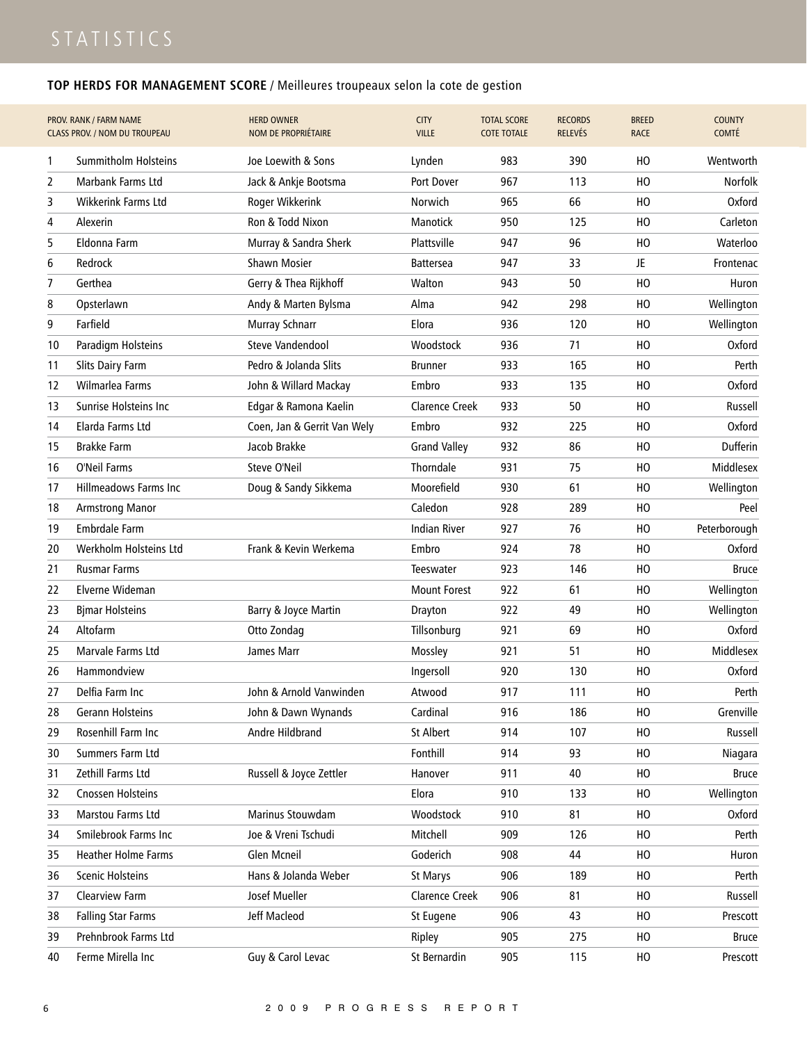## **TOP HERDS FOR MANAGEMENT SCORE** / Meilleures troupeaux selon la cote de gestion

|    | PROV. RANK / FARM NAME<br><b>CLASS PROV. / NOM DU TROUPEAU</b> | <b>HERD OWNER</b><br>NOM DE PROPRIÉTAIRE | <b>CITY</b><br><b>VILLE</b> | <b>TOTAL SCORE</b><br><b>COTE TOTALE</b> | <b>RECORDS</b><br><b>RELEVÉS</b> | <b>BREED</b><br><b>RACE</b> | <b>COUNTY</b><br><b>COMTÉ</b> |
|----|----------------------------------------------------------------|------------------------------------------|-----------------------------|------------------------------------------|----------------------------------|-----------------------------|-------------------------------|
| 1  | <b>Summitholm Holsteins</b>                                    | Joe Loewith & Sons                       | Lynden                      | 983                                      | 390                              | HO                          | Wentworth                     |
| 2  | <b>Marbank Farms Ltd</b>                                       | Jack & Ankje Bootsma                     | Port Dover                  | 967                                      | 113                              | но                          | Norfolk                       |
| 3  | <b>Wikkerink Farms Ltd</b>                                     | Roger Wikkerink                          | Norwich                     | 965                                      | 66                               | HO                          | Oxford                        |
| 4  | Alexerin                                                       | Ron & Todd Nixon                         | <b>Manotick</b>             | 950                                      | 125                              | HO                          | Carleton                      |
| 5  | Eldonna Farm                                                   | Murray & Sandra Sherk                    | Plattsville                 | 947                                      | 96                               | HO                          | Waterloo                      |
| 6  | Redrock                                                        | <b>Shawn Mosier</b>                      | <b>Battersea</b>            | 947                                      | 33                               | JE.                         | Frontenac                     |
| 7  | Gerthea                                                        | Gerry & Thea Rijkhoff                    | Walton                      | 943                                      | 50                               | нo                          | Huron                         |
| 8  | Opsterlawn                                                     | Andy & Marten Bylsma                     | Alma                        | 942                                      | 298                              | HO                          | Wellington                    |
| 9  | Farfield                                                       | Murray Schnarr                           | Elora                       | 936                                      | 120                              | нo                          | Wellington                    |
| 10 | Paradigm Holsteins                                             | <b>Steve Vandendool</b>                  | Woodstock                   | 936                                      | 71                               | нo                          | Oxford                        |
| 11 | Slits Dairy Farm                                               | Pedro & Jolanda Slits                    | <b>Brunner</b>              | 933                                      | 165                              | HO                          | Perth                         |
| 12 | Wilmarlea Farms                                                | John & Willard Mackay                    | Embro                       | 933                                      | 135                              | HO                          | Oxford                        |
| 13 | Sunrise Holsteins Inc                                          | Edgar & Ramona Kaelin                    | <b>Clarence Creek</b>       | 933                                      | 50                               | HO                          | Russell                       |
| 14 | Elarda Farms Ltd                                               | Coen, Jan & Gerrit Van Wely              | Embro                       | 932                                      | 225                              | нo                          | Oxford                        |
| 15 | <b>Brakke Farm</b>                                             | Jacob Brakke                             | <b>Grand Valley</b>         | 932                                      | 86                               | HO                          | Dufferin                      |
| 16 | O'Neil Farms                                                   | Steve O'Neil                             | Thorndale                   | 931                                      | 75                               | нo                          | Middlesex                     |
| 17 | <b>Hillmeadows Farms Inc</b>                                   | Doug & Sandy Sikkema                     | Moorefield                  | 930                                      | 61                               | HO                          | Wellington                    |
| 18 | <b>Armstrong Manor</b>                                         |                                          | Caledon                     | 928                                      | 289                              | HO                          | Peel                          |
| 19 | <b>Embrdale Farm</b>                                           |                                          | Indian River                | 927                                      | 76                               | но                          | Peterborough                  |
| 20 | Werkholm Holsteins Ltd                                         | Frank & Kevin Werkema                    | Embro                       | 924                                      | 78                               | HO                          | Oxford                        |
| 21 | <b>Rusmar Farms</b>                                            |                                          | Teeswater                   | 923                                      | 146                              | HO                          | <b>Bruce</b>                  |
| 22 | Elverne Wideman                                                |                                          | <b>Mount Forest</b>         | 922                                      | 61                               | нo                          | Wellington                    |
| 23 | <b>Bjmar Holsteins</b>                                         | Barry & Joyce Martin                     | Drayton                     | 922                                      | 49                               | HO                          | Wellington                    |
| 24 | Altofarm                                                       | Otto Zondag                              | Tillsonburg                 | 921                                      | 69                               | HO                          | Oxford                        |
| 25 | Marvale Farms Ltd                                              | James Marr                               | Mossley                     | 921                                      | 51                               | нo                          | Middlesex                     |
| 26 | Hammondview                                                    |                                          | Ingersoll                   | 920                                      | 130                              | HO                          | Oxford                        |
| 27 | Delfia Farm Inc                                                | John & Arnold Vanwinden                  | Atwood                      | 917                                      | 111                              | HO                          | Perth                         |
| 28 | Gerann Holsteins                                               | John & Dawn Wynands                      | Cardinal                    | 916                                      | 186                              | HO                          | Grenville                     |
| 29 | Rosenhill Farm Inc                                             | Andre Hildbrand                          | St Albert                   | 914                                      | 107                              | HO                          | Russell                       |
| 30 | Summers Farm Ltd                                               |                                          | Fonthill                    | 914                                      | 93                               | HO                          | Niagara                       |
| 31 | Zethill Farms Ltd                                              | Russell & Joyce Zettler                  | Hanover                     | 911                                      | 40                               | HO                          | <b>Bruce</b>                  |
| 32 | Cnossen Holsteins                                              |                                          | Elora                       | 910                                      | 133                              | HO                          | Wellington                    |
| 33 | Marstou Farms Ltd                                              | Marinus Stouwdam                         | Woodstock                   | 910                                      | 81                               | HO                          | Oxford                        |
| 34 | Smilebrook Farms Inc                                           | Joe & Vreni Tschudi                      | Mitchell                    | 909                                      | 126                              | HO                          | Perth                         |
| 35 | Heather Holme Farms                                            | Glen Mcneil                              | Goderich                    | 908                                      | 44                               | HO                          | Huron                         |
| 36 | Scenic Holsteins                                               | Hans & Jolanda Weber                     | St Marys                    | 906                                      | 189                              | HO                          | Perth                         |
| 37 | Clearview Farm                                                 | Josef Mueller                            | Clarence Creek              | 906                                      | 81                               | HO                          | Russell                       |
| 38 | <b>Falling Star Farms</b>                                      | Jeff Macleod                             | St Eugene                   | 906                                      | 43                               | HO                          | Prescott                      |
| 39 | Prehnbrook Farms Ltd                                           |                                          | Ripley                      | 905                                      | 275                              | HO                          | <b>Bruce</b>                  |
| 40 | Ferme Mirella Inc                                              | Guy & Carol Levac                        | St Bernardin                | 905                                      | 115                              | HO                          | Prescott                      |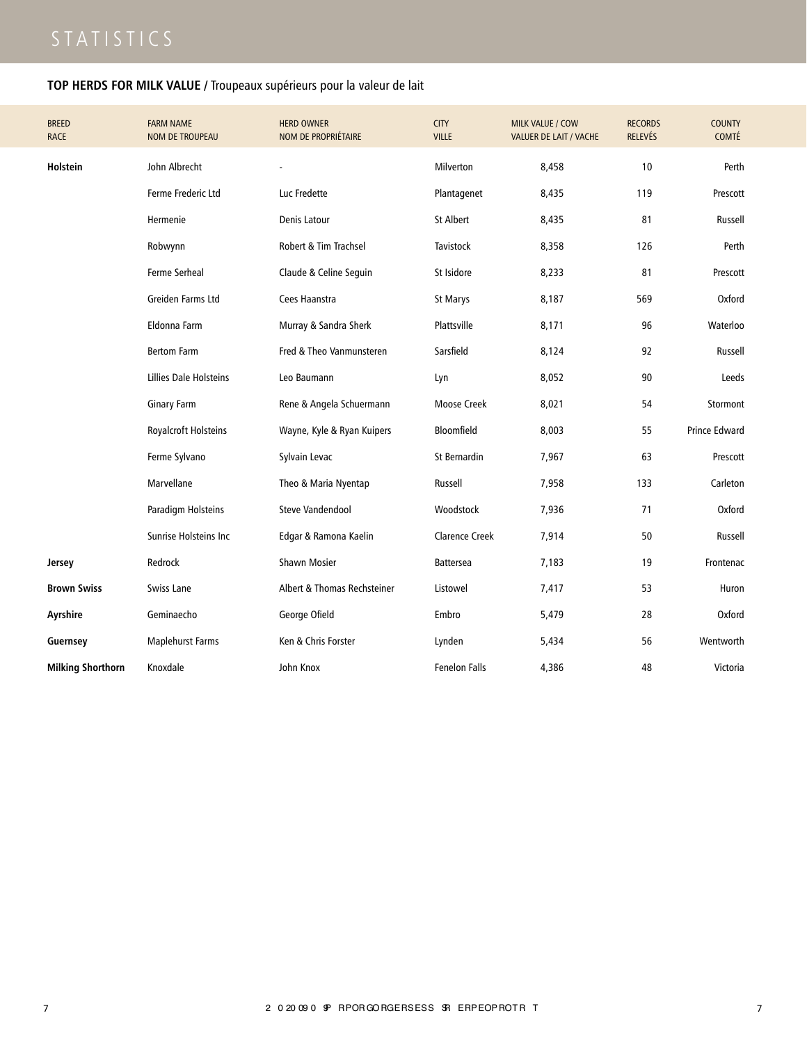## **TOP HERDS FOR MILK VALUE /** Troupeaux supérieurs pour la valeur de lait

| <b>BREED</b><br><b>RACE</b> | <b>FARM NAME</b><br><b>NOM DE TROUPEAU</b> | <b>HERD OWNER</b><br><b>NOM DE PROPRIÉTAIRE</b> | <b>CITY</b><br><b>VILLE</b> | MILK VALUE / COW<br><b>VALUER DE LAIT / VACHE</b> | <b>RECORDS</b><br><b>RELEVÉS</b> | <b>COUNTY</b><br><b>COMTÉ</b> |
|-----------------------------|--------------------------------------------|-------------------------------------------------|-----------------------------|---------------------------------------------------|----------------------------------|-------------------------------|
| Holstein                    | John Albrecht                              |                                                 | Milverton                   | 8,458                                             | 10                               | Perth                         |
|                             | Ferme Frederic Ltd                         | Luc Fredette                                    | Plantagenet                 | 8,435                                             | 119                              | Prescott                      |
|                             | Hermenie                                   | Denis Latour                                    | St Albert                   | 8,435                                             | 81                               | Russell                       |
|                             | Robwynn                                    | Robert & Tim Trachsel                           | Tavistock                   | 8,358                                             | 126                              | Perth                         |
|                             | <b>Ferme Serheal</b>                       | Claude & Celine Seguin                          | St Isidore                  | 8,233                                             | 81                               | Prescott                      |
|                             | Greiden Farms Ltd                          | Cees Haanstra                                   | St Marys                    | 8,187                                             | 569                              | Oxford                        |
|                             | Eldonna Farm                               | Murray & Sandra Sherk                           | Plattsville                 | 8,171                                             | 96                               | Waterloo                      |
|                             | <b>Bertom Farm</b>                         | Fred & Theo Vanmunsteren                        | Sarsfield                   | 8,124                                             | 92                               | Russell                       |
|                             | Lillies Dale Holsteins                     | Leo Baumann                                     | Lyn                         | 8,052                                             | 90                               | Leeds                         |
|                             | <b>Ginary Farm</b>                         | Rene & Angela Schuermann                        | Moose Creek                 | 8,021                                             | 54                               | Stormont                      |
|                             | Royalcroft Holsteins                       | Wayne, Kyle & Ryan Kuipers                      | <b>Bloomfield</b>           | 8,003                                             | 55                               | <b>Prince Edward</b>          |
|                             | Ferme Sylvano                              | Sylvain Levac                                   | St Bernardin                | 7,967                                             | 63                               | Prescott                      |
|                             | Marvellane                                 | Theo & Maria Nyentap                            | Russell                     | 7,958                                             | 133                              | Carleton                      |
|                             | Paradigm Holsteins                         | Steve Vandendool                                | Woodstock                   | 7,936                                             | 71                               | Oxford                        |
|                             | Sunrise Holsteins Inc                      | Edgar & Ramona Kaelin                           | <b>Clarence Creek</b>       | 7,914                                             | 50                               | Russell                       |
| Jersey                      | Redrock                                    | <b>Shawn Mosier</b>                             | <b>Battersea</b>            | 7,183                                             | 19                               | Frontenac                     |
| <b>Brown Swiss</b>          | Swiss Lane                                 | Albert & Thomas Rechsteiner                     | Listowel                    | 7,417                                             | 53                               | Huron                         |
| Ayrshire                    | Geminaecho                                 | George Ofield                                   | Embro                       | 5,479                                             | 28                               | Oxford                        |
| Guernsey                    | Maplehurst Farms                           | Ken & Chris Forster                             | Lynden                      | 5,434                                             | 56                               | Wentworth                     |
| <b>Milking Shorthorn</b>    | Knoxdale                                   | John Knox                                       | <b>Fenelon Falls</b>        | 4,386                                             | 48                               | Victoria                      |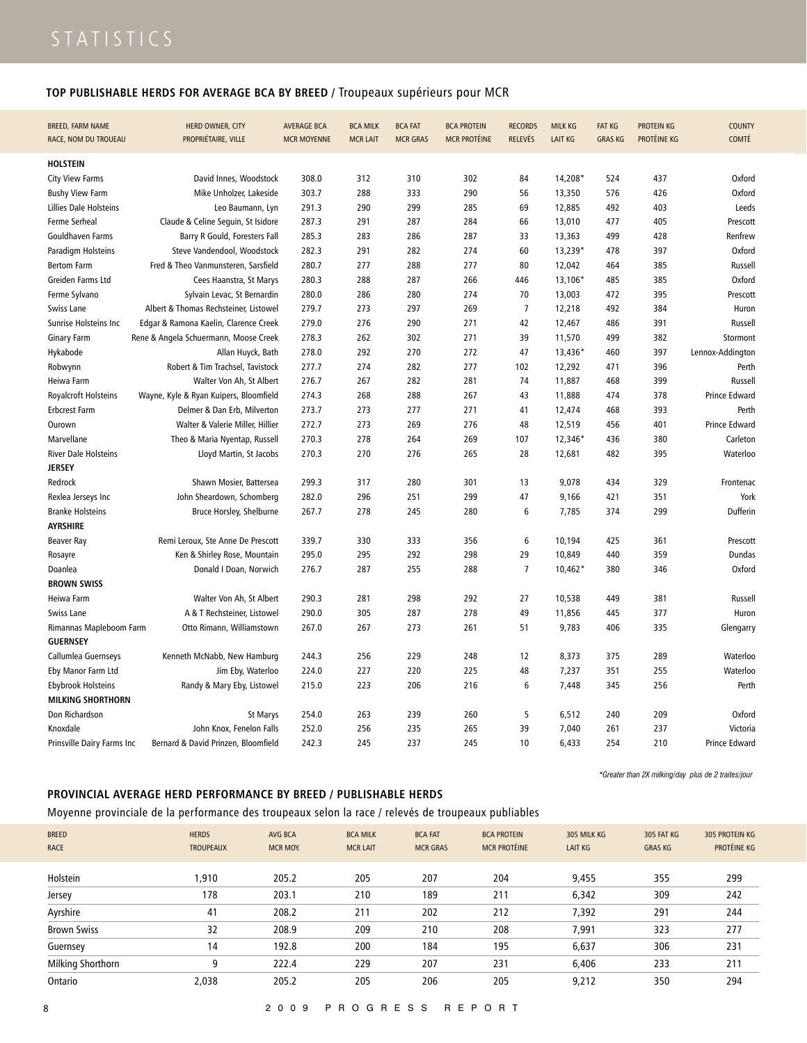## **TOP PUBLISHABLE HERDS FOR AVERAGE BCA BY BREED /** Troupeaux supérieurs pour MCR

| BREED, FARM NAME<br>RACE, NOM DU TROUEAU | HERD OWNER, CITY<br>PROPRIÉTAIRE, VILLE | <b>AVERAGE BCA</b><br><b>MCR MOYENNE</b> | <b>BCA MILK</b><br><b>MCR LAIT</b> | <b>BCA FAT</b><br><b>MCR GRAS</b> | <b>BCA PROTEIN</b><br><b>MCR PROTÉINE</b> | <b>RECORDS</b><br><b>RELEVÉS</b> | <b>MILK KG</b><br><b>LAIT KG</b> | <b>FAT KG</b><br><b>GRAS KG</b> | PROTEIN KG<br>PROTÉINE KG | <b>COUNTY</b><br><b>COMTÉ</b> |
|------------------------------------------|-----------------------------------------|------------------------------------------|------------------------------------|-----------------------------------|-------------------------------------------|----------------------------------|----------------------------------|---------------------------------|---------------------------|-------------------------------|
| <b>HOLSTEIN</b>                          |                                         |                                          |                                    |                                   |                                           |                                  |                                  |                                 |                           |                               |
| <b>City View Farms</b>                   | David Innes, Woodstock                  | 308.0                                    | 312                                | 310                               | 302                                       | 84                               | 14,208*                          | 524                             | 437                       | Oxford                        |
| <b>Bushy View Farm</b>                   | Mike Unholzer, Lakeside                 | 303.7                                    | 288                                | 333                               | 290                                       | 56                               | 13,350                           | 576                             | 426                       | Oxford                        |
| Lillies Dale Holsteins                   | Leo Baumann, Lyn                        | 291.3                                    | 290                                | 299                               | 285                                       | 69                               | 12,885                           | 492                             | 403                       | Leeds                         |
| Ferme Serheal                            | Claude & Celine Seguin, St Isidore      | 287.3                                    | 291                                | 287                               | 284                                       | 66                               | 13,010                           | 477                             | 405                       | Prescott                      |
| <b>Gouldhaven Farms</b>                  | Barry R Gould, Foresters Fall           | 285.3                                    | 283                                | 286                               | 287                                       | 33                               | 13,363                           | 499                             | 428                       | Renfrew                       |
| Paradigm Holsteins                       | Steve Vandendool, Woodstock             | 282.3                                    | 291                                | 282                               | 274                                       | 60                               | 13,239*                          | 478                             | 397                       | Oxford                        |
| <b>Bertom Farm</b>                       | Fred & Theo Vanmunsteren, Sarsfield     | 280.7                                    | 277                                | 288                               | 277                                       | 80                               | 12,042                           | 464                             | 385                       | Russell                       |
| Greiden Farms Ltd                        | Cees Haanstra, St Marys                 | 280.3                                    | 288                                | 287                               | 266                                       | 446                              | 13,106*                          | 485                             | 385                       | Oxford                        |
| Ferme Sylvano                            | Sylvain Levac, St Bernardin             | 280.0                                    | 286                                | 280                               | 274                                       | 70                               | 13,003                           | 472                             | 395                       | Prescott                      |
| Swiss Lane                               | Albert & Thomas Rechsteiner, Listowel   | 279.7                                    | 273                                | 297                               | 269                                       | $\overline{7}$                   | 12,218                           | 492                             | 384                       | Huron                         |
| Sunrise Holsteins Inc                    | Edgar & Ramona Kaelin, Clarence Creek   | 279.0                                    | 276                                | 290                               | 271                                       | 42                               | 12,467                           | 486                             | 391                       | Russell                       |
| <b>Ginary Farm</b>                       | Rene & Angela Schuermann, Moose Creek   | 278.3                                    | 262                                | 302                               | 271                                       | 39                               | 11,570                           | 499                             | 382                       | Stormont                      |
| Hykabode                                 | Allan Huyck, Bath                       | 278.0                                    | 292                                | 270                               | 272                                       | 47                               | $13,436*$                        | 460                             | 397                       | Lennox-Addington              |
| Robwynn                                  | Robert & Tim Trachsel, Tavistock        | 277.7                                    | 274                                | 282                               | 277                                       | 102                              | 12,292                           | 471                             | 396                       | Perth                         |
| Heiwa Farm                               | Walter Von Ah, St Albert                | 276.7                                    | 267                                | 282                               | 281                                       | 74                               | 11,887                           | 468                             | 399                       | Russell                       |
| Royalcroft Holsteins                     | Wayne, Kyle & Ryan Kuipers, Bloomfield  | 274.3                                    | 268                                | 288                               | 267                                       | 43                               | 11,888                           | 474                             | 378                       | Prince Edward                 |
| <b>Erbcrest Farm</b>                     | Delmer & Dan Erb, Milverton             | 273.7                                    | 273                                | 277                               | 271                                       | 41                               | 12,474                           | 468                             | 393                       | Perth                         |
| Ourown                                   | Walter & Valerie Miller, Hillier        | 272.7                                    | 273                                | 269                               | 276                                       | 48                               | 12,519                           | 456                             | 401                       | <b>Prince Edward</b>          |
| Marvellane                               | Theo & Maria Nyentap, Russell           | 270.3                                    | 278                                | 264                               | 269                                       | 107                              | $12,346*$                        | 436                             | 380                       | Carleton                      |
| <b>River Dale Holsteins</b>              | Lloyd Martin, St Jacobs                 | 270.3                                    | 270                                | 276                               | 265                                       | 28                               | 12,681                           | 482                             | 395                       | Waterloo                      |
| <b>JERSEY</b>                            |                                         |                                          |                                    |                                   |                                           |                                  |                                  |                                 |                           |                               |
| Redrock                                  | Shawn Mosier, Battersea                 | 299.3                                    | 317                                | 280                               | 301                                       | 13                               | 9,078                            | 434                             | 329                       | Frontenac                     |
| Rexlea Jerseys Inc                       | John Sheardown, Schomberg               | 282.0                                    | 296                                | 251                               | 299                                       | 47                               | 9,166                            | 421                             | 351                       | York                          |
| <b>Branke Holsteins</b>                  | Bruce Horsley, Shelburne                | 267.7                                    | 278                                | 245                               | 280                                       | 6                                | 7,785                            | 374                             | 299                       | <b>Dufferin</b>               |
| <b>AYRSHIRE</b>                          |                                         |                                          |                                    |                                   |                                           |                                  |                                  |                                 |                           |                               |
| <b>Beaver Ray</b>                        | Remi Leroux, Ste Anne De Prescott       | 339.7                                    | 330                                | 333                               | 356                                       | 6                                | 10,194                           | 425                             | 361                       | Prescott                      |
| Rosayre                                  | Ken & Shirley Rose, Mountain            | 295.0                                    | 295                                | 292                               | 298                                       | 29                               | 10,849                           | 440                             | 359                       | Dundas                        |
| Doanlea                                  | Donald I Doan, Norwich                  | 276.7                                    | 287                                | 255                               | 288                                       | $\overline{7}$                   | $10,462*$                        | 380                             | 346                       | Oxford                        |
| <b>BROWN SWISS</b>                       |                                         |                                          |                                    |                                   |                                           |                                  |                                  |                                 |                           |                               |
| <b>Heiwa Farm</b>                        | Walter Von Ah, St Albert                | 290.3                                    | 281                                | 298                               | 292                                       | 27                               | 10,538                           | 449                             | 381                       | Russell                       |
| Swiss Lane                               | A & T Rechsteiner, Listowel             | 290.0                                    | 305                                | 287                               | 278                                       | 49                               | 11,856                           | 445                             | 377                       | Huron                         |
| Rimannas Mapleboom Farm                  | Otto Rimann, Williamstown               | 267.0                                    | 267                                | 273                               | 261                                       | 51                               | 9,783                            | 406                             | 335                       | Glengarry                     |
| <b>GUERNSEY</b>                          |                                         |                                          |                                    |                                   |                                           |                                  |                                  |                                 |                           |                               |
| Callumlea Guernseys                      | Kenneth McNabb, New Hamburg             | 244.3                                    | 256                                | 229                               | 248                                       | 12                               | 8,373                            | 375                             | 289                       | Waterloo                      |
| Eby Manor Farm Ltd                       | Jim Eby, Waterloo                       | 224.0                                    | 227                                | 220                               | 225                                       | 48                               | 7,237                            | 351                             | 255                       | Waterloo                      |
| <b>Ebybrook Holsteins</b>                | Randy & Mary Eby, Listowel              | 215.0                                    | 223                                | 206                               | 216                                       | 6                                | 7,448                            | 345                             | 256                       | Perth                         |
| <b>MILKING SHORTHORN</b>                 |                                         |                                          |                                    |                                   |                                           |                                  |                                  |                                 |                           |                               |
| Don Richardson                           | St Marys                                | 254.0                                    | 263                                | 239                               | 260                                       | 5                                | 6,512                            | 240                             | 209                       | Oxford                        |
| Knoxdale                                 | John Knox, Fenelon Falls                | 252.0                                    | 256                                | 235                               | 265                                       | 39                               | 7,040                            | 261                             | 237                       | Victoria                      |
| Prinsville Dairy Farms Inc               | Bernard & David Prinzen, Bloomfield     | 242.3                                    | 245                                | 237                               | 245                                       | 10                               | 6,433                            | 254                             | 210                       | <b>Prince Edward</b>          |

*\*Greater than 2X milking/day plus de 2 traites/jour*

### **PROVINCIAL AVERAGE HERD PERFORMANCE BY BREED / PUBLISHABLE HERDS**

Moyenne provinciale de la performance des troupeaux selon la race / relevés de troupeaux publiables

| <b>BREED</b><br><b>RACE</b> | <b>HERDS</b><br><b>TROUPEAUX</b> | AVG BCA<br><b>MCR MOY.</b> | <b>BCA MILK</b><br><b>MCR LAIT</b> | <b>BCA FAT</b><br><b>MCR GRAS</b> | <b>BCA PROTEIN</b><br><b>MCR PROTÉINE</b> | 305 MILK KG<br><b>LAIT KG</b> | 305 FAT KG<br><b>GRAS KG</b> | 305 PROTEIN KG<br>PROTÉINE KG |
|-----------------------------|----------------------------------|----------------------------|------------------------------------|-----------------------------------|-------------------------------------------|-------------------------------|------------------------------|-------------------------------|
| Holstein                    | 1,910                            | 205.2                      | 205                                | 207                               | 204                                       | 9,455                         | 355                          | 299                           |
| Jersey                      | 178                              | 203.1                      | 210                                | 189                               | 211                                       | 6,342                         | 309                          | 242                           |
| Ayrshire                    | 41                               | 208.2                      | 211                                | 202                               | 212                                       | 7,392                         | 291                          | 244                           |
| <b>Brown Swiss</b>          | 32                               | 208.9                      | 209                                | 210                               | 208                                       | 7,991                         | 323                          | 277                           |
| Guernsey                    | 14                               | 192.8                      | 200                                | 184                               | 195                                       | 6,637                         | 306                          | 231                           |
| Milking Shorthorn           | 9                                | 222.4                      | 229                                | 207                               | 231                                       | 6,406                         | 233                          | 211                           |
| Ontario                     | 2.038                            | 205.2                      | 205                                | 206                               | 205                                       | 9,212                         | 350                          | 294                           |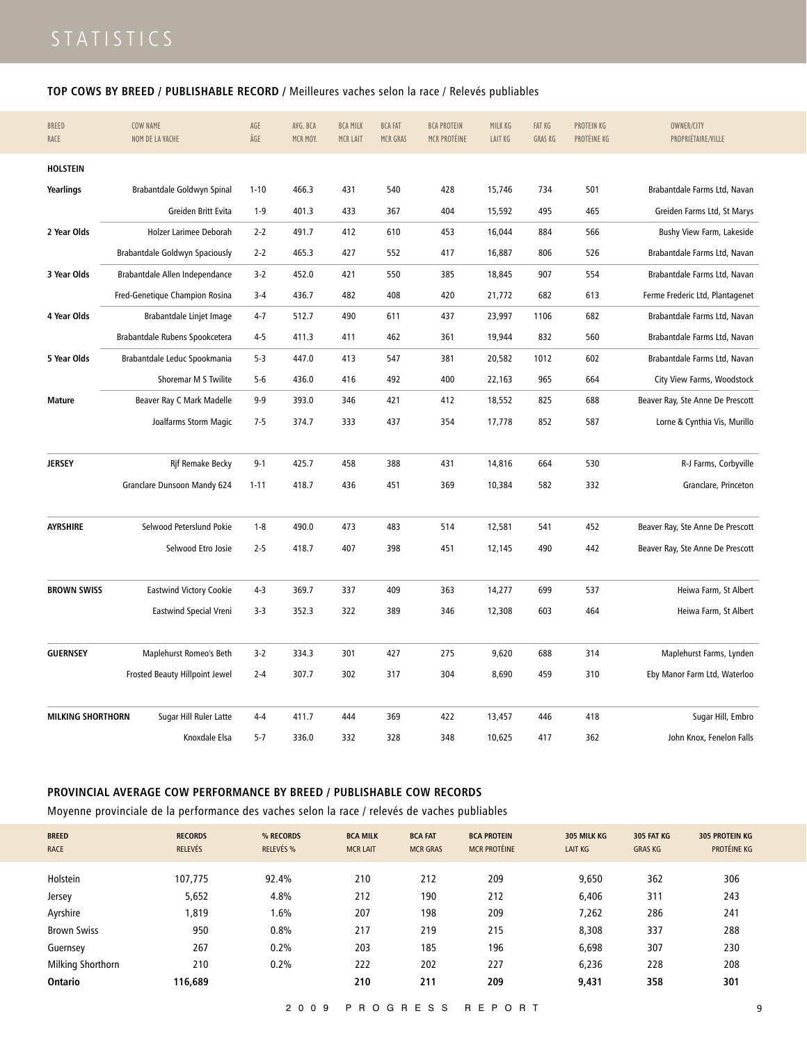### **TOP COWS BY BREED / PUBLISHABLE RECORD /** Meilleures vaches selon la race / Relevés publiables

| <b>BREED</b><br>RACE     | COW NAME<br>NOM DE LA VACHE    | AGE<br>ÂGE | AVG. BCA<br>MCR MOY. | <b>BCA MILK</b><br>MCR LAIT | <b>BCA FAT</b><br>MCR GRAS | <b>BCA PROTEIN</b><br>MCR PROTÉINE | MILK KG<br><b>LAIT KG</b> | <b>FAT KG</b><br><b>GRAS KG</b> | PROTEIN KG<br>PROTÉINE KG | OWNER/CITY<br>PROPRIÉTAIRE/VILLE |
|--------------------------|--------------------------------|------------|----------------------|-----------------------------|----------------------------|------------------------------------|---------------------------|---------------------------------|---------------------------|----------------------------------|
| <b>HOLSTEIN</b>          |                                |            |                      |                             |                            |                                    |                           |                                 |                           |                                  |
| Yearlings                | Brabantdale Goldwyn Spinal     | $1 - 10$   | 466.3                | 431                         | 540                        | 428                                | 15,746                    | 734                             | 501                       | Brabantdale Farms Ltd, Navan     |
|                          | Greiden Britt Evita            | $1 - 9$    | 401.3                | 433                         | 367                        | 404                                | 15,592                    | 495                             | 465                       | Greiden Farms Ltd, St Marys      |
| 2 Year Olds              | Holzer Larimee Deborah         | $2 - 2$    | 491.7                | 412                         | 610                        | 453                                | 16,044                    | 884                             | 566                       | Bushy View Farm, Lakeside        |
|                          | Brabantdale Goldwyn Spaciously | $2 - 2$    | 465.3                | 427                         | 552                        | 417                                | 16,887                    | 806                             | 526                       | Brabantdale Farms Ltd, Navan     |
| 3 Year Olds              | Brabantdale Allen Independance | $3-2$      | 452.0                | 421                         | 550                        | 385                                | 18,845                    | 907                             | 554                       | Brabantdale Farms Ltd, Navan     |
|                          | Fred-Genetique Champion Rosina | $3 - 4$    | 436.7                | 482                         | 408                        | 420                                | 21,772                    | 682                             | 613                       | Ferme Frederic Ltd, Plantagenet  |
| 4 Year Olds              | Brabantdale Linjet Image       | $4 - 7$    | 512.7                | 490                         | 611                        | 437                                | 23,997                    | 1106                            | 682                       | Brabantdale Farms Ltd, Navan     |
|                          | Brabantdale Rubens Spookcetera | $4 - 5$    | 411.3                | 411                         | 462                        | 361                                | 19,944                    | 832                             | 560                       | Brabantdale Farms Ltd, Navan     |
| 5 Year Olds              | Brabantdale Leduc Spookmania   | $5-3$      | 447.0                | 413                         | 547                        | 381                                | 20,582                    | 1012                            | 602                       | Brabantdale Farms Ltd, Navan     |
|                          | Shoremar M S Twilite           | $5 - 6$    | 436.0                | 416                         | 492                        | 400                                | 22,163                    | 965                             | 664                       | City View Farms, Woodstock       |
| <b>Mature</b>            | Beaver Ray C Mark Madelle      | $9 - 9$    | 393.0                | 346                         | 421                        | 412                                | 18,552                    | 825                             | 688                       | Beaver Ray, Ste Anne De Prescott |
|                          | Joalfarms Storm Magic          | $7 - 5$    | 374.7                | 333                         | 437                        | 354                                | 17,778                    | 852                             | 587                       | Lorne & Cynthia Vis, Murillo     |
|                          |                                |            |                      |                             |                            |                                    |                           |                                 |                           |                                  |
| <b>JERSEY</b>            | <b>Rif Remake Becky</b>        | $9 - 1$    | 425.7                | 458                         | 388                        | 431                                | 14,816                    | 664                             | 530                       | R-J Farms, Corbyville            |
|                          | Granclare Dunsoon Mandy 624    | $1 - 11$   | 418.7                | 436                         | 451                        | 369                                | 10,384                    | 582                             | 332                       | Granclare, Princeton             |
|                          |                                |            |                      |                             |                            |                                    |                           |                                 |                           |                                  |
| <b>AYRSHIRE</b>          | Selwood Peterslund Pokie       | $1 - 8$    | 490.0                | 473                         | 483                        | 514                                | 12,581                    | 541                             | 452                       | Beaver Ray, Ste Anne De Prescott |
|                          | Selwood Etro Josie             | $2 - 5$    | 418.7                | 407                         | 398                        | 451                                | 12,145                    | 490                             | 442                       | Beaver Ray, Ste Anne De Prescott |
|                          |                                |            |                      |                             |                            |                                    |                           |                                 |                           |                                  |
| <b>BROWN SWISS</b>       | <b>Eastwind Victory Cookie</b> | $4-3$      | 369.7                | 337                         | 409                        | 363                                | 14,277                    | 699                             | 537                       | Heiwa Farm, St Albert            |
|                          | <b>Eastwind Special Vreni</b>  | $3-3$      | 352.3                | 322                         | 389                        | 346                                | 12,308                    | 603                             | 464                       | Heiwa Farm, St Albert            |
|                          |                                |            |                      |                             |                            |                                    |                           |                                 |                           |                                  |
| <b>GUERNSEY</b>          | Maplehurst Romeo's Beth        | $3-2$      | 334.3                | 301                         | 427                        | 275                                | 9,620                     | 688                             | 314                       | Maplehurst Farms, Lynden         |
|                          | Frosted Beauty Hillpoint Jewel | $2 - 4$    | 307.7                | 302                         | 317                        | 304                                | 8,690                     | 459                             | 310                       | Eby Manor Farm Ltd, Waterloo     |
|                          |                                |            |                      |                             |                            |                                    |                           |                                 |                           |                                  |
| <b>MILKING SHORTHORN</b> | Sugar Hill Ruler Latte         | $4 - 4$    | 411.7                | 444                         | 369                        | 422                                | 13,457                    | 446                             | 418                       | Sugar Hill, Embro                |
|                          | Knoxdale Elsa                  | $5 - 7$    | 336.0                | 332                         | 328                        | 348                                | 10,625                    | 417                             | 362                       | John Knox, Fenelon Falls         |

### **PROVINCIAL AVERAGE COW PERFORMANCE BY BREED / PUBLISHABLE COW RECORDS**

Moyenne provinciale de la performance des vaches selon la race / relevés de vaches publiables

| <b>BREED</b><br><b>RACE</b> | <b>RECORDS</b><br><b>RELEVÉS</b> | % RECORDS<br>RELEVÉS % | <b>BCA MILK</b><br><b>MCR LAIT</b> | <b>BCA FAT</b><br><b>MCR GRAS</b> | <b>BCA PROTEIN</b><br><b>MCR PROTÉINE</b> | 305 MILK KG<br><b>LAIT KG</b> | 305 FAT KG<br><b>GRAS KG</b> | <b>305 PROTEIN KG</b><br>PROTÉINE KG |
|-----------------------------|----------------------------------|------------------------|------------------------------------|-----------------------------------|-------------------------------------------|-------------------------------|------------------------------|--------------------------------------|
| Holstein                    | 107,775                          | 92.4%                  | 210                                | 212                               | 209                                       | 9,650                         | 362                          | 306                                  |
| Jersey                      | 5,652                            | 4.8%                   | 212                                | 190                               | 212                                       | 6,406                         | 311                          | 243                                  |
| Ayrshire                    | 1,819                            | $1.6\%$                | 207                                | 198                               | 209                                       | 7,262                         | 286                          | 241                                  |
| <b>Brown Swiss</b>          | 950                              | 0.8%                   | 217                                | 219                               | 215                                       | 8,308                         | 337                          | 288                                  |
| Guernsey                    | 267                              | 0.2%                   | 203                                | 185                               | 196                                       | 6,698                         | 307                          | 230                                  |
| <b>Milking Shorthorn</b>    | 210                              | 0.2%                   | 222                                | 202                               | 227                                       | 6,236                         | 228                          | 208                                  |
| <b>Ontario</b>              | 116,689                          |                        | 210                                | 211                               | 209                                       | 9,431                         | 358                          | 301                                  |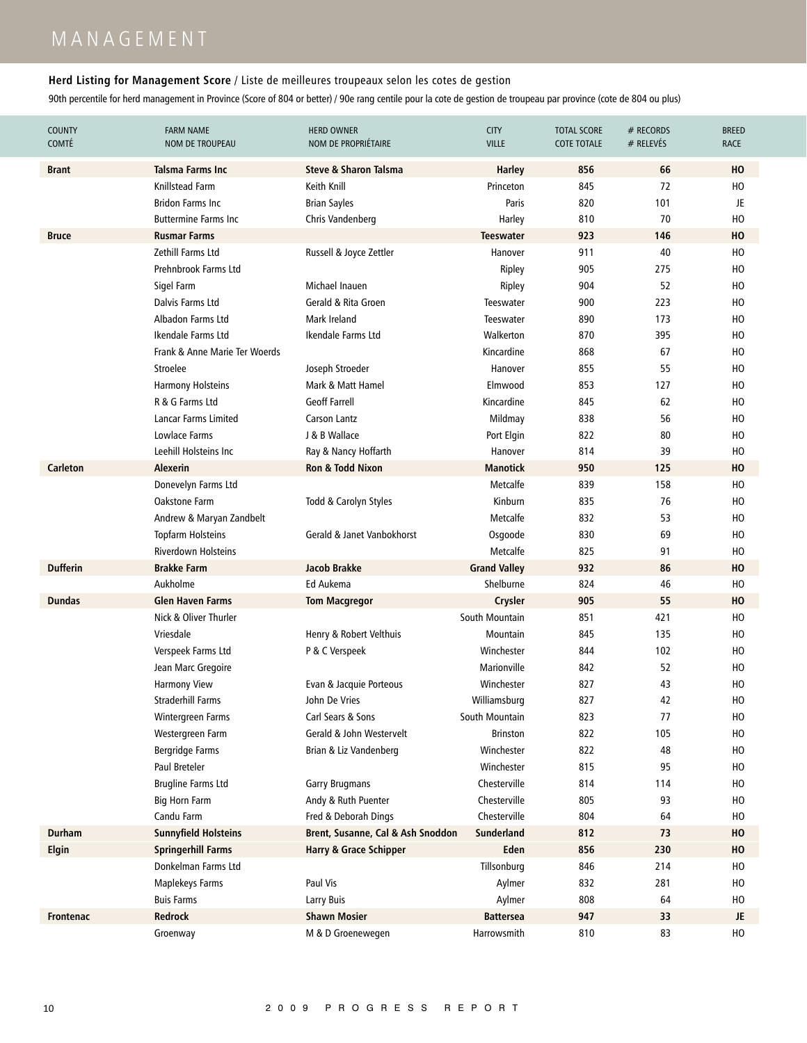# M A N A G E M E N T

### **Herd Listing for Management Score** / Liste de meilleures troupeaux selon les cotes de gestion

| <b>COUNTY</b><br><b>COMTÉ</b> | <b>FARM NAME</b><br><b>NOM DE TROUPEAU</b> | <b>HERD OWNER</b><br>NOM DE PROPRIÉTAIRE | <b>CITY</b><br><b>VILLE</b> | <b>TOTAL SCORE</b><br><b>COTE TOTALE</b> | # RECORDS<br># RELEVÉS | <b>BREED</b><br><b>RACE</b> |
|-------------------------------|--------------------------------------------|------------------------------------------|-----------------------------|------------------------------------------|------------------------|-----------------------------|
| <b>Brant</b>                  | <b>Talsma Farms Inc</b>                    | <b>Steve &amp; Sharon Talsma</b>         | <b>Harley</b>               | 856                                      | 66                     | HO                          |
|                               | Knillstead Farm                            | Keith Knill                              | Princeton                   | 845                                      | 72                     | HO                          |
|                               | <b>Bridon Farms Inc.</b>                   | <b>Brian Sayles</b>                      | Paris                       | 820                                      | 101                    | JE                          |
|                               | <b>Buttermine Farms Inc</b>                | Chris Vandenberg                         | Harley                      | 810                                      | 70                     | HO                          |
| <b>Bruce</b>                  | <b>Rusmar Farms</b>                        |                                          | <b>Teeswater</b>            | 923                                      | 146                    | HO                          |
|                               | Zethill Farms Ltd                          | Russell & Joyce Zettler                  | Hanover                     | 911                                      | 40                     | HO                          |
|                               | Prehnbrook Farms Ltd                       |                                          | Ripley                      | 905                                      | 275                    | HO                          |
|                               | Sigel Farm                                 | Michael Inauen                           | Ripley                      | 904                                      | 52                     | HO                          |
|                               | Dalvis Farms Ltd                           | Gerald & Rita Groen                      | Teeswater                   | 900                                      | 223                    | HO                          |
|                               | Albadon Farms Ltd                          | Mark Ireland                             | Teeswater                   | 890                                      | 173                    | HO                          |
|                               | Ikendale Farms Ltd                         | Ikendale Farms Ltd                       | Walkerton                   | 870                                      | 395                    | HO                          |
|                               | Frank & Anne Marie Ter Woerds              |                                          | Kincardine                  | 868                                      | 67                     | HO                          |
|                               | Stroelee                                   | Joseph Stroeder                          | Hanover                     | 855                                      | 55                     | HO                          |
|                               | <b>Harmony Holsteins</b>                   | Mark & Matt Hamel                        | Elmwood                     | 853                                      | 127                    | HO                          |
|                               | R & G Farms Ltd                            | <b>Geoff Farrell</b>                     | Kincardine                  | 845                                      | 62                     | HO                          |
|                               | Lancar Farms Limited                       | <b>Carson Lantz</b>                      | Mildmay                     | 838                                      | 56                     | HO                          |
|                               | Lowlace Farms                              | J & B Wallace                            | Port Elgin                  | 822                                      | 80                     | HO                          |
|                               | Leehill Holsteins Inc.                     | Ray & Nancy Hoffarth                     | Hanover                     | 814                                      | 39                     | HO                          |
| <b>Carleton</b>               | <b>Alexerin</b>                            | <b>Ron &amp; Todd Nixon</b>              | <b>Manotick</b>             | 950                                      | 125                    | HO                          |
|                               | Donevelyn Farms Ltd                        |                                          | Metcalfe                    | 839                                      | 158                    | HO                          |
|                               | Oakstone Farm                              | Todd & Carolyn Styles                    | Kinburn                     | 835                                      | 76                     | HO                          |
|                               | Andrew & Maryan Zandbelt                   |                                          | Metcalfe                    | 832                                      | 53                     | HO                          |
|                               | Topfarm Holsteins                          | Gerald & Janet Vanbokhorst               | Osgoode                     | 830                                      | 69                     | HO                          |
|                               | <b>Riverdown Holsteins</b>                 |                                          | Metcalfe                    | 825                                      | 91                     | HO                          |
| <b>Dufferin</b>               | <b>Brakke Farm</b>                         | <b>Jacob Brakke</b>                      | <b>Grand Valley</b>         | 932                                      | 86                     | HO                          |
|                               | Aukholme                                   | Ed Aukema                                | Shelburne                   | 824                                      | 46                     | HO                          |
| <b>Dundas</b>                 | <b>Glen Haven Farms</b>                    | <b>Tom Macgregor</b>                     | Crysler                     | 905                                      | 55                     | HO                          |
|                               | Nick & Oliver Thurler                      |                                          | South Mountain              | 851                                      | 421                    | HO                          |
|                               | Vriesdale                                  | Henry & Robert Velthuis                  | Mountain                    | 845                                      | 135                    | HO                          |
|                               | Verspeek Farms Ltd                         | P & C Verspeek                           | Winchester                  | 844                                      | 102                    | HO                          |
|                               | Jean Marc Gregoire                         |                                          | Marionville                 | 842                                      | 52                     | HO                          |
|                               | <b>Harmony View</b>                        | Evan & Jacquie Porteous                  | Winchester                  | 827                                      | 43                     | ΗО                          |
|                               | <b>Straderhill Farms</b>                   | John De Vries                            | Williamsburg                | 827                                      | 42                     | HO                          |
|                               | Wintergreen Farms                          | Carl Sears & Sons                        | South Mountain              | 823                                      | 77                     | HO                          |
|                               | Westergreen Farm                           | Gerald & John Westervelt                 | <b>Brinston</b>             | 822                                      | 105                    | HO                          |
|                               | Bergridge Farms                            | Brian & Liz Vandenberg                   | Winchester                  | 822                                      | 48                     | HO                          |
|                               | Paul Breteler                              |                                          | Winchester                  | 815                                      | 95                     | HO                          |
|                               | <b>Brugline Farms Ltd</b>                  | <b>Garry Brugmans</b>                    | Chesterville                | 814                                      | 114                    | HO                          |
|                               | <b>Big Horn Farm</b>                       | Andy & Ruth Puenter                      | Chesterville                | 805                                      | 93                     | HO                          |
|                               | Candu Farm                                 | Fred & Deborah Dings                     | Chesterville                | 804                                      | 64                     | HO                          |
| <b>Durham</b>                 | <b>Sunnyfield Holsteins</b>                | Brent, Susanne, Cal & Ash Snoddon        | <b>Sunderland</b>           | 812                                      | 73                     | HO                          |
| <b>Elgin</b>                  | <b>Springerhill Farms</b>                  | <b>Harry &amp; Grace Schipper</b>        | Eden                        | 856                                      | 230                    | HO                          |
|                               | Donkelman Farms Ltd                        |                                          | Tillsonburg                 | 846                                      | 214                    | HO                          |
|                               | <b>Maplekeys Farms</b>                     | Paul Vis                                 | Aylmer                      | 832                                      | 281                    | HO                          |
|                               | <b>Buis Farms</b>                          | Larry Buis                               | Aylmer                      | 808                                      | 64                     | HO                          |
| Frontenac                     | Redrock                                    | <b>Shawn Mosier</b>                      | <b>Battersea</b>            | 947                                      | 33                     | JE                          |
|                               | Groenway                                   | M & D Groenewegen                        | Harrowsmith                 | 810                                      | 83                     | HO                          |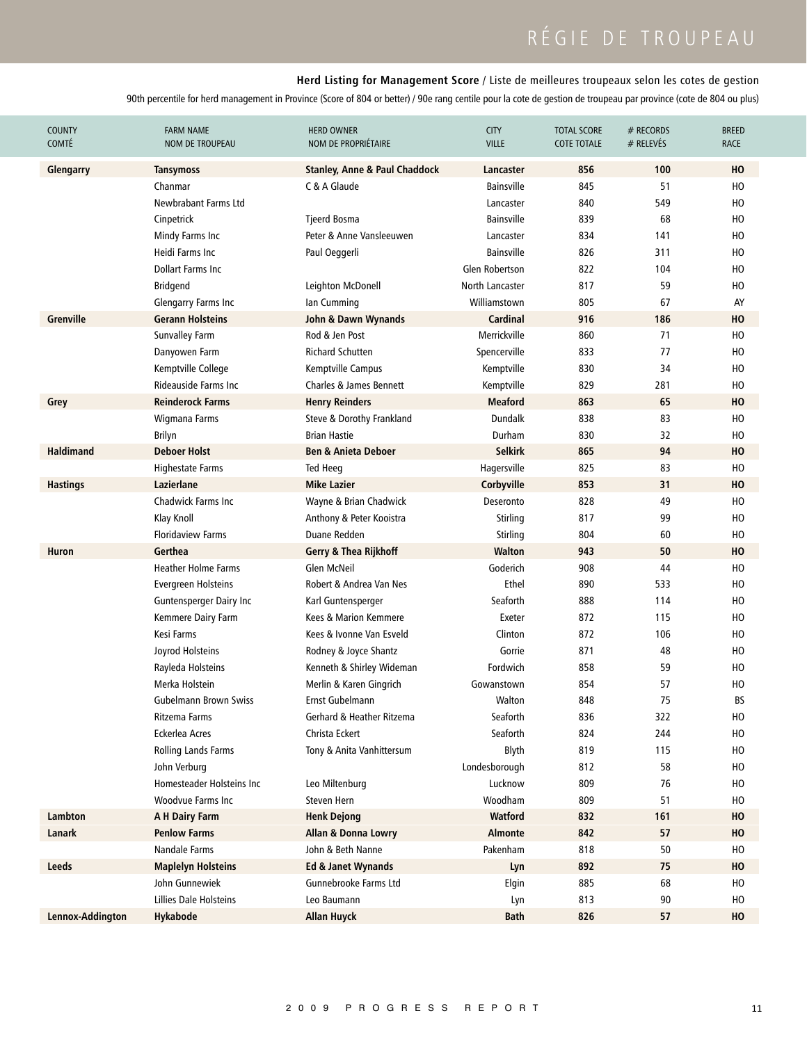# RÉGIE DE TROUPEAU

### **Herd Listing for Management Score** / Liste de meilleures troupeaux selon les cotes de gestion

| <b>COUNTY</b><br><b>COMTÉ</b> | <b>FARM NAME</b><br>NOM DE TROUPEAU | <b>HERD OWNER</b><br>NOM DE PROPRIÉTAIRE | <b>CITY</b><br><b>VILLE</b> | <b>TOTAL SCORE</b><br><b>COTE TOTALE</b> | # RECORDS<br>$#$ RELEVÉS | <b>BREED</b><br><b>RACE</b> |
|-------------------------------|-------------------------------------|------------------------------------------|-----------------------------|------------------------------------------|--------------------------|-----------------------------|
| Glengarry                     | <b>Tansymoss</b>                    | <b>Stanley, Anne &amp; Paul Chaddock</b> | Lancaster                   | 856                                      | 100                      | HO                          |
|                               | Chanmar                             | C & A Glaude                             | <b>Bainsville</b>           | 845                                      | 51                       | HO                          |
|                               | Newbrabant Farms Ltd                |                                          | Lancaster                   | 840                                      | 549                      | HO                          |
|                               | Cinpetrick                          | <b>Tjeerd Bosma</b>                      | <b>Bainsville</b>           | 839                                      | 68                       | HO                          |
|                               | Mindy Farms Inc                     | Peter & Anne Vansleeuwen                 | Lancaster                   | 834                                      | 141                      | HO                          |
|                               | Heidi Farms Inc                     | Paul Oeggerli                            | <b>Bainsville</b>           | 826                                      | 311                      | HO                          |
|                               | Dollart Farms Inc.                  |                                          | Glen Robertson              | 822                                      | 104                      | HO                          |
|                               | <b>Bridgend</b>                     | Leighton McDonell                        | North Lancaster             | 817                                      | 59                       | HO                          |
|                               | Glengarry Farms Inc                 | lan Cumming                              | Williamstown                | 805                                      | 67                       | AY                          |
| <b>Grenville</b>              | <b>Gerann Holsteins</b>             | John & Dawn Wynands                      | <b>Cardinal</b>             | 916                                      | 186                      | HO                          |
|                               | <b>Sunvalley Farm</b>               | Rod & Jen Post                           | Merrickville                | 860                                      | 71                       | HO                          |
|                               | Danyowen Farm                       | <b>Richard Schutten</b>                  | Spencerville                | 833                                      | 77                       | HO                          |
|                               | Kemptville College                  | Kemptville Campus                        | Kemptville                  | 830                                      | 34                       | HO                          |
|                               | Rideauside Farms Inc.               | <b>Charles &amp; James Bennett</b>       | Kemptville                  | 829                                      | 281                      | HO                          |
| Grey                          | <b>Reinderock Farms</b>             | <b>Henry Reinders</b>                    | <b>Meaford</b>              | 863                                      | 65                       | HO                          |
|                               | Wigmana Farms                       | Steve & Dorothy Frankland                | <b>Dundalk</b>              | 838                                      | 83                       | HO                          |
|                               | <b>Brilyn</b>                       | <b>Brian Hastie</b>                      | Durham                      | 830                                      | 32                       | HO                          |
| <b>Haldimand</b>              | <b>Deboer Holst</b>                 | <b>Ben &amp; Anieta Deboer</b>           | <b>Selkirk</b>              | 865                                      | 94                       | HO                          |
|                               | Highestate Farms                    | Ted Heeg                                 | Hagersville                 | 825                                      | 83                       | HO                          |
| <b>Hastings</b>               | Lazierlane                          | <b>Mike Lazier</b>                       | Corbyville                  | 853                                      | 31                       | HO                          |
|                               | <b>Chadwick Farms Inc</b>           | Wayne & Brian Chadwick                   | Deseronto                   | 828                                      | 49                       | HO                          |
|                               | Klay Knoll                          | Anthony & Peter Kooistra                 | Stirling                    | 817                                      | 99                       | HO                          |
|                               | <b>Floridaview Farms</b>            | Duane Redden                             | Stirling                    | 804                                      | 60                       | HO                          |
| Huron                         | Gerthea                             | Gerry & Thea Rijkhoff                    | Walton                      | 943                                      | 50                       | HO                          |
|                               | <b>Heather Holme Farms</b>          | <b>Glen McNeil</b>                       | Goderich                    | 908                                      | 44                       | HO                          |
|                               | Evergreen Holsteins                 | Robert & Andrea Van Nes                  | Ethel                       | 890                                      | 533                      | HO                          |
|                               | <b>Guntensperger Dairy Inc</b>      | Karl Guntensperger                       | Seaforth                    | 888                                      | 114                      | HO                          |
|                               | Kemmere Dairy Farm                  | Kees & Marion Kemmere                    | Exeter                      | 872                                      | 115                      | HO                          |
|                               | Kesi Farms                          | Kees & Ivonne Van Esveld                 | Clinton                     | 872                                      | 106                      | HO                          |
|                               | Joyrod Holsteins                    | Rodney & Joyce Shantz                    | Gorrie                      | 871                                      | 48                       | HO                          |
|                               | Rayleda Holsteins                   | Kenneth & Shirley Wideman                | Fordwich                    | 858                                      | 59                       | HO                          |
|                               | Merka Holstein                      | Merlin & Karen Gingrich                  | Gowanstown                  | 854                                      | 57                       | HO                          |
|                               | Gubelmann Brown Swiss               | Ernst Gubelmann                          | Walton                      | 848                                      | 75                       | BS                          |
|                               | Ritzema Farms                       | Gerhard & Heather Ritzema                | Seaforth                    | 836                                      | 322                      | HO                          |
|                               | Eckerlea Acres                      | Christa Eckert                           | Seaforth                    | 824                                      | 244                      | HO                          |
|                               | Rolling Lands Farms                 | Tony & Anita Vanhittersum                | Blyth                       | 819                                      | 115                      | HO                          |
|                               | John Verburg                        |                                          | Londesborough               | 812                                      | 58                       | HO                          |
|                               | Homesteader Holsteins Inc           | Leo Miltenburg                           | Lucknow                     | 809                                      | 76                       | HO                          |
|                               | Woodvue Farms Inc                   | Steven Hern                              | Woodham                     | 809                                      | 51                       | HO                          |
| Lambton                       | A H Dairy Farm                      | <b>Henk Dejong</b>                       | <b>Watford</b>              | 832                                      | 161                      | HO                          |
| Lanark                        | <b>Penlow Farms</b>                 | Allan & Donna Lowry                      | <b>Almonte</b>              | 842                                      | 57                       | HO                          |
|                               | Nandale Farms                       | John & Beth Nanne                        | Pakenham                    | 818                                      | 50                       | HO                          |
| Leeds                         | <b>Maplelyn Holsteins</b>           | Ed & Janet Wynands                       | Lyn                         | 892                                      | 75                       | HO                          |
|                               | John Gunnewiek                      | Gunnebrooke Farms Ltd                    | Elgin                       | 885                                      | 68                       | HO                          |
|                               | Lillies Dale Holsteins              | Leo Baumann                              | Lyn                         | 813                                      | 90                       | HO                          |
| Lennox-Addington              | Hykabode                            | <b>Allan Huyck</b>                       | <b>Bath</b>                 | 826                                      | 57                       | HO                          |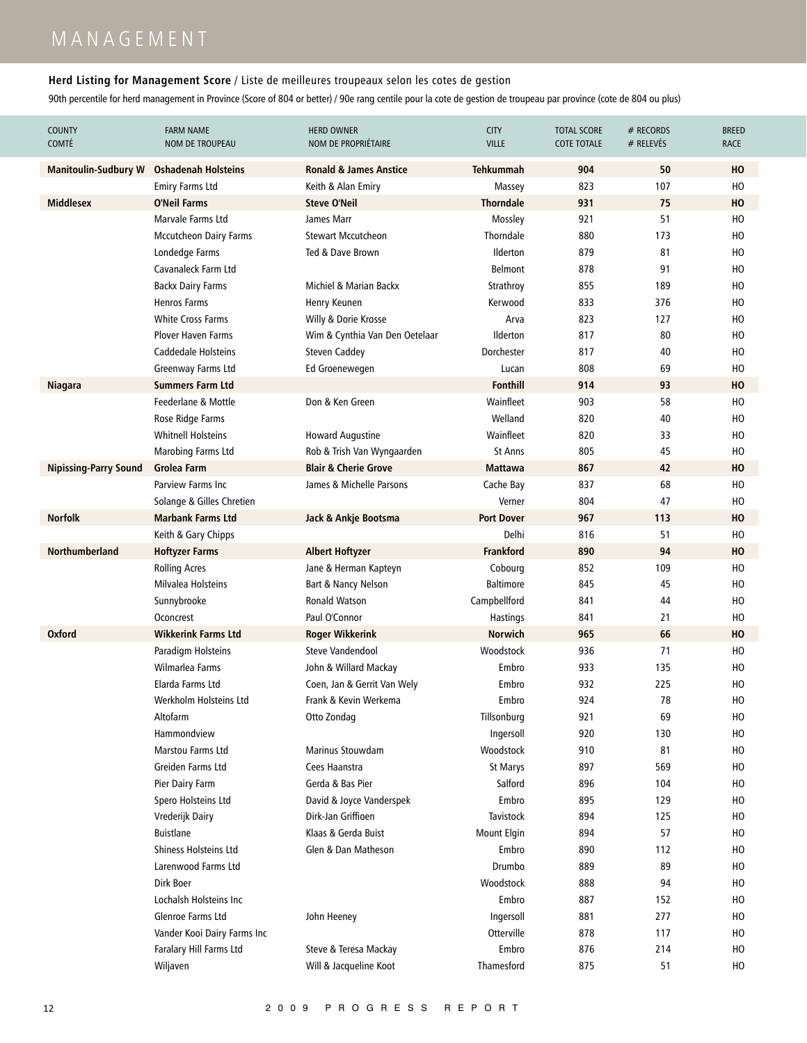# M A N A G E M E N T

### **Herd Listing for Management Score** / Liste de meilleures troupeaux selon les cotes de gestion

| <b>COUNTY</b><br><b>COMTÉ</b> | <b>FARM NAME</b><br>NOM DE TROUPEAU | <b>HERD OWNER</b><br>NOM DE PROPRIÉTAIRE | <b>CITY</b><br><b>VILLE</b> | <b>TOTAL SCORE</b><br><b>COTE TOTALE</b> | # RECORDS<br>$#$ RELEVÉS | <b>BREED</b><br>RACE |
|-------------------------------|-------------------------------------|------------------------------------------|-----------------------------|------------------------------------------|--------------------------|----------------------|
| <b>Manitoulin-Sudbury W</b>   | <b>Oshadenah Holsteins</b>          | <b>Ronald &amp; James Anstice</b>        | <b>Tehkummah</b>            | 904                                      | 50                       | HO                   |
|                               | <b>Emiry Farms Ltd</b>              | Keith & Alan Emiry                       | Massey                      | 823                                      | 107                      | HO                   |
| <b>Middlesex</b>              | <b>O'Neil Farms</b>                 | <b>Steve O'Neil</b>                      | <b>Thorndale</b>            | 931                                      | 75                       | HO                   |
|                               | Marvale Farms Ltd                   | James Marr                               | Mossley                     | 921                                      | 51                       | HO                   |
|                               | <b>Mccutcheon Dairy Farms</b>       | <b>Stewart Mccutcheon</b>                | Thorndale                   | 880                                      | 173                      | HO                   |
|                               | Londedge Farms                      | Ted & Dave Brown                         | Ilderton                    | 879                                      | 81                       | HO                   |
|                               | Cavanaleck Farm Ltd                 |                                          | <b>Belmont</b>              | 878                                      | 91                       | HO                   |
|                               | <b>Backx Dairy Farms</b>            | Michiel & Marian Backx                   | Strathroy                   | 855                                      | 189                      | HO                   |
|                               | <b>Henros Farms</b>                 | Henry Keunen                             | Kerwood                     | 833                                      | 376                      | HO                   |
|                               | <b>White Cross Farms</b>            | Willy & Dorie Krosse                     | Arva                        | 823                                      | 127                      | HO                   |
|                               | <b>Plover Haven Farms</b>           | Wim & Cynthia Van Den Oetelaar           | Ilderton                    | 817                                      | 80                       | HO                   |
|                               | Caddedale Holsteins                 | <b>Steven Caddey</b>                     | Dorchester                  | 817                                      | 40                       | HO                   |
|                               | Greenway Farms Ltd                  | Ed Groenewegen                           | Lucan                       | 808                                      | 69                       | HO                   |
| <b>Niagara</b>                | <b>Summers Farm Ltd</b>             |                                          | <b>Fonthill</b>             | 914                                      | 93                       | HO                   |
|                               | Feederlane & Mottle                 | Don & Ken Green                          | Wainfleet                   | 903                                      | 58                       | HO                   |
|                               | Rose Ridge Farms                    |                                          | Welland                     | 820                                      | 40                       | HO                   |
|                               | <b>Whitnell Holsteins</b>           | <b>Howard Augustine</b>                  | Wainfleet                   | 820                                      | 33                       | HO                   |
|                               | Marobing Farms Ltd                  | Rob & Trish Van Wyngaarden               | <b>St Anns</b>              | 805                                      | 45                       | HO                   |
| <b>Nipissing-Parry Sound</b>  | <b>Grolea Farm</b>                  | <b>Blair &amp; Cherie Grove</b>          | <b>Mattawa</b>              | 867                                      | 42                       | HO                   |
|                               | Parview Farms Inc                   | James & Michelle Parsons                 | Cache Bay                   | 837                                      | 68                       | HO                   |
|                               | Solange & Gilles Chretien           |                                          | Verner                      | 804                                      | 47                       | HO                   |
| <b>Norfolk</b>                | <b>Marbank Farms Ltd</b>            | Jack & Ankje Bootsma                     | <b>Port Dover</b>           | 967                                      | 113                      | HO                   |
|                               | Keith & Gary Chipps                 |                                          | Delhi                       | 816                                      | 51                       | HO                   |
| <b>Northumberland</b>         | <b>Hoftyzer Farms</b>               | <b>Albert Hoftyzer</b>                   | <b>Frankford</b>            | 890                                      | 94                       | HO                   |
|                               | <b>Rolling Acres</b>                | Jane & Herman Kapteyn                    | Cobourg                     | 852                                      | 109                      | HO                   |
|                               | Milvalea Holsteins                  | Bart & Nancy Nelson                      | <b>Baltimore</b>            | 845                                      | 45                       | HO                   |
|                               | Sunnybrooke                         | <b>Ronald Watson</b>                     | Campbellford                | 841                                      | 44                       | HO                   |
|                               | Oconcrest                           | Paul O'Connor                            | Hastings                    | 841                                      | 21                       | HO                   |
| <b>Oxford</b>                 | <b>Wikkerink Farms Ltd</b>          | <b>Roger Wikkerink</b>                   | <b>Norwich</b>              | 965                                      | 66                       | HO                   |
|                               | Paradigm Holsteins                  | Steve Vandendool                         | Woodstock                   | 936                                      | 71                       | HO                   |
|                               | Wilmarlea Farms                     | John & Willard Mackay                    | Embro                       | 933                                      | 135                      | HO                   |
|                               | Elarda Farms Ltd                    | Coen, Jan & Gerrit Van Wely              | Embro                       | 932                                      | 225                      | HO                   |
|                               | Werkholm Holsteins Ltd              | Frank & Kevin Werkema                    | Embro                       | 924                                      | 78                       | HO                   |
|                               | Altofarm                            | Otto Zondag                              | Tillsonburg                 | 921                                      | 69                       | HO                   |
|                               | Hammondview                         |                                          | Ingersoll                   | 920                                      | 130                      | HO                   |
|                               | Marstou Farms Ltd                   | <b>Marinus Stouwdam</b>                  | Woodstock                   | 910                                      | 81                       | HO                   |
|                               | Greiden Farms Ltd                   | Cees Haanstra                            | St Marys                    | 897                                      | 569                      | HO                   |
|                               | Pier Dairy Farm                     | Gerda & Bas Pier                         | Salford                     | 896                                      | 104                      | HO                   |
|                               | Spero Holsteins Ltd                 | David & Joyce Vanderspek                 | Embro                       | 895                                      | 129                      | HO                   |
|                               | Vrederijk Dairy                     | Dirk-Jan Griffioen                       | <b>Tavistock</b>            | 894                                      | 125                      | HO                   |
|                               | <b>Buistlane</b>                    | Klaas & Gerda Buist                      | Mount Elgin                 | 894                                      | 57                       | HO                   |
|                               | Shiness Holsteins Ltd               | Glen & Dan Matheson                      | Embro                       | 890                                      | 112                      | HO                   |
|                               | Larenwood Farms Ltd                 |                                          | Drumbo                      | 889                                      | 89                       | HO                   |
|                               | Dirk Boer                           |                                          | Woodstock                   | 888                                      | 94                       | HO                   |
|                               | Lochalsh Holsteins Inc              |                                          | Embro                       | 887                                      | 152                      | HO                   |
|                               | Glenroe Farms Ltd                   | John Heeney                              | Ingersoll                   | 881                                      | 277                      | HO                   |
|                               | Vander Kooi Dairy Farms Inc         |                                          | Otterville                  | 878                                      | 117                      | HO                   |
|                               | Faralary Hill Farms Ltd             | Steve & Teresa Mackay                    | Embro                       | 876                                      | 214                      | HO                   |
|                               | Wiljaven                            | Will & Jacqueline Koot                   | Thamesford                  | 875                                      | 51                       | HO                   |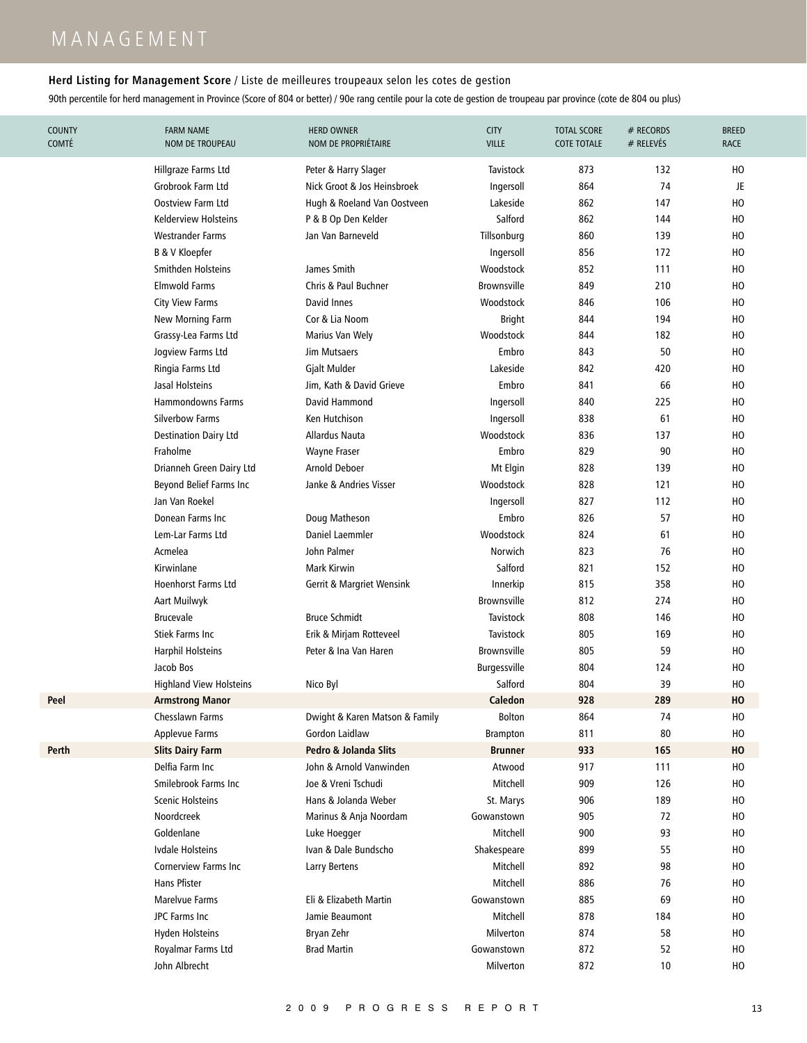### **Herd Listing for Management Score** / Liste de meilleures troupeaux selon les cotes de gestion

| <b>COUNTY</b><br><b>COMTÉ</b> | <b>FARM NAME</b><br>NOM DE TROUPEAU | <b>HERD OWNER</b><br>NOM DE PROPRIÉTAIRE | <b>CITY</b><br><b>VILLE</b> | <b>TOTAL SCORE</b><br><b>COTE TOTALE</b> | # RECORDS<br># RELEVÉS | <b>BREED</b><br>RACE |
|-------------------------------|-------------------------------------|------------------------------------------|-----------------------------|------------------------------------------|------------------------|----------------------|
|                               | Hillgraze Farms Ltd                 | Peter & Harry Slager                     | <b>Tavistock</b>            | 873                                      | 132                    | HO                   |
|                               | Grobrook Farm Ltd                   | Nick Groot & Jos Heinsbroek              | Ingersoll                   | 864                                      | 74                     | JE                   |
|                               | <b>Oostview Farm Ltd</b>            | Hugh & Roeland Van Oostveen              | Lakeside                    | 862                                      | 147                    | HO                   |
|                               | Kelderview Holsteins                | P & B Op Den Kelder                      | Salford                     | 862                                      | 144                    | HO                   |
|                               | <b>Westrander Farms</b>             | Jan Van Barneveld                        | Tillsonburg                 | 860                                      | 139                    | HO                   |
|                               | <b>B &amp; V Kloepfer</b>           |                                          | Ingersoll                   | 856                                      | 172                    | HO                   |
|                               | Smithden Holsteins                  | James Smith                              | Woodstock                   | 852                                      | 111                    | HO                   |
|                               | <b>Elmwold Farms</b>                | Chris & Paul Buchner                     | <b>Brownsville</b>          | 849                                      | 210                    | HO                   |
|                               | <b>City View Farms</b>              | David Innes                              | Woodstock                   | 846                                      | 106                    | HO                   |
|                               | New Morning Farm                    | Cor & Lia Noom                           | <b>Bright</b>               | 844                                      | 194                    | HO                   |
|                               | Grassy-Lea Farms Ltd                | Marius Van Wely                          | Woodstock                   | 844                                      | 182                    | HO                   |
|                               | Jogview Farms Ltd                   | Jim Mutsaers                             | Embro                       | 843                                      | 50                     | HO                   |
|                               | Ringia Farms Ltd                    | Gjalt Mulder                             | Lakeside                    | 842                                      | 420                    | HO                   |
|                               | Jasal Holsteins                     | Jim, Kath & David Grieve                 | Embro                       | 841                                      | 66                     | HO                   |
|                               | <b>Hammondowns Farms</b>            | David Hammond                            | Ingersoll                   | 840                                      | 225                    | HO                   |
|                               | <b>Silverbow Farms</b>              | Ken Hutchison                            | Ingersoll                   | 838                                      | 61                     | HO                   |
|                               | <b>Destination Dairy Ltd</b>        | Allardus Nauta                           | Woodstock                   | 836                                      | 137                    | HO                   |
|                               | Fraholme                            | <b>Wayne Fraser</b>                      | Embro                       | 829                                      | 90                     | HO                   |
|                               | Drianneh Green Dairy Ltd            | <b>Arnold Deboer</b>                     | Mt Elgin                    | 828                                      | 139                    | HO                   |
|                               | Beyond Belief Farms Inc             | Janke & Andries Visser                   | Woodstock                   | 828                                      | 121                    | HO                   |
|                               | Jan Van Roekel                      |                                          | Ingersoll                   | 827                                      | 112                    | HO                   |
|                               | Donean Farms Inc                    | Doug Matheson                            | Embro                       | 826                                      | 57                     | HO                   |
|                               | Lem-Lar Farms Ltd                   | Daniel Laemmler                          | Woodstock                   | 824                                      | 61                     | HO                   |
|                               | Acmelea                             | John Palmer                              | Norwich                     | 823                                      | 76                     | HO                   |
|                               | Kirwinlane                          | Mark Kirwin                              | Salford                     | 821                                      | 152                    | HO                   |
|                               | <b>Hoenhorst Farms Ltd</b>          | <b>Gerrit &amp; Margriet Wensink</b>     | Innerkip                    | 815                                      | 358                    | HO                   |
|                               | Aart Muilwyk                        |                                          | <b>Brownsville</b>          | 812                                      | 274                    | HO                   |
|                               | <b>Brucevale</b>                    | <b>Bruce Schmidt</b>                     | <b>Tavistock</b>            | 808                                      | 146                    | HO                   |
|                               | Stiek Farms Inc                     | Erik & Mirjam Rotteveel                  | <b>Tavistock</b>            | 805                                      | 169                    | HO                   |
|                               | <b>Harphil Holsteins</b>            | Peter & Ina Van Haren                    | Brownsville                 | 805                                      | 59                     | HO                   |
|                               | Jacob Bos                           |                                          | Burgessville                | 804                                      | 124                    | HO                   |
|                               | <b>Highland View Holsteins</b>      | Nico Byl                                 | Salford                     | 804                                      | 39                     | HO                   |
| Peel                          | <b>Armstrong Manor</b>              |                                          | Caledon                     | 928                                      | 289                    | HO                   |
|                               | Chesslawn Farms                     | Dwight & Karen Matson & Family           | <b>Bolton</b>               | 864                                      | 74                     | HO                   |
|                               | Applevue Farms                      | <b>Gordon Laidlaw</b>                    | <b>Brampton</b>             | 811                                      | 80                     | HO                   |
| Perth                         | <b>Slits Dairy Farm</b>             | Pedro & Jolanda Slits                    | <b>Brunner</b>              | 933                                      | 165                    | HO                   |
|                               | Delfia Farm Inc                     | John & Arnold Vanwinden                  | Atwood                      | 917                                      | 111                    | HO                   |
|                               | Smilebrook Farms Inc                | Joe & Vreni Tschudi                      | Mitchell                    | 909                                      | 126                    | HO                   |
|                               | <b>Scenic Holsteins</b>             | Hans & Jolanda Weber                     | St. Marys                   | 906                                      | 189                    | HO                   |
|                               | Noordcreek                          | Marinus & Anja Noordam                   | Gowanstown                  | 905                                      | 72                     | HO                   |
|                               | Goldenlane                          | Luke Hoegger                             | Mitchell                    | 900                                      | 93                     | HO                   |
|                               | Ivdale Holsteins                    | Ivan & Dale Bundscho                     | Shakespeare                 | 899                                      | 55                     | HO                   |
|                               | <b>Cornerview Farms Inc.</b>        | Larry Bertens                            | Mitchell                    | 892                                      | 98                     | HO                   |
|                               | <b>Hans Pfister</b>                 |                                          | Mitchell                    | 886                                      | 76                     | HO                   |
|                               | Marelyue Farms                      | Eli & Elizabeth Martin                   | Gowanstown                  | 885                                      | 69                     | HO                   |
|                               | JPC Farms Inc                       | Jamie Beaumont                           | Mitchell                    | 878                                      | 184                    | HO                   |
|                               | <b>Hyden Holsteins</b>              | Bryan Zehr                               | Milverton                   | 874                                      | 58                     | HO                   |
|                               | Royalmar Farms Ltd                  | <b>Brad Martin</b>                       | Gowanstown                  | 872                                      | 52                     | HO                   |
|                               | John Albrecht                       |                                          | Milverton                   | 872                                      | 10                     | HO                   |
|                               |                                     |                                          |                             |                                          |                        |                      |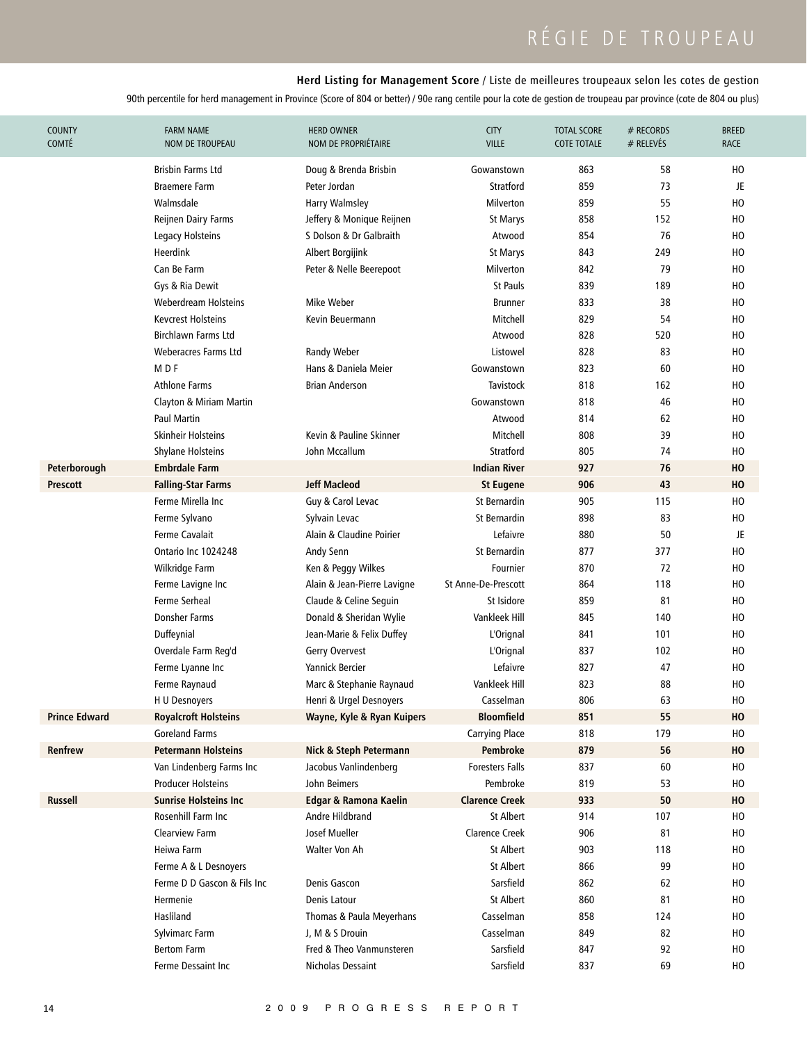# RÉGIE DE TROUPEAU

### **Herd Listing for Management Score** / Liste de meilleures troupeaux selon les cotes de gestion

| <b>COUNTY</b><br><b>COMTÉ</b> | <b>FARM NAME</b><br><b>NOM DE TROUPEAU</b> | <b>HERD OWNER</b><br>NOM DE PROPRIÉTAIRE | <b>CITY</b><br><b>VILLE</b> | <b>TOTAL SCORE</b><br><b>COTE TOTALE</b> | # RECORDS<br># RELEVÉS | <b>BREED</b><br><b>RACE</b> |
|-------------------------------|--------------------------------------------|------------------------------------------|-----------------------------|------------------------------------------|------------------------|-----------------------------|
|                               | Brisbin Farms Ltd                          | Doug & Brenda Brisbin                    | Gowanstown                  | 863                                      | 58                     | ΗО                          |
|                               | <b>Braemere Farm</b>                       | Peter Jordan                             | Stratford                   | 859                                      | 73                     | JE                          |
|                               | Walmsdale                                  | Harry Walmsley                           | Milverton                   | 859                                      | 55                     | HO                          |
|                               | <b>Reijnen Dairy Farms</b>                 | Jeffery & Monique Reijnen                | St Marys                    | 858                                      | 152                    | HO                          |
|                               | Legacy Holsteins                           | S Dolson & Dr Galbraith                  | Atwood                      | 854                                      | 76                     | HO                          |
|                               | Heerdink                                   | Albert Borgijink                         | St Marys                    | 843                                      | 249                    | HO                          |
|                               | Can Be Farm                                | Peter & Nelle Beerepoot                  | Milverton                   | 842                                      | 79                     | HO                          |
|                               | Gys & Ria Dewit                            |                                          | <b>St Pauls</b>             | 839                                      | 189                    | HO                          |
|                               | Weberdream Holsteins                       | Mike Weber                               | <b>Brunner</b>              | 833                                      | 38                     | HO                          |
|                               | <b>Kevcrest Holsteins</b>                  | Kevin Beuermann                          | Mitchell                    | 829                                      | 54                     | HO                          |
|                               | Birchlawn Farms Ltd                        |                                          | Atwood                      | 828                                      | 520                    | HO                          |
|                               | <b>Weberacres Farms Ltd</b>                | Randy Weber                              | Listowel                    | 828                                      | 83                     | HO                          |
|                               | M <sub>DF</sub>                            | Hans & Daniela Meier                     | Gowanstown                  | 823                                      | 60                     | HO                          |
|                               | <b>Athlone Farms</b>                       | <b>Brian Anderson</b>                    | <b>Tavistock</b>            | 818                                      | 162                    | HO                          |
|                               | Clayton & Miriam Martin                    |                                          | Gowanstown                  | 818                                      | 46                     | HO                          |
|                               | <b>Paul Martin</b>                         |                                          | Atwood                      | 814                                      | 62                     | HO                          |
|                               | Skinheir Holsteins                         | Kevin & Pauline Skinner                  | Mitchell                    | 808                                      | 39                     | HO                          |
|                               | <b>Shylane Holsteins</b>                   | John Mccallum                            | Stratford                   | 805                                      | 74                     | HO                          |
| Peterborough                  | Embrdale Farm                              |                                          | <b>Indian River</b>         | 927                                      | 76                     | HO                          |
| <b>Prescott</b>               | <b>Falling-Star Farms</b>                  | <b>Jeff Macleod</b>                      | <b>St Eugene</b>            | 906                                      | 43                     | HO                          |
|                               | Ferme Mirella Inc                          | Guy & Carol Levac                        | St Bernardin                | 905                                      | 115                    | HO                          |
|                               | Ferme Sylvano                              | Sylvain Levac                            | St Bernardin                | 898                                      | 83                     | HO                          |
|                               | <b>Ferme Cavalait</b>                      | Alain & Claudine Poirier                 | Lefaivre                    | 880                                      | 50                     | JE                          |
|                               | Ontario Inc 1024248                        | Andy Senn                                | St Bernardin                | 877                                      | 377                    | HO                          |
|                               | Wilkridge Farm                             | Ken & Peggy Wilkes                       | Fournier                    | 870                                      | 72                     | HO                          |
|                               | Ferme Lavigne Inc                          | Alain & Jean-Pierre Lavigne              | St Anne-De-Prescott         | 864                                      | 118                    | HO                          |
|                               | Ferme Serheal                              | Claude & Celine Seguin                   | St Isidore                  | 859                                      | 81                     | HO                          |
|                               | Donsher Farms                              | Donald & Sheridan Wylie                  | Vankleek Hill               | 845                                      | 140                    | HO                          |
|                               | Duffeynial                                 | Jean-Marie & Felix Duffey                | L'Orignal                   | 841                                      | 101                    | HO                          |
|                               | Overdale Farm Reg'd                        | Gerry Overvest                           | L'Orignal                   | 837                                      | 102                    | HO                          |
|                               | Ferme Lyanne Inc                           | Yannick Bercier                          | Lefaivre                    | 827                                      | 47                     | HO                          |
|                               | Ferme Raynaud                              | Marc & Stephanie Raynaud                 | Vankleek Hill               | 823                                      | 88                     | HO                          |
|                               | H U Desnoyers                              | Henri & Urgel Desnoyers                  | Casselman                   | 806                                      | 63                     | HO                          |
| <b>Prince Edward</b>          | <b>Royalcroft Holsteins</b>                | Wayne, Kyle & Ryan Kuipers               | <b>Bloomfield</b>           | 851                                      | 55                     | HO                          |
|                               | <b>Goreland Farms</b>                      |                                          | <b>Carrying Place</b>       | 818                                      | 179                    | HO                          |
| Renfrew                       | <b>Petermann Holsteins</b>                 | Nick & Steph Petermann                   | Pembroke                    | 879                                      | 56                     | HO                          |
|                               | Van Lindenberg Farms Inc                   | Jacobus Vanlindenberg                    | <b>Foresters Falls</b>      | 837                                      | 60                     | HO                          |
|                               | <b>Producer Holsteins</b>                  | John Beimers                             | Pembroke                    | 819                                      | 53                     | HO                          |
| <b>Russell</b>                | Sunrise Holsteins Inc                      | Edgar & Ramona Kaelin                    | <b>Clarence Creek</b>       | 933                                      | 50                     | HO                          |
|                               | Rosenhill Farm Inc                         | Andre Hildbrand                          | St Albert                   | 914                                      | 107                    | HO                          |
|                               | <b>Clearview Farm</b>                      | Josef Mueller                            | <b>Clarence Creek</b>       | 906                                      | 81                     | HO                          |
|                               | Heiwa Farm                                 | Walter Von Ah                            | St Albert                   | 903                                      | 118                    | HO                          |
|                               | Ferme A & L Desnoyers                      |                                          | <b>St Albert</b>            | 866                                      | 99                     | HO                          |
|                               | Ferme D D Gascon & Fils Inc                | Denis Gascon                             | Sarsfield                   | 862                                      | 62                     | HO                          |
|                               | Hermenie                                   | Denis Latour                             | St Albert                   | 860                                      | 81                     | HO                          |
|                               | Hasliland                                  | Thomas & Paula Meyerhans                 | Casselman                   | 858                                      | 124                    | HO                          |
|                               | Sylvimarc Farm                             | J, M & S Drouin                          | Casselman                   | 849                                      | 82                     | HO                          |
|                               | <b>Bertom Farm</b>                         | Fred & Theo Vanmunsteren                 | Sarsfield                   | 847                                      | 92                     | HO                          |
|                               | Ferme Dessaint Inc                         | Nicholas Dessaint                        | Sarsfield                   | 837                                      | 69                     | HO                          |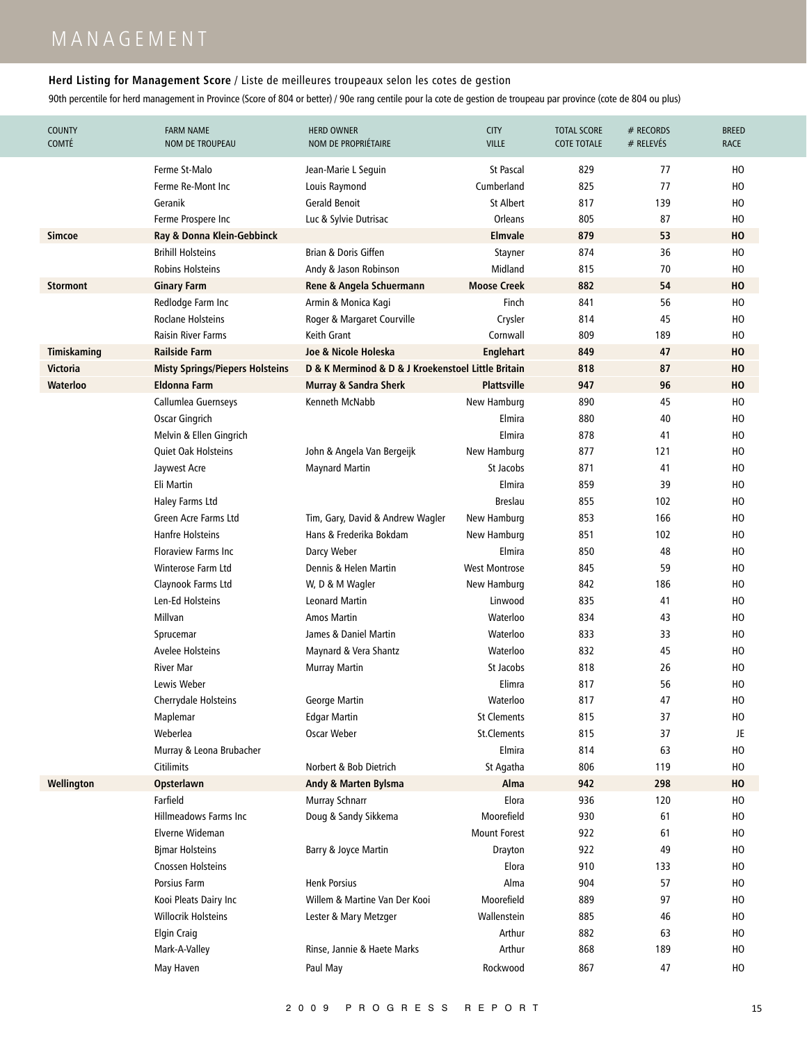# M A N A G E M E N T

### **Herd Listing for Management Score** / Liste de meilleures troupeaux selon les cotes de gestion

| <b>COUNTY</b><br><b>COMTÉ</b> | <b>FARM NAME</b><br><b>NOM DE TROUPEAU</b> | <b>HERD OWNER</b><br>NOM DE PROPRIÉTAIRE           | <b>CITY</b><br><b>VILLE</b> | <b>TOTAL SCORE</b><br><b>COTE TOTALE</b> | # RECORDS<br>$#$ RELEVÉS | <b>BREED</b><br><b>RACE</b> |
|-------------------------------|--------------------------------------------|----------------------------------------------------|-----------------------------|------------------------------------------|--------------------------|-----------------------------|
|                               | Ferme St-Malo                              | Jean-Marie L Seguin                                | St Pascal                   | 829                                      | 77                       | HO                          |
|                               | Ferme Re-Mont Inc.                         | Louis Raymond                                      | Cumberland                  | 825                                      | 77                       | HO                          |
|                               | Geranik                                    | <b>Gerald Benoit</b>                               | St Albert                   | 817                                      | 139                      | HO                          |
|                               | Ferme Prospere Inc                         | Luc & Sylvie Dutrisac                              | Orleans                     | 805                                      | 87                       | HO                          |
| Simcoe                        | Ray & Donna Klein-Gebbinck                 |                                                    | Elmvale                     | 879                                      | 53                       | HO                          |
|                               | <b>Brihill Holsteins</b>                   | Brian & Doris Giffen                               | Stayner                     | 874                                      | 36                       | HO                          |
|                               | <b>Robins Holsteins</b>                    | Andy & Jason Robinson                              | Midland                     | 815                                      | 70                       | HO                          |
| <b>Stormont</b>               | <b>Ginary Farm</b>                         | Rene & Angela Schuermann                           | <b>Moose Creek</b>          | 882                                      | 54                       | HO                          |
|                               | Redlodge Farm Inc                          | Armin & Monica Kagi                                | Finch                       | 841                                      | 56                       | HO                          |
|                               | <b>Roclane Holsteins</b>                   | Roger & Margaret Courville                         | Crysler                     | 814                                      | 45                       | HO                          |
|                               | Raisin River Farms                         | Keith Grant                                        | Cornwall                    | 809                                      | 189                      | HO                          |
| Timiskaming                   | <b>Railside Farm</b>                       | Joe & Nicole Holeska                               | <b>Englehart</b>            | 849                                      | 47                       | HO                          |
| <b>Victoria</b>               | <b>Misty Springs/Piepers Holsteins</b>     | D & K Merminod & D & J Kroekenstoel Little Britain |                             | 818                                      | 87                       | HO                          |
| Waterloo                      | <b>Eldonna Farm</b>                        | <b>Murray &amp; Sandra Sherk</b>                   | <b>Plattsville</b>          | 947                                      | 96                       | HO                          |
|                               | Callumlea Guernseys                        | Kenneth McNabb                                     | New Hamburg                 | 890                                      | 45                       | HO                          |
|                               | Oscar Gingrich                             |                                                    | Elmira                      | 880                                      | 40                       | HO                          |
|                               | Melvin & Ellen Gingrich                    |                                                    | Elmira                      | 878                                      | 41                       | HO                          |
|                               | Quiet Oak Holsteins                        | John & Angela Van Bergeijk                         | New Hamburg                 | 877                                      | 121                      | HO                          |
|                               | Jaywest Acre                               | <b>Maynard Martin</b>                              | St Jacobs                   | 871                                      | 41                       | HO                          |
|                               | Eli Martin                                 |                                                    | Elmira                      | 859                                      | 39                       | HO                          |
|                               | Haley Farms Ltd                            |                                                    | <b>Breslau</b>              | 855                                      | 102                      | HO                          |
|                               | Green Acre Farms Ltd                       | Tim, Gary, David & Andrew Wagler                   | New Hamburg                 | 853                                      | 166                      | HO                          |
|                               | Hanfre Holsteins                           | Hans & Frederika Bokdam                            | New Hamburg                 | 851                                      | 102                      | HO                          |
|                               | <b>Floraview Farms Inc</b>                 | Darcy Weber                                        | Elmira                      | 850                                      | 48                       | HO                          |
|                               | Winterose Farm Ltd                         | Dennis & Helen Martin                              | <b>West Montrose</b>        | 845                                      | 59                       | HO                          |
|                               | Claynook Farms Ltd                         | W, D & M Wagler                                    | New Hamburg                 | 842                                      | 186                      | HO                          |
|                               | Len-Ed Holsteins                           | <b>Leonard Martin</b>                              | Linwood                     | 835                                      | 41                       | HO                          |
|                               | Millvan                                    | <b>Amos Martin</b>                                 | Waterloo                    | 834                                      | 43                       | HO                          |
|                               | Sprucemar                                  | James & Daniel Martin                              | Waterloo                    | 833                                      | 33                       | HO                          |
|                               | Avelee Holsteins                           | Maynard & Vera Shantz                              | Waterloo                    | 832                                      | 45                       | HO                          |
|                               | <b>River Mar</b>                           | <b>Murray Martin</b>                               | St Jacobs                   | 818                                      | 26                       | HO                          |
|                               | Lewis Weber                                |                                                    | Elimra                      | 817                                      | 56                       | HO                          |
|                               | Cherrydale Holsteins                       | George Martin                                      | Waterloo                    | 817                                      | 47                       | HO                          |
|                               | Maplemar                                   | <b>Edgar Martin</b>                                | <b>St Clements</b>          | 815                                      | 37                       | HO                          |
|                               | Weberlea                                   | Oscar Weber                                        | St.Clements                 | 815                                      | 37                       | JE.                         |
|                               | Murray & Leona Brubacher                   |                                                    | Elmira                      | 814                                      | 63                       | HO                          |
|                               | Citilimits                                 | Norbert & Bob Dietrich                             | St Agatha                   | 806                                      | 119                      | HO                          |
| Wellington                    | Opsterlawn                                 | Andy & Marten Bylsma                               | Alma                        | 942                                      | 298                      | HO                          |
|                               | Farfield                                   | Murray Schnarr                                     | Elora                       | 936                                      | 120                      | HO                          |
|                               | <b>Hillmeadows Farms Inc</b>               | Doug & Sandy Sikkema                               | Moorefield                  | 930                                      | 61                       | HO                          |
|                               | Elverne Wideman                            |                                                    | <b>Mount Forest</b>         | 922                                      | 61                       | HO                          |
|                               | <b>Bjmar Holsteins</b>                     | Barry & Joyce Martin                               | Drayton                     | 922                                      | 49                       | HO                          |
|                               | <b>Cnossen Holsteins</b>                   |                                                    | Elora                       | 910                                      | 133                      | HO                          |
|                               | Porsius Farm                               | <b>Henk Porsius</b>                                | Alma                        | 904                                      | 57                       | HO                          |
|                               | Kooi Pleats Dairy Inc                      | Willem & Martine Van Der Kooi                      | Moorefield                  | 889                                      | 97                       | HO                          |
|                               | <b>Willocrik Holsteins</b>                 | Lester & Mary Metzger                              | Wallenstein                 | 885                                      | 46                       | HO                          |
|                               |                                            |                                                    | Arthur                      | 882                                      | 63                       | HO                          |
|                               | <b>Elgin Craig</b>                         |                                                    | Arthur                      | 868                                      | 189                      | HO                          |
|                               | Mark-A-Valley                              | Rinse, Jannie & Haete Marks                        |                             |                                          |                          |                             |
|                               | May Haven                                  | Paul May                                           | Rockwood                    | 867                                      | 47                       | HO                          |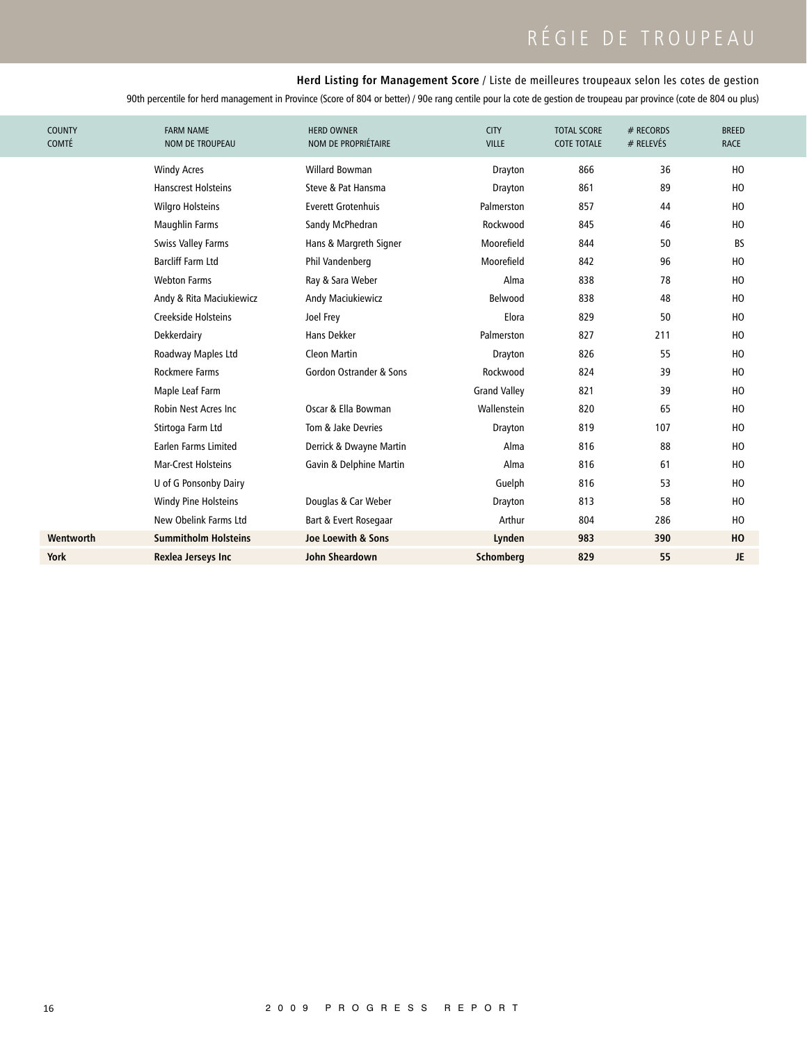# RÉGIE DE TROUPEAU

### **Herd Listing for Management Score** / Liste de meilleures troupeaux selon les cotes de gestion

| <b>COUNTY</b><br><b>COMTÉ</b> | <b>FARM NAME</b><br><b>NOM DE TROUPEAU</b> | <b>HERD OWNER</b><br>NOM DE PROPRIÉTAIRE | <b>CITY</b><br><b>VILLE</b> | <b>TOTAL SCORE</b><br><b>COTE TOTALE</b> | # RECORDS<br>$#$ RELEVÉS | <b>BREED</b><br><b>RACE</b> |
|-------------------------------|--------------------------------------------|------------------------------------------|-----------------------------|------------------------------------------|--------------------------|-----------------------------|
|                               | <b>Windy Acres</b>                         | <b>Willard Bowman</b>                    | Drayton                     | 866                                      | 36                       | H <sub>0</sub>              |
|                               | <b>Hanscrest Holsteins</b>                 | Steve & Pat Hansma                       | Drayton                     | 861                                      | 89                       | HO                          |
|                               | <b>Wilgro Holsteins</b>                    | <b>Everett Grotenhuis</b>                | Palmerston                  | 857                                      | 44                       | H <sub>0</sub>              |
|                               | <b>Maughlin Farms</b>                      | Sandy McPhedran                          | Rockwood                    | 845                                      | 46                       | HO                          |
|                               | <b>Swiss Valley Farms</b>                  | Hans & Margreth Signer                   | Moorefield                  | 844                                      | 50                       | <b>BS</b>                   |
|                               | <b>Barcliff Farm Ltd</b>                   | Phil Vandenberg                          | Moorefield                  | 842                                      | 96                       | H <sub>0</sub>              |
|                               | <b>Webton Farms</b>                        | Ray & Sara Weber                         | Alma                        | 838                                      | 78                       | H <sub>0</sub>              |
|                               | Andy & Rita Maciukiewicz                   | Andy Maciukiewicz                        | Belwood                     | 838                                      | 48                       | H <sub>0</sub>              |
|                               | Creekside Holsteins                        | Joel Frey                                | Elora                       | 829                                      | 50                       | H <sub>0</sub>              |
|                               | Dekkerdairy                                | Hans Dekker                              | Palmerston                  | 827                                      | 211                      | HO                          |
|                               | Roadway Maples Ltd                         | <b>Cleon Martin</b>                      | Drayton                     | 826                                      | 55                       | HO                          |
|                               | Rockmere Farms                             | Gordon Ostrander & Sons                  | Rockwood                    | 824                                      | 39                       | HO                          |
|                               | Maple Leaf Farm                            |                                          | <b>Grand Valley</b>         | 821                                      | 39                       | HO                          |
|                               | Robin Nest Acres Inc.                      | Oscar & Ella Bowman                      | Wallenstein                 | 820                                      | 65                       | HO                          |
|                               | Stirtoga Farm Ltd                          | Tom & Jake Devries                       | Drayton                     | 819                                      | 107                      | HO                          |
|                               | Earlen Farms Limited                       | Derrick & Dwayne Martin                  | Alma                        | 816                                      | 88                       | HO                          |
|                               | <b>Mar-Crest Holsteins</b>                 | Gavin & Delphine Martin                  | Alma                        | 816                                      | 61                       | HO                          |
|                               | U of G Ponsonby Dairy                      |                                          | Guelph                      | 816                                      | 53                       | HO                          |
|                               | Windy Pine Holsteins                       | Douglas & Car Weber                      | Drayton                     | 813                                      | 58                       | HO                          |
|                               | New Obelink Farms Ltd                      | Bart & Evert Rosegaar                    | Arthur                      | 804                                      | 286                      | HO                          |
| Wentworth                     | <b>Summitholm Holsteins</b>                | Joe Loewith & Sons                       | Lynden                      | 983                                      | 390                      | HO                          |
| <b>York</b>                   | Rexlea Jerseys Inc                         | <b>John Sheardown</b>                    | Schomberg                   | 829                                      | 55                       | JE.                         |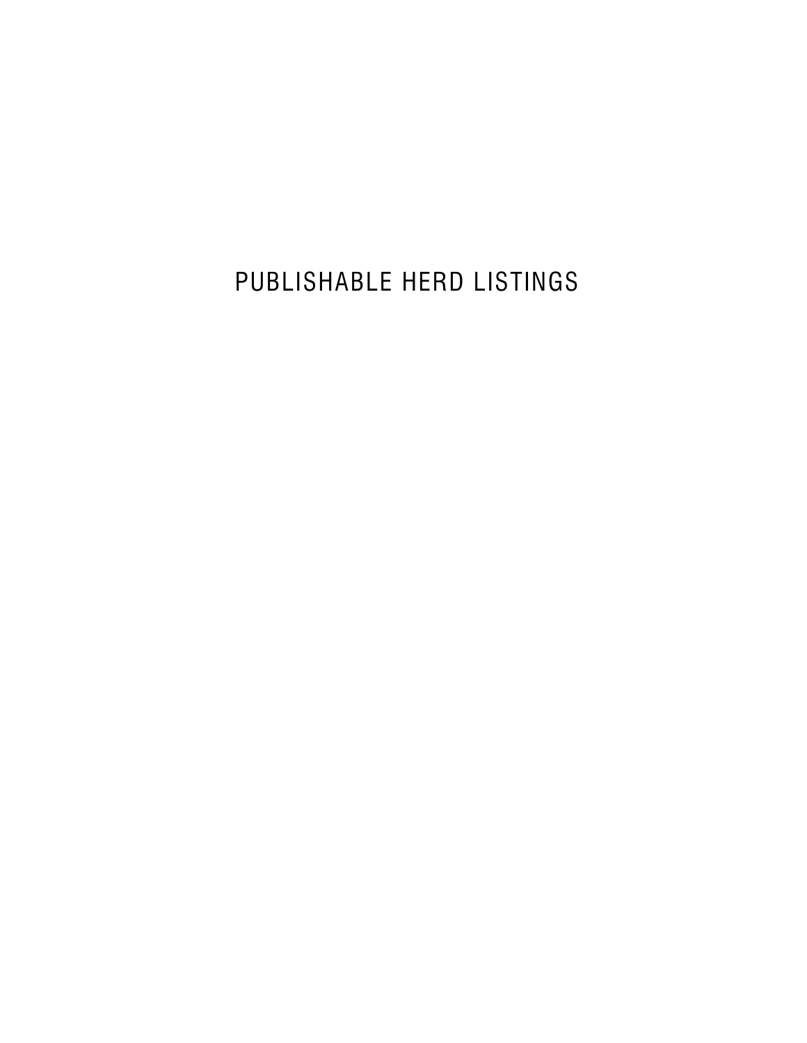PUBLISHABLE HERD LISTINGS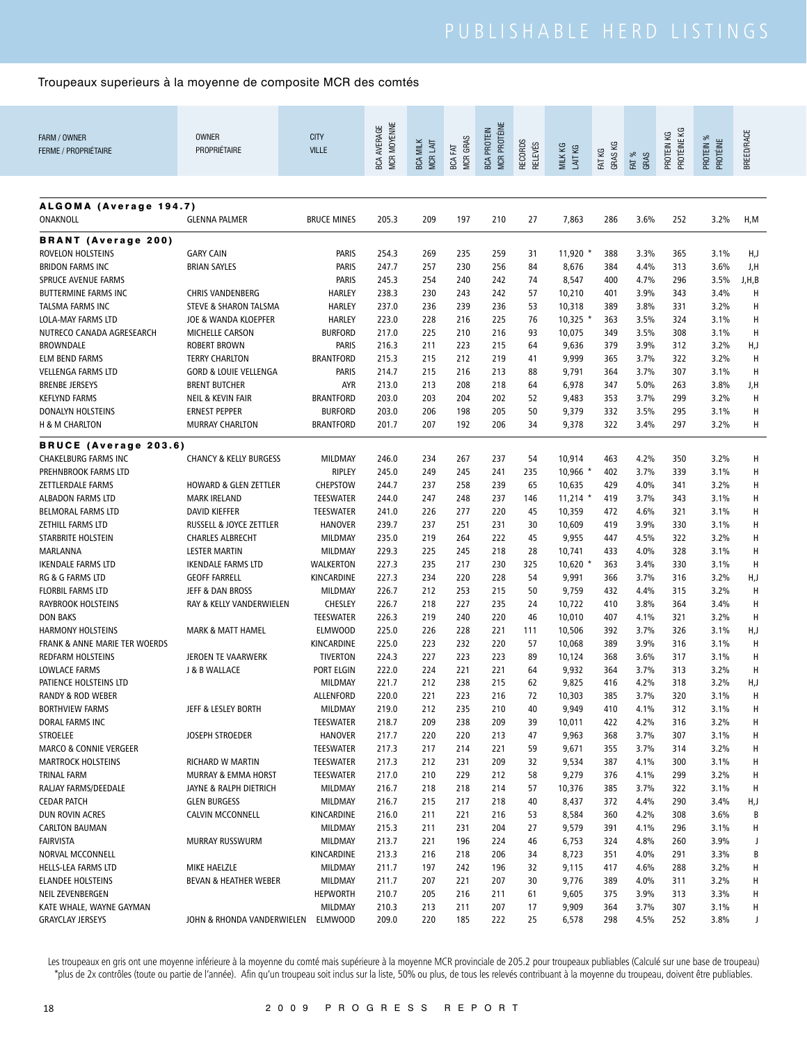| FARM / OWNER<br><b>FERME / PROPRIÉTAIRE</b>            | <b>OWNER</b><br>PROPRIÉTAIRE                                | <b>CITY</b><br><b>VILLE</b>        | MCR MOYENNE<br><b>BCA AVERAGE</b> | <b>BCA MILK</b><br>MCR LAIT | <b>MCR GRAS</b><br>FAT<br><b>BCA</b> | <b>MCR PROTÉINE</b><br><b>BCA PROTEIN</b> | <b>RECORDS</b><br>RELEVÉS | MILK KG<br>LAIT KG | GRAS KG<br>FAT KG | FAT %<br>GRAS | PROTÉINE KG<br>PROTEIN KG | PROTEIN %<br>PROTÉINE | BREED/RACE |
|--------------------------------------------------------|-------------------------------------------------------------|------------------------------------|-----------------------------------|-----------------------------|--------------------------------------|-------------------------------------------|---------------------------|--------------------|-------------------|---------------|---------------------------|-----------------------|------------|
| ALGOMA (Average 194.7)                                 |                                                             |                                    |                                   |                             |                                      |                                           |                           |                    |                   |               |                           |                       |            |
| ONAKNOLL                                               | <b>GLENNA PALMER</b>                                        | <b>BRUCE MINES</b>                 | 205.3                             | 209                         | 197                                  | 210                                       | 27                        | 7,863              | 286               | 3.6%          | 252                       | 3.2%                  | H,M        |
| <b>BRANT</b> (Average 200)                             |                                                             |                                    |                                   |                             |                                      |                                           |                           |                    |                   |               |                           |                       |            |
| ROVELON HOLSTEINS                                      | <b>GARY CAIN</b>                                            | <b>PARIS</b>                       | 254.3                             | 269                         | 235                                  | 259                                       | 31                        | 11,920             | 388               | 3.3%          | 365                       | 3.1%                  | H,J        |
| <b>BRIDON FARMS INC</b>                                | <b>BRIAN SAYLES</b>                                         | <b>PARIS</b>                       | 247.7                             | 257                         | 230                                  | 256                                       | 84                        | 8,676              | 384               | 4.4%          | 313                       | 3.6%                  | J,H        |
| <b>SPRUCE AVENUE FARMS</b>                             |                                                             | <b>PARIS</b>                       | 245.3<br>238.3                    | 254                         | 240                                  | 242                                       | 74                        | 8,547              | 400               | 4.7%          | 296                       | 3.5%                  | J,H,B      |
| BUTTERMINE FARMS INC<br><b>TALSMA FARMS INC</b>        | <b>CHRIS VANDENBERG</b><br><b>STEVE &amp; SHARON TALSMA</b> | <b>HARLEY</b><br><b>HARLEY</b>     | 237.0                             | 230<br>236                  | 243<br>239                           | 242<br>236                                | 57<br>53                  | 10,210<br>10,318   | 401<br>389        | 3.9%<br>3.8%  | 343<br>331                | 3.4%<br>3.2%          | Н<br>Н     |
| <b>LOLA-MAY FARMS LTD</b>                              | JOE & WANDA KLOEPFER                                        | <b>HARLEY</b>                      | 223.0                             | 228                         | 216                                  | 225                                       | 76                        | $10,325$ *         | 363               | 3.5%          | 324                       | 3.1%                  | Н          |
| NUTRECO CANADA AGRESEARCH                              | <b>MICHELLE CARSON</b>                                      | <b>BURFORD</b>                     | 217.0                             | 225                         | 210                                  | 216                                       | 93                        | 10,075             | 349               | 3.5%          | 308                       | 3.1%                  | H          |
| <b>BROWNDALE</b>                                       | <b>ROBERT BROWN</b>                                         | <b>PARIS</b>                       | 216.3                             | 211                         | 223                                  | 215                                       | 64                        | 9,636              | 379               | 3.9%          | 312                       | 3.2%                  | H,J        |
| <b>ELM BEND FARMS</b>                                  | <b>TERRY CHARLTON</b>                                       | <b>BRANTFORD</b>                   | 215.3                             | 215                         | 212                                  | 219                                       | 41                        | 9,999              | 365               | 3.7%          | 322                       | 3.2%                  | H          |
| <b>VELLENGA FARMS LTD</b>                              | <b>GORD &amp; LOUIE VELLENGA</b>                            | <b>PARIS</b>                       | 214.7                             | 215                         | 216                                  | 213                                       | 88                        | 9,791              | 364               | 3.7%          | 307                       | 3.1%                  | H          |
| <b>BRENBE JERSEYS</b>                                  | <b>BRENT BUTCHER</b>                                        | <b>AYR</b>                         | 213.0                             | 213                         | 208                                  | 218                                       | 64                        | 6,978              | 347               | 5.0%          | 263                       | 3.8%                  | J,H        |
| <b>KEFLYND FARMS</b>                                   | <b>NEIL &amp; KEVIN FAIR</b>                                | <b>BRANTFORD</b>                   | 203.0                             | 203                         | 204                                  | 202                                       | 52                        | 9,483              | 353               | 3.7%          | 299                       | 3.2%                  | Н          |
| DONALYN HOLSTEINS                                      | <b>ERNEST PEPPER</b>                                        | <b>BURFORD</b>                     | 203.0                             | 206                         | 198                                  | 205                                       | 50                        | 9,379              | 332               | 3.5%          | 295                       | 3.1%                  | H          |
| <b>H &amp; M CHARLTON</b>                              | <b>MURRAY CHARLTON</b>                                      | <b>BRANTFORD</b>                   | 201.7                             | 207                         | 192                                  | 206                                       | 34                        | 9,378              | 322               | 3.4%          | 297                       | 3.2%                  | Н          |
| <b>BRUCE (Average 203.6)</b>                           |                                                             |                                    |                                   |                             |                                      |                                           |                           |                    |                   |               |                           |                       |            |
| CHAKELBURG FARMS INC                                   | <b>CHANCY &amp; KELLY BURGESS</b>                           | MILDMAY                            | 246.0                             | 234                         | 267                                  | 237                                       | 54                        | 10,914             | 463               | 4.2%          | 350                       | 3.2%                  | H          |
| PREHNBROOK FARMS LTD                                   |                                                             | <b>RIPLEY</b>                      | 245.0                             | 249                         | 245                                  | 241                                       | 235                       | 10,966 *           | 402               | 3.7%          | 339                       | 3.1%                  | H          |
| ZETTLERDALE FARMS                                      | <b>HOWARD &amp; GLEN ZETTLER</b>                            | <b>CHEPSTOW</b>                    | 244.7                             | 237                         | 258                                  | 239                                       | 65                        | 10,635             | 429               | 4.0%          | 341                       | 3.2%                  | H          |
| ALBADON FARMS LTD                                      | <b>MARK IRELAND</b>                                         | <b>TEESWATER</b>                   | 244.0                             | 247                         | 248                                  | 237                                       | 146                       | $11,214$ *         | 419               | 3.7%          | 343                       | 3.1%                  | H          |
| <b>BELMORAL FARMS LTD</b><br>ZETHILL FARMS LTD         | <b>DAVID KIEFFER</b><br>RUSSELL & JOYCE ZETTLER             | <b>TEESWATER</b><br><b>HANOVER</b> | 241.0<br>239.7                    | 226<br>237                  | 277<br>251                           | 220<br>231                                | 45<br>30                  | 10,359<br>10,609   | 472<br>419        | 4.6%<br>3.9%  | 321<br>330                | 3.1%<br>3.1%          | H<br>H     |
| STARBRITE HOLSTEIN                                     | <b>CHARLES ALBRECHT</b>                                     | MILDMAY                            | 235.0                             | 219                         | 264                                  | 222                                       | 45                        | 9,955              | 447               | 4.5%          | 322                       | 3.2%                  | H          |
| MARLANNA                                               | <b>LESTER MARTIN</b>                                        | MILDMAY                            | 229.3                             | 225                         | 245                                  | 218                                       | 28                        | 10,741             | 433               | 4.0%          | 328                       | 3.1%                  | H          |
| <b>IKENDALE FARMS LTD</b>                              | <b>IKENDALE FARMS LTD</b>                                   | <b>WALKERTON</b>                   | 227.3                             | 235                         | 217                                  | 230                                       | 325                       | 10,620             | 363               | 3.4%          | 330                       | 3.1%                  | H          |
| RG & G FARMS LTD                                       | <b>GEOFF FARRELL</b>                                        | KINCARDINE                         | 227.3                             | 234                         | 220                                  | 228                                       | 54                        | 9,991              | 366               | 3.7%          | 316                       | 3.2%                  | H,J        |
| <b>FLORBIL FARMS LTD</b>                               | JEFF & DAN BROSS                                            | MILDMAY                            | 226.7                             | 212                         | 253                                  | 215                                       | 50                        | 9,759              | 432               | 4.4%          | 315                       | 3.2%                  | H          |
| <b>RAYBROOK HOLSTEINS</b>                              | RAY & KELLY VANDERWIELEN                                    | CHESLEY                            | 226.7                             | 218                         | 227                                  | 235                                       | 24                        | 10,722             | 410               | 3.8%          | 364                       | 3.4%                  | H          |
| <b>DON BAKS</b>                                        |                                                             | <b>TEESWATER</b>                   | 226.3                             | 219                         | 240                                  | 220                                       | 46                        | 10,010             | 407               | 4.1%          | 321                       | 3.2%                  | H          |
| <b>HARMONY HOLSTEINS</b>                               | <b>MARK &amp; MATT HAMEL</b>                                | <b>ELMWOOD</b>                     | 225.0                             | 226                         | 228                                  | 221                                       | 111                       | 10,506             | 392               | 3.7%          | 326                       | 3.1%                  | H,J        |
| FRANK & ANNE MARIE TER WOERDS                          |                                                             | KINCARDINE                         | 225.0                             | 223                         | 232                                  | 220                                       | 57                        | 10,068             | 389               | 3.9%          | 316                       | 3.1%                  | H          |
| <b>REDFARM HOLSTEINS</b>                               | JEROEN TE VAARWERK                                          | <b>TIVERTON</b>                    | 224.3                             | 227                         | 223                                  | 223                                       | 89                        | 10,124             | 368               | 3.6%          | 317                       | 3.1%                  | H          |
| LOWLACE FARMS                                          | J & B WALLACE                                               | PORT ELGIN                         | 222.0                             | 224                         | 221                                  | 221                                       | 64                        | 9,932              | 364               | 3.7%          | 313                       | 3.2%                  | H          |
| PATIENCE HOLSTEINS LTD<br><b>RANDY &amp; ROD WEBER</b> |                                                             | MILDMAY<br>ALLENFORD               | 221.7<br>220.0                    | 212                         | 238                                  | 215                                       | 62                        | 9,825              | 416               | 4.2%          | 318                       | 3.2%                  | H,J        |
| <b>BORTHVIEW FARMS</b>                                 | JEFF & LESLEY BORTH                                         | MILDMAY                            | 219.0                             | 221<br>212                  | 223<br>235                           | 216<br>210                                | 72<br>40                  | 10,303<br>9,949    | 385<br>410        | 3.7%<br>4.1%  | 320<br>312                | 3.1%<br>3.1%          | H<br>H     |
| DORAL FARMS INC                                        |                                                             | <b>TEESWATER</b>                   | 218.7                             | 209                         | 238                                  | 209                                       | 39                        | 10,011             | 422               | 4.2%          | 316                       | 3.2%                  | H          |
| <b>STROELEE</b>                                        | JOSEPH STROEDER                                             | <b>HANOVER</b>                     | 217.7                             | 220                         | 220                                  | 213                                       | 47                        | 9,963              | 368               | 3.7%          | 307                       | 3.1%                  | H          |
| <b>MARCO &amp; CONNIE VERGEER</b>                      |                                                             | <b>TEESWATER</b>                   | 217.3                             | 217                         | 214                                  | 221                                       | 59                        | 9,671              | 355               | 3.7%          | 314                       | 3.2%                  | H          |
| <b>MARTROCK HOLSTEINS</b>                              | RICHARD W MARTIN                                            | TEESWATER                          | 217.3                             | 212                         | 231                                  | 209                                       | 32                        | 9,534              | 387               | 4.1%          | 300                       | 3.1%                  | H          |
| TRINAL FARM                                            | <b>MURRAY &amp; EMMA HORST</b>                              | TEESWATER                          | 217.0                             | 210                         | 229                                  | 212                                       | 58                        | 9,279              | 376               | 4.1%          | 299                       | 3.2%                  | H          |
| RALJAY FARMS/DEEDALE                                   | JAYNE & RALPH DIETRICH                                      | MILDMAY                            | 216.7                             | 218                         | 218                                  | 214                                       | 57                        | 10,376             | 385               | 3.7%          | 322                       | 3.1%                  | H          |
| <b>CEDAR PATCH</b>                                     | <b>GLEN BURGESS</b>                                         | MILDMAY                            | 216.7                             | 215                         | 217                                  | 218                                       | 40                        | 8,437              | 372               | 4.4%          | 290                       | 3.4%                  | H,J        |
| DUN ROVIN ACRES                                        | CALVIN MCCONNELL                                            | KINCARDINE                         | 216.0                             | 211                         | 221                                  | 216                                       | 53                        | 8,584              | 360               | 4.2%          | 308                       | 3.6%                  | B          |
| <b>CARLTON BAUMAN</b>                                  |                                                             | MILDMAY                            | 215.3                             | 211                         | 231                                  | 204                                       | 27                        | 9,579              | 391               | 4.1%          | 296                       | 3.1%                  | H          |
| <b>FAIRVISTA</b>                                       | MURRAY RUSSWURM                                             | MILDMAY                            | 213.7                             | 221                         | 196                                  | 224                                       | 46                        | 6,753              | 324               | 4.8%          | 260                       | 3.9%                  | J          |
| NORVAL MCCONNELL                                       |                                                             | KINCARDINE                         | 213.3                             | 216                         | 218                                  | 206                                       | 34                        | 8,723              | 351               | 4.0%          | 291                       | 3.3%                  | В          |
| HELLS-LEA FARMS LTD<br><b>ELANDEE HOLSTEINS</b>        | MIKE HAELZLE<br>BEVAN & HEATHER WEBER                       | MILDMAY<br>MILDMAY                 | 211.7<br>211.7                    | 197<br>207                  | 242<br>221                           | 196<br>207                                | 32<br>30                  | 9,115<br>9,776     | 417<br>389        | 4.6%<br>4.0%  | 288<br>311                | 3.2%<br>3.2%          | H<br>H     |
| NEIL ZEVENBERGEN                                       |                                                             | <b>HEPWORTH</b>                    | 210.7                             | 205                         | 216                                  | 211                                       | 61                        | 9,605              | 375               | 3.9%          | 313                       | 3.3%                  | Н          |
| KATE WHALE, WAYNE GAYMAN                               |                                                             | MILDMAY                            | 210.3                             | 213                         | 211                                  | 207                                       | 17                        | 9,909              | 364               | 3.7%          | 307                       | 3.1%                  | н          |
| <b>GRAYCLAY JERSEYS</b>                                | JOHN & RHONDA VANDERWIELEN                                  | <b>ELMWOOD</b>                     | 209.0                             | 220                         | 185                                  | 222                                       | 25                        | 6,578              | 298               | 4.5%          | 252                       | 3.8%                  | J          |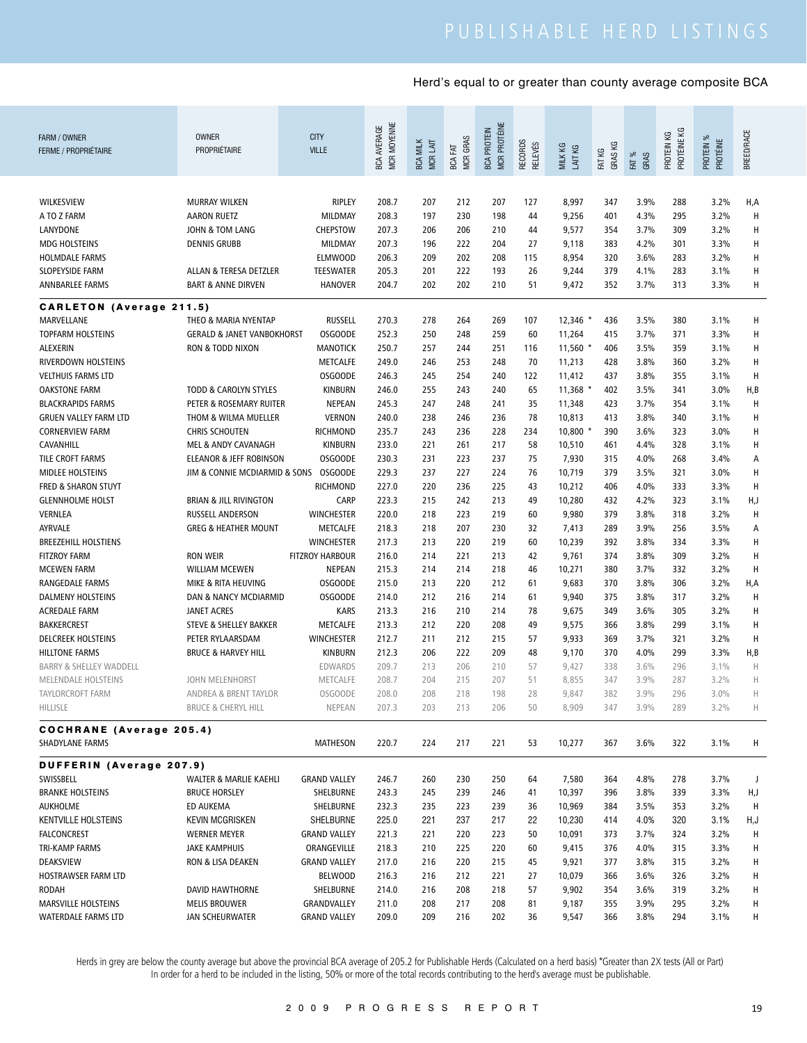| FARM / OWNER<br><b>FERME / PROPRIÉTAIRE</b>        | <b>OWNER</b><br>PROPRIÉTAIRE                            | <b>CITY</b><br><b>VILLE</b> | MCR MOYENNE<br>BCA AVERAGE | <b>BCA MILK</b><br>MCR LAIT | MCR GRAS<br>BCA FAT | <b>MCR PROTÉINE</b><br><b>BCA PROTEIN</b> | RECORDS<br><b>RELEVÉS</b> | MILK KG<br>LAIT KG | GRAS KG<br>FAT KG | FAT %<br>GRAS | PROTÉINE KG<br>PROTEIN KG | PROTEIN %<br>PROTÉINE | BREED/RACE |
|----------------------------------------------------|---------------------------------------------------------|-----------------------------|----------------------------|-----------------------------|---------------------|-------------------------------------------|---------------------------|--------------------|-------------------|---------------|---------------------------|-----------------------|------------|
|                                                    |                                                         |                             |                            |                             |                     |                                           |                           |                    |                   |               |                           |                       |            |
| WILKESVIEW                                         | <b>MURRAY WILKEN</b>                                    | <b>RIPLEY</b>               | 208.7                      | 207                         | 212                 | 207                                       | 127                       | 8,997              | 347               | 3.9%          | 288                       | 3.2%                  | H,A        |
| A TO Z FARM                                        | <b>AARON RUETZ</b>                                      | MILDMAY                     | 208.3                      | 197                         | 230                 | 198                                       | 44                        | 9,256              | 401               | 4.3%          | 295                       | 3.2%                  | H          |
| LANYDONE                                           | JOHN & TOM LANG                                         | <b>CHEPSTOW</b>             | 207.3                      | 206                         | 206                 | 210                                       | 44                        | 9,577              | 354               | 3.7%          | 309                       | 3.2%                  | H          |
| <b>MDG HOLSTEINS</b>                               | <b>DENNIS GRUBB</b>                                     | MILDMAY                     | 207.3                      | 196                         | 222                 | 204                                       | 27                        | 9,118              | 383               | 4.2%          | 301                       | 3.3%                  | H          |
| <b>HOLMDALE FARMS</b>                              |                                                         | <b>ELMWOOD</b>              | 206.3                      | 209                         | 202                 | 208                                       | 115                       | 8,954              | 320               | 3.6%          | 283                       | 3.2%                  | H          |
| SLOPEYSIDE FARM                                    | ALLAN & TERESA DETZLER                                  | <b>TEESWATER</b>            | 205.3                      | 201                         | 222                 | 193                                       | 26                        | 9,244              | 379               | 4.1%          | 283                       | 3.1%                  | Н          |
| ANNBARLEE FARMS                                    | <b>BART &amp; ANNE DIRVEN</b>                           | <b>HANOVER</b>              | 204.7                      | 202                         | 202                 | 210                                       | 51                        | 9,472              | 352               | 3.7%          | 313                       | 3.3%                  | Н          |
| <b>CARLETON</b> (Average 211.5)                    |                                                         |                             |                            |                             |                     |                                           |                           |                    |                   |               |                           |                       |            |
| MARVELLANE                                         | THEO & MARIA NYENTAP                                    | <b>RUSSELL</b>              | 270.3                      | 278                         | 264                 | 269                                       | 107                       | $12,346$ *         | 436               | 3.5%          | 380                       | 3.1%                  | H          |
| <b>TOPFARM HOLSTEINS</b>                           | <b>GERALD &amp; JANET VANBOKHORST</b>                   | <b>OSGOODE</b>              | 252.3                      | 250                         | 248                 | 259                                       | 60                        | 11,264             | 415               | 3.7%          | 371                       | 3.3%                  | H          |
| ALEXERIN                                           | RON & TODD NIXON                                        | MANOTICK                    | 250.7                      | 257                         | 244                 | 251                                       | 116                       | $11,560$ *         | 406               | 3.5%          | 359                       | 3.1%                  | H          |
| RIVERDOWN HOLSTEINS                                |                                                         | METCALFE                    | 249.0                      | 246                         | 253                 | 248                                       | 70                        | 11,213             | 428               | 3.8%          | 360                       | 3.2%                  | H          |
| <b>VELTHUIS FARMS LTD</b>                          |                                                         | <b>OSGOODE</b>              | 246.3                      | 245                         | 254                 | 240                                       | 122                       | 11,412             | 437               | 3.8%          | 355                       | 3.1%                  | H          |
| <b>OAKSTONE FARM</b>                               | <b>TODD &amp; CAROLYN STYLES</b>                        | <b>KINBURN</b>              | 246.0                      | 255                         | 243                 | 240                                       | 65                        | $11,368$ $*$       | 402               | 3.5%          | 341                       | 3.0%                  | H,B        |
| <b>BLACKRAPIDS FARMS</b>                           | PETER & ROSEMARY RUITER                                 | <b>NEPEAN</b>               | 245.3                      | 247                         | 248                 | 241                                       | 35                        | 11,348             | 423               | 3.7%          | 354                       | 3.1%                  | H          |
| <b>GRUEN VALLEY FARM LTD</b>                       | THOM & WILMA MUELLER                                    | <b>VERNON</b>               | 240.0                      | 238                         | 246                 | 236                                       | 78                        | 10,813             | 413               | 3.8%          | 340                       | 3.1%                  | Н          |
| <b>CORNERVIEW FARM</b>                             | <b>CHRIS SCHOUTEN</b>                                   | <b>RICHMOND</b>             | 235.7                      | 243                         | 236                 | 228                                       | 234                       | 10,800 *           | 390               | 3.6%          | 323                       | 3.0%                  | H          |
| CAVANHILL                                          | MEL & ANDY CAVANAGH                                     | <b>KINBURN</b>              | 233.0                      | 221                         | 261                 | 217                                       | 58                        | 10,510             | 461               | 4.4%          | 328                       | 3.1%                  | Н          |
| TILE CROFT FARMS                                   | <b>ELEANOR &amp; JEFF ROBINSON</b>                      | <b>OSGOODE</b>              | 230.3                      | 231                         | 223                 | 237                                       | 75                        | 7,930              | 315               | 4.0%          | 268                       | 3.4%                  | Α          |
| <b>MIDLEE HOLSTEINS</b>                            | JIM & CONNIE MCDIARMID & SONS                           | <b>OSGOODE</b>              | 229.3                      | 237                         | 227                 | 224                                       | 76                        | 10,719             | 379               | 3.5%          | 321                       | 3.0%                  | H          |
| FRED & SHARON STUYT                                |                                                         | <b>RICHMOND</b>             | 227.0                      | 220                         | 236                 | 225                                       | 43                        | 10,212             | 406               | 4.0%          | 333                       | 3.3%                  | H          |
| <b>GLENNHOLME HOLST</b>                            | <b>BRIAN &amp; JILL RIVINGTON</b>                       | CARP                        | 223.3                      | 215                         | 242                 | 213                                       | 49                        | 10,280             | 432               | 4.2%          | 323                       | 3.1%                  | H,J        |
| VERNLEA                                            | RUSSELL ANDERSON                                        | <b>WINCHESTER</b>           | 220.0                      | 218                         | 223                 | 219                                       | 60                        | 9,980              | 379               | 3.8%          | 318                       | 3.2%                  | H          |
| AYRVALE                                            | <b>GREG &amp; HEATHER MOUNT</b>                         | METCALFE                    | 218.3                      | 218                         | 207                 | 230                                       | 32                        | 7,413              | 289               | 3.9%          | 256                       | 3.5%                  | Α          |
| <b>BREEZEHILL HOLSTIENS</b>                        |                                                         | <b>WINCHESTER</b>           | 217.3                      | 213                         | 220                 | 219                                       | 60                        | 10,239             | 392               | 3.8%          | 334                       | 3.3%                  | н          |
| <b>FITZROY FARM</b>                                | <b>RON WEIR</b>                                         | <b>FITZROY HARBOUR</b>      | 216.0                      | 214                         | 221                 | 213                                       | 42                        | 9,761              | 374               | 3.8%          | 309                       | 3.2%                  | H          |
| <b>MCEWEN FARM</b>                                 | <b>WILLIAM MCEWEN</b>                                   | <b>NEPEAN</b>               | 215.3                      | 214                         | 214                 | 218                                       | 46                        | 10,271             | 380               | 3.7%          | 332                       | 3.2%                  | H          |
| RANGEDALE FARMS                                    | MIKE & RITA HEUVING                                     | <b>OSGOODE</b>              | 215.0                      | 213                         | 220                 | 212                                       | 61                        | 9,683              | 370               | 3.8%          | 306                       | 3.2%                  | H,A        |
| <b>DALMENY HOLSTEINS</b>                           | DAN & NANCY MCDIARMID                                   | <b>OSGOODE</b>              | 214.0                      | 212                         | 216                 | 214                                       | 61                        | 9,940              | 375               | 3.8%          | 317                       | 3.2%                  | H          |
| ACREDALE FARM                                      | <b>JANET ACRES</b>                                      | <b>KARS</b>                 | 213.3                      | 216                         | 210                 | 214                                       | 78                        | 9,675              | 349               | 3.6%          | 305                       | 3.2%                  | H          |
| <b>BAKKERCREST</b>                                 |                                                         |                             |                            | 212                         | 220                 | 208                                       | 49                        |                    | 366               | 3.8%          | 299                       | 3.1%                  | H          |
| <b>DELCREEK HOLSTEINS</b>                          | STEVE & SHELLEY BAKKER                                  | METCALFE                    | 213.3                      |                             |                     |                                           |                           | 9,575              |                   |               |                           |                       | H          |
|                                                    | PETER RYLAARSDAM                                        | <b>WINCHESTER</b>           | 212.7                      | 211                         | 212                 | 215                                       | 57                        | 9,933              | 369               | 3.7%          | 321                       | 3.2%                  |            |
| <b>HILLTONE FARMS</b>                              | <b>BRUCE &amp; HARVEY HILL</b>                          | <b>KINBURN</b>              | 212.3                      | 206                         | 222                 | 209                                       | 48                        | 9,170              | 370               | 4.0%          | 299                       | 3.3%                  | H,B        |
| <b>BARRY &amp; SHELLEY WADDELL</b>                 |                                                         | <b>EDWARDS</b>              | 209.7                      | 213                         | 206                 | 210                                       | 57                        | 9,427              | 338               | 3.6%          | 296                       | 3.1%                  | Н          |
| <b>MELENDALE HOLSTEINS</b>                         | <b>JOHN MELENHORST</b>                                  | METCALFE                    | 208.7                      | 204                         | 215                 | 207                                       | 51                        | 8,855              | 347               | 3.9%          | 287                       | 3.2%                  | Н          |
| TAYLORCROFT FARM<br>HILLISLE                       | ANDREA & BRENT TAYLOR<br><b>BRUCE &amp; CHERYL HILL</b> | <b>OSGOODE</b><br>NEPEAN    | 208.0<br>207.3             | 208<br>203                  | 218<br>213          | 198<br>206                                | 28<br>50                  | 9,847<br>8,909     | 382<br>347        | 3.9%<br>3.9%  | 296<br>289                | 3.0%<br>3.2%          | Н<br>H     |
|                                                    |                                                         |                             |                            |                             |                     |                                           |                           |                    |                   |               |                           |                       |            |
| <b>COCHRANE</b> (Average 205.4)<br>SHADYLANE FARMS |                                                         | MATHESON                    | 220.7                      | 224                         | 217                 | 221                                       | 53                        | 10,277             | 367               | 3.6%          | 322                       | 3.1%                  | Н          |
| DUFFERIN (Average 207.9)                           |                                                         |                             |                            |                             |                     |                                           |                           |                    |                   |               |                           |                       |            |
| SWISSBELL                                          | <b>WALTER &amp; MARLIE KAEHLI</b>                       | <b>GRAND VALLEY</b>         | 246.7                      | 260                         | 230                 | 250                                       | 64                        | 7,580              | 364               | 4.8%          | 278                       | 3.7%                  | J          |
| <b>BRANKE HOLSTEINS</b>                            | <b>BRUCE HORSLEY</b>                                    | SHELBURNE                   | 243.3                      | 245                         | 239                 | 246                                       | 41                        | 10,397             | 396               | 3.8%          | 339                       | 3.3%                  | H,J        |
| AUKHOLME                                           | ED AUKEMA                                               | SHELBURNE                   | 232.3                      | 235                         | 223                 | 239                                       | 36                        | 10,969             | 384               | 3.5%          | 353                       | 3.2%                  | H          |
| <b>KENTVILLE HOLSTEINS</b>                         | KEVIN MCGRISKEN                                         | SHELBURNE                   | 225.0                      | 221                         | 237                 | 217                                       | 22                        | 10,230             | 414               | 4.0%          | 320                       | 3.1%                  | H,J        |
| <b>FALCONCREST</b>                                 | <b>WERNER MEYER</b>                                     | <b>GRAND VALLEY</b>         | 221.3                      | 221                         | 220                 | 223                                       | 50                        | 10,091             | 373               | 3.7%          | 324                       | 3.2%                  | H          |
| <b>TRI-KAMP FARMS</b>                              | <b>JAKE KAMPHUIS</b>                                    | ORANGEVILLE                 | 218.3                      | 210                         | 225                 | 220                                       | 60                        | 9,415              | 376               | 4.0%          | 315                       | 3.3%                  | Н          |
| DEAKSVIEW                                          | RON & LISA DEAKEN                                       | <b>GRAND VALLEY</b>         | 217.0                      | 216                         | 220                 | 215                                       | 45                        | 9,921              | 377               | 3.8%          | 315                       | 3.2%                  | Н          |
| HOSTRAWSER FARM LTD                                |                                                         | BELWOOD                     | 216.3                      | 216                         | 212                 | 221                                       | 27                        | 10,079             | 366               | 3.6%          | 326                       | 3.2%                  | H          |
| <b>RODAH</b>                                       | DAVID HAWTHORNE                                         | SHELBURNE                   | 214.0                      | 216                         | 208                 | 218                                       | 57                        | 9,902              | 354               | 3.6%          | 319                       | 3.2%                  | Н          |
| MARSVILLE HOLSTEINS                                | <b>MELIS BROUWER</b>                                    | GRANDVALLEY                 | 211.0                      | 208                         | 217                 | 208                                       | 81                        | 9,187              | 355               | 3.9%          | 295                       | 3.2%                  | H          |
| WATERDALE FARMS LTD                                | JAN SCHEURWATER                                         | <b>GRAND VALLEY</b>         | 209.0                      | 209                         | 216                 | 202                                       | 36                        | 9,547              | 366               | 3.8%          | 294                       | 3.1%                  | н          |
|                                                    |                                                         |                             |                            |                             |                     |                                           |                           |                    |                   |               |                           |                       |            |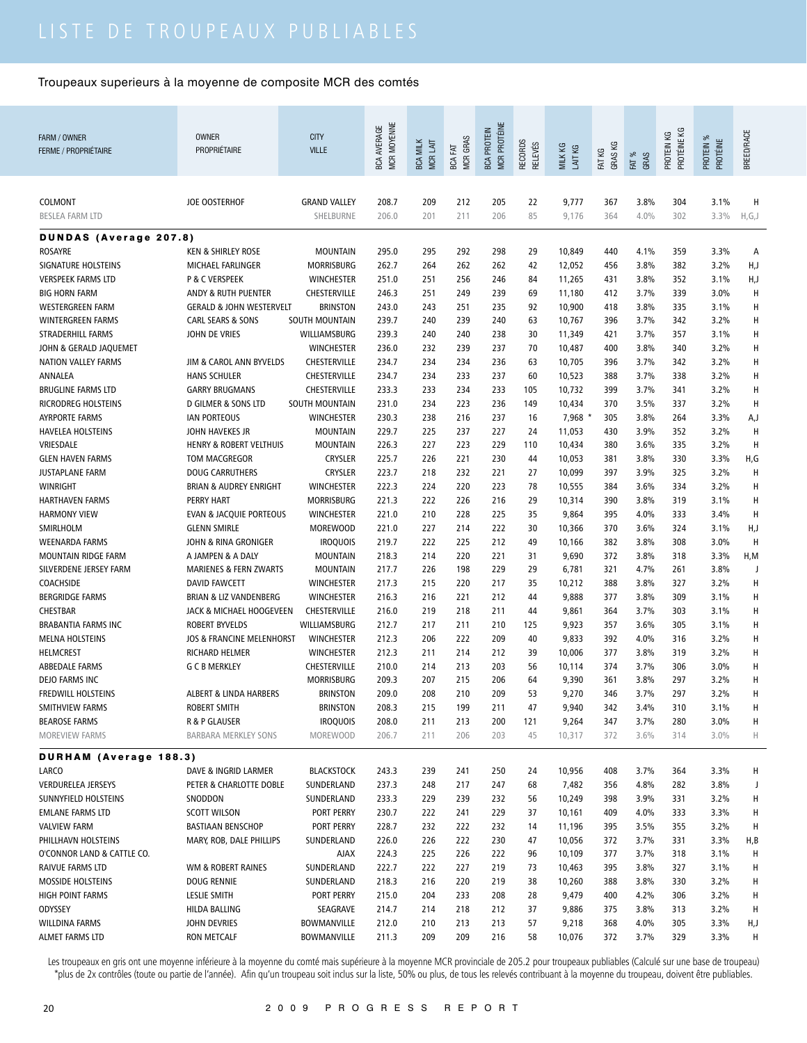| FARM / OWNER<br><b>FERME / PROPRIÉTAIRE</b> | <b>OWNER</b><br><b>PROPRIÉTAIRE</b>          | <b>CITY</b><br><b>VILLE</b>      | MCR MOYENNE<br><b>BCA AVERAGE</b> | <b>BCA MILK</b><br><b>MCRLAIT</b> | MCR GRAS<br>EАТ<br>BCA | <b>MCR PROTÉINE</b><br><b>BCA PROTEIN</b> | <b>RECORDS</b><br><b>RELEVÉS</b> | MILK KG<br>LAIT KG | GRAS KG<br>FAT KG | FAT %<br>GRAS | PROTÉINE KG<br>КG<br>PROTEIN | ೫<br>PROTÉINE<br>PROTEIN ' | BREED/RACE |
|---------------------------------------------|----------------------------------------------|----------------------------------|-----------------------------------|-----------------------------------|------------------------|-------------------------------------------|----------------------------------|--------------------|-------------------|---------------|------------------------------|----------------------------|------------|
| COLMONT<br><b>BESLEA FARM LTD</b>           | <b>JOE OOSTERHOF</b>                         | <b>GRAND VALLEY</b><br>SHELBURNE | 208.7<br>206.0                    | 209<br>201                        | 212<br>211             | 205<br>206                                | 22<br>85                         | 9,777<br>9,176     | 367<br>364        | 3.8%<br>4.0%  | 304<br>302                   | 3.1%<br>3.3%               | н<br>H,G,J |
| <b>DUNDAS (Average 207.8)</b>               |                                              |                                  |                                   |                                   |                        |                                           |                                  |                    |                   |               |                              |                            |            |
| <b>ROSAYRE</b>                              | <b>KEN &amp; SHIRLEY ROSE</b>                | <b>MOUNTAIN</b>                  | 295.0                             | 295                               | 292                    | 298                                       | 29                               | 10,849             | 440               | 4.1%          | 359                          | 3.3%                       | Α          |
| <b>SIGNATURE HOLSTEINS</b>                  | MICHAEL FARLINGER                            | <b>MORRISBURG</b>                | 262.7                             | 264                               | 262                    | 262                                       | 42                               | 12,052             | 456               | 3.8%          | 382                          | 3.2%                       | H,J        |
| <b>VERSPEEK FARMS LTD</b>                   | P & C VERSPEEK                               | <b>WINCHESTER</b>                | 251.0                             | 251                               | 256                    | 246                                       | 84                               | 11,265             | 431               | 3.8%          | 352                          | 3.1%                       | H,J        |
| <b>BIG HORN FARM</b>                        | ANDY & RUTH PUENTER                          | CHESTERVILLE                     | 246.3                             | 251                               | 249                    | 239                                       | 69                               | 11,180             | 412               | 3.7%          | 339                          | 3.0%                       | Н          |
| <b>WESTERGREEN FARM</b>                     | <b>GERALD &amp; JOHN WESTERVELT</b>          | <b>BRINSTON</b>                  | 243.0                             | 243                               | 251                    | 235                                       | 92                               | 10,900             | 418               | 3.8%          | 335                          | 3.1%                       | Н          |
| <b>WINTERGREEN FARMS</b>                    | <b>CARL SEARS &amp; SONS</b>                 | SOUTH MOUNTAIN                   | 239.7                             | 240                               | 239                    | 240                                       | 63                               | 10,767             | 396               | 3.7%          | 342                          | 3.2%                       | Н          |
| STRADERHILL FARMS                           | JOHN DE VRIES                                | WILLIAMSBURG                     | 239.3                             | 240                               | 240                    | 238                                       | 30                               | 11,349             | 421               | 3.7%          | 357                          | 3.1%                       | Н          |
| JOHN & GERALD JAQUEMET                      |                                              | WINCHESTER                       | 236.0                             | 232                               | 239                    | 237                                       | 70                               | 10,487             | 400               | 3.8%          | 340                          | 3.2%                       | Н          |
| NATION VALLEY FARMS                         | JIM & CAROL ANN BYVELDS                      | CHESTERVILLE                     | 234.7                             | 234                               | 234                    | 236                                       | 63                               | 10,705             | 396               | 3.7%          | 342                          | 3.2%                       | н          |
| ANNALEA                                     | <b>HANS SCHULER</b>                          | CHESTERVILLE                     | 234.7                             | 234                               | 233                    | 237                                       | 60                               | 10,523             | 388               | 3.7%          | 338                          | 3.2%                       | Н          |
| <b>BRUGLINE FARMS LTD</b>                   | <b>GARRY BRUGMANS</b>                        | <b>CHESTERVILLE</b>              | 233.3                             | 233                               | 234                    | 233                                       | 105                              | 10,732             | 399               | 3.7%          | 341                          | 3.2%                       | Н          |
| RICRODREG HOLSTEINS                         | <b>D GILMER &amp; SONS LTD</b>               | SOUTH MOUNTAIN                   | 231.0                             | 234                               | 223                    | 236                                       | 149                              | 10,434             | 370               | 3.5%          | 337                          | 3.2%                       | Н          |
| <b>AYRPORTE FARMS</b>                       | <b>IAN PORTEOUS</b>                          | <b>WINCHESTER</b>                | 230.3                             | 238                               | 216                    | 237                                       | 16                               | $7,968$ *          | 305               | 3.8%          | 264                          | 3.3%                       | A,J        |
| <b>HAVELEA HOLSTEINS</b>                    | JOHN HAVEKES JR                              | <b>MOUNTAIN</b>                  | 229.7                             | 225                               | 237                    | 227                                       | 24                               | 11,053             | 430               | 3.9%          | 352                          | 3.2%                       | Н          |
| VRIESDALE                                   | <b>HENRY &amp; ROBERT VELTHUIS</b>           | <b>MOUNTAIN</b>                  | 226.3                             | 227                               | 223                    | 229                                       | 110                              | 10,434             | 380               | 3.6%          | 335                          | 3.2%                       | Н          |
| <b>GLEN HAVEN FARMS</b>                     | <b>TOM MACGREGOR</b>                         | <b>CRYSLER</b>                   | 225.7                             | 226                               | 221                    | 230                                       | 44                               | 10,053             | 381               | 3.8%          | 330                          | 3.3%                       | H,G        |
| <b>JUSTAPLANE FARM</b>                      | <b>DOUG CARRUTHERS</b>                       | <b>CRYSLER</b>                   | 223.7                             | 218                               | 232                    | 221                                       | 27                               | 10,099             | 397               | 3.9%          | 325                          | 3.2%                       | Н          |
| <b>WINRIGHT</b>                             | <b>BRIAN &amp; AUDREY ENRIGHT</b>            | <b>WINCHESTER</b>                | 222.3                             | 224                               | 220                    | 223                                       | 78                               | 10,555             | 384               | 3.6%          | 334                          | 3.2%                       | Н          |
| <b>HARTHAVEN FARMS</b>                      | <b>PERRY HART</b>                            | <b>MORRISBURG</b>                | 221.3                             | 222                               | 226                    | 216                                       | 29                               | 10,314             | 390               | 3.8%          | 319                          | 3.1%                       | Н          |
| <b>HARMONY VIEW</b>                         | <b>EVAN &amp; JACQUIE PORTEOUS</b>           | WINCHESTER                       | 221.0                             | 210                               | 228                    | 225                                       | 35                               | 9,864              | 395               | 4.0%          | 333                          | 3.4%                       | Н          |
| SMIRLHOLM                                   | <b>GLENN SMIRLE</b>                          | <b>MOREWOOD</b>                  | 221.0                             | 227                               | 214                    | 222                                       | 30                               | 10,366             | 370               | 3.6%          | 324                          | 3.1%                       | H,J        |
| <b>WEENARDA FARMS</b>                       | JOHN & RINA GRONIGER                         | <b>IROQUOIS</b>                  | 219.7                             | 222                               | 225                    | 212                                       | 49                               | 10,166             | 382               | 3.8%          | 308                          | 3.0%                       | Н          |
| MOUNTAIN RIDGE FARM                         | A JAMPEN & A DALY                            | <b>MOUNTAIN</b>                  | 218.3                             | 214                               | 220                    | 221                                       | 31                               | 9,690              | 372               | 3.8%          | 318                          | 3.3%                       | H,M        |
| SILVERDENE JERSEY FARM                      | <b>MARIENES &amp; FERN ZWARTS</b>            | <b>MOUNTAIN</b>                  | 217.7                             | 226                               | 198                    | 229                                       | 29                               | 6,781              | 321               | 4.7%          | 261                          | 3.8%                       | J          |
| COACHSIDE                                   | <b>DAVID FAWCETT</b>                         | <b>WINCHESTER</b>                | 217.3                             | 215                               | 220                    | 217                                       | 35                               | 10,212             | 388               | 3.8%          | 327                          | 3.2%                       | Н          |
| <b>BERGRIDGE FARMS</b>                      | <b>BRIAN &amp; LIZ VANDENBERG</b>            | <b>WINCHESTER</b>                | 216.3                             | 216                               | 221                    | 212                                       | 44                               | 9,888              | 377               | 3.8%          | 309                          | 3.1%                       | Н          |
| <b>CHESTBAR</b>                             | JACK & MICHAEL HOOGEVEEN                     | CHESTERVILLE                     | 216.0                             | 219                               | 218                    | 211                                       | 44                               | 9,861              | 364               | 3.7%          | 303                          | 3.1%                       | Н          |
| <b>BRABANTIA FARMS INC</b>                  | <b>ROBERT BYVELDS</b>                        | WILLIAMSBURG                     | 212.7                             | 217                               | 211                    | 210                                       | 125                              | 9,923              | 357               | 3.6%          | 305                          | 3.1%                       | Н          |
| <b>MELNA HOLSTEINS</b>                      | <b>JOS &amp; FRANCINE MELENHORST</b>         | <b>WINCHESTER</b>                | 212.3                             | 206                               | 222                    | 209                                       | 40                               | 9,833              | 392               | 4.0%          | 316                          | 3.2%                       | Н          |
| HELMCREST                                   | RICHARD HELMER                               | <b>WINCHESTER</b>                | 212.3                             | 211                               | 214                    | 212                                       | 39                               | 10,006             | 377               | 3.8%          | 319                          | 3.2%                       | Н          |
| <b>ABBEDALE FARMS</b>                       | <b>G C B MERKLEY</b>                         | <b>CHESTERVILLE</b>              | 210.0                             | 214                               | 213                    | 203                                       | 56                               | 10,114             | 374               | 3.7%          | 306                          | 3.0%                       | Н          |
| DEJO FARMS INC                              | <b>ALBERT &amp; LINDA HARBERS</b>            | <b>MORRISBURG</b>                | 209.3                             | 207                               | 215                    | 206                                       | 64                               | 9,390              | 361<br>346        | 3.8%          | 297<br>297                   | 3.2%                       | Н          |
| FREDWILL HOLSTEINS                          |                                              | <b>BRINSTON</b>                  | 209.0                             | 208                               | 210                    | 209                                       | 53                               | 9,270              |                   | 3.7%          |                              | 3.2%                       | Н          |
| SMITHVIEW FARMS                             | <b>ROBERT SMITH</b>                          | <b>BRINSTON</b>                  | 208.3                             | 215                               | 199                    | 211                                       | 47                               | 9,940              | 342<br>347        | 3.4%          | 310                          | 3.1%<br>3.0%               | Н          |
| <b>BEAROSE FARMS</b><br>MOREVIEW FARMS      | R & P GLAUSER<br><b>BARBARA MERKLEY SONS</b> | <b>IROQUOIS</b><br>MOREWOOD      | 208.0<br>206.7                    | 211<br>211                        | 213<br>206             | 200<br>203                                | 121<br>45                        | 9,264<br>10,317    | 372               | 3.7%<br>3.6%  | 280<br>314                   | 3.0%                       | н<br>Н     |
| <b>DURHAM</b> (Average 188.3)               |                                              |                                  |                                   |                                   |                        |                                           |                                  |                    |                   |               |                              |                            |            |
| LARCO                                       | DAVE & INGRID LARMER                         | <b>BLACKSTOCK</b>                | 243.3                             | 239                               | 241                    | 250                                       | 24                               | 10,956             | 408               | 3.7%          | 364                          | 3.3%                       | Н          |
| <b>VERDURELEA JERSEYS</b>                   | PETER & CHARLOTTE DOBLE                      | SUNDERLAND                       | 237.3                             | 248                               | 217                    | 247                                       | 68                               | 7,482              | 356               | 4.8%          | 282                          | 3.8%                       | J          |
| SUNNYFIELD HOLSTEINS                        | SNODDON                                      | SUNDERLAND                       | 233.3                             | 229                               | 239                    | 232                                       | 56                               | 10,249             | 398               | 3.9%          | 331                          | 3.2%                       | н          |
| <b>EMLANE FARMS LTD</b>                     | <b>SCOTT WILSON</b>                          | PORT PERRY                       | 230.7                             | 222                               | 241                    | 229                                       | 37                               | 10,161             | 409               | 4.0%          | 333                          | 3.3%                       | н          |
| <b>VALVIEW FARM</b>                         | <b>BASTIAAN BENSCHOP</b>                     | PORT PERRY                       | 228.7                             | 232                               | 222                    | 232                                       | 14                               | 11,196             | 395               | 3.5%          | 355                          | 3.2%                       | H          |
| PHILLHAVN HOLSTEINS                         | MARY, ROB, DALE PHILLIPS                     | SUNDERLAND                       | 226.0                             | 226                               | 222                    | 230                                       | 47                               | 10,056             | 372               | 3.7%          | 331                          | 3.3%                       | H, B       |
| O'CONNOR LAND & CATTLE CO.                  |                                              | <b>AJAX</b>                      | 224.3                             | 225                               | 226                    | 222                                       | 96                               | 10,109             | 377               | 3.7%          | 318                          | 3.1%                       | Н          |
| RAIVUE FARMS LTD                            | WM & ROBERT RAINES                           | SUNDERLAND                       | 222.7                             | 222                               | 227                    | 219                                       | 73                               | 10,463             | 395               | 3.8%          | 327                          | 3.1%                       | н          |
| MOSSIDE HOLSTEINS                           | <b>DOUG RENNIE</b>                           | SUNDERLAND                       | 218.3                             | 216                               | 220                    | 219                                       | 38                               | 10,260             | 388               | 3.8%          | 330                          | $3.2\%$                    | н          |
| HIGH POINT FARMS                            | LESLIE SMITH                                 | PORT PERRY                       | 215.0                             | 204                               | 233                    | 208                                       | 28                               | 9,479              | 400               | 4.2%          | 306                          | $3.2\%$                    | н          |
| ODYSSEY                                     | HILDA BALLING                                | SEAGRAVE                         | 214.7                             | 214                               | 218                    | 212                                       | 37                               | 9,886              | 375               | 3.8%          | 313                          | 3.2%                       | H          |
| <b>WILLDINA FARMS</b>                       | JOHN DEVRIES                                 | BOWMANVILLE                      | 212.0                             | 210                               | 213                    | 213                                       | 57                               | 9,218              | 368               | 4.0%          | 305                          | 3.3%                       | H,J        |
| ALMET FARMS LTD                             | RON METCALF                                  | BOWMANVILLE                      | 211.3                             | 209                               | 209                    | 216                                       | 58                               | 10,076             | 372               | 3.7%          | 329                          | 3.3%                       | H          |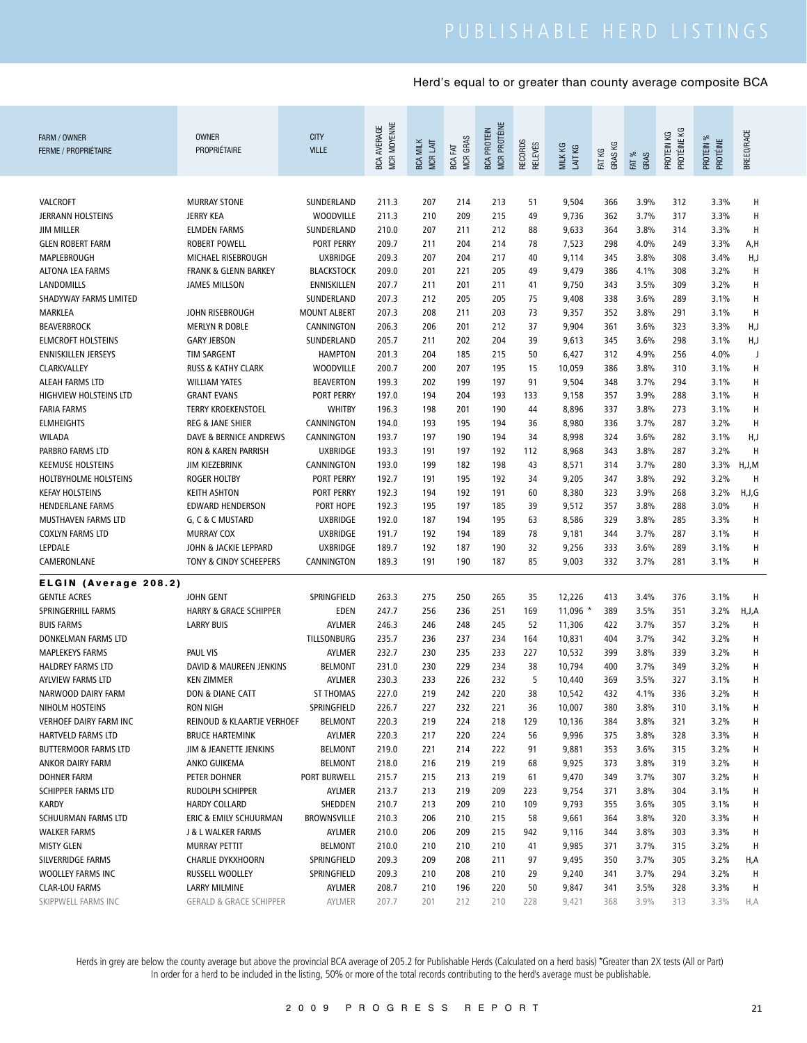| FARM / OWNER<br><b>FERME / PROPRIÉTAIRE</b> | <b>OWNER</b><br>PROPRIÉTAIRE       | <b>CITY</b><br><b>VILLE</b> | MCR MOYENNE<br><b>BCA AVERAGE</b> | <b>BCA MILK</b><br>MCR LAIT | <b>MCR GRAS</b><br>져<br>BCA | MCR PROTÉINE<br><b>BCA PROTEIN</b> | RECORDS<br>RELEVÉS | MILK KG<br>LAIT KG | FAT KG<br>GRAS KG | FAT %<br>GRAS | PROTÉINE KG<br>PROTEIN KG | PROTEIN %<br>PROTÉINE | <b>BREED/RACE</b> |
|---------------------------------------------|------------------------------------|-----------------------------|-----------------------------------|-----------------------------|-----------------------------|------------------------------------|--------------------|--------------------|-------------------|---------------|---------------------------|-----------------------|-------------------|
|                                             |                                    |                             |                                   |                             |                             |                                    |                    |                    |                   |               |                           |                       |                   |
| VALCROFT                                    | <b>MURRAY STONE</b>                | SUNDERLAND                  | 211.3                             | 207                         | 214                         | 213                                | 51                 | 9,504              | 366               | 3.9%          | 312                       | 3.3%                  | Н                 |
| JERRANN HOLSTEINS                           | <b>JERRY KEA</b>                   | <b>WOODVILLE</b>            | 211.3                             | 210                         | 209                         | 215                                | 49                 | 9,736              | 362               | 3.7%          | 317                       | 3.3%                  | Н                 |
| <b>JIM MILLER</b>                           | <b>ELMDEN FARMS</b>                | SUNDERLAND                  | 210.0                             | 207                         | 211                         | 212                                | 88                 | 9,633              | 364               | 3.8%          | 314                       | 3.3%                  | н                 |
| <b>GLEN ROBERT FARM</b>                     | <b>ROBERT POWELL</b>               | PORT PERRY                  | 209.7                             | 211                         | 204                         | 214                                | 78                 | 7,523              | 298               | 4.0%          | 249                       | 3.3%                  | A,H               |
| MAPLEBROUGH                                 | MICHAEL RISEBROUGH                 | <b>UXBRIDGE</b>             | 209.3                             | 207                         | 204                         | 217                                | 40                 | 9,114              | 345               | 3.8%          | 308                       | 3.4%                  | H,J               |
| <b>ALTONA LEA FARMS</b>                     | <b>FRANK &amp; GLENN BARKEY</b>    | <b>BLACKSTOCK</b>           | 209.0                             | 201                         | 221                         | 205                                | 49                 | 9,479              | 386               | 4.1%          | 308                       | 3.2%                  | Н                 |
| LANDOMILLS                                  | <b>JAMES MILLSON</b>               | ENNISKILLEN                 | 207.7                             | 211                         | 201                         | 211                                | 41                 | 9,750              | 343               | 3.5%          | 309                       | 3.2%                  | Н                 |
| SHADYWAY FARMS LIMITED                      |                                    | SUNDERLAND                  | 207.3                             | 212                         | 205                         | 205                                | 75                 | 9,408              | 338               | 3.6%          | 289                       | 3.1%                  | Н                 |
| MARKLEA                                     | JOHN RISEBROUGH                    | <b>MOUNT ALBERT</b>         | 207.3                             | 208                         | 211                         | 203                                | 73                 | 9,357              | 352               | 3.8%          | 291                       | 3.1%                  | Н                 |
| <b>BEAVERBROCK</b>                          | <b>MERLYN R DOBLE</b>              | CANNINGTON                  | 206.3                             | 206                         | 201                         | 212                                | 37                 | 9,904              | 361               | 3.6%          | 323                       | 3.3%                  | H,J               |
| <b>ELMCROFT HOLSTEINS</b>                   | <b>GARY JEBSON</b>                 | SUNDERLAND                  | 205.7                             | 211                         | 202                         | 204                                | 39                 | 9,613              | 345               | 3.6%          | 298                       | 3.1%                  | H,J               |
| <b>ENNISKILLEN JERSEYS</b>                  | <b>TIM SARGENT</b>                 | <b>HAMPTON</b>              | 201.3                             | 204                         | 185                         | 215                                | 50                 | 6,427              | 312               | 4.9%          | 256                       | 4.0%                  | J                 |
| CLARKVALLEY                                 | <b>RUSS &amp; KATHY CLARK</b>      | <b>WOODVILLE</b>            | 200.7                             | 200                         | 207                         | 195                                | 15                 | 10,059             | 386               | 3.8%          | 310                       | 3.1%                  | Н                 |
| ALEAH FARMS LTD                             | <b>WILLIAM YATES</b>               | <b>BEAVERTON</b>            | 199.3                             | 202                         | 199                         | 197                                | 91                 | 9,504              | 348               | 3.7%          | 294                       | 3.1%                  | Н                 |
| <b>HIGHVIEW HOLSTEINS LTD</b>               | <b>GRANT EVANS</b>                 | PORT PERRY                  | 197.0                             | 194                         | 204                         | 193                                | 133                | 9,158              | 357               | 3.9%          | 288                       | 3.1%                  | Н                 |
| <b>FARIA FARMS</b>                          | <b>TERRY KROEKENSTOEL</b>          | <b>WHITBY</b>               | 196.3                             | 198                         | 201                         | 190                                | 44                 | 8,896              | 337               | 3.8%          | 273                       | 3.1%                  | Н                 |
| <b>ELMHEIGHTS</b>                           | <b>REG &amp; JANE SHIER</b>        | CANNINGTON                  | 194.0                             | 193                         | 195                         | 194                                | 36                 | 8,980              | 336               | 3.7%          | 287                       | 3.2%                  | Н                 |
| <b>WILADA</b>                               | DAVE & BERNICE ANDREWS             | CANNINGTON                  | 193.7                             | 197                         | 190                         | 194                                | 34                 | 8,998              | 324               | 3.6%          | 282                       | 3.1%                  | H,J               |
| PARBRO FARMS LTD                            | RON & KAREN PARRISH                | <b>UXBRIDGE</b>             | 193.3                             | 191                         | 197                         | 192                                | 112                | 8,968              | 343               | 3.8%          | 287                       | 3.2%                  | Н                 |
| <b>KEEMUSE HOLSTEINS</b>                    | <b>JIM KIEZEBRINK</b>              | CANNINGTON                  | 193.0                             | 199                         | 182                         | 198                                | 43                 | 8,571              | 314               | 3.7%          | 280                       | 3.3%                  | H, J, M           |
| HOLTBYHOLME HOLSTEINS                       | <b>ROGER HOLTBY</b>                | <b>PORT PERRY</b>           | 192.7                             | 191                         | 195                         | 192                                | 34                 | 9,205              | 347               | 3.8%          | 292                       | 3.2%                  | Н                 |
| <b>KEFAY HOLSTEINS</b>                      | <b>KEITH ASHTON</b>                | <b>PORT PERRY</b>           | 192.3                             | 194                         | 192                         | 191                                | 60                 | 8,380              | 323               | 3.9%          | 268                       | 3.2%                  | H, J, G           |
| <b>HENDERLANE FARMS</b>                     | <b>EDWARD HENDERSON</b>            | PORT HOPE                   | 192.3                             | 195                         | 197                         | 185                                | 39                 | 9,512              | 357               | 3.8%          | 288                       | 3.0%                  | H                 |
| MUSTHAVEN FARMS LTD                         | G, C & C MUSTARD                   | <b>UXBRIDGE</b>             | 192.0                             | 187                         | 194                         | 195                                | 63                 | 8,586              | 329               | 3.8%          | 285                       | 3.3%                  | H                 |
| <b>COXLYN FARMS LTD</b>                     | <b>MURRAY COX</b>                  | <b>UXBRIDGE</b>             | 191.7                             | 192                         | 194                         | 189                                | 78                 | 9,181              | 344               | 3.7%          | 287                       | 3.1%                  | н                 |
| LEPDALE                                     | JOHN & JACKIE LEPPARD              | <b>UXBRIDGE</b>             | 189.7                             | 192                         | 187                         | 190                                | 32                 | 9,256              | 333               | 3.6%          | 289                       | 3.1%                  | н                 |
| CAMERONLANE                                 | TONY & CINDY SCHEEPERS             | CANNINGTON                  | 189.3                             | 191                         | 190                         | 187                                | 85                 | 9,003              | 332               | 3.7%          | 281                       | 3.1%                  | н                 |
| ELGIN (Average 208.2)                       |                                    |                             |                                   |                             |                             |                                    |                    |                    |                   |               |                           |                       |                   |
| <b>GENTLE ACRES</b>                         | <b>JOHN GENT</b>                   | SPRINGFIELD                 | 263.3                             | 275                         | 250                         | 265                                | 35                 | 12,226             | 413               | 3.4%          | 376                       | 3.1%                  | Н                 |
| SPRINGERHILL FARMS                          | <b>HARRY &amp; GRACE SCHIPPER</b>  | <b>EDEN</b>                 | 247.7                             | 256                         | 236                         | 251                                | 169                | 11,096             | 389               | 3.5%          | 351                       | 3.2%                  | H,J,A             |
| <b>BUIS FARMS</b>                           | <b>LARRY BUIS</b>                  | AYLMER                      | 246.3                             | 246                         | 248                         | 245                                | 52                 | 11,306             | 422               | 3.7%          | 357                       | 3.2%                  | H                 |
| DONKELMAN FARMS LTD                         |                                    | <b>TILLSONBURG</b>          | 235.7                             | 236                         | 237                         | 234                                | 164                | 10,831             | 404               | 3.7%          | 342                       | 3.2%                  | Н                 |
| <b>MAPLEKEYS FARMS</b>                      | <b>PAUL VIS</b>                    | AYLMER                      | 232.7                             | 230                         | 235                         | 233                                | 227                | 10,532             | 399               | 3.8%          | 339                       | 3.2%                  | Н                 |
| <b>HALDREY FARMS LTD</b>                    | DAVID & MAUREEN JENKINS            | <b>BELMONT</b>              | 231.0                             | 230                         | 229                         | 234                                | 38                 | 10,794             | 400               | 3.7%          | 349                       | 3.2%                  | Н                 |
| AYLVIEW FARMS LTD                           | <b>KEN ZIMMER</b>                  | AYLMER                      | 230.3                             | 233                         | 226                         | 232                                | 5                  | 10,440             | 369               | 3.5%          | 327                       | 3.1%                  | Н                 |
| NARWOOD DAIRY FARM                          | DON & DIANE CATT                   | <b>ST THOMAS</b>            | 227.0                             | 219                         | 242                         | 220                                | 38                 | 10,542             | 432               | 4.1%          | 336                       | 3.2%                  | H                 |
| NIHOLM HOSTEINS                             | <b>RON NIGH</b>                    | SPRINGFIELD                 | 226.7                             | 227                         | 232                         | 221                                | 36                 | 10,007             | 380               | 3.8%          | 310                       | 3.1%                  | H                 |
| <b>VERHOEF DAIRY FARM INC</b>               | REINOUD & KLAARTJE VERHOEF         | <b>BELMONT</b>              | 220.3                             | 219                         | 224                         | 218                                | 129                | 10,136             | 384               | 3.8%          | 321                       | 3.2%                  | H                 |
| HARTVELD FARMS LTD                          | <b>BRUCE HARTEMINK</b>             | AYLMER                      | 220.3                             | 217                         | 220                         | 224                                | 56                 | 9,996              | 375               | 3.8%          | 328                       | 3.3%                  | H                 |
| <b>BUTTERMOOR FARMS LTD</b>                 | JIM & JEANETTE JENKINS             | <b>BELMONT</b>              | 219.0                             | 221                         | 214                         | 222                                | 91                 | 9,881              | 353               | 3.6%          | 315                       | 3.2%                  | H                 |
| ANKOR DAIRY FARM                            | ANKO GUIKEMA                       | <b>BELMONT</b>              | 218.0                             | 216                         | 219                         | 219                                | 68                 | 9,925              | 373               | 3.8%          | 319                       | 3.2%                  | H                 |
| <b>DOHNER FARM</b>                          | PETER DOHNER                       | PORT BURWELL                | 215.7                             | 215                         | 213                         | 219                                | 61                 | 9,470              | 349               | 3.7%          | 307                       | 3.2%                  | H                 |
| <b>SCHIPPER FARMS LTD</b>                   | RUDOLPH SCHIPPER                   | AYLMER                      | 213.7                             | 213                         | 219                         | 209                                | 223                | 9,754              | 371               | 3.8%          | 304                       | 3.1%                  | H                 |
| <b>KARDY</b>                                | <b>HARDY COLLARD</b>               | SHEDDEN                     | 210.7                             | 213                         | 209                         | 210                                | 109                | 9,793              | 355               | 3.6%          | 305                       | 3.1%                  | H                 |
| SCHUURMAN FARMS LTD                         | ERIC & EMILY SCHUURMAN             | <b>BROWNSVILLE</b>          | 210.3                             | 206                         | 210                         | 215                                | 58                 | 9,661              | 364               | 3.8%          | 320                       | 3.3%                  | H                 |
| <b>WALKER FARMS</b>                         | J & L WALKER FARMS                 | AYLMER                      | 210.0                             | 206                         | 209                         | 215                                | 942                | 9,116              | 344               | 3.8%          | 303                       | 3.3%                  | H                 |
| <b>MISTY GLEN</b>                           | MURRAY PETTIT                      | <b>BELMONT</b>              | 210.0                             | 210                         | 210                         | 210                                | 41                 | 9,985              | 371               | 3.7%          | 315                       | 3.2%                  | H                 |
| SILVERRIDGE FARMS                           | <b>CHARLIE DYKXHOORN</b>           | SPRINGFIELD                 | 209.3                             | 209                         | 208                         | 211                                | 97                 | 9,495              | 350               | 3.7%          | 305                       | 3.2%                  | H,A               |
| WOOLLEY FARMS INC                           | RUSSELL WOOLLEY                    | SPRINGFIELD                 | 209.3                             | 210                         | 208                         | 210                                | 29                 | 9,240              | 341               | 3.7%          | 294                       | 3.2%                  | H                 |
| <b>CLAR-LOU FARMS</b>                       | <b>LARRY MILMINE</b>               | AYLMER                      | 208.7                             | 210                         | 196                         | 220                                | 50                 | 9,847              | 341               | 3.5%          | 328                       | 3.3%                  | H                 |
| SKIPPWELL FARMS INC                         | <b>GERALD &amp; GRACE SCHIPPER</b> | AYLMER                      | 207.7                             | 201                         | 212                         | 210                                | 228                | 9,421              | 368               | 3.9%          | 313                       | 3.3%                  | H,A               |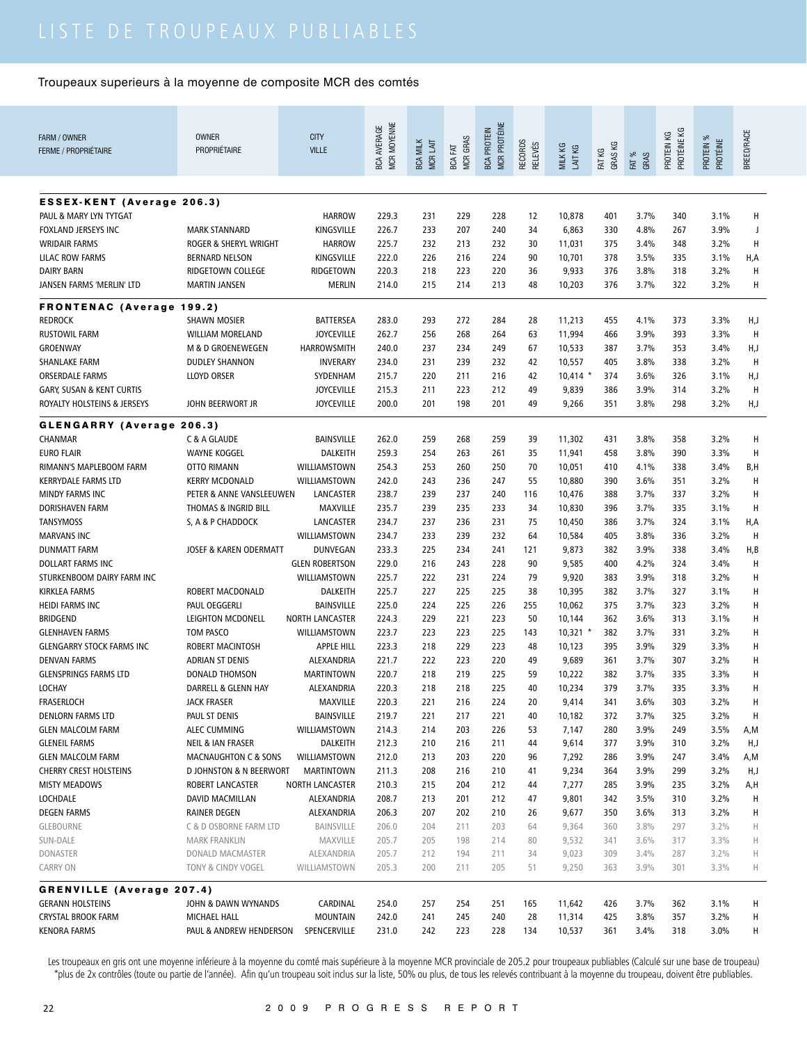| FARM / OWNER                                                        | <b>OWNER</b>                                | <b>CITY</b>                                 | <b>MCR MOYENNE</b><br><b>BCA AVERAGE</b> |                 |                 | <b>MCR PROTÉINE</b><br><b>BCA PROTEIN</b> |                |                      |            |               | PROTÉINE KG |                       |            |
|---------------------------------------------------------------------|---------------------------------------------|---------------------------------------------|------------------------------------------|-----------------|-----------------|-------------------------------------------|----------------|----------------------|------------|---------------|-------------|-----------------------|------------|
| <b>FERME / PROPRIÉTAIRE</b>                                         | PROPRIÉTAIRE                                | <b>VILLE</b>                                |                                          | <b>BCA MILK</b> | <b>MCR GRAS</b> |                                           | <b>RELEVÉS</b> | MILK KG              | GRAS KG    |               | PROTEIN KG  | PROTEIN %<br>PROTÉINE | BREED/RACE |
|                                                                     |                                             |                                             |                                          | MCR LAIT        | BCA FAT         |                                           | <b>RECORDS</b> | LAIT KG              | FAT KG     | FAT %<br>GRAS |             |                       |            |
|                                                                     |                                             |                                             |                                          |                 |                 |                                           |                |                      |            |               |             |                       |            |
|                                                                     |                                             |                                             |                                          |                 |                 |                                           |                |                      |            |               |             |                       |            |
| <b>ESSEX-KENT (Average 206.3)</b><br>PAUL & MARY LYN TYTGAT         |                                             | <b>HARROW</b>                               | 229.3                                    | 231             | 229             | 228                                       | 12             | 10,878               | 401        | 3.7%          | 340         | 3.1%                  | Н          |
| FOXLAND JERSEYS INC                                                 | <b>MARK STANNARD</b>                        | KINGSVILLE                                  | 226.7                                    | 233             | 207             | 240                                       | 34             | 6,863                | 330        | 4.8%          | 267         | 3.9%                  | J          |
| <b>WRIDAIR FARMS</b>                                                | <b>ROGER &amp; SHERYL WRIGHT</b>            | <b>HARROW</b>                               | 225.7                                    | 232             | 213             | 232                                       | 30             | 11,031               | 375        | 3.4%          | 348         | 3.2%                  | Н          |
| <b>LILAC ROW FARMS</b>                                              | <b>BERNARD NELSON</b>                       | KINGSVILLE                                  | 222.0                                    | 226             | 216             | 224                                       | 90             | 10,701               | 378        | 3.5%          | 335         | 3.1%                  | H,A        |
| <b>DAIRY BARN</b>                                                   | RIDGETOWN COLLEGE                           | RIDGETOWN                                   | 220.3                                    | 218             | 223             | 220                                       | 36             | 9,933                | 376        | 3.8%          | 318         | 3.2%                  | Н          |
| JANSEN FARMS 'MERLIN' LTD                                           | <b>MARTIN JANSEN</b>                        | MERLIN                                      | 214.0                                    | 215             | 214             | 213                                       | 48             | 10,203               | 376        | 3.7%          | 322         | 3.2%                  | Н          |
|                                                                     |                                             |                                             |                                          |                 |                 |                                           |                |                      |            |               |             |                       |            |
| <b>FRONTENAC (Average 199.2)</b>                                    |                                             |                                             |                                          |                 |                 |                                           |                |                      |            |               |             |                       |            |
| <b>REDROCK</b>                                                      | <b>SHAWN MOSIER</b>                         | BATTERSEA                                   | 283.0                                    | 293             | 272             | 284                                       | 28             | 11,213               | 455        | 4.1%          | 373         | 3.3%                  | H,J        |
| <b>RUSTOWIL FARM</b>                                                | <b>WILLIAM MORELAND</b>                     | <b>JOYCEVILLE</b>                           | 262.7                                    | 256             | 268             | 264                                       | 63             | 11,994               | 466        | 3.9%          | 393         | 3.3%                  | H          |
| GROENWAY                                                            | M & D GROENEWEGEN                           | <b>HARROWSMITH</b>                          | 240.0                                    | 237             | 234             | 249                                       | 67             | 10,533               | 387        | 3.7%          | 353         | 3.4%                  | H,J        |
| <b>SHANLAKE FARM</b>                                                | <b>DUDLEY SHANNON</b><br><b>LLOYD ORSER</b> | <b>INVERARY</b><br>SYDENHAM                 | 234.0                                    | 231             | 239             | 232                                       | 42             | 10,557               | 405        | 3.8%          | 338         | 3.2%                  | Н          |
| <b>ORSERDALE FARMS</b>                                              |                                             | <b>JOYCEVILLE</b>                           | 215.7<br>215.3                           | 220<br>211      | 211<br>223      | 216<br>212                                | 42<br>49       | $10,414$ *           | 374<br>386 | 3.6%<br>3.9%  | 326<br>314  | 3.1%<br>3.2%          | H,J<br>Н   |
| <b>GARY, SUSAN &amp; KENT CURTIS</b><br>ROYALTY HOLSTEINS & JERSEYS | <b>JOHN BEERWORT JR</b>                     | <b>JOYCEVILLE</b>                           | 200.0                                    | 201             | 198             | 201                                       | 49             | 9,839<br>9,266       | 351        | 3.8%          | 298         | 3.2%                  | H,J        |
|                                                                     |                                             |                                             |                                          |                 |                 |                                           |                |                      |            |               |             |                       |            |
| GLENGARRY (Average 206.3)                                           |                                             |                                             |                                          |                 |                 |                                           |                |                      |            |               |             |                       |            |
| CHANMAR                                                             | C & A GLAUDE                                | <b>BAINSVILLE</b>                           | 262.0                                    | 259             | 268             | 259                                       | 39             | 11,302               | 431        | 3.8%          | 358         | 3.2%                  | н          |
| <b>EURO FLAIR</b>                                                   | <b>WAYNE KOGGEL</b>                         | DALKEITH                                    | 259.3                                    | 254             | 263             | 261                                       | 35             | 11,941               | 458        | 3.8%          | 390         | 3.3%                  | н          |
| RIMANN'S MAPLEBOOM FARM                                             | <b>OTTO RIMANN</b>                          | WILLIAMSTOWN                                | 254.3                                    | 253             | 260             | 250                                       | 70             | 10,051               | 410        | 4.1%          | 338         | 3.4%                  | B,H        |
| <b>KERRYDALE FARMS LTD</b>                                          | <b>KERRY MCDONALD</b>                       | WILLIAMSTOWN                                | 242.0                                    | 243             | 236             | 247                                       | 55             | 10,880               | 390        | 3.6%          | 351         | 3.2%                  | н          |
| <b>MINDY FARMS INC</b>                                              | PETER & ANNE VANSLEEUWEN                    | LANCASTER                                   | 238.7                                    | 239             | 237             | 240                                       | 116            | 10,476               | 388        | 3.7%          | 337         | 3.2%                  | н          |
| DORISHAVEN FARM                                                     | THOMAS & INGRID BILL                        | <b>MAXVILLE</b>                             | 235.7                                    | 239             | 235             | 233                                       | 34             | 10,830               | 396        | 3.7%          | 335         | 3.1%                  | н          |
| <b>TANSYMOSS</b>                                                    | S, A & P CHADDOCK                           | LANCASTER                                   | 234.7                                    | 237             | 236             | 231                                       | 75             | 10,450               | 386        | 3.7%          | 324         | 3.1%                  | H,A        |
| <b>MARVANS INC</b>                                                  |                                             | WILLIAMSTOWN                                | 234.7                                    | 233             | 239             | 232                                       | 64             | 10,584               | 405        | 3.8%          | 336         | 3.2%                  | H          |
| <b>DUNMATT FARM</b>                                                 | JOSEF & KAREN ODERMATT                      | <b>DUNVEGAN</b>                             | 233.3                                    | 225             | 234             | 241                                       | 121            | 9,873                | 382        | 3.9%          | 338         | 3.4%                  | H,B        |
| DOLLART FARMS INC                                                   |                                             | <b>GLEN ROBERTSON</b>                       | 229.0                                    | 216             | 243             | 228                                       | 90             | 9,585                | 400        | 4.2%          | 324         | 3.4%                  | Н          |
| STURKENBOOM DAIRY FARM INC                                          |                                             | WILLIAMSTOWN                                | 225.7                                    | 222             | 231             | 224                                       | 79             | 9,920                | 383        | 3.9%          | 318         | 3.2%                  | н          |
| KIRKLEA FARMS                                                       | ROBERT MACDONALD                            | <b>DALKEITH</b>                             | 225.7                                    | 227             | 225             | 225<br>226                                | 38             | 10,395               | 382        | 3.7%          | 327         | 3.1%                  | н          |
| <b>HEIDI FARMS INC</b><br><b>BRIDGEND</b>                           | PAUL OEGGERLI<br><b>LEIGHTON MCDONELL</b>   | <b>BAINSVILLE</b><br><b>NORTH LANCASTER</b> | 225.0<br>224.3                           | 224<br>229      | 225<br>221      | 223                                       | 255<br>50      | 10,062               | 375<br>362 | 3.7%<br>3.6%  | 323<br>313  | 3.2%<br>3.1%          | Н<br>Н     |
| <b>GLENHAVEN FARMS</b>                                              | TOM PASCO                                   | WILLIAMSTOWN                                | 223.7                                    | 223             | 223             | 225                                       | 143            | 10,144<br>$10,321$ * | 382        | 3.7%          | 331         | 3.2%                  | Н          |
| <b>GLENGARRY STOCK FARMS INC</b>                                    | ROBERT MACINTOSH                            | APPLE HILL                                  | 223.3                                    | 218             | 229             | 223                                       | 48             | 10,123               | 395        | 3.9%          | 329         | 3.3%                  | Н          |
| <b>DENVAN FARMS</b>                                                 | ADRIAN ST DENIS                             | <b>ALEXANDRIA</b>                           | 221.7                                    | 222             | 223             | 220                                       | 49             | 9,689                | 361        | 3.7%          | 307         | 3.2%                  | Н          |
| <b>GLENSPRINGS FARMS LTD</b>                                        | <b>DONALD THOMSON</b>                       | <b>MARTINTOWN</b>                           | 220.7                                    | 218             | 219             | 225                                       | 59             | 10,222               | 382        | 3.7%          | 335         | 3.3%                  | Н          |
| <b>LOCHAY</b>                                                       | DARRELL & GLENN HAY                         | ALEXANDRIA                                  | 220.3                                    | 218             | 218             | 225                                       | 40             | 10,234               | 379        | 3.7%          | 335         | 3.3%                  | H          |
| FRASERLOCH                                                          | <b>JACK FRASER</b>                          | MAXVILLE                                    | 220.3                                    | 221             | 216             | 224                                       | 20             | 9,414                | 341        | 3.6%          | 303         | 3.2%                  | Н          |
| <b>DENLORN FARMS LTD</b>                                            | PAUL ST DENIS                               | BAINSVILLE                                  | 219.7                                    | 221             | 217             | 221                                       | 40             | 10,182               | 372        | 3.7%          | 325         | 3.2%                  | H          |
| <b>GLEN MALCOLM FARM</b>                                            | <b>ALEC CUMMING</b>                         | WILLIAMSTOWN                                | 214.3                                    | 214             | 203             | 226                                       | 53             | 7,147                | 280        | 3.9%          | 249         | 3.5%                  | A,M        |
| <b>GLENEIL FARMS</b>                                                | NEIL & IAN FRASER                           | DALKEITH                                    | 212.3                                    | 210             | 216             | 211                                       | 44             | 9,614                | 377        | 3.9%          | 310         | 3.2%                  | H,J        |
| <b>GLEN MALCOLM FARM</b>                                            | <b>MACNAUGHTON C &amp; SONS</b>             | WILLIAMSTOWN                                | 212.0                                    | 213             | 203             | 220                                       | 96             | 7,292                | 286        | 3.9%          | 247         | 3.4%                  | A,M        |
| <b>CHERRY CREST HOLSTEINS</b>                                       | <b>D JOHNSTON &amp; N BEERWORT</b>          | <b>MARTINTOWN</b>                           | 211.3                                    | 208             | 216             | 210                                       | 41             | 9,234                | 364        | 3.9%          | 299         | 3.2%                  | H,J        |
| <b>MISTY MEADOWS</b>                                                | ROBERT LANCASTER                            | NORTH LANCASTER                             | 210.3                                    | 215             | 204             | 212                                       | 44             | 7,277                | 285        | 3.9%          | 235         | 3.2%                  | A,H        |
| <b>LOCHDALE</b>                                                     | DAVID MACMILLAN                             | ALEXANDRIA                                  | 208.7                                    | 213             | 201             | 212                                       | 47             | 9,801                | 342        | 3.5%          | 310         | 3.2%                  | H          |
| <b>DEGEN FARMS</b>                                                  | <b>RAINER DEGEN</b>                         | ALEXANDRIA                                  | 206.3                                    | 207             | 202             | 210                                       | 26             | 9,677                | 350        | 3.6%          | 313         | 3.2%                  | Н          |
| <b>GLEBOURNE</b>                                                    | C & D OSBORNE FARM LTD                      | BAINSVILLE                                  | 206.0                                    | 204             | 211             | 203                                       | 64             | 9,364                | 360        | 3.8%          | 297         | 3.2%                  | Н          |
| SUN-DALE                                                            | <b>MARK FRANKLIN</b>                        | MAXVILLE                                    | 205.7                                    | 205             | 198             | 214                                       | 80             | 9,532                | 341        | 3.6%          | 317         | 3.3%                  | Н          |
| <b>DONASTER</b>                                                     | DONALD MACMASTER                            | ALEXANDRIA                                  | 205.7                                    | 212             | 194             | 211                                       | 34             | 9,023                | 309        | 3.4%          | 287         | 3.2%                  | Н          |
| <b>CARRY ON</b>                                                     | TONY & CINDY VOGEL                          | WILLIAMSTOWN                                | 205.3                                    | 200             | 211             | 205                                       | 51             | 9,250                | 363        | 3.9%          | 301         | 3.3%                  | Н          |
| <b>GRENVILLE (Average 207.4)</b>                                    |                                             |                                             |                                          |                 |                 |                                           |                |                      |            |               |             |                       |            |
| <b>GERANN HOLSTEINS</b>                                             | JOHN & DAWN WYNANDS                         | CARDINAL                                    | 254.0                                    | 257             | 254             | 251                                       | 165            | 11,642               | 426        | 3.7%          | 362         | 3.1%                  | н          |
| <b>CRYSTAL BROOK FARM</b>                                           | MICHAEL HALL                                | <b>MOUNTAIN</b>                             | 242.0                                    | 241             | 245             | 240                                       | 28             | 11,314               | 425        | 3.8%          | 357         | 3.2%                  | н          |
| <b>KENORA FARMS</b>                                                 | PAUL & ANDREW HENDERSON                     | SPENCERVILLE                                | 231.0                                    | 242             | 223             | 228                                       | 134            | 10,537               | 361        | 3.4%          | 318         | 3.0%                  | н          |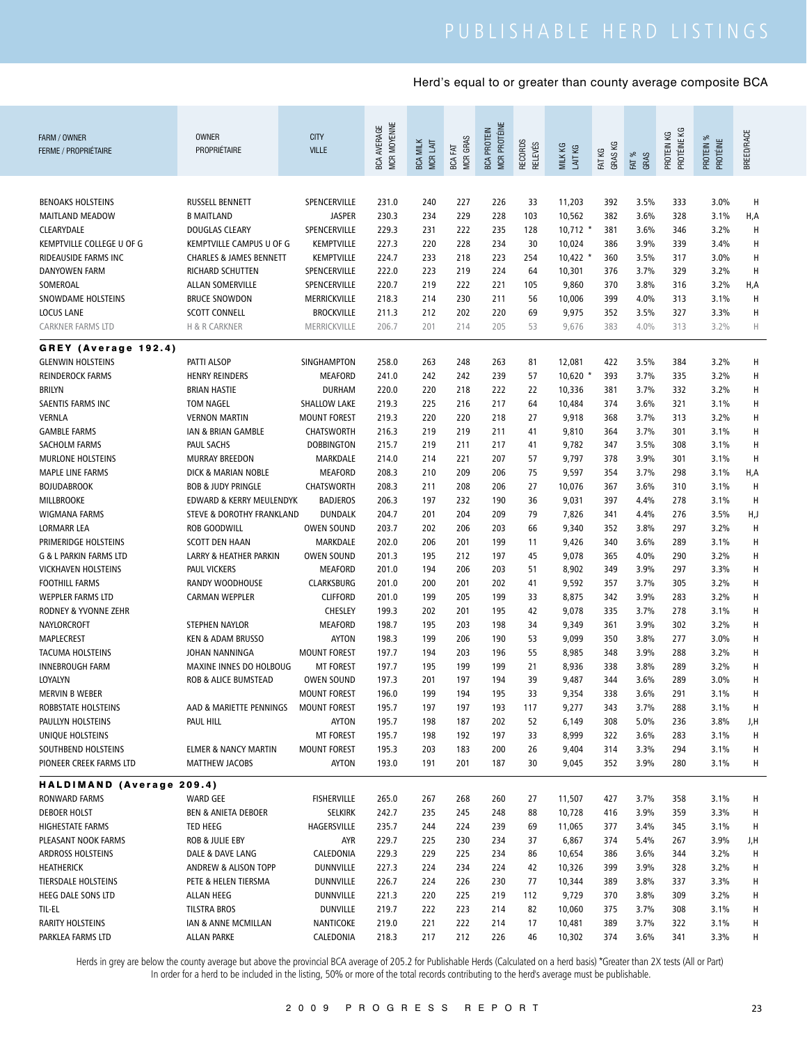| FARM / OWNER<br><b>FERME / PROPRIÉTAIRE</b>  | <b>OWNER</b><br>PROPRIÉTAIRE                               | <b>CITY</b><br><b>VILLE</b>              | MCR MOYENNE<br><b>BCA AVERAGE</b> | <b>BCA MILK</b><br>MCR LAIT | <b>MCR GRAS</b><br>BCA FAT | MCR PROTÉINE<br><b>BCA PROTEIN</b> | <b>RECORDS</b><br><b>RELEVÉS</b> | MILK KG<br>LAIT KG | GRAS KG<br>FAT KG | FAT %<br>GRAS | PROTÉINE KG<br>PROTEIN KG | PROTEIN %<br>PROTÉINE | <b>BREED/RACE</b> |
|----------------------------------------------|------------------------------------------------------------|------------------------------------------|-----------------------------------|-----------------------------|----------------------------|------------------------------------|----------------------------------|--------------------|-------------------|---------------|---------------------------|-----------------------|-------------------|
| <b>BENOAKS HOLSTEINS</b>                     | <b>RUSSELL BENNETT</b>                                     | SPENCERVILLE                             | 231.0                             | 240                         | 227                        | 226                                | 33                               | 11,203             | 392               | 3.5%          | 333                       | 3.0%                  | н                 |
| MAITLAND MEADOW                              | <b>B MAITLAND</b>                                          | <b>JASPER</b>                            | 230.3                             | 234                         | 229                        | 228                                | 103                              | 10,562             | 382               | 3.6%          | 328                       | 3.1%                  | H,A               |
| CLEARYDALE                                   | DOUGLAS CLEARY                                             | SPENCERVILLE                             | 229.3                             | 231                         | 222                        | 235                                | 128                              | $10,712$ *         | 381               | 3.6%          | 346                       | 3.2%                  | н                 |
| KEMPTVILLE COLLEGE U OF G                    | KEMPTVILLE CAMPUS U OF G                                   | <b>KEMPTVILLE</b>                        | 227.3                             | 220                         | 228                        | 234                                | 30                               | 10,024             | 386               | 3.9%          | 339                       | 3.4%                  | Н                 |
| <b>RIDEAUSIDE FARMS INC</b>                  | <b>CHARLES &amp; JAMES BENNETT</b>                         | <b>KEMPTVILLE</b>                        | 224.7                             | 233                         | 218                        | 223                                | 254                              | $10,422$ *         | 360               | 3.5%          | 317                       | 3.0%                  | Н                 |
| <b>DANYOWEN FARM</b>                         | RICHARD SCHUTTEN                                           | SPENCERVILLE                             | 222.0                             | 223                         | 219                        | 224                                | 64                               | 10,301             | 376               | 3.7%          | 329                       | 3.2%                  | Н                 |
| SOMEROAL                                     | <b>ALLAN SOMERVILLE</b>                                    | SPENCERVILLE                             | 220.7                             | 219                         | 222                        | 221                                | 105                              | 9,860              | 370               | 3.8%          | 316                       | 3.2%                  | H,A               |
| SNOWDAME HOLSTEINS                           | <b>BRUCE SNOWDON</b>                                       | MERRICKVILLE                             | 218.3                             | 214                         | 230                        | 211                                | 56                               | 10,006             | 399               | 4.0%          | 313                       | 3.1%                  | Н                 |
| <b>LOCUS LANE</b>                            | <b>SCOTT CONNELL</b>                                       | <b>BROCKVILLE</b>                        | 211.3                             | 212                         | 202                        | 220                                | 69                               | 9,975              | 352               | 3.5%          | 327                       | 3.3%                  | Н                 |
| CARKNER FARMS LTD                            | H & R CARKNER                                              | MERRICKVILLE                             | 206.7                             | 201                         | 214                        | 205                                | 53                               | 9,676              | 383               | 4.0%          | 313                       | 3.2%                  | Н                 |
|                                              |                                                            |                                          |                                   |                             |                            |                                    |                                  |                    |                   |               |                           |                       |                   |
| GREY (Average 192.4)                         |                                                            |                                          |                                   |                             |                            |                                    |                                  |                    |                   |               |                           |                       |                   |
| <b>GLENWIN HOLSTEINS</b>                     | PATTI ALSOP                                                | SINGHAMPTON                              | 258.0                             | 263                         | 248                        | 263                                | 81                               | 12,081             | 422               | 3.5%          | 384                       | 3.2%                  | Н                 |
| <b>REINDEROCK FARMS</b>                      | <b>HENRY REINDERS</b>                                      | <b>MEAFORD</b>                           | 241.0                             | 242                         | 242                        | 239                                | 57                               | $10,620$ *         | 393               | 3.7%          | 335                       | 3.2%                  | Н                 |
| <b>BRILYN</b>                                | <b>BRIAN HASTIE</b>                                        | <b>DURHAM</b>                            | 220.0                             | 220                         | 218                        | 222                                | 22                               | 10,336             | 381               | 3.7%          | 332                       | 3.2%                  | Н                 |
| SAENTIS FARMS INC                            | <b>TOM NAGEL</b>                                           | SHALLOW LAKE                             | 219.3                             | 225                         | 216                        | 217                                | 64                               | 10,484             | 374               | 3.6%          | 321                       | 3.1%                  | H                 |
| <b>VERNLA</b>                                | <b>VERNON MARTIN</b>                                       | <b>MOUNT FOREST</b>                      | 219.3                             | 220                         | 220                        | 218                                | 27                               | 9,918              | 368               | 3.7%          | 313                       | 3.2%                  | Н                 |
| <b>GAMBLE FARMS</b>                          | IAN & BRIAN GAMBLE                                         | <b>CHATSWORTH</b>                        | 216.3                             | 219                         | 219                        | 211                                | 41                               | 9,810              | 364               | 3.7%          | 301                       | 3.1%                  | н                 |
| SACHOLM FARMS                                | <b>PAUL SACHS</b>                                          | <b>DOBBINGTON</b>                        | 215.7                             | 219                         | 211                        | 217                                | 41                               | 9,782              | 347               | 3.5%          | 308                       | 3.1%                  | н                 |
| <b>MURLONE HOLSTEINS</b>                     | <b>MURRAY BREEDON</b>                                      | MARKDALE                                 | 214.0                             | 214                         | 221                        | 207                                | 57                               | 9,797              | 378               | 3.9%          | 301                       | 3.1%                  | H                 |
| <b>MAPLE LINE FARMS</b>                      | <b>DICK &amp; MARIAN NOBLE</b>                             | <b>MEAFORD</b>                           | 208.3                             | 210                         | 209                        | 206                                | 75                               | 9,597              | 354               | 3.7%          | 298                       | 3.1%                  | H,A               |
| <b>BOJUDABROOK</b>                           | <b>BOB &amp; JUDY PRINGLE</b>                              | <b>CHATSWORTH</b>                        | 208.3                             | 211                         | 208                        | 206                                | 27                               | 10,076             | 367               | 3.6%          | 310                       | 3.1%                  | H                 |
| <b>MILLBROOKE</b>                            | EDWARD & KERRY MEULENDYK                                   | <b>BADJEROS</b>                          | 206.3                             | 197                         | 232                        | 190                                | 36                               | 9,031              | 397               | 4.4%          | 278                       | 3.1%                  | H                 |
| WIGMANA FARMS                                | STEVE & DOROTHY FRANKLAND                                  | <b>DUNDALK</b>                           | 204.7                             | 201                         | 204                        | 209                                | 79                               | 7,826              | 341               | 4.4%          | 276                       | 3.5%                  | H,J               |
| LORMARR LEA                                  | <b>ROB GOODWILL</b>                                        | <b>OWEN SOUND</b>                        | 203.7                             | 202                         | 206                        | 203                                | 66                               | 9,340              | 352               | 3.8%          | 297                       | 3.2%                  | H                 |
| PRIMERIDGE HOLSTEINS                         | <b>SCOTT DEN HAAN</b>                                      | MARKDALE                                 | 202.0                             | 206                         | 201                        | 199                                | 11                               | 9,426              | 340               | 3.6%          | 289                       | 3.1%                  | Н                 |
| G & L PARKIN FARMS LTD                       | LARRY & HEATHER PARKIN                                     | <b>OWEN SOUND</b>                        | 201.3                             | 195                         | 212                        | 197                                | 45                               | 9,078              | 365               | 4.0%          | 290                       | 3.2%                  | Н                 |
| <b>VICKHAVEN HOLSTEINS</b>                   | <b>PAUL VICKERS</b>                                        | <b>MEAFORD</b>                           | 201.0                             | 194                         | 206                        | 203                                | 51                               | 8,902              | 349               | 3.9%          | 297                       | 3.3%                  | Н                 |
| <b>FOOTHILL FARMS</b>                        | RANDY WOODHOUSE                                            | <b>CLARKSBURG</b>                        | 201.0                             | 200                         | 201                        | 202                                | 41                               | 9,592              | 357               | 3.7%          | 305                       | 3.2%                  | Н                 |
| <b>WEPPLER FARMS LTD</b>                     | <b>CARMAN WEPPLER</b>                                      | <b>CLIFFORD</b>                          | 201.0                             | 199                         | 205                        | 199                                | 33                               | 8,875              | 342               | 3.9%          | 283                       | 3.2%                  | Н                 |
| RODNEY & YVONNE ZEHR                         |                                                            | <b>CHESLEY</b>                           | 199.3                             | 202                         | 201                        | 195                                | 42                               | 9,078              | 335               | 3.7%          | 278                       | 3.1%                  | Н                 |
| NAYLORCROFT                                  | STEPHEN NAYLOR                                             | <b>MEAFORD</b>                           | 198.7                             | 195                         | 203                        | 198                                | 34                               | 9,349              | 361               | 3.9%          | 302                       | 3.2%                  | Н                 |
| MAPLECREST                                   | <b>KEN &amp; ADAM BRUSSO</b>                               | <b>AYTON</b>                             | 198.3                             | 199                         | 206                        | 190                                | 53                               | 9,099              | 350               | 3.8%          | 277                       | 3.0%                  | Н                 |
| <b>TACUMA HOLSTEINS</b>                      | JOHAN NANNINGA                                             | <b>MOUNT FOREST</b>                      | 197.7                             | 194                         | 203                        | 196                                | 55                               | 8,985              | 348               | 3.9%          | 288                       | 3.2%                  | H                 |
| <b>INNEBROUGH FARM</b>                       | MAXINE INNES DO HOLBOUG<br><b>ROB &amp; ALICE BUMSTEAD</b> | <b>MT FOREST</b>                         | 197.7<br>197.3                    | 195<br>201                  | 199<br>197                 | 199<br>194                         | 21<br>39                         | 8,936              | 338               | 3.8%          | 289                       | 3.2%<br>3.0%          | H                 |
| LOYALYN                                      |                                                            | <b>OWEN SOUND</b><br><b>MOUNT FOREST</b> | 196.0                             | 199                         | 194                        | 195                                | 33                               | 9,487              | 344<br>338        | 3.6%<br>3.6%  | 289<br>291                | 3.1%                  | Н<br>Н            |
| <b>MERVIN B WEBER</b><br>ROBBSTATE HOLSTEINS | AAD & MARIETTE PENNINGS                                    | <b>MOUNT FOREST</b>                      | 195.7                             | 197                         | 197                        | 193                                | 117                              | 9,354<br>9,277     | 343               | 3.7%          | 288                       | 3.1%                  | H                 |
| PAULLYN HOLSTEINS                            | PAUL HILL                                                  | AYTON                                    | 195.7                             | 198                         | 187                        | 202                                | 52                               | 6,149              | 308               | 5.0%          | 236                       | 3.8%                  | J,H               |
| UNIQUE HOLSTEINS                             |                                                            | <b>MT FOREST</b>                         | 195.7                             | 198                         | 192                        | 197                                | 33                               | 8,999              | 322               | 3.6%          | 283                       | 3.1%                  | H                 |
| SOUTHBEND HOLSTEINS                          | <b>ELMER &amp; NANCY MARTIN</b>                            | <b>MOUNT FOREST</b>                      | 195.3                             | 203                         | 183                        | 200                                | 26                               | 9,404              | 314               | 3.3%          | 294                       | 3.1%                  | H                 |
| PIONEER CREEK FARMS LTD                      | MATTHEW JACOBS                                             | AYTON                                    | 193.0                             | 191                         | 201                        | 187                                | 30                               | 9,045              | 352               | 3.9%          | 280                       | 3.1%                  | Н                 |
|                                              |                                                            |                                          |                                   |                             |                            |                                    |                                  |                    |                   |               |                           |                       |                   |
| HALDIMAND (Average 209.4)                    |                                                            |                                          |                                   |                             |                            |                                    |                                  |                    |                   |               |                           |                       |                   |
| RONWARD FARMS                                | WARD GEE                                                   | <b>FISHERVILLE</b>                       | 265.0                             | 267                         | 268                        | 260                                | 27                               | 11,507             | 427               | 3.7%          | 358                       | 3.1%                  | H                 |
| <b>DEBOER HOLST</b>                          | <b>BEN &amp; ANIETA DEBOER</b>                             | <b>SELKIRK</b>                           | 242.7                             | 235                         | 245                        | 248                                | 88                               | 10,728             | 416               | 3.9%          | 359                       | 3.3%                  | H                 |
| HIGHESTATE FARMS                             | TED HEEG                                                   | HAGERSVILLE                              | 235.7                             | 244                         | 224                        | 239                                | 69                               | 11,065             | 377               | 3.4%          | 345                       | 3.1%                  | H                 |
| PLEASANT NOOK FARMS                          | ROB & JULIE EBY                                            | <b>AYR</b>                               | 229.7                             | 225                         | 230                        | 234                                | 37                               | 6,867              | 374               | 5.4%          | 267                       | 3.9%                  | J,H               |
| <b>ARDROSS HOLSTEINS</b>                     | DALE & DAVE LANG                                           | CALEDONIA                                | 229.3                             | 229                         | 225                        | 234                                | 86                               | 10,654             | 386               | 3.6%          | 344                       | 3.2%                  | H                 |
| HEATHERICK                                   | ANDREW & ALISON TOPP                                       | <b>DUNNVILLE</b>                         | 227.3                             | 224                         | 234                        | 224                                | 42                               | 10,326             | 399               | 3.9%          | 328                       | 3.2%                  | H                 |
| TIERSDALE HOLSTEINS                          | PETE & HELEN TIERSMA                                       | DUNNVILLE                                | 226.7                             | 224                         | 226                        | 230                                | 77                               | 10,344             | 389               | 3.8%          | 337                       | 3.3%                  | Н                 |
| HEEG DALE SONS LTD                           | ALLAN HEEG                                                 | DUNNVILLE                                | 221.3                             | 220                         | 225                        | 219                                | 112                              | 9,729              | 370               | 3.8%          | 309                       | 3.2%                  | Н                 |
| TIL-EL                                       | TILSTRA BROS                                               | <b>DUNVILLE</b>                          | 219.7                             | 222                         | 223                        | 214                                | 82                               | 10,060             | 375               | 3.7%          | 308                       | 3.1%                  | Н                 |
| <b>RARITY HOLSTEINS</b>                      | IAN & ANNE MCMILLAN                                        | NANTICOKE                                | 219.0                             | 221                         | 222                        | 214                                | 17                               | 10,481             | 389               | 3.7%          | 322                       | 3.1%                  | H                 |
| PARKLEA FARMS LTD                            | ALLAN PARKE                                                | CALEDONIA                                | 218.3                             | 217                         | 212                        | 226                                | 46                               | 10,302             | 374               | 3.6%          | 341                       | 3.3%                  | H                 |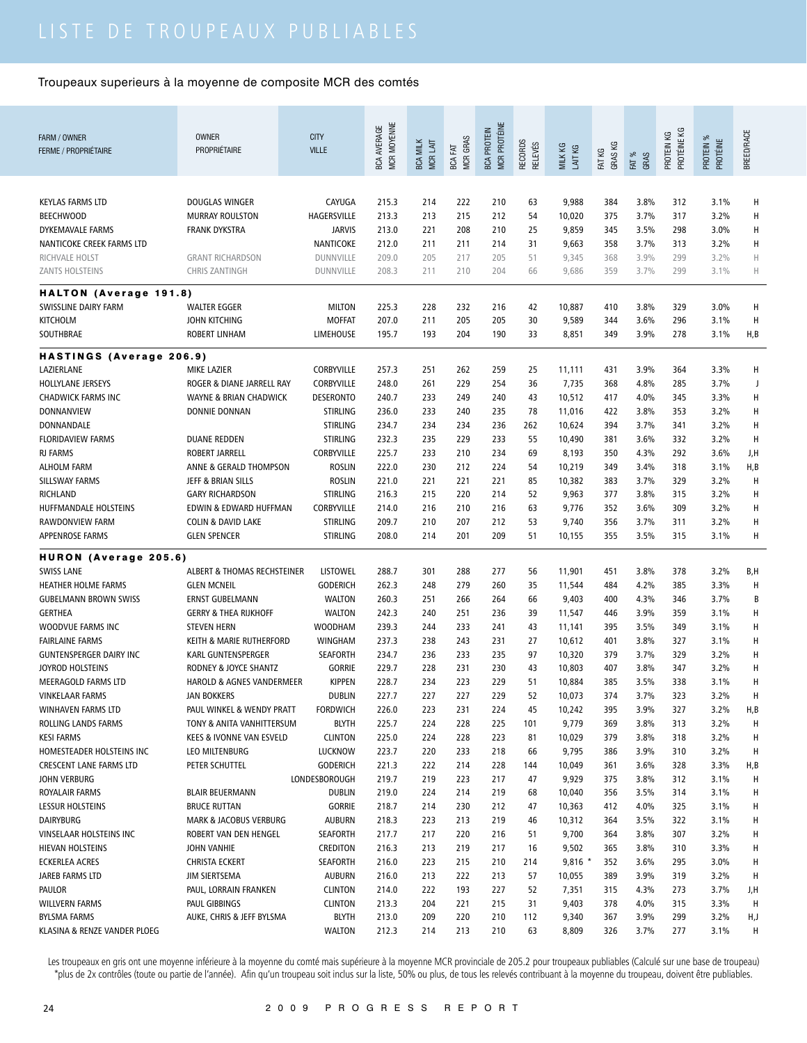| FARM / OWNER<br><b>FERME / PROPRIÉTAIRE</b>                 | <b>OWNER</b><br><b>PROPRIÉTAIRE</b>    | <b>CITY</b><br><b>VILLE</b>       | MCR MOYENNE<br><b>BCA AVERAGE</b> | <b>BCA MILK</b><br>MCR LAIT | <b>MCR GRAS</b><br>FAT<br><b>BCA</b> | MCR PROTÉINE<br><b>BCA PROTEIN</b> | RECORDS<br><b>RELEVÉS</b> | MILK KG<br>LAIT KG | GRAS KG<br>FAT KG | FAT %<br>GRAS | PROTÉINE KG<br>PROTEIN KG | PROTEIN %<br>PROTÉINE | <b>BREED/RACE</b> |
|-------------------------------------------------------------|----------------------------------------|-----------------------------------|-----------------------------------|-----------------------------|--------------------------------------|------------------------------------|---------------------------|--------------------|-------------------|---------------|---------------------------|-----------------------|-------------------|
| <b>KEYLAS FARMS LTD</b>                                     | DOUGLAS WINGER                         | CAYUGA                            | 215.3                             | 214                         | 222                                  | 210                                | 63                        | 9,988              | 384               | 3.8%          | 312                       | 3.1%                  | н                 |
| <b>BEECHWOOD</b>                                            | <b>MURRAY ROULSTON</b>                 | HAGERSVILLE                       | 213.3                             | 213                         | 215                                  | 212                                | 54                        | 10,020             | 375               | 3.7%          | 317                       | 3.2%                  | Η                 |
| DYKEMAVALE FARMS                                            | <b>FRANK DYKSTRA</b>                   | <b>JARVIS</b>                     | 213.0                             | 221                         | 208                                  | 210                                | 25                        | 9,859              | 345               | 3.5%          | 298                       | $3.0\%$               | н                 |
| NANTICOKE CREEK FARMS LTD                                   |                                        | NANTICOKE                         | 212.0                             | 211                         | 211                                  | 214                                | 31                        | 9,663              | 358               | 3.7%          | 313                       | 3.2%                  | н                 |
| RICHVALE HOLST                                              | <b>GRANT RICHARDSON</b>                | <b>DUNNVILLE</b>                  | 209.0                             | 205                         | 217                                  | 205                                | 51                        | 9,345              | 368               | 3.9%          | 299                       | 3.2%                  | Н                 |
| ZANTS HOLSTEINS                                             | <b>CHRIS ZANTINGH</b>                  | <b>DUNNVILLE</b>                  | 208.3                             | 211                         | 210                                  | 204                                | 66                        | 9,686              | 359               | 3.7%          | 299                       | 3.1%                  | Н                 |
|                                                             |                                        |                                   |                                   |                             |                                      |                                    |                           |                    |                   |               |                           |                       |                   |
| HALTON (Average 191.8)                                      |                                        |                                   |                                   |                             |                                      |                                    |                           |                    |                   |               |                           |                       |                   |
| SWISSLINE DAIRY FARM<br><b>KITCHOLM</b>                     | <b>WALTER EGGER</b><br>JOHN KITCHING   | <b>MILTON</b><br><b>MOFFAT</b>    | 225.3<br>207.0                    | 228<br>211                  | 232<br>205                           | 216<br>205                         | 42<br>30                  | 10,887<br>9,589    | 410<br>344        | 3.8%<br>3.6%  | 329<br>296                | 3.0%<br>3.1%          | H<br>H            |
| SOUTHBRAE                                                   | <b>ROBERT LINHAM</b>                   | <b>LIMEHOUSE</b>                  | 195.7                             | 193                         | 204                                  | 190                                | 33                        | 8,851              | 349               | 3.9%          | 278                       | 3.1%                  | H, B              |
|                                                             |                                        |                                   |                                   |                             |                                      |                                    |                           |                    |                   |               |                           |                       |                   |
| HASTINGS (Average 206.9)                                    |                                        |                                   |                                   |                             |                                      |                                    |                           |                    |                   |               |                           |                       |                   |
| LAZIERLANE                                                  | <b>MIKE LAZIER</b>                     | <b>CORBYVILLE</b>                 | 257.3                             | 251                         | 262                                  | 259                                | 25                        | 11,111             | 431               | 3.9%          | 364                       | 3.3%                  | н                 |
| HOLLYLANE JERSEYS                                           | ROGER & DIANE JARRELL RAY              | CORBYVILLE                        | 248.0                             | 261                         | 229                                  | 254                                | 36                        | 7,735              | 368               | 4.8%          | 285                       | 3.7%                  | J                 |
| <b>CHADWICK FARMS INC</b>                                   | <b>WAYNE &amp; BRIAN CHADWICK</b>      | <b>DESERONTO</b>                  | 240.7                             | 233                         | 249                                  | 240                                | 43                        | 10,512             | 417               | 4.0%          | 345                       | 3.3%                  | н                 |
| DONNANVIEW                                                  | DONNIE DONNAN                          | <b>STIRLING</b>                   | 236.0                             | 233                         | 240                                  | 235                                | 78                        | 11,016             | 422               | 3.8%          | 353                       | 3.2%                  | н                 |
| DONNANDALE                                                  |                                        | <b>STIRLING</b>                   | 234.7                             | 234                         | 234                                  | 236                                | 262                       | 10,624             | 394               | 3.7%          | 341                       | 3.2%                  | н                 |
| <b>FLORIDAVIEW FARMS</b>                                    | <b>DUANE REDDEN</b>                    | <b>STIRLING</b>                   | 232.3                             | 235                         | 229                                  | 233                                | 55                        | 10,490             | 381               | 3.6%          | 332                       | 3.2%                  | H                 |
| <b>RJ FARMS</b>                                             | ROBERT JARRELL                         | CORBYVILLE                        | 225.7                             | 233                         | 210                                  | 234                                | 69                        | 8,193              | 350               | 4.3%          | 292                       | 3.6%                  | J,H               |
| <b>ALHOLM FARM</b>                                          | ANNE & GERALD THOMPSON                 | <b>ROSLIN</b>                     | 222.0                             | 230                         | 212                                  | 224                                | 54                        | 10,219             | 349               | 3.4%          | 318                       | 3.1%                  | H, B              |
| SILLSWAY FARMS                                              | JEFF & BRIAN SILLS                     | <b>ROSLIN</b>                     | 221.0                             | 221                         | 221                                  | 221                                | 85                        | 10,382             | 383               | 3.7%          | 329                       | 3.2%                  | H                 |
| RICHLAND                                                    | <b>GARY RICHARDSON</b>                 | <b>STIRLING</b>                   | 216.3                             | 215                         | 220                                  | 214                                | 52                        | 9,963              | 377               | 3.8%          | 315                       | 3.2%                  | H                 |
| HUFFMANDALE HOLSTEINS                                       | EDWIN & EDWARD HUFFMAN                 | CORBYVILLE                        | 214.0                             | 216                         | 210                                  | 216                                | 63                        | 9,776              | 352               | 3.6%          | 309                       | 3.2%                  | H                 |
| RAWDONVIEW FARM                                             | <b>COLIN &amp; DAVID LAKE</b>          | <b>STIRLING</b>                   | 209.7                             | 210                         | 207                                  | 212                                | 53                        | 9,740              | 356               | 3.7%          | 311                       | 3.2%                  | H                 |
| <b>APPENROSE FARMS</b>                                      | <b>GLEN SPENCER</b>                    | <b>STIRLING</b>                   | 208.0                             | 214                         | 201                                  | 209                                | 51                        | 10,155             | 355               | 3.5%          | 315                       | 3.1%                  | Н                 |
| HURON (Average 205.6)                                       |                                        |                                   |                                   |                             |                                      |                                    |                           |                    |                   |               |                           |                       |                   |
| <b>SWISS LANE</b>                                           | <b>ALBERT &amp; THOMAS RECHSTEINER</b> | <b>LISTOWEL</b>                   | 288.7                             | 301                         | 288                                  | 277                                | 56                        | 11,901             | 451               | 3.8%          | 378                       | 3.2%                  | B,H               |
| <b>HEATHER HOLME FARMS</b>                                  | <b>GLEN MCNEIL</b>                     | <b>GODERICH</b>                   | 262.3                             | 248                         | 279                                  | 260                                | 35                        | 11,544             | 484               | 4.2%          | 385                       | 3.3%                  | H                 |
| <b>GUBELMANN BROWN SWISS</b>                                | <b>ERNST GUBELMANN</b>                 | <b>WALTON</b>                     | 260.3                             | 251                         | 266                                  | 264                                | 66                        | 9,403              | 400               | 4.3%          | 346                       | 3.7%                  | B                 |
| <b>GERTHEA</b>                                              | <b>GERRY &amp; THEA RIJKHOFF</b>       | <b>WALTON</b>                     | 242.3                             | 240                         | 251                                  | 236                                | 39                        | 11,547             | 446               | 3.9%          | 359                       | 3.1%                  | H                 |
| WOODVUE FARMS INC                                           | <b>STEVEN HERN</b>                     | <b>WOODHAM</b>                    | 239.3                             | 244                         | 233                                  | 241                                | 43                        | 11,141             | 395               | 3.5%          | 349                       | 3.1%                  | H                 |
| <b>FAIRLAINE FARMS</b>                                      | KEITH & MARIE RUTHERFORD               | <b>WINGHAM</b>                    | 237.3                             | 238                         | 243                                  | 231                                | 27                        | 10,612             | 401               | 3.8%          | 327                       | 3.1%                  | H                 |
| <b>GUNTENSPERGER DAIRY INC</b>                              | KARL GUNTENSPERGER                     | <b>SEAFORTH</b>                   | 234.7                             | 236                         | 233                                  | 235                                | 97                        | 10,320             | 379               | 3.7%          | 329                       | 3.2%                  | H                 |
| JOYROD HOLSTEINS                                            | RODNEY & JOYCE SHANTZ                  | <b>GORRIE</b>                     | 229.7                             | 228                         | 231                                  | 230                                | 43                        | 10,803             | 407               | 3.8%          | 347                       | 3.2%                  | H                 |
| MEERAGOLD FARMS LTD                                         | HAROLD & AGNES VANDERMEER              | <b>KIPPEN</b>                     | 228.7                             | 234                         | 223                                  | 229                                | 51                        | 10,884             | 385               | 3.5%          | 338                       | 3.1%                  | Н                 |
| VINKELAAR FARMS                                             | JAN BOKKERS                            | <b>DUBLIN</b>                     | 227.7                             | 227                         | 227                                  | 229                                | 52                        | 10,073             | 374               | 3.7%          | 323                       | 3.2%                  | H                 |
| WINHAVEN FARMS LTD                                          | PAUL WINKEL & WENDY PRATT              | <b>FORDWICH</b>                   | 226.0                             | 223                         | 231                                  | 224                                | 45                        | 10,242             | 395               | 3.9%          | 327                       | 3.2%                  | H,B               |
| ROLLING LANDS FARMS                                         | TONY & ANITA VANHITTERSUM              | <b>BLYTH</b>                      | 225.7                             | 224                         | 228                                  | 225                                | 101                       | 9,779              | 369               | 3.8%          | 313                       | 3.2%                  | Н                 |
| <b>KESI FARMS</b>                                           | KEES & IVONNE VAN ESVELD               | <b>CLINTON</b>                    | 225.0                             | 224                         | 228                                  | 223                                | 81                        | 10,029             | 379               | 3.8%          | 318                       | 3.2%                  | н                 |
| HOMESTEADER HOLSTEINS INC<br><b>CRESCENT LANE FARMS LTD</b> | LEO MILTENBURG<br>PETER SCHUTTEL       | <b>LUCKNOW</b><br><b>GODERICH</b> | 223.7<br>221.3                    | 220<br>222                  | 233<br>214                           | 218<br>228                         | 66                        | 9,795<br>10,049    | 386<br>361        | 3.9%<br>3.6%  | 310<br>328                | 3.2%<br>3.3%          | Н                 |
| JOHN VERBURG                                                |                                        | LONDESBOROUGH                     | 219.7                             | 219                         | 223                                  | 217                                | 144<br>47                 | 9,929              | 375               | 3.8%          | 312                       | 3.1%                  | H,B<br>н          |
| ROYALAIR FARMS                                              | <b>BLAIR BEUERMANN</b>                 | <b>DUBLIN</b>                     | 219.0                             | 224                         | 214                                  | 219                                | 68                        | 10,040             | 356               | 3.5%          | 314                       | 3.1%                  | Н                 |
| <b>LESSUR HOLSTEINS</b>                                     | <b>BRUCE RUTTAN</b>                    | <b>GORRIE</b>                     | 218.7                             | 214                         | 230                                  | 212                                | 47                        | 10,363             | 412               | 4.0%          | 325                       | 3.1%                  | н                 |
| <b>DAIRYBURG</b>                                            | MARK & JACOBUS VERBURG                 | <b>AUBURN</b>                     | 218.3                             | 223                         | 213                                  | 219                                | 46                        | 10,312             | 364               | 3.5%          | 322                       | 3.1%                  | Н                 |
| VINSELAAR HOLSTEINS INC                                     | ROBERT VAN DEN HENGEL                  | <b>SEAFORTH</b>                   | 217.7                             | 217                         | 220                                  | 216                                | 51                        | 9,700              | 364               | 3.8%          | 307                       | 3.2%                  | Н                 |
| HIEVAN HOLSTEINS                                            | JOHN VANHIE                            | <b>CREDITON</b>                   | 216.3                             | 213                         | 219                                  | 217                                | 16                        | 9,502              | 365               | 3.8%          | 310                       | 3.3%                  | Н                 |
| <b>ECKERLEA ACRES</b>                                       | <b>CHRISTA ECKERT</b>                  | <b>SEAFORTH</b>                   | 216.0                             | 223                         | 215                                  | 210                                | 214                       | $9,816$ *          | 352               | 3.6%          | 295                       | 3.0%                  | н                 |
| JAREB FARMS LTD                                             | JIM SIERTSEMA                          | <b>AUBURN</b>                     | 216.0                             | 213                         | 222                                  | 213                                | 57                        | 10,055             | 389               | 3.9%          | 319                       | 3.2%                  | н                 |
| <b>PAULOR</b>                                               | PAUL, LORRAIN FRANKEN                  | <b>CLINTON</b>                    | 214.0                             | 222                         | 193                                  | 227                                | 52                        | 7,351              | 315               | 4.3%          | 273                       | 3.7%                  | J,H               |
| <b>WILLVERN FARMS</b>                                       | PAUL GIBBINGS                          | <b>CLINTON</b>                    | 213.3                             | 204                         | 221                                  | 215                                | 31                        | 9,403              | 378               | 4.0%          | 315                       | 3.3%                  | H                 |
| <b>BYLSMA FARMS</b>                                         | AUKE, CHRIS & JEFF BYLSMA              | <b>BLYTH</b>                      | 213.0                             | 209                         | 220                                  | 210                                | 112                       | 9,340              | 367               | 3.9%          | 299                       | 3.2%                  | H,J               |
| KLASINA & RENZE VANDER PLOEG                                |                                        | <b>WALTON</b>                     | 212.3                             | 214                         | 213                                  | 210                                | 63                        | 8,809              | 326               | 3.7%          | 277                       | 3.1%                  | н                 |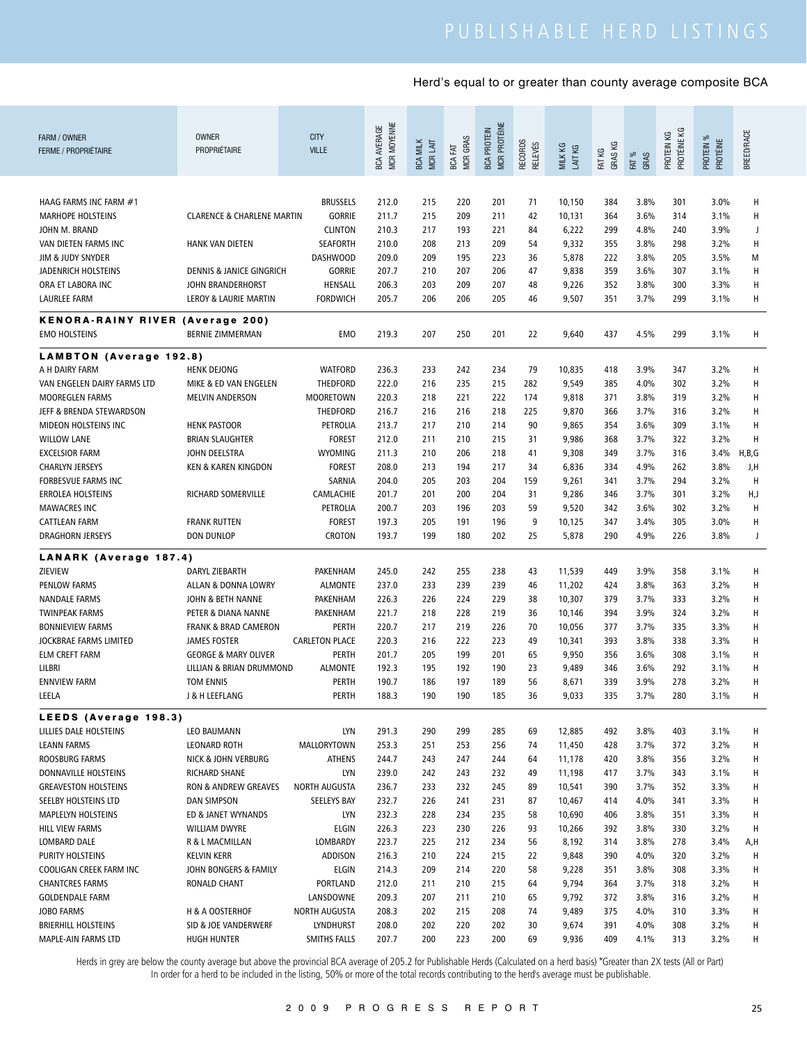| FARM / OWNER<br><b>FERME / PROPRIÉTAIRE</b>         | <b>OWNER</b><br>PROPRIÉTAIRE                           | <b>CITY</b><br><b>VILLE</b>           | MCR MOYENNE<br><b>BCA AVERAGE</b> | <b>BCA MILK</b><br><b>MCRLAIT</b> | <b>MCR GRAS</b><br><b>BCA FAT</b> | MCR PROTÉINE<br><b>BCA PROTEIN</b> | RECORDS<br><b>RELEVÉS</b> | MILK KG<br>LAIT KG | GRAS KG<br>FAT KG | FAT %<br>GRAS | PROTÉINE KG<br>PROTEIN KG | PROTEIN %<br>PROTÉINE | BREED/RACE |
|-----------------------------------------------------|--------------------------------------------------------|---------------------------------------|-----------------------------------|-----------------------------------|-----------------------------------|------------------------------------|---------------------------|--------------------|-------------------|---------------|---------------------------|-----------------------|------------|
|                                                     |                                                        |                                       |                                   |                                   |                                   |                                    |                           |                    |                   |               |                           |                       |            |
| HAAG FARMS INC FARM #1                              |                                                        | <b>BRUSSELS</b>                       | 212.0                             | 215                               | 220                               | 201                                | 71                        | 10,150             | 384               | 3.8%          | 301                       | 3.0%                  | Н          |
| <b>MARHOPE HOLSTEINS</b>                            | <b>CLARENCE &amp; CHARLENE MARTIN</b>                  | <b>GORRIE</b>                         | 211.7                             | 215                               | 209                               | 211                                | 42                        | 10,131             | 364               | 3.6%          | 314                       | 3.1%                  | Н          |
| JOHN M. BRAND                                       |                                                        | <b>CLINTON</b>                        | 210.3                             | 217                               | 193                               | 221                                | 84                        | 6,222              | 299               | 4.8%          | 240                       | 3.9%                  | J          |
| VAN DIETEN FARMS INC                                | <b>HANK VAN DIETEN</b>                                 | <b>SEAFORTH</b>                       | 210.0                             | 208                               | 213                               | 209                                | 54                        | 9,332              | 355               | 3.8%          | 298                       | 3.2%                  | Н          |
| JIM & JUDY SNYDER                                   |                                                        | <b>DASHWOOD</b>                       | 209.0                             | 209                               | 195                               | 223                                | 36                        | 5,878              | 222               | 3.8%          | 205                       | 3.5%                  | M          |
| <b>JADENRICH HOLSTEINS</b>                          | <b>DENNIS &amp; JANICE GINGRICH</b>                    | <b>GORRIE</b>                         | 207.7                             | 210                               | 207                               | 206                                | 47                        | 9,838              | 359               | 3.6%          | 307                       | 3.1%                  | Н          |
| ORA ET LABORA INC                                   | JOHN BRANDERHORST                                      | HENSALL                               | 206.3                             | 203                               | 209                               | 207                                | 48                        | 9,226              | 352               | 3.8%          | 300                       | 3.3%                  | Н          |
| <b>LAURLEE FARM</b>                                 | LEROY & LAURIE MARTIN                                  | <b>FORDWICH</b>                       | 205.7                             | 206                               | 206                               | 205                                | 46                        | 9,507              | 351               | 3.7%          | 299                       | 3.1%                  | Н          |
| <b>KENORA-RAINY RIVER (Average 200)</b>             |                                                        |                                       |                                   |                                   |                                   |                                    |                           |                    |                   |               |                           |                       |            |
| <b>EMO HOLSTEINS</b>                                | <b>BERNIE ZIMMERMAN</b>                                | EMO                                   | 219.3                             | 207                               | 250                               | 201                                | 22                        | 9,640              | 437               | 4.5%          | 299                       | 3.1%                  | н          |
| <b>LAMBTON</b> (Average 192.8)                      |                                                        |                                       |                                   |                                   |                                   |                                    |                           |                    |                   |               |                           |                       |            |
| A H DAIRY FARM                                      | <b>HENK DEJONG</b>                                     | <b>WATFORD</b>                        | 236.3                             | 233                               | 242                               | 234                                | 79                        | 10,835             | 418               | 3.9%          | 347                       | 3.2%                  | Н          |
| VAN ENGELEN DAIRY FARMS LTD                         | MIKE & ED VAN ENGELEN                                  | THEDFORD                              | 222.0                             | 216                               | 235                               | 215                                | 282                       | 9,549              | 385               | 4.0%          | 302                       | 3.2%                  | Н          |
| MOOREGLEN FARMS                                     | <b>MELVIN ANDERSON</b>                                 | <b>MOORETOWN</b>                      | 220.3                             | 218                               | 221                               | 222                                | 174                       | 9,818              | 371               | 3.8%          | 319                       | 3.2%                  | Н          |
| JEFF & BRENDA STEWARDSON                            |                                                        | THEDFORD                              | 216.7                             | 216                               | 216                               | 218                                | 225                       | 9,870              | 366               | 3.7%          | 316                       | 3.2%                  | Н          |
| <b>MIDEON HOLSTEINS INC</b>                         | <b>HENK PASTOOR</b>                                    | PETROLIA                              | 213.7                             | 217                               | 210                               | 214                                | 90                        | 9,865              | 354               | 3.6%          | 309                       | 3.1%                  | Н          |
| <b>WILLOW LANE</b>                                  | <b>BRIAN SLAUGHTER</b>                                 | <b>FOREST</b>                         | 212.0                             | 211                               | 210                               | 215                                | 31                        | 9,986              | 368               | 3.7%          | 322                       | 3.2%                  | Н          |
| <b>EXCELSIOR FARM</b>                               | JOHN DEELSTRA                                          | <b>WYOMING</b>                        | 211.3                             | 210                               | 206                               | 218                                | 41                        | 9,308              | 349               | 3.7%          | 316                       | 3.4%                  | H,B,G      |
| <b>CHARLYN JERSEYS</b>                              | <b>KEN &amp; KAREN KINGDON</b>                         | <b>FOREST</b>                         | 208.0                             | 213                               | 194                               | 217                                | 34                        | 6,836              | 334               | 4.9%          | 262                       | 3.8%                  | J,H        |
| <b>FORBESVUE FARMS INC</b>                          |                                                        | SARNIA                                | 204.0                             | 205                               | 203                               | 204                                | 159                       | 9,261              | 341               | 3.7%          | 294                       | 3.2%                  | H          |
| <b>ERROLEA HOLSTEINS</b>                            | RICHARD SOMERVILLE                                     | CAMLACHIE                             | 201.7                             | 201                               | 200                               | 204                                | 31                        | 9,286              | 346               | 3.7%          | 301                       | 3.2%                  | H,J        |
| <b>MAWACRES INC</b>                                 |                                                        | PETROLIA                              | 200.7                             | 203                               | 196                               | 203                                | 59                        | 9,520              | 342               | 3.6%          | 302                       | 3.2%                  | Н          |
| <b>CATTLEAN FARM</b>                                | <b>FRANK RUTTEN</b><br><b>DON DUNLOP</b>               | <b>FOREST</b><br>CROTON               | 197.3<br>193.7                    | 205<br>199                        | 191<br>180                        | 196<br>202                         | 9<br>25                   | 10,125<br>5,878    | 347<br>290        | 3.4%<br>4.9%  | 305<br>226                | 3.0%<br>3.8%          | Н<br>J     |
| DRAGHORN JERSEYS                                    |                                                        |                                       |                                   |                                   |                                   |                                    |                           |                    |                   |               |                           |                       |            |
| LANARK (Average 187.4)                              |                                                        |                                       |                                   |                                   |                                   |                                    |                           |                    |                   |               |                           |                       |            |
| ZIEVIEW                                             | DARYL ZIEBARTH                                         | PAKENHAM                              | 245.0                             | 242                               | 255                               | 238                                | 43                        | 11,539             | 449               | 3.9%          | 358                       | 3.1%                  | н          |
| <b>PENLOW FARMS</b>                                 | ALLAN & DONNA LOWRY                                    | <b>ALMONTE</b>                        | 237.0                             | 233                               | 239                               | 239                                | 46                        | 11,202             | 424               | 3.8%          | 363                       | 3.2%                  | Н          |
| <b>NANDALE FARMS</b>                                | JOHN & BETH NANNE                                      | PAKENHAM                              | 226.3                             | 226                               | 224                               | 229                                | 38                        | 10,307             | 379               | 3.7%          | 333                       | 3.2%                  | H          |
| <b>TWINPEAK FARMS</b>                               | PETER & DIANA NANNE                                    | <b>PAKENHAM</b>                       | 221.7                             | 218                               | 228                               | 219                                | 36                        | 10,146             | 394               | 3.9%          | 324                       | 3.2%                  | Н          |
| <b>BONNIEVIEW FARMS</b>                             | <b>FRANK &amp; BRAD CAMERON</b>                        | <b>PERTH</b>                          | 220.7<br>220.3                    | 217<br>216                        | 219<br>222                        | 226<br>223                         | 70                        | 10,056             | 377               | 3.7%          | 335                       | 3.3%<br>3.3%          | H<br>H     |
| JOCKBRAE FARMS LIMITED<br><b>ELM CREFT FARM</b>     | <b>JAMES FOSTER</b><br><b>GEORGE &amp; MARY OLIVER</b> | <b>CARLETON PLACE</b><br><b>PERTH</b> | 201.7                             | 205                               | 199                               | 201                                | 49<br>65                  | 10,341<br>9,950    | 393<br>356        | 3.8%<br>3.6%  | 338<br>308                | 3.1%                  | н          |
| LILBRI                                              | LILLIAN & BRIAN DRUMMOND                               | <b>ALMONTE</b>                        | 192.3                             | 195                               | 192                               | 190                                | 23                        | 9,489              | 346               | 3.6%          | 292                       | 3.1%                  | н          |
| <b>ENNVIEW FARM</b>                                 | TOM ENNIS                                              | PERTH                                 | 190.7                             | 186                               | 197                               | 189                                | 56                        | 8,671              | 339               | 3.9%          | 278                       | 3.2%                  | Н          |
| LEELA                                               | J & H LEEFLANG                                         | PERIH                                 | 188.3                             | 190                               | 190                               | 185                                | 36                        | 9,033              | 335               | 3.7%          | 280                       | 3.1%                  | н          |
|                                                     |                                                        |                                       |                                   |                                   |                                   |                                    |                           |                    |                   |               |                           |                       |            |
| LEEDS (Average 198.3)                               |                                                        |                                       |                                   |                                   |                                   |                                    |                           |                    |                   |               |                           |                       |            |
| LILLIES DALE HOLSTEINS                              | LEO BAUMANN                                            | <b>LYN</b>                            | 291.3                             | 290                               | 299                               | 285                                | 69                        | 12,885             | 492               | 3.8%          | 403                       | 3.1%                  | н          |
| <b>LEANN FARMS</b>                                  | LEONARD ROTH                                           | MALLORYTOWN                           | 253.3                             | 251                               | 253                               | 256                                | 74                        | 11,450             | 428               | 3.7%          | 372                       | 3.2%                  | Н          |
| ROOSBURG FARMS                                      | NICK & JOHN VERBURG<br><b>RICHARD SHANE</b>            | <b>ATHENS</b><br><b>LYN</b>           | 244.7                             | 243<br>242                        | 247<br>243                        | 244                                | 64                        | 11,178             | 420               | 3.8%<br>3.7%  | 356<br>343                | 3.2%                  | H          |
| DONNAVILLE HOLSTEINS<br><b>GREAVESTON HOLSTEINS</b> | RON & ANDREW GREAVES                                   | <b>NORTH AUGUSTA</b>                  | 239.0<br>236.7                    | 233                               | 232                               | 232<br>245                         | 49<br>89                  | 11,198<br>10,541   | 417<br>390        | 3.7%          | 352                       | 3.1%<br>3.3%          | н<br>H     |
| SEELBY HOLSTEINS LTD                                | DAN SIMPSON                                            | SEELEYS BAY                           | 232.7                             | 226                               | 241                               | 231                                | 87                        | 10,467             | 414               | 4.0%          | 341                       | 3.3%                  | н          |
| MAPLELYN HOLSTEINS                                  | ED & JANET WYNANDS                                     | <b>LYN</b>                            | 232.3                             | 228                               | 234                               | 235                                | 58                        | 10,690             | 406               | 3.8%          | 351                       | 3.3%                  | Н          |
| HILL VIEW FARMS                                     | <b>WILLIAM DWYRE</b>                                   | <b>ELGIN</b>                          | 226.3                             | 223                               | 230                               | 226                                | 93                        | 10,266             | 392               | 3.8%          | 330                       | 3.2%                  | H          |
| LOMBARD DALE                                        | R & L MACMILLAN                                        | LOMBARDY                              | 223.7                             | 225                               | 212                               | 234                                | 56                        | 8,192              | 314               | 3.8%          | 278                       | 3.4%                  | A,H        |
| PURITY HOLSTEINS                                    | <b>KELVIN KERR</b>                                     | ADDISON                               | 216.3                             | 210                               | 224                               | 215                                | 22                        | 9,848              | 390               | 4.0%          | 320                       | 3.2%                  | H          |
| COOLIGAN CREEK FARM INC                             | JOHN BONGERS & FAMILY                                  | <b>ELGIN</b>                          | 214.3                             | 209                               | 214                               | 220                                | 58                        | 9,228              | 351               | 3.8%          | 308                       | 3.3%                  | н          |
| <b>CHANTCRES FARMS</b>                              | RONALD CHANT                                           | PORTLAND                              | 212.0                             | 211                               | 210                               | 215                                | 64                        | 9,794              | 364               | 3.7%          | 318                       | 3.2%                  | н          |
| <b>GOLDENDALE FARM</b>                              |                                                        | LANSDOWNE                             | 209.3                             | 207                               | 211                               | 210                                | 65                        | 9,792              | 372               | 3.8%          | 316                       | 3.2%                  | H          |
| JOBO FARMS                                          | H & A OOSTERHOF                                        | NORTH AUGUSTA                         | 208.3                             | 202                               | 215                               | 208                                | 74                        | 9,489              | 375               | 4.0%          | 310                       | 3.3%                  | н          |
| <b>BRIERHILL HOLSTEINS</b>                          | SID & JOE VANDERWERF                                   | LYNDHURST                             | 208.0                             | 202                               | 220                               | 202                                | 30                        | 9,674              | 391               | 4.0%          | 308                       | 3.2%                  | н          |
| MAPLE-AIN FARMS LTD                                 | <b>HUGH HUNTER</b>                                     | SMITHS FALLS                          | 207.7                             | 200                               | 223                               | 200                                | 69                        | 9,936              | 409               | 4.1%          | 313                       | 3.2%                  | H          |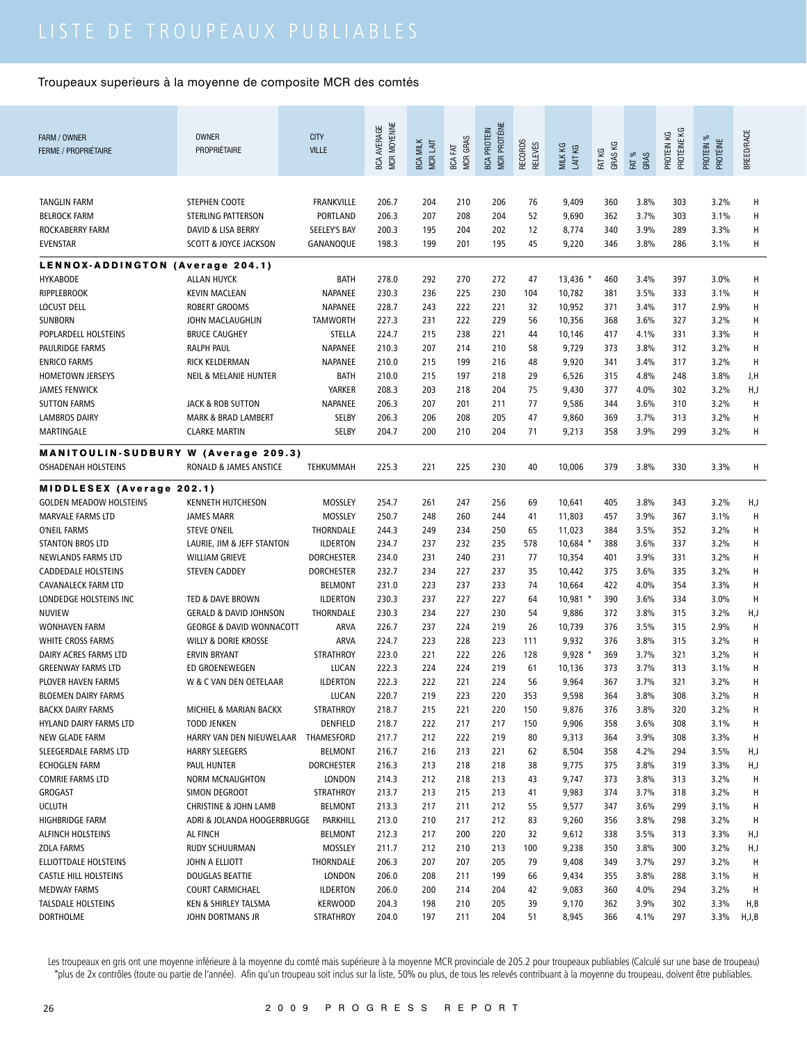| FARM / OWNER<br><b>FERME / PROPRIÉTAIRE</b>                                                                                                                                                                                                                                             | <b>OWNER</b><br>PROPRIÉTAIRE                                                                                                                                                                                                                         | <b>CITY</b><br><b>VILLE</b>                                                                                                                            | MCR MOYENNE<br><b>BCA AVERAGE</b>                                                               | <b>BCA MILK</b><br>MCR LAIT                                               | <b>MCR GRAS</b><br><b>EXT</b><br><b>BCA</b>                               | MCR PROTÉINE<br><b>BCA PROTEIN</b>                                        | RECORDS<br><b>RELEVÉS</b>                                       | MILK KG<br>LAIT KG                                                                                     | GRAS KG<br>FAT KG                                                         | FAT %<br>GRAS                                                                        | PROTÉINE KG<br>PROTEIN KG                                                 | PROTEIN %<br><b>PROTÉINE</b>                                                         | <b>BREED/RACE</b>                                       |
|-----------------------------------------------------------------------------------------------------------------------------------------------------------------------------------------------------------------------------------------------------------------------------------------|------------------------------------------------------------------------------------------------------------------------------------------------------------------------------------------------------------------------------------------------------|--------------------------------------------------------------------------------------------------------------------------------------------------------|-------------------------------------------------------------------------------------------------|---------------------------------------------------------------------------|---------------------------------------------------------------------------|---------------------------------------------------------------------------|-----------------------------------------------------------------|--------------------------------------------------------------------------------------------------------|---------------------------------------------------------------------------|--------------------------------------------------------------------------------------|---------------------------------------------------------------------------|--------------------------------------------------------------------------------------|---------------------------------------------------------|
| <b>TANGLIN FARM</b><br><b>BELROCK FARM</b><br>ROCKABERRY FARM<br><b>EVENSTAR</b>                                                                                                                                                                                                        | STEPHEN COOTE<br>STERLING PATTERSON<br>DAVID & LISA BERRY<br><b>SCOTT &amp; JOYCE JACKSON</b>                                                                                                                                                        | <b>FRANKVILLE</b><br>PORTLAND<br>SEELEY'S BAY<br>GANANOQUE                                                                                             | 206.7<br>206.3<br>200.3<br>198.3                                                                | 204<br>207<br>195<br>199                                                  | 210<br>208<br>204<br>201                                                  | 206<br>204<br>202<br>195                                                  | 76<br>52<br>12<br>45                                            | 9,409<br>9,690<br>8,774<br>9,220                                                                       | 360<br>362<br>340<br>346                                                  | 3.8%<br>3.7%<br>3.9%<br>3.8%                                                         | 303<br>303<br>289<br>286                                                  | 3.2%<br>3.1%<br>3.3%<br>3.1%                                                         | H<br>H<br>H<br>Н                                        |
| LENNOX-ADDINGTON (Average 204.1)<br><b>HYKABODE</b><br><b>RIPPLEBROOK</b><br><b>LOCUST DELL</b><br><b>SUNBORN</b><br>POPLARDELL HOLSTEINS<br>PAULRIDGE FARMS<br><b>ENRICO FARMS</b><br><b>HOMETOWN JERSEYS</b><br><b>JAMES FENWICK</b><br><b>SUTTON FARMS</b><br><b>LAMBROS DAIRY</b>   | ALLAN HUYCK<br><b>KEVIN MACLEAN</b><br><b>ROBERT GROOMS</b><br>JOHN MACLAUGHLIN<br><b>BRUCE CAUGHEY</b><br><b>RALPH PAUL</b><br>RICK KELDERMAN<br><b>NEIL &amp; MELANIE HUNTER</b><br><b>JACK &amp; ROB SUTTON</b><br><b>MARK &amp; BRAD LAMBERT</b> | <b>BATH</b><br>NAPANEE<br>NAPANEE<br><b>TAMWORTH</b><br>STELLA<br>NAPANEE<br>NAPANEE<br>BATH<br>YARKER<br>NAPANEE<br>SELBY                             | 278.0<br>230.3<br>228.7<br>227.3<br>224.7<br>210.3<br>210.0<br>210.0<br>208.3<br>206.3<br>206.3 | 292<br>236<br>243<br>231<br>215<br>207<br>215<br>215<br>203<br>207<br>206 | 270<br>225<br>222<br>222<br>238<br>214<br>199<br>197<br>218<br>201<br>208 | 272<br>230<br>221<br>229<br>221<br>210<br>216<br>218<br>204<br>211<br>205 | 47<br>104<br>32<br>56<br>44<br>58<br>48<br>29<br>75<br>77<br>47 | 13,436 *<br>10,782<br>10,952<br>10,356<br>10,146<br>9,729<br>9,920<br>6,526<br>9,430<br>9,586<br>9,860 | 460<br>381<br>371<br>368<br>417<br>373<br>341<br>315<br>377<br>344<br>369 | 3.4%<br>3.5%<br>3.4%<br>3.6%<br>4.1%<br>3.8%<br>3.4%<br>4.8%<br>4.0%<br>3.6%<br>3.7% | 397<br>333<br>317<br>327<br>331<br>312<br>317<br>248<br>302<br>310<br>313 | 3.0%<br>3.1%<br>2.9%<br>3.2%<br>3.3%<br>3.2%<br>3.2%<br>3.8%<br>3.2%<br>3.2%<br>3.2% | Н<br>H<br>н<br>Н<br>Н<br>H<br>H<br>J,H<br>H,J<br>H<br>н |
| MARTINGALE<br><b>MANITOULIN-SUDBURY W (Average 209.3)</b><br><b>OSHADENAH HOLSTEINS</b>                                                                                                                                                                                                 | <b>CLARKE MARTIN</b><br>RONALD & JAMES ANSTICE                                                                                                                                                                                                       | SELBY<br>TEHKUMMAH                                                                                                                                     | 204.7<br>225.3                                                                                  | 200<br>221                                                                | 210<br>225                                                                | 204<br>230                                                                | 71<br>40                                                        | 9,213<br>10,006                                                                                        | 358<br>379                                                                | 3.9%<br>3.8%                                                                         | 299<br>330                                                                | 3.2%<br>3.3%                                                                         | Н<br>н                                                  |
| <b>MIDDLESEX (Average 202.1)</b><br><b>GOLDEN MEADOW HOLSTEINS</b><br><b>MARVALE FARMS LTD</b><br>O'NEIL FARMS<br>STANTON BROS LTD<br>NEWLANDS FARMS LTD<br><b>CADDEDALE HOLSTEINS</b><br><b>CAVANALECK FARM LTD</b><br>LONDEDGE HOLSTEINS INC<br><b>NUVIEW</b><br><b>WONHAVEN FARM</b> | <b>KENNETH HUTCHESON</b><br><b>JAMES MARR</b><br><b>STEVE O'NEIL</b><br>LAURIE, JIM & JEFF STANTON<br><b>WILLIAM GRIEVE</b><br><b>STEVEN CADDEY</b><br>TED & DAVE BROWN<br><b>GERALD &amp; DAVID JOHNSON</b><br><b>GEORGE &amp; DAVID WONNACOTT</b>  | MOSSLEY<br>MOSSLEY<br>THORNDALE<br><b>ILDERTON</b><br><b>DORCHESTER</b><br><b>DORCHESTER</b><br><b>BELMONT</b><br><b>ILDERTON</b><br>THORNDALE<br>ARVA | 254.7<br>250.7<br>244.3<br>234.7<br>234.0<br>232.7<br>231.0<br>230.3<br>230.3<br>226.7          | 261<br>248<br>249<br>237<br>231<br>234<br>223<br>237<br>234<br>237        | 247<br>260<br>234<br>232<br>240<br>227<br>237<br>227<br>227<br>224        | 256<br>244<br>250<br>235<br>231<br>237<br>233<br>227<br>230<br>219        | 69<br>41<br>65<br>578<br>77<br>35<br>74<br>64<br>54<br>26       | 10,641<br>11,803<br>11,023<br>$10,684$ *<br>10,354<br>10,442<br>10,664<br>10,981<br>9,886<br>10,739    | 405<br>457<br>384<br>388<br>401<br>375<br>422<br>390<br>372<br>376        | 3.8%<br>3.9%<br>3.5%<br>3.6%<br>3.9%<br>3.6%<br>4.0%<br>3.6%<br>3.8%<br>3.5%         | 343<br>367<br>352<br>337<br>331<br>335<br>354<br>334<br>315<br>315        | 3.2%<br>3.1%<br>3.2%<br>3.2%<br>3.2%<br>3.2%<br>3.3%<br>3.0%<br>3.2%<br>2.9%         | H,J<br>H<br>H<br>H<br>H<br>H<br>H<br>H<br>H,J<br>H      |
| WHITE CROSS FARMS<br>DAIRY ACRES FARMS LTD<br><b>GREENWAY FARMS LTD</b><br>PLOVER HAVEN FARMS<br><b>BLOEMEN DAIRY FARMS</b><br><b>BACKX DAIRY FARMS</b><br>HYLAND DAIRY FARMS LTD<br>NEW GLADE FARM<br>SLEEGERDALE FARMS LTD                                                            | <b>WILLY &amp; DORIE KROSSE</b><br><b>ERVIN BRYANT</b><br>ED GROENEWEGEN<br>W & C VAN DEN OETELAAR<br>MICHIEL & MARIAN BACKX<br><b>TODD JENKEN</b><br>HARRY VAN DEN NIEUWELAAR<br><b>HARRY SLEEGERS</b>                                              | <b>ARVA</b><br><b>STRATHROY</b><br>LUCAN<br><b>ILDERTON</b><br>LUCAN<br><b>STRATHROY</b><br>DENFIELD<br>THAMESFORD<br><b>BELMONT</b>                   | 224.7<br>223.0<br>222.3<br>222.3<br>220.7<br>218.7<br>218.7<br>217.7<br>216.7                   | 223<br>221<br>224<br>222<br>219<br>215<br>222<br>212<br>216               | 228<br>222<br>224<br>221<br>223<br>221<br>217<br>222<br>213               | 223<br>226<br>219<br>224<br>220<br>220<br>217<br>219<br>221               | 111<br>128<br>61<br>56<br>353<br>150<br>150<br>80<br>62         | 9,932<br>$9,928$ *<br>10,136<br>9,964<br>9,598<br>9,876<br>9,906<br>9,313<br>8,504                     | 376<br>369<br>373<br>367<br>364<br>376<br>358<br>364<br>358               | 3.8%<br>3.7%<br>3.7%<br>3.7%<br>3.8%<br>3.8%<br>3.6%<br>3.9%<br>4.2%                 | 315<br>321<br>313<br>321<br>308<br>320<br>308<br>308<br>294               | 3.2%<br>3.2%<br>3.1%<br>3.2%<br>3.2%<br>3.2%<br>3.1%<br>3.3%<br>3.5%                 | H<br>Н<br>Н<br>Н<br>Н<br>н<br>H<br>H,J                  |
| <b>ECHOGLEN FARM</b><br><b>COMRIE FARMS LTD</b><br>GROGAST<br><b>UCLUTH</b><br>HIGHBRIDGE FARM<br><b>ALFINCH HOLSTEINS</b><br>ZOLA FARMS<br>ELLIOTTDALE HOLSTEINS                                                                                                                       | PAUL HUNTER<br><b>NORM MCNAUGHTON</b><br>SIMON DEGROOT<br><b>CHRISTINE &amp; JOHN LAMB</b><br>ADRI & JOLANDA HOOGERBRUGGE<br>AL FINCH<br>RUDY SCHUURMAN<br>JOHN A ELLIOTT                                                                            | <b>DORCHESTER</b><br>LONDON<br><b>STRATHROY</b><br><b>BELMONT</b><br>PARKHILL<br><b>BELMONT</b><br>MOSSLEY<br>THORNDALE                                | 216.3<br>214.3<br>213.7<br>213.3<br>213.0<br>212.3<br>211.7<br>206.3                            | 213<br>212<br>213<br>217<br>210<br>217<br>212<br>207                      | 218<br>218<br>215<br>211<br>217<br>200<br>210<br>207                      | 218<br>213<br>213<br>212<br>212<br>220<br>213<br>205                      | 38<br>43<br>41<br>55<br>83<br>32<br>100<br>79                   | 9,775<br>9,747<br>9,983<br>9,577<br>9,260<br>9,612<br>9,238<br>9,408                                   | 375<br>373<br>374<br>347<br>356<br>338<br>350<br>349                      | 3.8%<br>3.8%<br>3.7%<br>3.6%<br>3.8%<br>3.5%<br>3.8%<br>3.7%                         | 319<br>313<br>318<br>299<br>298<br>313<br>300<br>297                      | 3.3%<br>3.2%<br>3.2%<br>3.1%<br>3.2%<br>3.3%<br>3.2%<br>3.2%                         | H,J<br>Н<br>н<br>Н<br>н<br>H,J<br>H,J<br>Н              |
| <b>CASTLE HILL HOLSTEINS</b><br><b>MEDWAY FARMS</b><br><b>TALSDALE HOLSTEINS</b><br><b>DORTHOLME</b>                                                                                                                                                                                    | DOUGLAS BEATTIE<br><b>COURT CARMICHAEL</b><br>KEN & SHIRLEY TALSMA<br>JOHN DORTMANS JR                                                                                                                                                               | <b>LONDON</b><br><b>ILDERTON</b><br><b>KERWOOD</b><br><b>STRATHROY</b>                                                                                 | 206.0<br>206.0<br>204.3<br>204.0                                                                | 208<br>200<br>198<br>197                                                  | 211<br>214<br>210<br>211                                                  | 199<br>204<br>205<br>204                                                  | 66<br>42<br>39<br>51                                            | 9,434<br>9,083<br>9,170<br>8,945                                                                       | 355<br>360<br>362<br>366                                                  | 3.8%<br>4.0%<br>3.9%<br>4.1%                                                         | 288<br>294<br>302<br>297                                                  | 3.1%<br>3.2%<br>3.3%<br>3.3%                                                         | Н<br>Н<br>H,B<br>H,J,B                                  |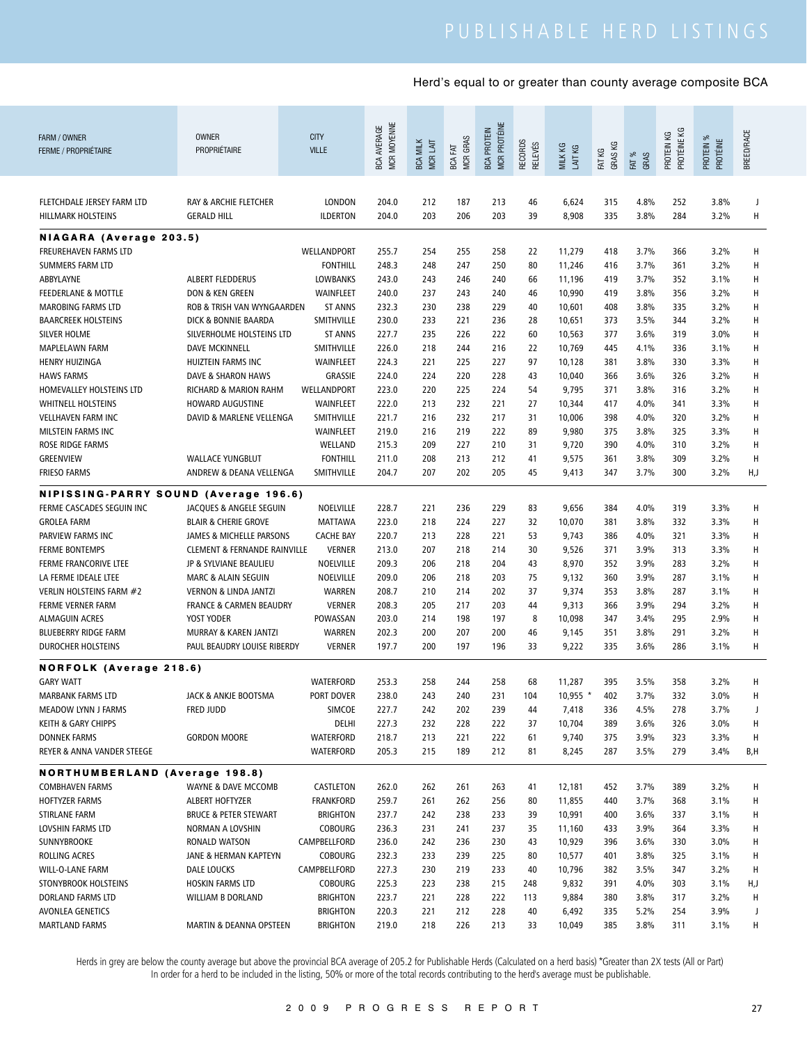| FARM / OWNER<br><b>FERME / PROPRIÉTAIRE</b>        | <b>OWNER</b><br>PROPRIÉTAIRE                                | <b>CITY</b><br><b>VILLE</b>         | MCR MOYENNE<br><b>BCA AVERAGE</b> | <b>BCA MILK</b><br>MCR LAIT | <b>MCR GRAS</b><br>BCA FAT | MCR PROTÉINE<br><b>BCA PROTEIN</b> | <b>RECORDS</b><br>RELEVÉS | MILK KG<br>LAIT KG | GRAS KG<br>FAT KG | FAT %<br>GRAS | PROTÉINE KG<br>PROTEIN KG | PROTEIN %<br>PROTÉINE | <b>BREED/RACE</b> |
|----------------------------------------------------|-------------------------------------------------------------|-------------------------------------|-----------------------------------|-----------------------------|----------------------------|------------------------------------|---------------------------|--------------------|-------------------|---------------|---------------------------|-----------------------|-------------------|
| FLETCHDALE JERSEY FARM LTD<br>HILLMARK HOLSTEINS   | RAY & ARCHIE FLETCHER<br><b>GERALD HILL</b>                 | <b>LONDON</b><br><b>ILDERTON</b>    | 204.0<br>204.0                    | 212<br>203                  | 187<br>206                 | 213<br>203                         | 46<br>39                  | 6,624<br>8,908     | 315<br>335        | 4.8%<br>3.8%  | 252<br>284                | 3.8%<br>3.2%          | J<br>Н            |
| NIAGARA (Average 203.5)                            |                                                             |                                     |                                   |                             |                            |                                    |                           |                    |                   |               |                           |                       |                   |
| FREUREHAVEN FARMS LTD                              |                                                             | WELLANDPORT                         | 255.7                             | 254                         | 255                        | 258                                | 22                        | 11,279             | 418               | 3.7%          | 366                       | 3.2%                  | Н                 |
| SUMMERS FARM LTD                                   |                                                             | <b>FONTHILL</b>                     | 248.3                             | 248                         | 247                        | 250                                | 80                        | 11,246             | 416               | 3.7%          | 361                       | 3.2%                  | Н                 |
| ABBYLAYNE                                          | <b>ALBERT FLEDDERUS</b>                                     | <b>LOWBANKS</b>                     | 243.0                             | 243                         | 246                        | 240                                | 66                        | 11,196             | 419               | 3.7%          | 352                       | 3.1%                  | Н                 |
| <b>FEEDERLANE &amp; MOTTLE</b>                     | DON & KEN GREEN                                             | WAINFLEET                           | 240.0                             | 237                         | 243                        | 240                                | 46                        | 10,990             | 419               | 3.8%          | 356                       | 3.2%                  | Н                 |
| <b>MAROBING FARMS LTD</b>                          | ROB & TRISH VAN WYNGAARDEN                                  | <b>ST ANNS</b>                      | 232.3                             | 230                         | 238                        | 229                                | 40                        | 10,601             | 408               | 3.8%          | 335                       | 3.2%                  | Н                 |
| <b>BAARCREEK HOLSTEINS</b>                         | DICK & BONNIE BAARDA                                        | SMITHVILLE                          | 230.0                             | 233                         | 221                        | 236                                | 28                        | 10,651             | 373               | 3.5%          | 344                       | 3.2%                  | Н                 |
| SILVER HOLME                                       | SILVERHOLME HOLSTEINS LTD                                   | <b>ST ANNS</b>                      | 227.7                             | 235                         | 226                        | 222                                | 60                        | 10,563             | 377               | 3.6%          | 319                       | 3.0%                  | Н                 |
| MAPLELAWN FARM                                     | <b>DAVE MCKINNELL</b><br><b>HUIZTEIN FARMS INC</b>          | SMITHVILLE<br>WAINFLEET             | 226.0<br>224.3                    | 218<br>221                  | 244<br>225                 | 216<br>227                         | 22<br>97                  | 10,769             | 445<br>381        | 4.1%<br>3.8%  | 336<br>330                | 3.1%<br>3.3%          | Н<br>Н            |
| <b>HENRY HUIZINGA</b><br><b>HAWS FARMS</b>         | DAVE & SHARON HAWS                                          | <b>GRASSIE</b>                      | 224.0                             | 224                         | 220                        | 228                                | 43                        | 10,128<br>10,040   | 366               | 3.6%          | 326                       | 3.2%                  | Н                 |
| HOMEVALLEY HOLSTEINS LTD                           | RICHARD & MARION RAHM                                       | WELLANDPORT                         | 223.0                             | 220                         | 225                        | 224                                | 54                        | 9,795              | 371               | 3.8%          | 316                       | 3.2%                  | Н                 |
| <b>WHITNELL HOLSTEINS</b>                          | HOWARD AUGUSTINE                                            | WAINFLEET                           | 222.0                             | 213                         | 232                        | 221                                | 27                        | 10,344             | 417               | 4.0%          | 341                       | 3.3%                  | Н                 |
| <b>VELLHAVEN FARM INC</b>                          | DAVID & MARLENE VELLENGA                                    | SMITHVILLE                          | 221.7                             | 216                         | 232                        | 217                                | 31                        | 10,006             | 398               | 4.0%          | 320                       | 3.2%                  | Н                 |
| MILSTEIN FARMS INC                                 |                                                             | WAINFLEET                           | 219.0                             | 216                         | 219                        | 222                                | 89                        | 9,980              | 375               | 3.8%          | 325                       | 3.3%                  | Н                 |
| ROSE RIDGE FARMS                                   |                                                             | WELLAND                             | 215.3                             | 209                         | 227                        | 210                                | 31                        | 9,720              | 390               | 4.0%          | 310                       | 3.2%                  | н                 |
| <b>GREENVIEW</b>                                   | <b>WALLACE YUNGBLUT</b>                                     | <b>FONTHILL</b>                     | 211.0                             | 208                         | 213                        | 212                                | 41                        | 9,575              | 361               | 3.8%          | 309                       | 3.2%                  | н                 |
| <b>FRIESO FARMS</b>                                | ANDREW & DEANA VELLENGA                                     | <b>SMITHVILLE</b>                   | 204.7                             | 207                         | 202                        | 205                                | 45                        | 9,413              | 347               | 3.7%          | 300                       | 3.2%                  | H,J               |
|                                                    |                                                             |                                     |                                   |                             |                            |                                    |                           |                    |                   |               |                           |                       |                   |
| NIPISSING-PARRY SOUND (Average 196.6)              |                                                             |                                     |                                   |                             |                            |                                    |                           |                    |                   |               |                           |                       |                   |
| FERME CASCADES SEGUIN INC<br><b>GROLEA FARM</b>    | JACQUES & ANGELE SEGUIN                                     | NOELVILLE<br><b>MATTAWA</b>         | 228.7<br>223.0                    | 221<br>218                  | 236<br>224                 | 229<br>227                         | 83<br>32                  | 9,656              | 384<br>381        | 4.0%<br>3.8%  | 319<br>332                | 3.3%<br>3.3%          | н<br>Н            |
| PARVIEW FARMS INC                                  | <b>BLAIR &amp; CHERIE GROVE</b><br>JAMES & MICHELLE PARSONS | <b>CACHE BAY</b>                    | 220.7                             | 213                         | 228                        | 221                                | 53                        | 10,070<br>9,743    | 386               | 4.0%          | 321                       | 3.3%                  | Н                 |
| <b>FERME BONTEMPS</b>                              | <b>CLEMENT &amp; FERNANDE RAINVILLE</b>                     | <b>VERNER</b>                       | 213.0                             | 207                         | 218                        | 214                                | 30                        | 9,526              | 371               | 3.9%          | 313                       | 3.3%                  | Н                 |
| FERME FRANCORIVE LTEE                              | JP & SYLVIANE BEAULIEU                                      | NOELVILLE                           | 209.3                             | 206                         | 218                        | 204                                | 43                        | 8,970              | 352               | 3.9%          | 283                       | 3.2%                  | Н                 |
| LA FERME IDEALE LTEE                               | <b>MARC &amp; ALAIN SEGUIN</b>                              | NOELVILLE                           | 209.0                             | 206                         | 218                        | 203                                | 75                        | 9,132              | 360               | 3.9%          | 287                       | 3.1%                  | Н                 |
| VERLIN HOLSTEINS FARM #2                           | <b>VERNON &amp; LINDA JANTZI</b>                            | <b>WARREN</b>                       | 208.7                             | 210                         | 214                        | 202                                | 37                        | 9,374              | 353               | 3.8%          | 287                       | 3.1%                  | Н                 |
| <b>FERME VERNER FARM</b>                           | <b>FRANCE &amp; CARMEN BEAUDRY</b>                          | <b>VERNER</b>                       | 208.3                             | 205                         | 217                        | 203                                | 44                        | 9,313              | 366               | 3.9%          | 294                       | 3.2%                  | Н                 |
| <b>ALMAGUIN ACRES</b>                              | YOST YODER                                                  | POWASSAN                            | 203.0                             | 214                         | 198                        | 197                                | 8                         | 10,098             | 347               | 3.4%          | 295                       | 2.9%                  | н                 |
| <b>BLUEBERRY RIDGE FARM</b>                        | MURRAY & KAREN JANTZI                                       | <b>WARREN</b>                       | 202.3                             | 200                         | 207                        | 200                                | 46                        | 9,145              | 351               | 3.8%          | 291                       | 3.2%                  | Н                 |
| <b>DUROCHER HOLSTEINS</b>                          | PAUL BEAUDRY LOUISE RIBERDY                                 | <b>VERNER</b>                       | 197.7                             | 200                         | 197                        | 196                                | 33                        | 9,222              | 335               | 3.6%          | 286                       | 3.1%                  | Н                 |
|                                                    |                                                             |                                     |                                   |                             |                            |                                    |                           |                    |                   |               |                           |                       |                   |
| <b>NORFOLK</b> (Average 218.6)<br><b>GARY WATT</b> |                                                             | <b>WATERFORD</b>                    | 253.3                             | 258                         | 244                        | 258                                | 68                        | 11,287             | 395               | 3.5%          | 358                       | 3.2%                  | н                 |
| MARBANK FARMS LTD                                  | JACK & ANKJE BOOTSMA                                        | PORT DOVER                          | 238.0                             | 243                         | 240                        | 231                                | 104                       | 10,955 *           | 402               | 3.7%          | 332                       | 3.0%                  | Н                 |
| MEADOW LYNN J FARMS                                | <b>FRED JUDD</b>                                            | <b>SIMCOE</b>                       | 227.7                             | 242                         | 202                        | 239                                | 44                        | 7,418              | 336               | 4.5%          | 278                       | 3.7%                  | J                 |
| KEITH & GARY CHIPPS                                |                                                             | DELHI                               | 227.3                             | 232                         | 228                        | 222                                | 37                        | 10,704             | 389               | 3.6%          | 326                       | 3.0%                  | H                 |
| <b>DONNEK FARMS</b>                                | <b>GORDON MOORE</b>                                         | WATERFORD                           | 218.7                             | 213                         | 221                        | 222                                | 61                        | 9,740              | 375               | 3.9%          | 323                       | 3.3%                  | H                 |
| REYER & ANNA VANDER STEEGE                         |                                                             | WATERFORD                           | 205.3                             | 215                         | 189                        | 212                                | 81                        | 8,245              | 287               | 3.5%          | 279                       | 3.4%                  | B,H               |
|                                                    |                                                             |                                     |                                   |                             |                            |                                    |                           |                    |                   |               |                           |                       |                   |
| <b>NORTHUMBERLAND (Average 198.8)</b>              |                                                             |                                     |                                   |                             |                            |                                    |                           |                    |                   |               |                           |                       |                   |
| <b>COMBHAVEN FARMS</b>                             | WAYNE & DAVE MCCOMB                                         | CASTLETON                           | 262.0                             | 262                         | 261                        | 263                                | 41                        | 12,181             | 452               | 3.7%          | 389                       | 3.2%                  | H                 |
| <b>HOFTYZER FARMS</b><br>STIRLANE FARM             | ALBERT HOFTYZER<br><b>BRUCE &amp; PETER STEWART</b>         | <b>FRANKFORD</b><br><b>BRIGHTON</b> | 259.7<br>237.7                    | 261<br>242                  | 262<br>238                 | 256<br>233                         | 80<br>39                  | 11,855<br>10,991   | 440<br>400        | 3.7%<br>3.6%  | 368<br>337                | 3.1%<br>3.1%          | H<br>H            |
| LOVSHIN FARMS LTD                                  | NORMAN A LOVSHIN                                            | <b>COBOURG</b>                      | 236.3                             | 231                         | 241                        | 237                                | 35                        | 11,160             | 433               | 3.9%          | 364                       | 3.3%                  | H                 |
| SUNNYBROOKE                                        | RONALD WATSON                                               | CAMPBELLFORD                        | 236.0                             | 242                         | 236                        | 230                                | 43                        | 10,929             | 396               | 3.6%          | 330                       | 3.0%                  | Н                 |
| ROLLING ACRES                                      | JANE & HERMAN KAPTEYN                                       | COBOURG                             | 232.3                             | 233                         | 239                        | 225                                | 80                        | 10,577             | 401               | 3.8%          | 325                       | 3.1%                  | H                 |
| WILL-O-LANE FARM                                   | DALE LOUCKS                                                 | CAMPBELLFORD                        | 227.3                             | 230                         | 219                        | 233                                | 40                        | 10,796             | 382               | 3.5%          | 347                       | 3.2%                  | H                 |
| STONYBROOK HOLSTEINS                               | HOSKIN FARMS LTD                                            | COBOURG                             | 225.3                             | 223                         | 238                        | 215                                | 248                       | 9,832              | 391               | 4.0%          | 303                       | 3.1%                  | H,J               |
| DORLAND FARMS LTD                                  | <b>WILLIAM B DORLAND</b>                                    | <b>BRIGHTON</b>                     | 223.7                             | 221                         | 228                        | 222                                | 113                       | 9,884              | 380               | 3.8%          | 317                       | 3.2%                  | Н                 |
| <b>AVONLEA GENETICS</b>                            |                                                             | <b>BRIGHTON</b>                     | 220.3                             | 221                         | 212                        | 228                                | 40                        | 6,492              | 335               | 5.2%          | 254                       | 3.9%                  | J                 |
| <b>MARTLAND FARMS</b>                              | MARTIN & DEANNA OPSTEEN                                     | <b>BRIGHTON</b>                     | 219.0                             | 218                         | 226                        | 213                                | 33                        | 10,049             | 385               | 3.8%          | 311                       | 3.1%                  | н                 |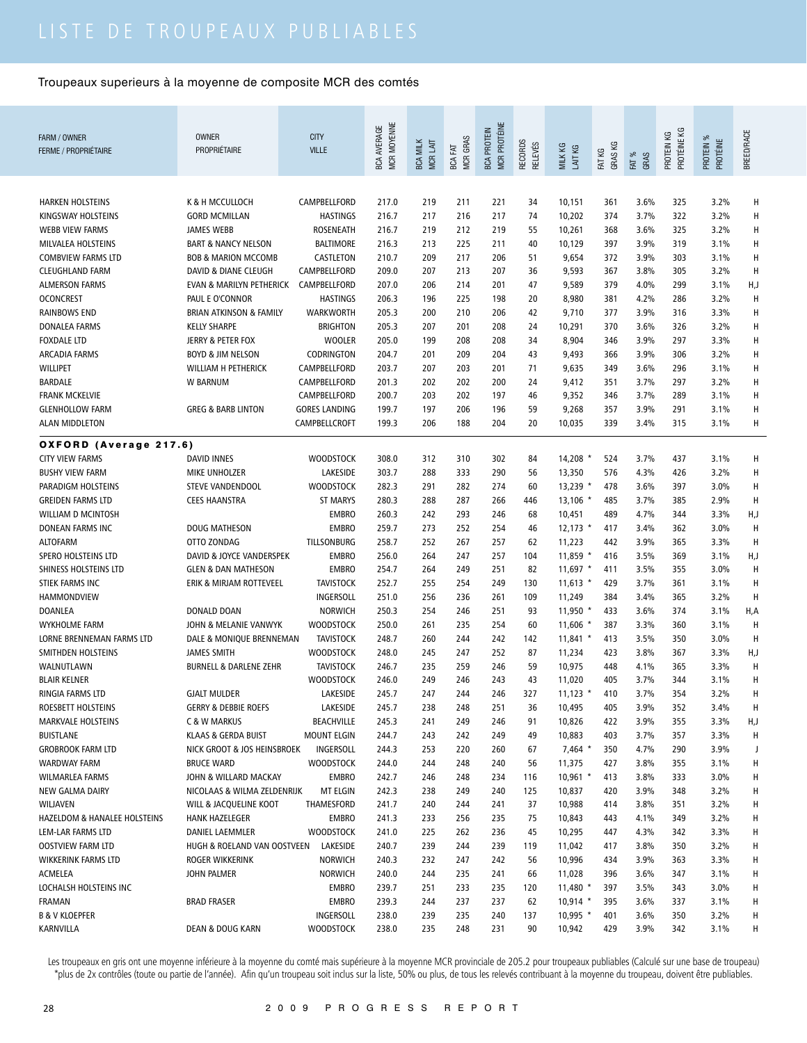| FARM / OWNER                                   | <b>OWNER</b><br>PROPRIÉTAIRE             | <b>CITY</b>                         | MCR MOYENNE<br><b>BCA AVERAGE</b> |                             |                            | <b>MCR PROTÉINE</b><br><b>BCA PROTEIN</b> |                           |                      |                   |               | PROTÉINE KG |                       | <b>BREED/RACE</b> |
|------------------------------------------------|------------------------------------------|-------------------------------------|-----------------------------------|-----------------------------|----------------------------|-------------------------------------------|---------------------------|----------------------|-------------------|---------------|-------------|-----------------------|-------------------|
| <b>FERME / PROPRIÉTAIRE</b>                    |                                          | <b>VILLE</b>                        |                                   | <b>BCA MILK</b><br>MCR LAIT | <b>MCR GRAS</b><br>BCA FAT |                                           | RECORDS<br><b>RELEVÉS</b> | MILK KG<br>LAIT KG   | GRAS KG<br>FAT KG | FAT %<br>GRAS | PROTEIN KG  | PROTEIN %<br>PROTÉINE |                   |
|                                                |                                          |                                     |                                   |                             |                            |                                           |                           |                      |                   |               |             |                       |                   |
| <b>HARKEN HOLSTEINS</b>                        | K & H MCCULLOCH                          | CAMPBELLFORD                        | 217.0                             | 219                         | 211                        | 221                                       | 34                        | 10,151               | 361               | 3.6%          | 325         | 3.2%                  | H                 |
| KINGSWAY HOLSTEINS                             | <b>GORD MCMILLAN</b>                     | <b>HASTINGS</b>                     | 216.7                             | 217                         | 216                        | 217                                       | 74                        | 10,202               | 374               | 3.7%          | 322         | 3.2%                  | H                 |
| <b>WEBB VIEW FARMS</b>                         | <b>JAMES WEBB</b>                        | <b>ROSENEATH</b>                    | 216.7                             | 219                         | 212                        | 219                                       | 55                        | 10,261               | 368               | 3.6%          | 325         | 3.2%                  | H                 |
| MILVALEA HOLSTEINS                             | <b>BART &amp; NANCY NELSON</b>           | <b>BALTIMORE</b>                    | 216.3                             | 213                         | 225                        | 211                                       | 40                        | 10,129               | 397               | 3.9%          | 319         | 3.1%                  | H                 |
| <b>COMBVIEW FARMS LTD</b>                      | <b>BOB &amp; MARION MCCOMB</b>           | CASTLETON                           | 210.7                             | 209                         | 217                        | 206                                       | 51                        | 9,654                | 372               | 3.9%          | 303         | 3.1%                  | H                 |
| <b>CLEUGHLAND FARM</b>                         | DAVID & DIANE CLEUGH                     | CAMPBELLFORD                        | 209.0                             | 207                         | 213                        | 207                                       | 36                        | 9,593                | 367               | 3.8%          | 305         | 3.2%                  | H                 |
| <b>ALMERSON FARMS</b>                          | EVAN & MARILYN PETHERICK                 | CAMPBELLFORD                        | 207.0                             | 206                         | 214                        | 201                                       | 47                        | 9,589                | 379               | 4.0%          | 299         | 3.1%                  | H,J               |
| <b>OCONCREST</b>                               | PAUL E O'CONNOR                          | <b>HASTINGS</b>                     | 206.3                             | 196                         | 225                        | 198                                       | 20                        | 8,980                | 381               | 4.2%          | 286         | 3.2%                  | H                 |
| <b>RAINBOWS END</b>                            | BRIAN ATKINSON & FAMILY                  | <b>WARKWORTH</b>                    | 205.3                             | 200                         | 210                        | 206                                       | 42                        | 9,710                | 377               | 3.9%          | 316         | 3.3%                  | H                 |
| <b>DONALEA FARMS</b>                           | <b>KELLY SHARPE</b>                      | <b>BRIGHTON</b>                     | 205.3                             | 207                         | 201                        | 208                                       | 24                        | 10,291               | 370               | 3.6%          | 326         | 3.2%                  | H                 |
| <b>FOXDALE LTD</b>                             | JERRY & PETER FOX                        | <b>WOOLER</b>                       | 205.0                             | 199                         | 208                        | 208                                       | 34                        | 8,904                | 346               | 3.9%          | 297         | 3.3%                  | H                 |
| <b>ARCADIA FARMS</b>                           | <b>BOYD &amp; JIM NELSON</b>             | CODRINGTON                          | 204.7                             | 201                         | 209                        | 204                                       | 43                        | 9,493                | 366               | 3.9%          | 306         | 3.2%                  | $\sf H$           |
| <b>WILLIPET</b>                                | WILLIAM H PETHERICK                      | CAMPBELLFORD                        | 203.7                             | 207                         | 203                        | 201                                       | 71                        | 9,635                | 349               | 3.6%          | 296         | 3.1%                  | H                 |
| <b>BARDALE</b>                                 | <b>W BARNUM</b>                          | CAMPBELLFORD                        | 201.3                             | 202                         | 202                        | 200                                       | 24                        | 9,412                | 351               | 3.7%          | 297         | 3.2%                  | H                 |
| <b>FRANK MCKELVIE</b>                          |                                          | CAMPBELLFORD                        | 200.7                             | 203                         | 202                        | 197                                       | 46                        | 9,352                | 346               | 3.7%          | 289         | 3.1%                  | Н                 |
| <b>GLENHOLLOW FARM</b>                         | <b>GREG &amp; BARB LINTON</b>            | <b>GORES LANDING</b>                | 199.7                             | 197                         | 206                        | 196                                       | 59                        | 9,268                | 357               | 3.9%          | 291         | 3.1%                  | H                 |
| <b>ALAN MIDDLETON</b>                          |                                          | CAMPBELLCROFT                       | 199.3                             | 206                         | 188                        | 204                                       | 20                        | 10,035               | 339               | 3.4%          | 315         | 3.1%                  | Н                 |
| OXFORD (Average 217.6)                         |                                          |                                     |                                   |                             |                            |                                           |                           |                      |                   |               |             |                       |                   |
| <b>CITY VIEW FARMS</b>                         | <b>DAVID INNES</b>                       | <b>WOODSTOCK</b>                    | 308.0                             | 312                         | 310                        | 302                                       | 84                        | 14,208               | 524               | 3.7%          | 437         | 3.1%                  | н                 |
| <b>BUSHY VIEW FARM</b>                         | MIKE UNHOLZER                            | LAKESIDE                            | 303.7                             | 288                         | 333                        | 290                                       | 56                        | 13,350               | 576               | 4.3%          | 426         | 3.2%                  | H                 |
| PARADIGM HOLSTEINS<br><b>GREIDEN FARMS LTD</b> | STEVE VANDENDOOL<br><b>CEES HAANSTRA</b> | <b>WOODSTOCK</b><br><b>ST MARYS</b> | 282.3<br>280.3                    | 291<br>288                  | 282<br>287                 | 274<br>266                                | 60<br>446                 | 13,239 *             | 478               | 3.6%<br>3.7%  | 397<br>385  | 3.0%                  | н<br>H            |
| WILLIAM D MCINTOSH                             |                                          | <b>EMBRO</b>                        | 260.3                             | 242                         | 293                        | 246                                       | 68                        | $13,106$ *<br>10,451 | 485<br>489        | 4.7%          | 344         | 2.9%<br>3.3%          | H,J               |
| DONEAN FARMS INC                               | <b>DOUG MATHESON</b>                     | <b>EMBRO</b>                        | 259.7                             | 273                         | 252                        | 254                                       | 46                        | $12,173$ *           | 417               | 3.4%          | 362         | 3.0%                  | H                 |
| <b>ALTOFARM</b>                                | OTTO ZONDAG                              | TILLSONBURG                         | 258.7                             | 252                         | 267                        | 257                                       | 62                        | 11,223               | 442               | 3.9%          | 365         | 3.3%                  | н                 |
| SPERO HOLSTEINS LTD                            | DAVID & JOYCE VANDERSPEK                 | <b>EMBRO</b>                        | 256.0                             | 264                         | 247                        | 257                                       | 104                       | 11,859 *             | 416               | 3.5%          | 369         | 3.1%                  | H,J               |
| SHINESS HOLSTEINS LTD                          | <b>GLEN &amp; DAN MATHESON</b>           | <b>EMBRO</b>                        | 254.7                             | 264                         | 249                        | 251                                       | 82                        | $11,697$ *           | 411               | 3.5%          | 355         | 3.0%                  | H                 |
| STIEK FARMS INC                                | ERIK & MIRJAM ROTTEVEEL                  | <b>TAVISTOCK</b>                    | 252.7                             | 255                         | 254                        | 249                                       | 130                       | $11,613$ *           | 429               | 3.7%          | 361         | 3.1%                  | H                 |
| HAMMONDVIEW                                    |                                          | INGERSOLL                           | 251.0                             | 256                         | 236                        | 261                                       | 109                       | 11,249               | 384               | 3.4%          | 365         | 3.2%                  | H                 |
| <b>DOANLEA</b>                                 | <b>DONALD DOAN</b>                       | <b>NORWICH</b>                      | 250.3                             | 254                         | 246                        | 251                                       | 93                        | $11,950$ *           | 433               | 3.6%          | 374         | 3.1%                  | H,A               |
| WYKHOLME FARM                                  | JOHN & MELANIE VANWYK                    | WOODSTOCK                           | 250.0                             | 261                         | 235                        | 254                                       | 60                        | 11,606 *             | 387               | 3.3%          | 360         | 3.1%                  | H                 |
| LORNE BRENNEMAN FARMS LTD                      | DALE & MONIQUE BRENNEMAN                 | <b>TAVISTOCK</b>                    | 248.7                             | 260                         | 244                        | 242                                       | 142                       | $11,841$ *           | 413               | 3.5%          | 350         | 3.0%                  | H                 |
| SMITHDEN HOLSTEINS                             | <b>JAMES SMITH</b>                       | <b>WOODSTOCK</b>                    | 248.0                             | 245                         | 247                        | 252                                       | 87                        | 11,234               | 423               | 3.8%          | 367         | 3.3%                  | H,J               |
| WALNUTLAWN                                     | <b>BURNELL &amp; DARLENE ZEHR</b>        | <b>TAVISTOCK</b>                    | 246.7                             | 235                         | 259                        | 246                                       | 59                        | 10,975               | 448               | 4.1%          | 365         | 3.3%                  | H                 |
| <b>BLAIR KELNER</b>                            |                                          | WOODSTOCK                           | 246.0                             | 249                         | 246                        | 243                                       | 43                        | 11,020               | 405               | 3.7%          | 344         | 3.1%                  | Н                 |
| RINGIA FARMS LTD                               | <b>GJALT MULDER</b>                      | LAKESIDE                            | 245.7                             | 247                         | 244                        | 246                                       | 327                       | 11,123               | 410               | 3.7%          | 354         | 3.2%                  | H                 |
| ROESBETT HOLSTEINS                             | <b>GERRY &amp; DEBBIE ROEFS</b>          | LAKESIDE                            | 245.7                             | 238                         | 248                        | 251                                       | 36                        | 10,495               | 405               | 3.9%          | 352         | 3.4%                  | Н                 |
| <b>MARKVALE HOLSTEINS</b>                      | C & W MARKUS                             | BEACHVILLE                          | 245.3                             | 241                         | 249                        | 246                                       | 91                        | 10,826               | 422               | 3.9%          | 355         | 3.3%                  | H,J               |
| <b>BUISTLANE</b>                               | KLAAS & GERDA BUIST                      | <b>MOUNT ELGIN</b>                  | 244.7                             | 243                         | 242                        | 249                                       | 49                        | 10,883               | 403               | 3.7%          | 357         | 3.3%                  | Н                 |
| <b>GROBROOK FARM LTD</b>                       | NICK GROOT & JOS HEINSBROEK              | INGERSOLL                           | 244.3                             | 253                         | 220                        | 260                                       | 67                        | $7,464$ *            | 350               | 4.7%          | 290         | 3.9%                  | J                 |
| <b>WARDWAY FARM</b>                            | <b>BRUCE WARD</b>                        | <b>WOODSTOCK</b>                    | 244.0                             | 244                         | 248                        | 240                                       | 56                        | 11,375               | 427               | 3.8%          | 355         | 3.1%                  | н                 |
| <b>WILMARLEA FARMS</b>                         | JOHN & WILLARD MACKAY                    | <b>EMBRO</b>                        | 242.7                             | 246                         | 248                        | 234                                       | 116                       | $10,961$ *           | 413               | 3.8%          | 333         | 3.0%                  | Н                 |
| NEW GALMA DAIRY                                | NICOLAAS & WILMA ZELDENRIJK              | MT ELGIN                            | 242.3                             | 238                         | 249                        | 240                                       | 125                       | 10,837               | 420               | 3.9%          | 348         | 3.2%                  | н                 |
| WILJAVEN                                       | WILL & JACQUELINE KOOT                   | THAMESFORD                          | 241.7                             | 240                         | 244                        | 241                                       | 37                        | 10,988               | 414               | 3.8%          | 351         | 3.2%                  | Н                 |
| HAZELDOM & HANALEE HOLSTEINS                   | <b>HANK HAZELEGER</b>                    | <b>EMBRO</b>                        | 241.3                             | 233                         | 256                        | 235                                       | 75                        | 10,843               | 443               | 4.1%          | 349         | 3.2%                  | н                 |
| LEM-LAR FARMS LTD                              | DANIEL LAEMMLER                          | <b>WOODSTOCK</b>                    | 241.0                             | 225                         | 262                        | 236                                       | 45                        | 10,295               | 447               | 4.3%          | 342         | 3.3%                  | н                 |
| <b>OOSTVIEW FARM LTD</b>                       | HUGH & ROELAND VAN OOSTVEEN              | LAKESIDE                            | 240.7                             | 239                         | 244                        | 239                                       | 119                       | 11,042               | 417               | 3.8%          | 350         | 3.2%                  | н                 |
| WIKKERINK FARMS LTD                            | ROGER WIKKERINK                          | <b>NORWICH</b>                      | 240.3                             | 232                         | 247                        | 242                                       | 56                        | 10,996               | 434               | 3.9%          | 363         | 3.3%                  | Н                 |
| ACMELEA<br>LOCHALSH HOLSTEINS INC              | JOHN PALMER                              | <b>NORWICH</b><br><b>EMBRO</b>      | 240.0<br>239.7                    | 244<br>251                  | 235<br>233                 | 241<br>235                                | 66                        | 11,028<br>$11,480$ * | 396<br>397        | 3.6%<br>3.5%  | 347<br>343  | 3.1%<br>3.0%          | Н<br>н            |
| FRAMAN                                         | <b>BRAD FRASER</b>                       | <b>EMBRO</b>                        | 239.3                             | 244                         | 237                        | 237                                       | 120<br>62                 | $10,914$ *           | 395               | 3.6%          | 337         | 3.1%                  | н                 |
| <b>B &amp; V KLOEPFER</b>                      |                                          | INGERSOLL                           | 238.0                             | 239                         | 235                        | 240                                       | 137                       | $10,995$ *           | 401               | 3.6%          | 350         | 3.2%                  | н                 |
| KARNVILLA                                      | <b>DEAN &amp; DOUG KARN</b>              | <b>WOODSTOCK</b>                    | 238.0                             | 235                         | 248                        | 231                                       | 90                        | 10,942               | 429               | 3.9%          | 342         | 3.1%                  | н                 |
|                                                |                                          |                                     |                                   |                             |                            |                                           |                           |                      |                   |               |             |                       |                   |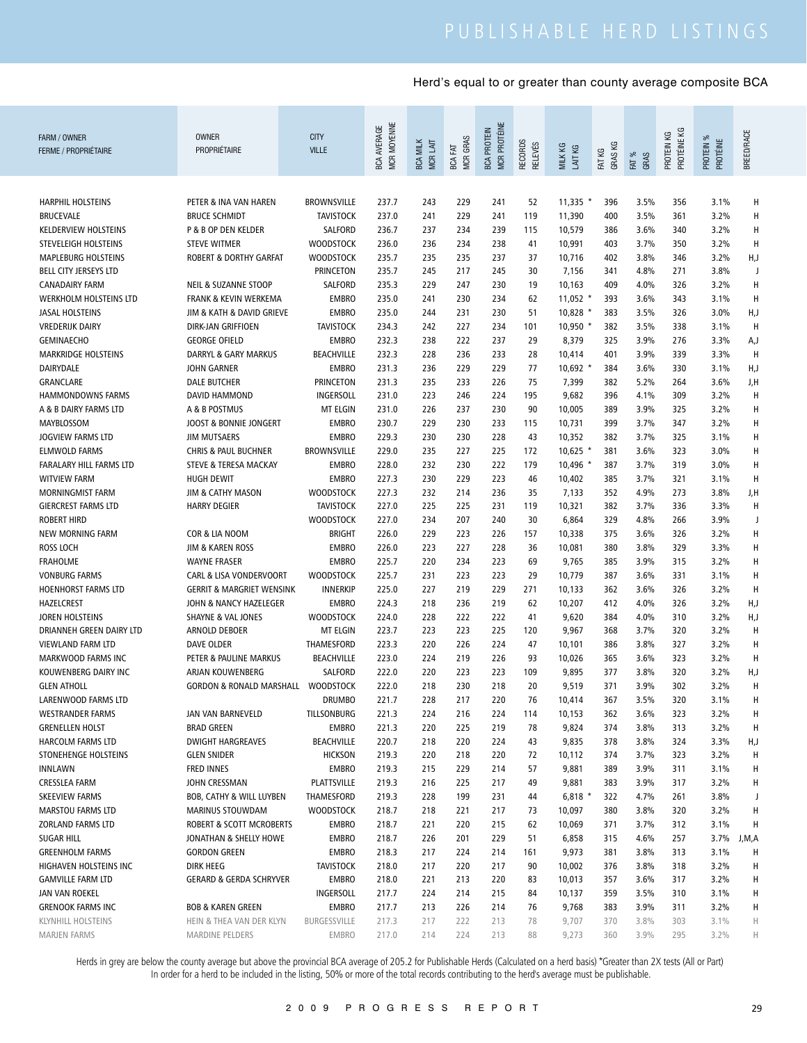| FARM / OWNER<br><b>FERME / PROPRIÉTAIRE</b>            | <b>OWNER</b><br>PROPRIÉTAIRE                              | <b>CITY</b><br><b>VILLE</b>      | MCR MOYENNE<br><b>BCA AVERAGE</b> | <b>BCA MILK</b><br>MCR LAIT | MCR GRAS<br>BCA FAT | <b>MCR PROTÉINE</b><br><b>BCA PROTEIN</b> | <b>RECORDS</b><br>RELEVÉS | MILK KG<br>LAIT KG   | GRAS KG<br>FAT KG | FAT %<br>GRAS | PROTÉINE KG<br>PROTEIN KG | PROTEIN %<br>PROTÉINE | BREED/RACE |
|--------------------------------------------------------|-----------------------------------------------------------|----------------------------------|-----------------------------------|-----------------------------|---------------------|-------------------------------------------|---------------------------|----------------------|-------------------|---------------|---------------------------|-----------------------|------------|
| <b>HARPHIL HOLSTEINS</b>                               | PETER & INA VAN HAREN                                     | BROWNSVILLE                      | 237.7                             | 243                         | 229                 | 241                                       | 52                        | $11,335$ *           | 396               | 3.5%          | 356                       | 3.1%                  | H          |
| <b>BRUCEVALE</b>                                       | <b>BRUCE SCHMIDT</b>                                      | <b>TAVISTOCK</b>                 | 237.0                             | 241                         | 229                 | 241                                       | 119                       | 11,390               | 400               | 3.5%          | 361                       | 3.2%                  | H          |
| <b>KELDERVIEW HOLSTEINS</b>                            | P & B OP DEN KELDER                                       | SALFORD                          | 236.7                             | 237                         | 234                 | 239                                       | 115                       | 10,579               | 386               | 3.6%          | 340                       | 3.2%                  | H          |
| STEVELEIGH HOLSTEINS                                   | <b>STEVE WITMER</b>                                       | <b>WOODSTOCK</b>                 | 236.0                             | 236                         | 234                 | 238                                       | 41                        | 10,991               | 403               | 3.7%          | 350                       | 3.2%                  | H          |
| <b>MAPLEBURG HOLSTEINS</b>                             | <b>ROBERT &amp; DORTHY GARFAT</b>                         | <b>WOODSTOCK</b>                 | 235.7                             | 235                         | 235                 | 237                                       | 37                        | 10,716               | 402               | 3.8%          | 346                       | 3.2%                  | H,J        |
| BELL CITY JERSEYS LTD                                  |                                                           | <b>PRINCETON</b>                 | 235.7                             | 245                         | 217                 | 245                                       | 30                        |                      | 341               | 4.8%          | 271                       | 3.8%                  | J          |
| <b>CANADAIRY FARM</b>                                  |                                                           |                                  |                                   |                             |                     |                                           |                           | 7,156                |                   |               |                           |                       |            |
| WERKHOLM HOLSTEINS LTD                                 | <b>NEIL &amp; SUZANNE STOOP</b><br>FRANK & KEVIN WERKEMA  | SALFORD<br><b>EMBRO</b>          | 235.3                             | 229<br>241                  | 247<br>230          | 230<br>234                                | 19<br>62                  | 10,163<br>$11,052$ * | 409<br>393        | 4.0%<br>3.6%  | 326<br>343                | 3.2%<br>3.1%          | Н<br>H     |
| <b>JASAL HOLSTEINS</b>                                 | JIM & KATH & DAVID GRIEVE                                 | <b>EMBRO</b>                     | 235.0<br>235.0                    | 244                         | 231                 | 230                                       | 51                        | 10,828 *             | 383               | 3.5%          | 326                       | 3.0%                  | H,J        |
| <b>VREDERIJK DAIRY</b>                                 | DIRK-JAN GRIFFIOEN                                        | <b>TAVISTOCK</b>                 | 234.3                             | 242                         | 227                 | 234                                       | 101                       | 10,950 *             | 382               | 3.5%          | 338                       | 3.1%                  | H          |
| <b>GEMINAECHO</b>                                      | <b>GEORGE OFIELD</b>                                      | <b>EMBRO</b>                     | 232.3                             | 238                         | 222                 | 237                                       | 29                        | 8,379                | 325               | 3.9%          | 276                       | 3.3%                  |            |
| <b>MARKRIDGE HOLSTEINS</b>                             | DARRYL & GARY MARKUS                                      | <b>BEACHVILLE</b>                |                                   | 228                         | 236                 | 233                                       | 28                        |                      | 401               | 3.9%          | 339                       | 3.3%                  | A,J<br>H   |
| <b>DAIRYDALE</b>                                       |                                                           |                                  | 232.3                             |                             |                     |                                           |                           | 10,414               |                   |               |                           |                       |            |
|                                                        | <b>JOHN GARNER</b>                                        | <b>EMBRO</b>                     | 231.3                             | 236                         | 229                 | 229                                       | 77                        | $10,692$ *           | 384               | 3.6%          | 330                       | 3.1%                  | H,J        |
| <b>GRANCLARE</b>                                       | <b>DALE BUTCHER</b>                                       | <b>PRINCETON</b>                 | 231.3                             | 235                         | 233                 | 226                                       | 75                        | 7,399                | 382               | 5.2%          | 264                       | 3.6%                  | J,H        |
| HAMMONDOWNS FARMS                                      | <b>DAVID HAMMOND</b>                                      | INGERSOLL                        | 231.0                             | 223                         | 246                 | 224                                       | 195                       | 9,682                | 396               | 4.1%          | 309                       | 3.2%                  | H          |
| A & B DAIRY FARMS LTD                                  | A & B POSTMUS                                             | <b>MT ELGIN</b>                  | 231.0                             | 226                         | 237                 | 230                                       | 90                        | 10,005               | 389               | 3.9%          | 325                       | 3.2%                  | н          |
| MAYBLOSSOM                                             | JOOST & BONNIE JONGERT                                    | <b>EMBRO</b>                     | 230.7                             | 229                         | 230                 | 233                                       | 115                       | 10,731               | 399               | 3.7%          | 347                       | 3.2%                  | н          |
| <b>JOGVIEW FARMS LTD</b>                               | <b>JIM MUTSAERS</b>                                       | <b>EMBRO</b>                     | 229.3                             | 230                         | 230                 | 228                                       | 43                        | 10,352               | 382               | 3.7%          | 325                       | 3.1%                  | H          |
| <b>ELMWOLD FARMS</b><br><b>FARALARY HILL FARMS LTD</b> | <b>CHRIS &amp; PAUL BUCHNER</b>                           | <b>BROWNSVILLE</b>               | 229.0                             | 235                         | 227                 | 225                                       | 172                       | $10,625$ *           | 381               | 3.6%          | 323                       | 3.0%                  | н          |
|                                                        | STEVE & TERESA MACKAY                                     | <b>EMBRO</b>                     | 228.0                             | 232                         | 230                 | 222                                       | 179                       | 10,496 *             | 387               | 3.7%          | 319                       | 3.0%                  | н          |
| <b>WITVIEW FARM</b>                                    | <b>HUGH DEWIT</b>                                         | <b>EMBRO</b>                     | 227.3                             | 230                         | 229                 | 223                                       | 46                        | 10,402               | 385               | 3.7%          | 321                       | 3.1%                  | н          |
| MORNINGMIST FARM                                       | JIM & CATHY MASON                                         | <b>WOODSTOCK</b>                 | 227.3                             | 232                         | 214                 | 236                                       | 35                        | 7,133                | 352               | 4.9%          | 273                       | 3.8%                  | J,H        |
| <b>GIERCREST FARMS LTD</b>                             | <b>HARRY DEGIER</b>                                       | <b>TAVISTOCK</b>                 | 227.0                             | 225                         | 225                 | 231                                       | 119                       | 10,321               | 382               | 3.7%          | 336                       | 3.3%                  | н          |
| <b>ROBERT HIRD</b>                                     |                                                           | <b>WOODSTOCK</b>                 | 227.0                             | 234                         | 207                 | 240                                       | 30                        | 6,864                | 329               | 4.8%          | 266                       | 3.9%                  | J          |
| <b>NEW MORNING FARM</b>                                | COR & LIA NOOM                                            | BRIGHT                           | 226.0                             | 229                         | 223                 | 226                                       | 157                       | 10,338               | 375               | 3.6%          | 326                       | 3.2%                  | н          |
| <b>ROSS LOCH</b>                                       | <b>JIM &amp; KAREN ROSS</b>                               | <b>EMBRO</b>                     | 226.0                             | 223                         | 227                 | 228                                       | 36                        | 10,081               | 380               | 3.8%          | 329                       | 3.3%                  | H          |
| <b>FRAHOLME</b><br><b>VONBURG FARMS</b>                | <b>WAYNE FRASER</b><br><b>CARL &amp; LISA VONDERVOORT</b> | <b>EMBRO</b><br><b>WOODSTOCK</b> | 225.7                             | 220<br>231                  | 234<br>223          | 223<br>223                                | 69<br>29                  | 9,765                | 385<br>387        | 3.9%<br>3.6%  | 315<br>331                | 3.2%<br>3.1%          | н          |
| HOENHORST FARMS LTD                                    | <b>GERRIT &amp; MARGRIET WENSINK</b>                      | <b>INNERKIP</b>                  | 225.7<br>225.0                    | 227                         | 219                 | 229                                       | 271                       | 10,779<br>10,133     | 362               | 3.6%          | 326                       | 3.2%                  | н<br>н     |
| HAZELCREST                                             | JOHN & NANCY HAZELEGER                                    | <b>EMBRO</b>                     | 224.3                             | 218                         | 236                 | 219                                       | 62                        | 10,207               | 412               | 4.0%          | 326                       | 3.2%                  | H,J        |
| JOREN HOLSTEINS                                        | <b>SHAYNE &amp; VAL JONES</b>                             | <b>WOODSTOCK</b>                 | 224.0                             | 228                         | 222                 | 222                                       | 41                        | 9,620                | 384               | 4.0%          | 310                       | 3.2%                  | H,J        |
| DRIANNEH GREEN DAIRY LTD                               | ARNOLD DEBOER                                             | <b>MT ELGIN</b>                  | 223.7                             | 223                         | 223                 | 225                                       | 120                       | 9,967                | 368               | 3.7%          | 320                       | 3.2%                  | н          |
| VIEWLAND FARM LTD                                      | <b>DAVE OLDER</b>                                         | THAMESFORD                       | 223.3                             | 220                         | 226                 | 224                                       | 47                        | 10,101               | 386               | 3.8%          | 327                       | 3.2%                  | н          |
| MARKWOOD FARMS INC                                     | PETER & PAULINE MARKUS                                    | <b>BEACHVILLE</b>                | 223.0                             | 224                         | 219                 | 226                                       | 93                        | 10,026               | 365               | 3.6%          | 323                       | 3.2%                  | н          |
| KOUWENBERG DAIRY INC                                   | ARJAN KOUWENBERG                                          | <b>SALFORD</b>                   | 222.0                             | 220                         | 223                 | 223                                       | 109                       | 9,895                | 377               | 3.8%          | 320                       | 3.2%                  | H,J        |
| <b>GLEN ATHOLL</b>                                     | <b>GORDON &amp; RONALD MARSHALL</b>                       | <b>WOODSTOCK</b>                 | 222.0                             | 218                         | 230                 | 218                                       | 20                        | 9,519                | 371               | 3.9%          | 302                       | 3.2%                  | Н          |
| LARENWOOD FARMS LTD                                    |                                                           | <b>DRUMBO</b>                    | 221.7                             | 228                         | 217                 | 220                                       | 76                        | 10,414               | 367               | 3.5%          | 320                       | 3.1%                  | H          |
| <b>WESTRANDER FARMS</b>                                | JAN VAN BARNEVELD                                         | TILLSONBURG                      | 221.3                             | 224                         | 216                 | 224                                       | 114                       | 10,153               | 362               | 3.6%          | 323                       | 3.2%                  | Н          |
| <b>GRENELLEN HOLST</b>                                 | <b>BRAD GREEN</b>                                         | EMBRO                            | 221.3                             | 220                         | 225                 | 219                                       | 78                        | 9,824                | 374               | 3.8%          | 313                       | 3.2%                  | Н          |
| HARCOLM FARMS LTD                                      | <b>DWIGHT HARGREAVES</b>                                  | <b>BEACHVILLE</b>                | 220.7                             | 218                         | 220                 | 224                                       | 43                        | 9,835                | 378               | 3.8%          | 324                       | 3.3%                  | H,J        |
| STONEHENGE HOLSTEINS                                   | <b>GLEN SNIDER</b>                                        | <b>HICKSON</b>                   | 219.3                             | 220                         | 218                 | 220                                       | 72                        | 10,112               | 374               | 3.7%          | 323                       | 3.2%                  | Н          |
| <b>INNLAWN</b>                                         | <b>FRED INNES</b>                                         | <b>EMBRO</b>                     | 219.3                             | 215                         | 229                 | 214                                       | 57                        | 9,881                | 389               | 3.9%          | 311                       | 3.1%                  | Н          |
| <b>CRESSLEA FARM</b>                                   | JOHN CRESSMAN                                             | PLATTSVILLE                      | 219.3                             | 216                         | 225                 | 217                                       | 49                        | 9,881                | 383               | 3.9%          | 317                       | 3.2%                  | Н          |
| <b>SKEEVIEW FARMS</b>                                  | BOB, CATHY & WILL LUYBEN                                  | THAMESFORD                       | 219.3                             | 228                         | 199                 | 231                                       | 44                        | $6,818$ *            | 322               | 4.7%          | 261                       | 3.8%                  | J          |
| <b>MARSTOU FARMS LTD</b>                               | <b>MARINUS STOUWDAM</b>                                   | <b>WOODSTOCK</b>                 | 218.7                             | 218                         | 221                 | 217                                       | 73                        | 10,097               | 380               | 3.8%          | 320                       | 3.2%                  | Н          |
| ZORLAND FARMS LTD                                      | ROBERT & SCOTT MCROBERTS                                  | EMBRO                            | 218.7                             | 221                         | 220                 | 215                                       | 62                        | 10,069               | 371               | 3.7%          | 312                       | 3.1%                  | н          |
| <b>SUGAR HILL</b>                                      | JONATHAN & SHELLY HOWE                                    | <b>EMBRO</b>                     | 218.7                             | 226                         | 201                 | 229                                       | 51                        | 6,858                | 315               | 4.6%          | 257                       | 3.7%                  | J,M,A      |
| <b>GREENHOLM FARMS</b>                                 | <b>GORDON GREEN</b>                                       | <b>EMBRO</b>                     | 218.3                             | 217                         | 224                 | 214                                       | 161                       | 9,973                | 381               | 3.8%          | 313                       | 3.1%                  | н          |
| HIGHAVEN HOLSTEINS INC                                 | <b>DIRK HEEG</b>                                          | <b>TAVISTOCK</b>                 | 218.0                             | 217                         | 220                 | 217                                       | 90                        | 10,002               | 376               | 3.8%          | 318                       | 3.2%                  | н          |
| <b>GAMVILLE FARM LTD</b>                               | <b>GERARD &amp; GERDA SCHRYVER</b>                        | <b>EMBRO</b>                     | 218.0                             | 221                         | 213                 | 220                                       | 83                        | 10,013               | 357               | 3.6%          | 317                       | 3.2%                  | н          |
| JAN VAN ROEKEL                                         |                                                           | INGERSOLL                        | 217.7                             | 224                         | 214                 | 215                                       | 84                        | 10,137               | 359               | 3.5%          | 310                       | 3.1%                  | н          |
| <b>GRENOOK FARMS INC</b>                               | <b>BOB &amp; KAREN GREEN</b>                              | <b>EMBRO</b>                     | 217.7                             | 213                         | 226                 | 214                                       | 76                        | 9,768                | 383               | 3.9%          | 311                       | 3.2%                  | н          |
| <b>KLYNHILL HOLSTEINS</b>                              | HEIN & THEA VAN DER KLYN                                  | BURGESSVILLE                     | 217.3                             | 217                         | 222                 | 213                                       | 78                        | 9,707                | 370               | 3.8%          | 303                       | 3.1%                  | Н          |
| <b>MARJEN FARMS</b>                                    | MARDINE PELDERS                                           | EMBRO                            | 217.0                             | 214                         | 224                 | 213                                       | 88                        | 9,273                | 360               | 3.9%          | 295                       | 3.2%                  | H          |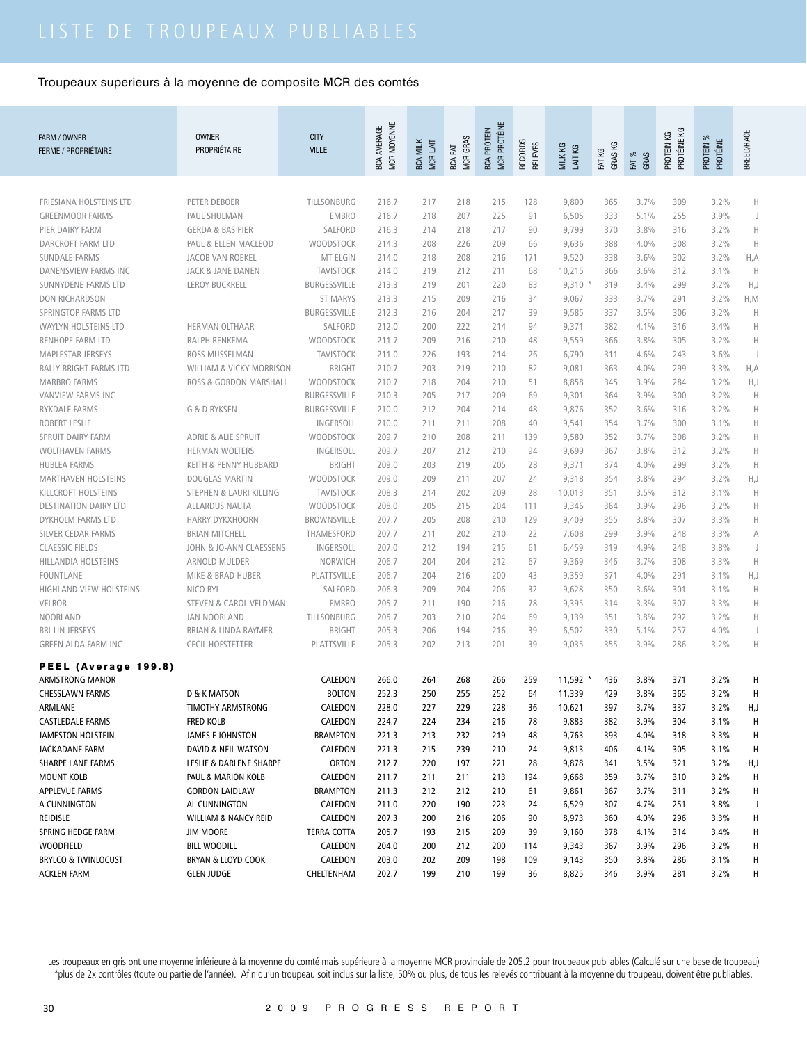| FARM / OWNER<br><b>FERME / PROPRIÉTAIRE</b> | <b>OWNER</b><br>PROPRIÉTAIRE      | <b>CITY</b><br><b>VILLE</b> | MCR MOYENNE<br>BCA AVERAGE | <b>BCA MILK</b><br>MCR LAIT | <b>MCR GRAS</b><br>BCA FAT | MCR PROTÉINE<br><b>BCA PROTEIN</b> | RECORDS<br><b>RELEVÉS</b> | MILK KG<br>LAIT KG | GRAS KG<br>FAT KG | FAT %<br>GRAS | PROTÉINE KG<br>PROTEIN KG | PROTEIN %<br>PROTÉINE | BREED/RACE  |
|---------------------------------------------|-----------------------------------|-----------------------------|----------------------------|-----------------------------|----------------------------|------------------------------------|---------------------------|--------------------|-------------------|---------------|---------------------------|-----------------------|-------------|
|                                             |                                   |                             |                            |                             |                            |                                    |                           |                    |                   |               |                           |                       |             |
| FRIESIANA HOLSTEINS LTD                     | PETER DEBOER                      | TILLSONBURG                 | 216.7                      | 217                         | 218                        | 215                                | 128                       | 9,800              | 365               | 3.7%          | 309                       | 3.2%                  | Н           |
| <b>GREENMOOR FARMS</b>                      | PAUL SHULMAN                      | <b>EMBRO</b>                | 216.7                      | 218                         | 207                        | 225                                | 91                        | 6,505              | 333               | 5.1%          | 255                       | 3.9%                  | J           |
| PIER DAIRY FARM                             | <b>GERDA &amp; BAS PIER</b>       | SALFORD                     | 216.3                      | 214                         | 218                        | 217                                | 90                        | 9,799              | 370               | 3.8%          | 316                       | 3.2%                  | $\mathsf H$ |
| DARCROFT FARM LTD                           | PAUL & ELLEN MACLEOD              | WOODSTOCK                   | 214.3                      | 208                         | 226                        | 209                                | 66                        | 9,636              | 388               | 4.0%          | 308                       | 3.2%                  | H           |
| <b>SUNDALE FARMS</b>                        | JACOB VAN ROEKEL                  | MT ELGIN                    | 214.0                      | 218                         | 208                        | 216                                | 171                       | 9,520              | 338               | 3.6%          | 302                       | 3.2%                  | H, A        |
| <b>DANENSVIEW FARMS INC</b>                 | <b>JACK &amp; JANE DANEN</b>      | <b>TAVISTOCK</b>            | 214.0                      | 219                         | 212                        | 211                                | 68                        | 10,215             | 366               | 3.6%          | 312                       | 3.1%                  | H           |
| SUNNYDENE FARMS LTD                         | <b>LEROY BUCKRELL</b>             | <b>BURGESSVILLE</b>         | 213.3                      | 219                         | 201                        | 220                                | 83                        | 9,310              | 319               | 3.4%          | 299                       | 3.2%                  | H, J        |
| <b>DON RICHARDSON</b>                       |                                   | <b>ST MARYS</b>             | 213.3                      | 215                         | 209                        | 216                                | 34                        | 9,067              | 333               | 3.7%          | 291                       | 3.2%                  | H, M        |
| SPRINGTOP FARMS LTD                         |                                   | <b>BURGESSVILLE</b>         | 212.3                      | 216                         | 204                        | 217                                | 39                        | 9,585              | 337               | 3.5%          | 306                       | 3.2%                  | $\mathbb H$ |
| <b>WAYLYN HOLSTEINS LTD</b>                 | HERMAN OLTHAAR                    | SALFORD                     | 212.0                      | 200                         | 222                        | 214                                | 94                        | 9,371              | 382               | 4.1%          | 316                       | 3.4%                  | $\mathbb H$ |
| RENHOPE FARM LTD                            | RALPH RENKEMA                     | WOODSTOCK                   | 211.7                      | 209                         | 216                        | 210                                | 48                        | 9,559              | 366               | 3.8%          | 305                       | 3.2%                  | Н           |
| <b>MAPLESTAR JERSEYS</b>                    | ROSS MUSSELMAN                    | <b>TAVISTOCK</b>            | 211.0                      | 226                         | 193                        | 214                                | 26                        | 6,790              | 311               | 4.6%          | 243                       | 3.6%                  | J           |
| <b>BALLY BRIGHT FARMS LTD</b>               | WILLIAM & VICKY MORRISON          | <b>BRIGHT</b>               | 210.7                      | 203                         | 219                        | 210                                | 82                        | 9,081              | 363               | 4.0%          | 299                       | 3.3%                  | H, A        |
| <b>MARBRO FARMS</b>                         | ROSS & GORDON MARSHALL            | WOODSTOCK                   | 210.7                      | 218                         | 204                        | 210                                | 51                        | 8,858              | 345               | 3.9%          | 284                       | 3.2%                  | H, J        |
| <b>VANVIEW FARMS INC</b>                    |                                   | <b>BURGESSVILLE</b>         | 210.3                      | 205                         | 217                        | 209                                | 69                        | 9,301              | 364               | 3.9%          | 300                       | 3.2%                  | $\mathbb H$ |
| <b>RYKDALE FARMS</b>                        | <b>G &amp; D RYKSEN</b>           | <b>BURGESSVILLE</b>         | 210.0                      | 212                         | 204                        | 214                                | 48                        | 9,876              | 352               | 3.6%          | 316                       | 3.2%                  | $\mathbb H$ |
| ROBERT LESLIE                               |                                   | INGERSOLL                   | 210.0                      | 211                         | 211                        | 208                                | 40                        | 9,541              | 354               | 3.7%          | 300                       | 3.1%                  | Н           |
| SPRUIT DAIRY FARM                           | <b>ADRIE &amp; ALIE SPRUIT</b>    | <b>WOODSTOCK</b>            | 209.7                      | 210                         | 208                        | 211                                | 139                       | 9,580              | 352               | 3.7%          | 308                       | 3.2%                  | Н           |
| <b>WOLTHAVEN FARMS</b>                      | <b>HERMAN WOLTERS</b>             | INGERSOLL                   | 209.7                      | 207                         | 212                        | 210                                | 94                        | 9,699              | 367               | 3.8%          | 312                       | 3.2%                  | Н           |
| <b>HUBLEA FARMS</b>                         | KEITH & PENNY HUBBARD             | <b>BRIGHT</b>               | 209.0                      | 203                         | 219                        | 205                                | 28                        | 9,371              | 374               | 4.0%          | 299                       | 3.2%                  | H           |
| <b>MARTHAVEN HOLSTEINS</b>                  | <b>DOUGLAS MARTIN</b>             | WOODSTOCK                   | 209.0                      | 209                         | 211                        | 207                                | 24                        | 9,318              | 354               | 3.8%          | 294                       | 3.2%                  | H,J         |
| KILLCROFT HOLSTEINS                         | STEPHEN & LAURI KILLING           | <b>TAVISTOCK</b>            | 208.3                      | 214                         | 202                        | 209                                | 28                        | 10,013             | 351               | 3.5%          | 312                       | 3.1%                  | $\mathbb H$ |
| <b>DESTINATION DAIRY LTD</b>                | <b>ALLARDUS NAUTA</b>             | <b>WOODSTOCK</b>            | 208.0                      | 205                         | 215                        | 204                                | 111                       | 9,346              | 364               | 3.9%          | 296                       | 3.2%                  | Н           |
| DYKHOLM FARMS LTD                           | <b>HARRY DYKXHOORN</b>            | <b>BROWNSVILLE</b>          | 207.7                      | 205                         | 208                        | 210                                | 129                       | 9,409              | 355               | 3.8%          | 307                       | 3.3%                  | Н           |
| SILVER CEDAR FARMS                          | <b>BRIAN MITCHELL</b>             | THAMESFORD                  | 207.7                      | 211                         | 202                        | 210                                | 22                        | 7,608              | 299               | 3.9%          | 248                       | 3.3%                  | A           |
| <b>CLAESSIC FIELDS</b>                      | JOHN & JO-ANN CLAESSENS           | INGERSOLL                   | 207.0                      | 212                         | 194                        | 215                                | 61                        | 6,459              | 319               | 4.9%          | 248                       | 3.8%                  | J           |
| <b>HILLANDIA HOLSTEINS</b>                  | ARNOLD MULDER                     | NORWICH                     | 206.7                      | 204                         | 204                        | 212                                | 67                        | 9,369              | 346               | 3.7%          | 308                       | 3.3%                  | $\mathbb H$ |
| <b>FOUNTLANE</b>                            | MIKE & BRAD HUBER                 | PLATTSVILLE                 | 206.7                      | 204                         | 216                        | 200                                | 43                        | 9,359              | 371               | 4.0%          | 291                       | 3.1%                  | H,J         |
| HIGHLAND VIEW HOLSTEINS                     | NICO BYL                          | SALFORD                     | 206.3                      | 209                         | 204                        | 206                                | 32                        | 9,628              | 350               | 3.6%          | 301                       | 3.1%                  | $\mathbb H$ |
| <b>VELROB</b>                               | <b>STEVEN &amp; CAROL VELDMAN</b> | <b>EMBRO</b>                | 205.7                      | 211                         | 190                        | 216                                | 78                        | 9,395              | 314               | 3.3%          | 307                       | 3.3%                  | $\mathbb H$ |
| NOORLAND                                    | <b>JAN NOORLAND</b>               | TILLSONBURG                 | 205.7                      | 203                         | 210                        | 204                                | 69                        | 9,139              | 351               | 3.8%          | 292                       | 3.2%                  | Н           |
| <b>BRI-LIN JERSEYS</b>                      | <b>BRIAN &amp; LINDA RAYMER</b>   | <b>BRIGHT</b>               | 205.3                      | 206                         | 194                        | 216                                | 39                        | 6,502              | 330               | 5.1%          | 257                       | 4.0%                  | J           |
| <b>GREEN ALDA FARM INC</b>                  | <b>CECIL HOFSTETTER</b>           | PLATTSVILLE                 | 205.3                      | 202                         | 213                        | 201                                | 39                        | 9,035              | 355               | 3.9%          | 286                       | 3.2%                  | Н           |
| PEEL (Average 199.8)                        |                                   |                             |                            |                             |                            |                                    |                           |                    |                   |               |                           |                       |             |
| ARMSTRONG MANOR                             |                                   | CALEDON                     | 266.0                      | 264                         | 268                        | 266                                | 259                       | $11,592$ *         | 436               | 3.8%          | 371                       | 3.2%                  | Н           |
| <b>CHESSLAWN FARMS</b>                      | D & K MATSON                      | <b>BOLTON</b>               | 252.3                      | 250                         | 255                        | 252                                | 64                        | 11,339             | 429               | 3.8%          | 365                       | 3.2%                  | н           |
| ARMLANE                                     | TIMOTHY ARMSTRONG                 | CALEDON                     | 228.0                      | 227                         | 229                        | 228                                | 36                        | 10,621             | 397               | 3.7%          | 337                       | 3.2%                  | H,J         |
| <b>CASTLEDALE FARMS</b>                     | FRED KOLB                         | CALEDON                     | 224.7                      | 224                         | 234                        | 216                                | 78                        | 9,883              | 382               | 3.9%          | 304                       | 3.1%                  | H           |
| JAMESTON HOLSTEIN                           | <b>JAMES F JOHNSTON</b>           | BRAMPTON                    | 221.3                      | 213                         | 232                        | 219                                | 48                        | 9,763              | 393               | 4.0%          | 318                       | 3.3%                  | H           |
| JACKADANE FARM                              | DAVID & NEIL WATSON               | CALEDON                     | 221.3                      | 215                         | 239                        | 210                                | 24                        | 9,813              | 406               | 4.1%          | 305                       | 3.1%                  | H           |
| SHARPE LANE FARMS                           | LESLIE & DARLENE SHARPE           | ORTON                       | 212.7                      | 220                         | 197                        | 221                                | 28                        | 9,878              | 341               | 3.5%          | 321                       | 3.2%                  | H,J         |
| <b>MOUNT KOLB</b>                           | PAUL & MARION KOLB                | CALEDON                     | 211.7                      | 211                         | 211                        | 213                                | 194                       | 9,668              | 359               | 3.7%          | 310                       | 3.2%                  | H           |
| <b>APPLEVUE FARMS</b>                       | <b>GORDON LAIDLAW</b>             | BRAMPTON                    | 211.3                      | 212                         | 212                        | 210                                | 61                        | 9,861              | 367               | 3.7%          | 311                       | 3.2%                  | Н           |
| A CUNNINGTON                                | AL CUNNINGTON                     | CALEDON                     | 211.0                      | 220                         | 190                        | 223                                | 24                        | 6,529              | 307               | 4.7%          | 251                       | 3.8%                  | J           |
| REIDISLE                                    | <b>WILLIAM &amp; NANCY REID</b>   | CALEDON                     | 207.3                      | 200                         | 216                        | 206                                | 90                        | 8,973              | 360               | 4.0%          | 296                       | 3.3%                  | Н           |
| SPRING HEDGE FARM                           | <b>JIM MOORE</b>                  | <b>TERRA COTTA</b>          | 205.7                      | 193                         | 215                        | 209                                | 39                        | 9,160              | 378               | 4.1%          | 314                       | 3.4%                  | Н           |
| <b>WOODFIELD</b>                            | <b>BILL WOODILL</b>               | CALEDON                     | 204.0                      | 200                         | 212                        | 200                                | 114                       | 9,343              | 367               | 3.9%          | 296                       | 3.2%                  | н           |
| <b>BRYLCO &amp; TWINLOCUST</b>              | BRYAN & LLOYD COOK                | CALEDON                     | 203.0                      | 202                         | 209                        | 198                                | 109                       | 9,143              | 350               | 3.8%          | 286                       | 3.1%                  | H           |
| <b>ACKLEN FARM</b>                          | <b>GLEN JUDGE</b>                 | CHELTENHAM                  | 202.7                      | 199                         | 210                        | 199                                | 36                        | 8,825              | 346               | 3.9%          | 281                       | 3.2%                  | H           |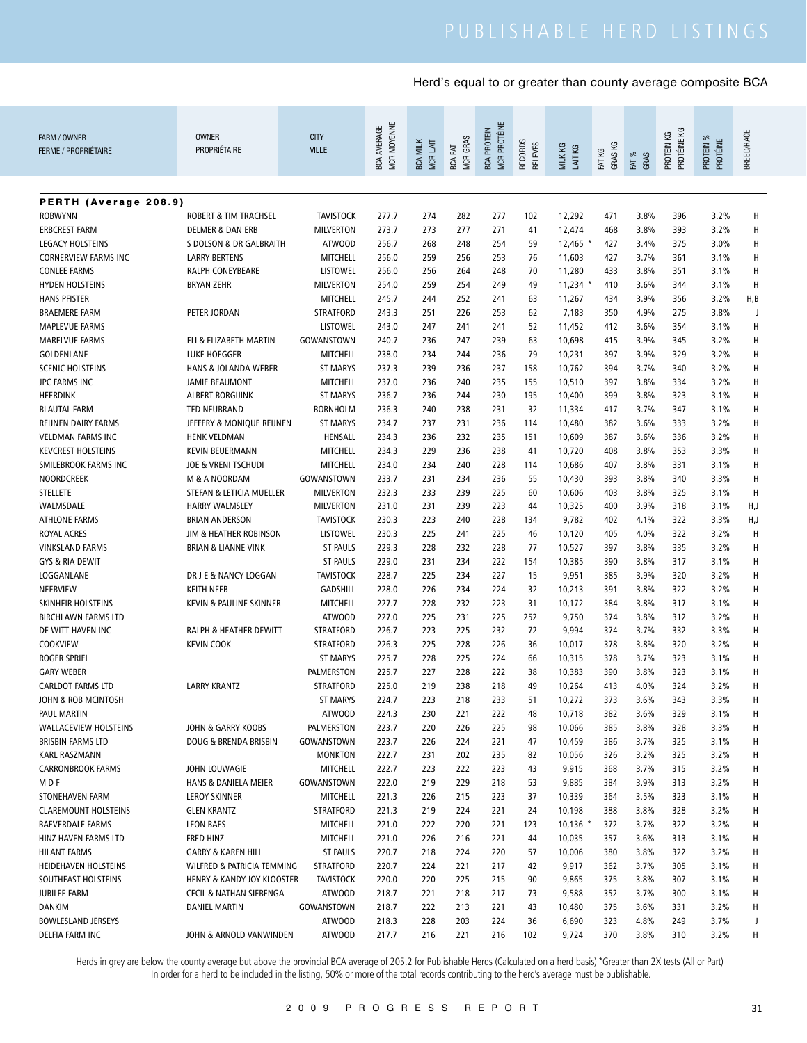| FARM / OWNER<br><b>FERME / PROPRIÉTAIRE</b> | <b>OWNER</b><br>PROPRIÉTAIRE       | <b>CITY</b><br><b>VILLE</b>      | MCR MOYENNE<br><b>BCA AVERAGE</b> | <b>MCRLAIT</b><br><b>BCA MILK</b> | MCR GRAS<br>BCA FAT | <b>MCR PROTÉINE</b><br><b>BCA PROTEIN</b> | <b>RECORDS</b><br><b>RELEVÉS</b> | ΚG<br>LAIT KG<br><b>MILK</b> | GRAS KG<br>FAT KG | FAT %<br>GRAS | PROTÉINE KG<br>PROTEIN KG | PROTEIN %<br>PROTÉINE | BREED/RACE |
|---------------------------------------------|------------------------------------|----------------------------------|-----------------------------------|-----------------------------------|---------------------|-------------------------------------------|----------------------------------|------------------------------|-------------------|---------------|---------------------------|-----------------------|------------|
|                                             |                                    |                                  |                                   |                                   |                     |                                           |                                  |                              |                   |               |                           |                       |            |
| PERTH (Average 208.9)                       |                                    |                                  |                                   |                                   |                     |                                           |                                  |                              |                   |               |                           |                       |            |
| <b>ROBWYNN</b>                              | ROBERT & TIM TRACHSEL              | <b>TAVISTOCK</b>                 | 277.7                             | 274                               | 282                 | 277                                       | 102                              | 12,292                       | 471               | 3.8%          | 396                       | 3.2%                  | Н          |
| <b>ERBCREST FARM</b>                        | <b>DELMER &amp; DAN ERB</b>        | <b>MILVERTON</b>                 | 273.7                             | 273                               | 277                 | 271                                       | 41                               | 12,474                       | 468               | 3.8%          | 393                       | 3.2%                  | Н          |
| <b>LEGACY HOLSTEINS</b>                     | S DOLSON & DR GALBRAITH            | <b>ATWOOD</b>                    | 256.7                             | 268                               | 248                 | 254                                       | 59                               | $12,465$ *                   | 427               | 3.4%          | 375                       | 3.0%                  | Н          |
| <b>CORNERVIEW FARMS INC</b>                 | <b>LARRY BERTENS</b>               | <b>MITCHELL</b>                  | 256.0                             | 259                               | 256                 | 253                                       | 76                               | 11,603                       | 427               | 3.7%          | 361                       | 3.1%                  | Н          |
| <b>CONLEE FARMS</b>                         | RALPH CONEYBEARE                   | <b>LISTOWEL</b>                  | 256.0                             | 256                               | 264                 | 248                                       | 70                               | 11,280                       | 433               | 3.8%          | 351                       | 3.1%                  | H          |
| <b>HYDEN HOLSTEINS</b>                      | <b>BRYAN ZEHR</b>                  | <b>MILVERTON</b>                 | 254.0                             | 259                               | 254                 | 249                                       | 49                               | $11,234$ *                   | 410               | 3.6%          | 344                       | 3.1%                  | Н          |
| <b>HANS PFISTER</b>                         |                                    | MITCHELL                         | 245.7                             | 244                               | 252                 | 241                                       | 63                               | 11,267                       | 434               | 3.9%          | 356                       | 3.2%                  | H,B        |
| <b>BRAEMERE FARM</b>                        | PETER JORDAN                       | <b>STRATFORD</b>                 | 243.3                             | 251                               | 226                 | 253                                       | 62                               | 7,183                        | 350               | 4.9%          | 275                       | 3.8%                  | J          |
| <b>MAPLEVUE FARMS</b>                       |                                    | <b>LISTOWEL</b>                  | 243.0                             | 247                               | 241                 | 241                                       | 52                               | 11,452                       | 412               | 3.6%          | 354                       | 3.1%                  | H          |
| <b>MARELVUE FARMS</b>                       | ELI & ELIZABETH MARTIN             | GOWANSTOWN                       | 240.7                             | 236                               | 247                 | 239                                       | 63                               | 10,698                       | 415               | 3.9%          | 345                       | 3.2%                  | Н          |
| GOLDENLANE                                  | LUKE HOEGGER                       | <b>MITCHELL</b>                  | 238.0                             | 234                               | 244                 | 236                                       | 79                               | 10,231                       | 397               | 3.9%          | 329                       | 3.2%                  | Н          |
| <b>SCENIC HOLSTEINS</b>                     | <b>HANS &amp; JOLANDA WEBER</b>    | <b>ST MARYS</b>                  | 237.3                             | 239                               | 236                 | 237                                       | 158                              | 10,762                       | 394               | 3.7%          | 340                       | 3.2%                  | Н          |
| <b>JPC FARMS INC</b>                        | <b>JAMIE BEAUMONT</b>              | <b>MITCHELL</b>                  | 237.0                             | 236                               | 240                 | 235                                       | 155                              | 10,510                       | 397               | 3.8%          | 334                       | 3.2%                  | Н          |
| <b>HEERDINK</b>                             | <b>ALBERT BORGIJINK</b>            | <b>ST MARYS</b>                  | 236.7                             | 236                               | 244                 | 230                                       | 195                              | 10,400                       | 399               | 3.8%          | 323                       | 3.1%                  | Н          |
| <b>BLAUTAL FARM</b>                         | <b>TED NEUBRAND</b>                | <b>BORNHOLM</b>                  | 236.3                             | 240                               | 238                 | 231                                       | 32                               | 11,334                       | 417               | 3.7%          | 347                       | 3.1%                  | Н          |
| REIJNEN DAIRY FARMS                         | JEFFERY & MONIQUE REIJNEN          | <b>ST MARYS</b>                  | 234.7                             | 237                               | 231                 | 236                                       | 114                              | 10,480                       | 382               | 3.6%          | 333                       | 3.2%                  | Н          |
| <b>VELDMAN FARMS INC</b>                    | <b>HENK VELDMAN</b>                | HENSALL                          | 234.3                             | 236                               | 232                 | 235                                       | 151                              | 10,609                       | 387               | 3.6%          | 336                       | 3.2%                  | Н          |
| <b>KEVCREST HOLSTEINS</b>                   | <b>KEVIN BEUERMANN</b>             | <b>MITCHELL</b>                  | 234.3                             | 229                               | 236                 | 238                                       | 41                               | 10,720                       | 408               | 3.8%          | 353                       | 3.3%                  | Н          |
| SMILEBROOK FARMS INC                        | <b>JOE &amp; VRENI TSCHUDI</b>     | <b>MITCHELL</b>                  | 234.0                             | 234                               | 240                 | 228                                       | 114                              | 10,686                       | 407               | 3.8%          | 331                       | 3.1%                  | н          |
| <b>NOORDCREEK</b>                           | M & A NOORDAM                      | GOWANSTOWN                       | 233.7                             | 231                               | 234                 | 236                                       | 55                               | 10,430                       | 393               | 3.8%          | 340                       | 3.3%                  | Н          |
| STELLETE                                    | STEFAN & LETICIA MUELLER           | <b>MILVERTON</b>                 | 232.3                             | 233                               | 239                 | 225                                       | 60                               | 10,606                       | 403               | 3.8%          | 325                       | 3.1%                  | H          |
| WALMSDALE                                   | <b>HARRY WALMSLEY</b>              | <b>MILVERTON</b>                 | 231.0                             | 231                               | 239                 | 223                                       | 44                               | 10,325                       | 400               | 3.9%          | 318                       | 3.1%                  | H,J        |
| <b>ATHLONE FARMS</b>                        | <b>BRIAN ANDERSON</b>              | <b>TAVISTOCK</b>                 | 230.3                             | 223                               | 240                 | 228                                       | 134                              | 9,782                        | 402               | 4.1%          | 322                       | 3.3%                  | H,J        |
| <b>ROYAL ACRES</b>                          | JIM & HEATHER ROBINSON             | <b>LISTOWEL</b>                  | 230.3                             | 225                               | 241                 | 225                                       | 46                               | 10,120                       | 405               | 4.0%          | 322                       | 3.2%                  | H          |
| <b>VINKSLAND FARMS</b>                      | <b>BRIAN &amp; LIANNE VINK</b>     | <b>ST PAULS</b>                  | 229.3                             | 228                               | 232                 | 228                                       | 77                               | 10,527                       | 397               | 3.8%          | 335                       | 3.2%                  | H          |
| GYS & RIA DEWIT                             |                                    | <b>ST PAULS</b>                  | 229.0                             | 231                               | 234                 | 222                                       | 154                              | 10,385                       | 390               | 3.8%          | 317                       | 3.1%                  | Н          |
| LOGGANLANE                                  | DR J E & NANCY LOGGAN              | <b>TAVISTOCK</b>                 | 228.7                             | 225                               | 234                 | 227                                       | 15                               | 9,951                        | 385               | 3.9%          | 320                       | 3.2%                  | Н          |
| NEEBVIEW                                    | <b>KEITH NEEB</b>                  | <b>GADSHILL</b>                  | 228.0                             | 226                               | 234                 | 224                                       | 32                               | 10,213                       | 391               | 3.8%          | 322                       | 3.2%                  | Н          |
| SKINHEIR HOLSTEINS                          | KEVIN & PAULINE SKINNER            | <b>MITCHELL</b>                  | 227.7                             | 228                               | 232                 | 223                                       | 31                               | 10,172                       | 384               | 3.8%          | 317                       | 3.1%                  | Н          |
| <b>BIRCHLAWN FARMS LTD</b>                  |                                    | <b>ATWOOD</b>                    | 227.0                             | 225                               | 231                 | 225                                       | 252                              | 9,750                        | 374               | 3.8%          | 312                       | 3.2%                  | Н          |
| DE WITT HAVEN INC                           | RALPH & HEATHER DEWITT             | <b>STRATFORD</b>                 | 226.7                             | 223                               | 225                 | 232                                       | 72                               | 9,994                        | 374               | 3.7%          | 332                       | 3.3%                  | н          |
| <b>COOKVIEW</b>                             | <b>KEVIN COOK</b>                  | <b>STRATFORD</b>                 | 226.3                             | 225                               | 228                 | 226                                       | 36                               | 10,017                       | 378               | 3.8%          | 320                       | 3.2%                  | н          |
| <b>ROGER SPRIEL</b>                         |                                    | <b>ST MARYS</b>                  | 225.7                             | 228                               | 225                 | 224                                       | 66                               | 10,315                       | 378               | 3.7%          | 323                       | 3.1%                  | н          |
| <b>GARY WEBER</b>                           |                                    | PALMERSTON                       | 225.7<br>225.0                    | 227<br>219                        | 228                 | 222                                       | 38                               | 10,383                       | 390               | 3.8%          | 323                       | 3.1%                  | Н          |
| <b>CARLDOT FARMS LTD</b>                    | <b>LARRY KRANTZ</b>                | <b>STRATFORD</b>                 |                                   |                                   | 238                 | 218                                       | 49                               | 10,264                       | 413               | 4.0%          | 324                       | 3.2%                  | н          |
| JOHN & ROB MCINTOSH<br><b>PAUL MARTIN</b>   |                                    | <b>ST MARYS</b><br><b>ATWOOD</b> | 224.7<br>224.3                    | 223<br>230                        | 218<br>221          | 233<br>222                                | 51                               | 10,272                       | 373<br>382        | 3.6%<br>3.6%  | 343<br>329                | 3.3%<br>3.1%          | н<br>Н     |
| <b>WALLACEVIEW HOLSTEINS</b>                | JOHN & GARRY KOOBS                 | PALMERSTON                       | 223.7                             | 220                               | 226                 | 225                                       | 48<br>98                         | 10,718<br>10,066             | 385               | 3.8%          | 328                       | 3.3%                  | H          |
| BRISBIN FARMS LTD                           | DOUG & BRENDA BRISBIN              | GOWANSTOWN                       | 223.7                             | 226                               | 224                 | 221                                       | 47                               | 10,459                       | 386               | 3.7%          | 325                       | 3.1%                  | Н          |
| <b>KARL RASZMANN</b>                        |                                    | <b>MONKTON</b>                   | 222.7                             | 231                               | 202                 | 235                                       | 82                               | 10,056                       | 326               | 3.2%          | 325                       | 3.2%                  | н          |
| <b>CARRONBROOK FARMS</b>                    | JOHN LOUWAGIE                      | MITCHELL                         | 222.7                             | 223                               | 222                 | 223                                       | 43                               | 9,915                        | 368               | 3.7%          | 315                       | 3.2%                  | н          |
| M D F                                       | HANS & DANIELA MEIER               | GOWANSTOWN                       | 222.0                             | 219                               | 229                 | 218                                       | 53                               | 9,885                        | 384               | 3.9%          | 313                       | 3.2%                  | Н          |
| STONEHAVEN FARM                             | <b>LEROY SKINNER</b>               | MITCHELL                         | 221.3                             | 226                               | 215                 | 223                                       | 37                               | 10,339                       | 364               | 3.5%          | 323                       | 3.1%                  | н          |
| <b>CLAREMOUNT HOLSTEINS</b>                 | <b>GLEN KRANTZ</b>                 | STRATFORD                        | 221.3                             | 219                               | 224                 | 221                                       | 24                               | 10,198                       | 388               | 3.8%          | 328                       | 3.2%                  | н          |
| <b>BAEVERDALE FARMS</b>                     | <b>LEON BAES</b>                   | MITCHELL                         | 221.0                             | 222                               | 220                 | 221                                       | 123                              | $10,136$ *                   | 372               | 3.7%          | 322                       | 3.2%                  | н          |
| HINZ HAVEN FARMS LTD                        | FRED HINZ                          | MITCHELL                         | 221.0                             | 226                               | 216                 | 221                                       | 44                               | 10,035                       | 357               | 3.6%          | 313                       | 3.1%                  | н          |
| <b>HILANT FARMS</b>                         | <b>GARRY &amp; KAREN HILL</b>      | <b>ST PAULS</b>                  | 220.7                             | 218                               | 224                 | 220                                       | 57                               | 10,006                       | 380               | 3.8%          | 322                       | 3.2%                  | н          |
| HEIDEHAVEN HOLSTEINS                        | WILFRED & PATRICIA TEMMING         | <b>STRATFORD</b>                 | 220.7                             | 224                               | 221                 | 217                                       | 42                               | 9,917                        | 362               | 3.7%          | 305                       | 3.1%                  | н          |
| SOUTHEAST HOLSTEINS                         | HENRY & KANDY-JOY KLOOSTER         | <b>TAVISTOCK</b>                 | 220.0                             | 220                               | 225                 | 215                                       | 90                               | 9,865                        | 375               | 3.8%          | 307                       | 3.1%                  | н          |
| <b>JUBILEE FARM</b>                         |                                    | <b>ATWOOD</b>                    | 218.7                             | 221                               | 218                 | 217                                       | 73                               | 9,588                        | 352               | 3.7%          | 300                       | 3.1%                  | н          |
|                                             | <b>CECIL &amp; NATHAN SIEBENGA</b> |                                  |                                   |                                   |                     |                                           | 43                               |                              | 375               |               | 331                       |                       |            |
| <b>DANKIM</b><br><b>BOWLESLAND JERSEYS</b>  | DANIEL MARTIN                      | GOWANSTOWN<br><b>ATWOOD</b>      | 218.7<br>218.3                    | 222<br>228                        | 213<br>203          | 221<br>224                                | 36                               | 10,480<br>6,690              | 323               | 3.6%<br>4.8%  | 249                       | 3.2%<br>3.7%          | н<br>J     |
| DELFIA FARM INC                             | JOHN & ARNOLD VANWINDEN            | <b>ATWOOD</b>                    | 217.7                             | 216                               | 221                 | 216                                       | 102                              | 9,724                        | 370               | 3.8%          | 310                       | 3.2%                  | н          |
|                                             |                                    |                                  |                                   |                                   |                     |                                           |                                  |                              |                   |               |                           |                       |            |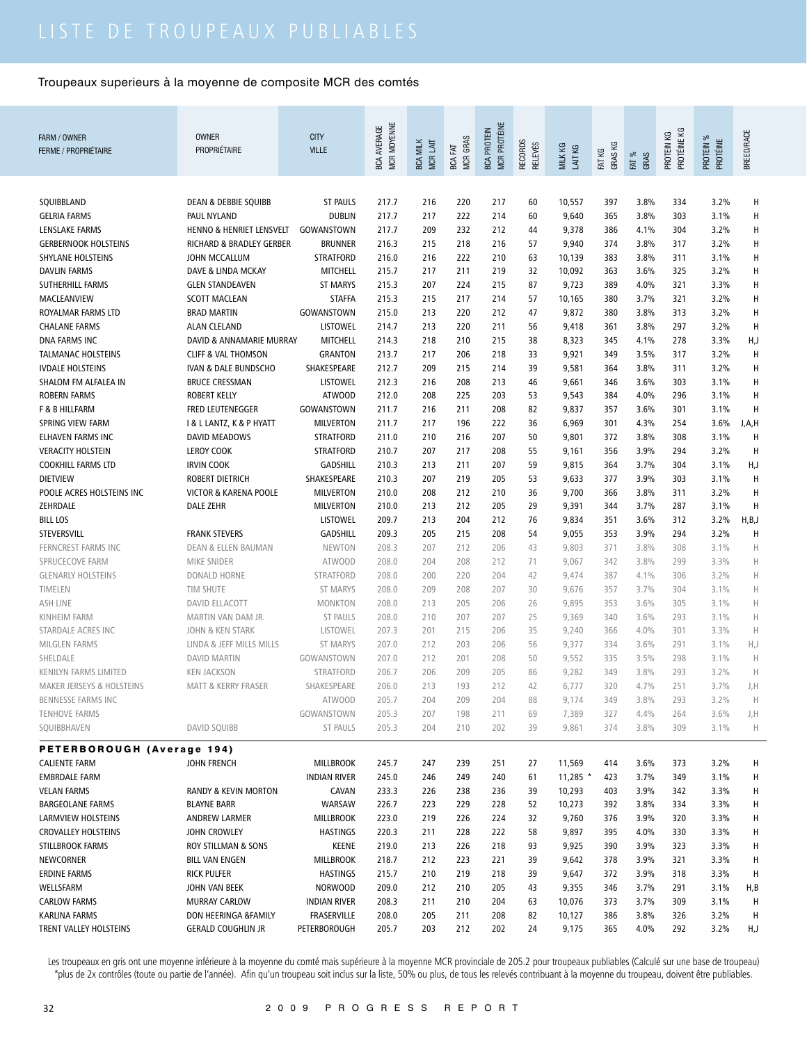| FARM / OWNER<br><b>FERME / PROPRIÉTAIRE</b> | <b>OWNER</b><br>PROPRIÉTAIRE    | <b>CITY</b><br><b>VILLE</b> | MCR MOYENNE<br><b>BCA AVERAGE</b> | <b>BCA MILK</b><br><b>MCRLAIT</b> | MCR GRAS<br><b>BCA FAT</b> | MCR PROTÉINE<br><b>BCA PROTEIN</b> | <b>RECORDS</b><br><b>RELEVÉS</b> | MILK KG<br>LAIT KG | GRAS KG<br>FAT KG | FAT %<br>GRAS | PROTÉINE KG<br>PROTEIN KG | PROTEIN %<br>PROTÉINE | BREED/RACE |
|---------------------------------------------|---------------------------------|-----------------------------|-----------------------------------|-----------------------------------|----------------------------|------------------------------------|----------------------------------|--------------------|-------------------|---------------|---------------------------|-----------------------|------------|
|                                             |                                 |                             |                                   |                                   |                            |                                    |                                  |                    |                   |               |                           |                       |            |
| SQUIBBLAND                                  | <b>DEAN &amp; DEBBIE SQUIBB</b> | <b>ST PAULS</b>             | 217.7                             | 216                               | 220                        | 217                                | 60                               | 10,557             | 397               | 3.8%          | 334                       | 3.2%                  | н          |
| <b>GELRIA FARMS</b>                         | PAUL NYLAND                     | <b>DUBLIN</b>               | 217.7                             | 217                               | 222                        | 214                                | 60                               | 9,640              | 365               | 3.8%          | 303                       | 3.1%                  | Н          |
| LENSLAKE FARMS                              | HENNO & HENRIET LENSVELT        | GOWANSTOWN                  | 217.7                             | 209                               | 232                        | 212                                | 44                               | 9,378              | 386               | 4.1%          | 304                       | 3.2%                  | н          |
| <b>GERBERNOOK HOLSTEINS</b>                 | RICHARD & BRADLEY GERBER        | <b>BRUNNER</b>              | 216.3                             | 215                               | 218                        | 216                                | 57                               | 9,940              | 374               | 3.8%          | 317                       | 3.2%                  | $\sf H$    |
| <b>SHYLANE HOLSTEINS</b>                    | JOHN MCCALLUM                   | <b>STRATFORD</b>            | 216.0                             | 216                               | 222                        | 210                                | 63                               | 10,139             | 383               | 3.8%          | 311                       | 3.1%                  | н          |
| <b>DAVLIN FARMS</b>                         | DAVE & LINDA MCKAY              | <b>MITCHELL</b>             | 215.7                             | 217                               | 211                        | 219                                | 32                               | 10,092             | 363               | 3.6%          | 325                       | 3.2%                  | н          |
| SUTHERHILL FARMS                            | <b>GLEN STANDEAVEN</b>          | <b>ST MARYS</b>             | 215.3                             | 207                               | 224                        | 215                                | 87                               | 9,723              | 389               | 4.0%          | 321                       | 3.3%                  | н          |
| MACLEANVIEW                                 | <b>SCOTT MACLEAN</b>            | <b>STAFFA</b>               | 215.3                             | 215                               | 217                        | 214                                | 57                               | 10,165             | 380               | 3.7%          | 321                       | 3.2%                  | Н          |
| ROYALMAR FARMS LTD                          | <b>BRAD MARTIN</b>              | GOWANSTOWN                  | 215.0                             | 213                               | 220                        | 212                                | 47                               | 9,872              | 380               | 3.8%          | 313                       | 3.2%                  | Н          |
| <b>CHALANE FARMS</b>                        | <b>ALAN CLELAND</b>             | LISTOWEL                    | 214.7                             | 213                               | 220                        | 211                                | 56                               | 9,418              | 361               | 3.8%          | 297                       | 3.2%                  | Н          |
| <b>DNA FARMS INC</b>                        | DAVID & ANNAMARIE MURRAY        | <b>MITCHELL</b>             | 214.3                             | 218                               | 210                        | 215                                | 38                               | 8,323              | 345               | 4.1%          | 278                       | 3.3%                  | H,J        |
| <b>TALMANAC HOLSTEINS</b>                   | <b>CLIFF &amp; VAL THOMSON</b>  | <b>GRANTON</b>              | 213.7                             | 217                               | 206                        | 218                                | 33                               | 9,921              | 349               | 3.5%          | 317                       | 3.2%                  | $\sf H$    |
| <b>IVDALE HOLSTEINS</b>                     | <b>IVAN &amp; DALE BUNDSCHO</b> | SHAKESPEARE                 | 212.7                             | 209                               | 215                        | 214                                | 39                               | 9,581              | 364               | 3.8%          | 311                       | 3.2%                  | н          |
| SHALOM FM ALFALEA IN                        | <b>BRUCE CRESSMAN</b>           | LISTOWEL                    | 212.3                             | 216                               | 208                        | 213                                | 46                               | 9,661              | 346               | 3.6%          | 303                       | 3.1%                  | Н          |
| <b>ROBERN FARMS</b>                         | <b>ROBERT KELLY</b>             | <b>ATWOOD</b>               | 212.0                             | 208                               | 225                        | 203                                | 53                               | 9,543              | 384               | 4.0%          | 296                       | 3.1%                  | Н          |
| F & B HILLFARM                              | <b>FRED LEUTENEGGER</b>         | GOWANSTOWN                  | 211.7                             | 216                               | 211                        | 208                                | 82                               | 9,837              | 357               | 3.6%          | 301                       | 3.1%                  | Н          |
| SPRING VIEW FARM                            | I & L LANTZ, K & P HYATT        | <b>MILVERTON</b>            | 211.7                             | 217                               | 196                        | 222                                | 36                               | 6,969              | 301               | 4.3%          | 254                       | 3.6%                  | J,A,H      |
| <b>ELHAVEN FARMS INC</b>                    | <b>DAVID MEADOWS</b>            |                             |                                   |                                   |                            |                                    |                                  |                    |                   |               |                           |                       |            |
|                                             |                                 | <b>STRATFORD</b>            | 211.0                             | 210                               | 216                        | 207                                | 50                               | 9,801              | 372               | 3.8%          | 308                       | 3.1%                  | Н          |
| <b>VERACITY HOLSTEIN</b>                    | <b>LEROY COOK</b>               | <b>STRATFORD</b>            | 210.7                             | 207                               | 217                        | 208                                | 55                               | 9,161              | 356               | 3.9%          | 294                       | 3.2%                  | Н          |
| <b>COOKHILL FARMS LTD</b>                   | <b>IRVIN COOK</b>               | <b>GADSHILL</b>             | 210.3                             | 213                               | 211                        | 207                                | 59                               | 9,815              | 364               | 3.7%          | 304                       | 3.1%                  | H, J       |
| <b>DIETVIEW</b>                             | <b>ROBERT DIETRICH</b>          | SHAKESPEARE                 | 210.3                             | 207                               | 219                        | 205                                | 53                               | 9,633              | 377               | 3.9%          | 303                       | 3.1%                  | Н          |
| POOLE ACRES HOLSTEINS INC                   | VICTOR & KARENA POOLE           | <b>MILVERTON</b>            | 210.0                             | 208                               | 212                        | 210                                | 36                               | 9,700              | 366               | 3.8%          | 311                       | 3.2%                  | H          |
| ZEHRDALE                                    | DALE ZEHR                       | MILVERTON                   | 210.0                             | 213                               | 212                        | 205                                | 29                               | 9,391              | 344               | 3.7%          | 287                       | 3.1%                  | н          |
| <b>BILL LOS</b>                             |                                 | <b>LISTOWEL</b>             | 209.7                             | 213                               | 204                        | 212                                | 76                               | 9,834              | 351               | 3.6%          | 312                       | 3.2%                  | H, B, J    |
| STEVERSVILL                                 | <b>FRANK STEVERS</b>            | <b>GADSHILL</b>             | 209.3                             | 205                               | 215                        | 208                                | 54                               | 9,055              | 353               | 3.9%          | 294                       | 3.2%                  | Н          |
| <b>FERNCREST FARMS INC</b>                  | <b>DEAN &amp; ELLEN BAUMAN</b>  | <b>NEWTON</b>               | 208.3                             | 207                               | 212                        | 206                                | 43                               | 9,803              | 371               | 3.8%          | 308                       | 3.1%                  | н          |
| SPRUCECOVE FARM                             | MIKE SNIDER                     | <b>ATWOOD</b>               | 208.0                             | 204                               | 208                        | 212                                | 71                               | 9,067              | 342               | 3.8%          | 299                       | 3.3%                  | H          |
| <b>GLENARLY HOLSTEINS</b>                   | DONALD HORNE                    | <b>STRATFORD</b>            | 208.0                             | 200                               | 220                        | 204                                | 42                               | 9,474              | 387               | 4.1%          | 306                       | 3.2%                  | Н          |
| TIMELEN                                     | TIM SHUTE                       | <b>ST MARYS</b>             | 208.0                             | 209                               | 208                        | 207                                | 30                               | 9,676              | 357               | 3.7%          | 304                       | 3.1%                  | H          |
| <b>ASH LINE</b>                             | <b>DAVID ELLACOTT</b>           | <b>MONKTON</b>              | 208.0                             | 213                               | 205                        | 206                                | 26                               | 9,895              | 353               | 3.6%          | 305                       | 3.1%                  | H          |
| <b>KINHEIM FARM</b>                         | MARTIN VAN DAM JR.              | <b>ST PAULS</b>             | 208.0                             | 210                               | 207                        | 207                                | 25                               | 9,369              | 340               | 3.6%          | 293                       | 3.1%                  | Н          |
| STARDALE ACRES INC                          | <b>JOHN &amp; KEN STARK</b>     | LISTOWEL                    | 207.3                             | 201                               | 215                        | 206                                | 35                               | 9,240              | 366               | 4.0%          | 301                       | 3.3%                  | Н          |
| <b>MILGLEN FARMS</b>                        | LINDA & JEFF MILLS MILLS        | <b>ST MARYS</b>             | 207.0                             | 212                               | 203                        | 206                                | 56                               | 9,377              | 334               | 3.6%          | 291                       | 3.1%                  | H,J        |
| SHELDALE                                    | <b>DAVID MARTIN</b>             | GOWANSTOWN                  | 207.0                             | 212                               | 201                        | 208                                | 50                               | 9,552              | 335               | 3.5%          | 298                       | 3.1%                  | Н          |
| <b>KENILYN FARMS LIMITED</b>                | <b>KEN JACKSON</b>              | STRATFORD                   | 206.7                             | 206                               | 209                        | 205                                | 86                               | 9,282              | 349               | 3.8%          | 293                       | 3.2%                  | н          |
| <b>MAKER JERSEYS &amp; HOLSTEINS</b>        | <b>MATT &amp; KERRY FRASER</b>  | SHAKESPEARE                 | 206.0                             | 213                               | 193                        | 212                                | 42                               | 6,777              | 320               | 4.7%          | 251                       | 3.7%                  | J,H        |
| BENNESSE FARMS INC                          |                                 | ATWOOD                      | 205.7                             | 204                               | 209                        | 204                                | 88                               | 9,174              | 349               | 3.8%          | 293                       | 3.2%                  | H          |
| <b>TENHOVE FARMS</b>                        |                                 | GOWANSTOWN                  | 205.3                             | 207                               | 198                        | 211                                | 69                               | 7,389              | 327               | 4.4%          | 264                       | 3.6%                  | J,H        |
| SQUIBBHAVEN                                 | DAVID SQUIBB                    | ST PAULS                    | 205.3                             | 204                               | 210                        | 202                                | 39                               | 9,861              | 374               | 3.8%          | 309                       | 3.1%                  | H          |
| PETERBOROUGH (Average 194)                  |                                 |                             |                                   |                                   |                            |                                    |                                  |                    |                   |               |                           |                       |            |
| <b>CALIENTE FARM</b>                        | JOHN FRENCH                     | MILLBROOK                   | 245.7                             | 247                               | 239                        | 251                                | 27                               | 11,569             | 414               | 3.6%          | 373                       | 3.2%                  | н          |
| <b>EMBRDALE FARM</b>                        |                                 | <b>INDIAN RIVER</b>         | 245.0                             | 246                               | 249                        | 240                                | 61                               | $11,285$ *         | 423               | 3.7%          | 349                       | 3.1%                  | н          |
|                                             |                                 |                             |                                   |                                   |                            |                                    |                                  |                    |                   |               |                           |                       |            |
| <b>VELAN FARMS</b>                          | RANDY & KEVIN MORTON            | CAVAN                       | 233.3                             | 226                               | 238                        | 236                                | 39                               | 10,293             | 403               | 3.9%          | 342                       | 3.3%                  | н          |
| <b>BARGEOLANE FARMS</b>                     | <b>BLAYNE BARR</b>              | WARSAW                      | 226.7                             | 223                               | 229                        | 228                                | 52                               | 10,273             | 392               | 3.8%          | 334                       | 3.3%                  | н          |
| LARMVIEW HOLSTEINS                          | ANDREW LARMER                   | MILLBROOK                   | 223.0                             | 219                               | 226                        | 224                                | 32                               | 9,760              | 376               | 3.9%          | 320                       | 3.3%                  | н          |
| <b>CROVALLEY HOLSTEINS</b>                  | JOHN CROWLEY                    | <b>HASTINGS</b>             | 220.3                             | 211                               | 228                        | 222                                | 58                               | 9,897              | 395               | 4.0%          | 330                       | 3.3%                  | Н          |
| <b>STILLBROOK FARMS</b>                     | ROY STILLMAN & SONS             | KEENE                       | 219.0                             | 213                               | 226                        | 218                                | 93                               | 9,925              | 390               | 3.9%          | 323                       | 3.3%                  | н          |
| NEWCORNER                                   | <b>BILL VAN ENGEN</b>           | <b>MILLBROOK</b>            | 218.7                             | 212                               | 223                        | 221                                | 39                               | 9,642              | 378               | 3.9%          | 321                       | 3.3%                  | Н          |
| <b>ERDINE FARMS</b>                         | <b>RICK PULFER</b>              | <b>HASTINGS</b>             | 215.7                             | 210                               | 219                        | 218                                | 39                               | 9,647              | 372               | 3.9%          | 318                       | 3.3%                  | H          |
| WELLSFARM                                   | JOHN VAN BEEK                   | <b>NORWOOD</b>              | 209.0                             | 212                               | 210                        | 205                                | 43                               | 9,355              | 346               | 3.7%          | 291                       | 3.1%                  | H,B        |
| <b>CARLOW FARMS</b>                         | <b>MURRAY CARLOW</b>            | <b>INDIAN RIVER</b>         | 208.3                             | 211                               | 210                        | 204                                | 63                               | 10,076             | 373               | 3.7%          | 309                       | 3.1%                  | Н          |
| KARLINA FARMS                               | DON HEERINGA &FAMILY            | FRASERVILLE                 | 208.0                             | 205                               | 211                        | 208                                | 82                               | 10,127             | 386               | 3.8%          | 326                       | 3.2%                  | H          |
| TRENT VALLEY HOLSTEINS                      | <b>GERALD COUGHLIN JR</b>       | PETERBOROUGH                | 205.7                             | 203                               | 212                        | 202                                | 24                               | 9,175              | 365               | 4.0%          | 292                       | 3.2%                  | H,J        |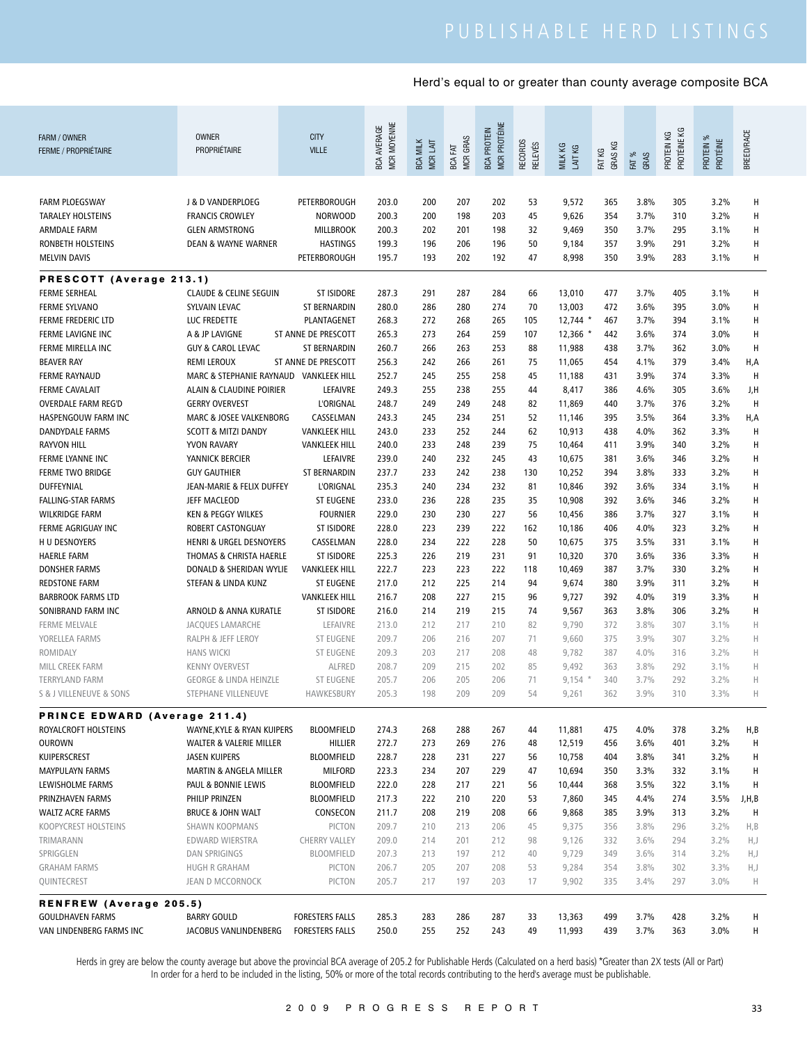| MCR MOYENNE<br><b>MCR PROTÉINE</b><br><b>BCA AVERAGE</b><br><b>BCA PROTEIN</b><br>PROTÉINE KG<br>BREED/RACE<br>PROTEIN KG<br><b>OWNER</b><br><b>CITY</b><br>FARM / OWNER<br><b>MCR GRAS</b><br>PROTEIN %<br>PROTÉINE<br><b>BCA MILK</b><br>RECORDS<br>MCR LAIT<br><b>RELEVÉS</b><br>GRAS KG<br>MILK KG<br>FAT<br>LAIT KG<br>PROPRIÉTAIRE<br><b>VILLE</b><br>FAT KG<br><b>FERME / PROPRIÉTAIRE</b><br>FAT %<br>GRAS<br>BCA<br>200<br>207<br>202<br>3.8%<br>3.2%<br>Н<br><b>FARM PLOEGSWAY</b><br>J & D VANDERPLOEG<br>PETERBOROUGH<br>203.0<br>53<br>9,572<br>365<br>305<br>200.3<br>200<br>198<br>203<br>9,626<br>3.7%<br>3.2%<br>Н<br><b>TARALEY HOLSTEINS</b><br><b>FRANCIS CROWLEY</b><br><b>NORWOOD</b><br>45<br>354<br>310<br>200.3<br>201<br>3.1%<br>Н<br><b>ARMDALE FARM</b><br><b>GLEN ARMSTRONG</b><br><b>MILLBROOK</b><br>202<br>198<br>32<br>9,469<br>350<br>3.7%<br>295<br>199.3<br>196<br>206<br>291<br>3.2%<br>Н<br>RONBETH HOLSTEINS<br><b>DEAN &amp; WAYNE WARNER</b><br><b>HASTINGS</b><br>196<br>50<br>9,184<br>357<br>3.9%<br>н<br><b>MELVIN DAVIS</b><br>PETERBOROUGH<br>195.7<br>193<br>202<br>192<br>47<br>8,998<br>350<br>3.9%<br>283<br>3.1%<br>PRESCOTT (Average 213.1)<br>Н<br><b>FERME SERHEAL</b><br><b>CLAUDE &amp; CELINE SEGUIN</b><br><b>ST ISIDORE</b><br>287.3<br>291<br>287<br>284<br>66<br>13,010<br>477<br>3.7%<br>405<br>3.1%<br>286<br>280<br>274<br>3.6%<br>395<br>3.0%<br>Н<br><b>FERME SYLVANO</b><br>SYLVAIN LEVAC<br><b>ST BERNARDIN</b><br>280.0<br>70<br>13,003<br>472<br>Н<br><b>FERME FREDERIC LTD</b><br>LUC FREDETTE<br>PLANTAGENET<br>268.3<br>272<br>268<br>265<br>105<br>$12,744$ *<br>467<br>3.7%<br>394<br>3.1%<br>273<br>259<br>3.0%<br>Н<br>FERME LAVIGNE INC<br>A & JP LAVIGNE<br>ST ANNE DE PRESCOTT<br>265.3<br>264<br>107<br>$12,366$ *<br>442<br>3.6%<br>374<br>260.7<br>266<br>3.0%<br>H<br>FERME MIRELLA INC<br><b>GUY &amp; CAROL LEVAC</b><br><b>ST BERNARDIN</b><br>263<br>253<br>88<br>11,988<br>438<br>3.7%<br>362<br>242<br>266<br>261<br>379<br>3.4%<br>H,A<br><b>BEAVER RAY</b><br><b>REMI LEROUX</b><br>ST ANNE DE PRESCOTT<br>256.3<br>75<br>11,065<br>454<br>4.1%<br>MARC & STEPHANIE RAYNAUD<br>245<br>258<br>H<br><b>FERME RAYNAUD</b><br><b>VANKLEEK HILL</b><br>252.7<br>255<br>45<br>11,188<br>431<br>3.9%<br>374<br>3.3%<br>255<br>238<br>255<br>3.6%<br><b>FERME CAVALAIT</b><br>ALAIN & CLAUDINE POIRIER<br>LEFAIVRE<br>249.3<br>44<br>8,417<br>386<br>4.6%<br>305<br>J,H<br>248.7<br>249<br>376<br>3.2%<br>H<br><b>OVERDALE FARM REG'D</b><br><b>GERRY OVERVEST</b><br><b>L'ORIGNAL</b><br>249<br>248<br>82<br>11,869<br>440<br>3.7%<br>251<br>3.3%<br>HASPENGOUW FARM INC<br>MARC & JOSEE VALKENBORG<br>CASSELMAN<br>243.3<br>245<br>234<br>52<br>11,146<br>395<br>3.5%<br>364<br>H,A<br>233<br>244<br>4.0%<br>Н<br><b>DANDYDALE FARMS</b><br><b>SCOTT &amp; MITZI DANDY</b><br><b>VANKLEEK HILL</b><br>243.0<br>252<br>62<br>10,913<br>438<br>362<br>3.3%<br>233<br>н<br><b>RAYVON HILL</b><br>YVON RAVARY<br><b>VANKLEEK HILL</b><br>240.0<br>248<br>239<br>75<br>411<br>3.9%<br>340<br>3.2%<br>10,464<br>239.0<br>240<br>232<br>245<br>346<br>3.2%<br>Н<br>FERME LYANNE INC<br>YANNICK BERCIER<br>LEFAIVRE<br>43<br>10,675<br>381<br>3.6%<br>233<br>242<br>238<br>3.2%<br>Н<br><b>FERME TWO BRIDGE</b><br><b>GUY GAUTHIER</b><br>ST BERNARDIN<br>237.7<br>130<br>10,252<br>394<br>3.8%<br>333<br><b>L'ORIGNAL</b><br>235.3<br>240<br>234<br>232<br>334<br>3.1%<br>Н<br>DUFFEYNIAL<br>JEAN-MARIE & FELIX DUFFEY<br>81<br>10,846<br>392<br>3.6%<br>235<br>н<br><b>FALLING-STAR FARMS</b><br>JEFF MACLEOD<br><b>ST EUGENE</b><br>233.0<br>236<br>228<br>35<br>10,908<br>392<br>3.6%<br>346<br>3.2%<br>229.0<br>230<br>230<br>227<br>386<br>3.7%<br>327<br>3.1%<br>Н<br><b>WILKRIDGE FARM</b><br><b>KEN &amp; PEGGY WILKES</b><br><b>FOURNIER</b><br>56<br>10,456<br>223<br>222<br>Н<br>ROBERT CASTONGUAY<br><b>ST ISIDORE</b><br>228.0<br>239<br>162<br>10,186<br>406<br>4.0%<br>323<br>3.2%<br>FERME AGRIGUAY INC<br>CASSELMAN<br>234<br>228<br>3.1%<br>Н<br>H U DESNOYERS<br><b>HENRI &amp; URGEL DESNOYERS</b><br>228.0<br>222<br>50<br>10,675<br>375<br>3.5%<br>331<br>226<br>219<br>231<br>н<br><b>HAERLE FARM</b><br>THOMAS & CHRISTA HAERLE<br><b>ST ISIDORE</b><br>225.3<br>91<br>10,320<br>370<br>3.6%<br>336<br>3.3%<br>222.7<br>223<br>223<br>222<br>3.2%<br>Н<br><b>DONSHER FARMS</b><br>DONALD & SHERIDAN WYLIE<br><b>VANKLEEK HILL</b><br>118<br>10,469<br>387<br>3.7%<br>330<br>217.0<br>212<br>225<br>214<br>3.9%<br>311<br>3.2%<br>Н<br><b>REDSTONE FARM</b><br>STEFAN & LINDA KUNZ<br><b>ST EUGENE</b><br>94<br>9,674<br>380<br>208<br>227<br>215<br>9,727<br>4.0%<br>3.3%<br>Н<br><b>BARBROOK FARMS LTD</b><br><b>VANKLEEK HILL</b><br>216.7<br>96<br>392<br>319<br>214<br>219<br>215<br>9,567<br>3.2%<br>н<br>SONIBRAND FARM INC<br>ARNOLD & ANNA KURATLE<br><b>ST ISIDORE</b><br>216.0<br>74<br>363<br>3.8%<br>306<br>3.1%<br>Н<br><b>FERME MELVALE</b><br>JACQUES LAMARCHE<br>LEFAIVRE<br>213.0<br>212<br>217<br>210<br>82<br>9,790<br>372<br>3.8%<br>307<br>3.2%<br>Н<br>YORELLEA FARMS<br>RALPH & JEFF LEROY<br><b>ST EUGENE</b><br>209.7<br>206<br>216<br>207<br>71<br>9,660<br>375<br>3.9%<br>307<br>ROMIDALY<br><b>HANS WICKI</b><br><b>ST EUGENE</b><br>209.3<br>203<br>217<br>208<br>9,782<br>387<br>4.0%<br>316<br>3.2%<br>Н<br>48<br>202<br>$\mathsf{H}$<br>MILL CREEK FARM<br><b>KENNY OVERVEST</b><br><b>ALFRED</b><br>208.7<br>209<br>215<br>85<br>9,492<br>363<br>3.8%<br>292<br>3.1%<br>$9,154$ *<br>3.7%<br><b>ST EUGENE</b><br>205.7<br>206<br>205<br>206<br>340<br>292<br>3.2%<br>Н<br><b>TERRYLAND FARM</b><br><b>GEORGE &amp; LINDA HEINZLE</b><br>71<br>HAWKESBURY<br>205.3<br>198<br>209<br>209<br>54<br>9,261<br>362<br>3.9%<br>310<br>3.3%<br>Н<br>S & J VILLENEUVE & SONS<br>STEPHANE VILLENEUVE<br><b>PRINCE EDWARD (Average 211.4)</b><br>268<br>ROYALCROFT HOLSTEINS<br>WAYNE, KYLE & RYAN KUIPERS<br><b>BLOOMFIELD</b><br>274.3<br>288<br>267<br>11,881<br>475<br>4.0%<br>378<br>3.2%<br>H,B<br>44<br>273<br>269<br>276<br>3.6%<br>401<br>H<br><b>OUROWN</b><br>WALTER & VALERIE MILLER<br>HILLIER<br>272.7<br>48<br>12,519<br>456<br>3.2%<br>KUIPERSCREST<br><b>JASEN KUIPERS</b><br><b>BLOOMFIELD</b><br>228.7<br>228<br>231<br>227<br>10,758<br>404<br>3.8%<br>341<br>3.2%<br>H<br>56<br>234<br><b>MAYPULAYN FARMS</b><br>MARTIN & ANGELA MILLER<br><b>MILFORD</b><br>223.3<br>207<br>229<br>10,694<br>3.3%<br>332<br>3.1%<br>Н<br>47<br>350<br>222.0<br>3.1%<br>PAUL & BONNIE LEWIS<br><b>BLOOMFIELD</b><br>228<br>217<br>221<br>3.5%<br>322<br>н<br>LEWISHOLME FARMS<br>56<br>10,444<br>368<br>222<br>210<br>274<br>PRINZHAVEN FARMS<br>PHILIP PRINZEN<br><b>BLOOMFIELD</b><br>217.3<br>220<br>53<br>7,860<br>345<br>4.4%<br>3.5%<br>J,H,B<br>219<br>3.2%<br><b>BRUCE &amp; JOHN WALT</b><br>CONSECON<br>211.7<br>208<br>208<br>9,868<br>385<br>3.9%<br>313<br>H<br><b>WALTZ ACRE FARMS</b><br>66<br>KOOPYCREST HOLSTEINS<br>SHAWN KOOPMANS<br>PICTON<br>209.7<br>210<br>213<br>206<br>9,375<br>3.8%<br>296<br>3.2%<br>H, B<br>45<br>356<br>EDWARD WIERSTRA<br><b>CHERRY VALLEY</b><br>209.0<br>214<br>201<br>212<br>9,126<br>332<br>3.6%<br>294<br>3.2%<br>H,J<br>TRIMARANN<br>98<br>SPRIGGLEN<br><b>DAN SPRIGINGS</b><br><b>BLOOMFIELD</b><br>207.3<br>213<br>197<br>212<br>9,729<br>349<br>3.6%<br>314<br>3.2%<br>H,J<br>40<br>206.7<br>205<br>207<br>208<br>354<br>3.8%<br>302<br>3.3%<br>H,J<br><b>GRAHAM FARMS</b><br>HUGH R GRAHAM<br>PICTON<br>53<br>9,284<br>QUINTECREST<br>PICTON<br>205.7<br>217<br>197<br>203<br>9,902<br>3.4%<br>297<br>3.0%<br>Н<br>JEAN D MCCORNOCK<br>17<br>335<br><b>RENFREW (Average 205.5)</b><br>283<br>3.7%<br><b>GOULDHAVEN FARMS</b><br><b>BARRY GOULD</b><br><b>FORESTERS FALLS</b><br>285.3<br>286<br>287<br>33<br>13,363<br>499<br>428<br>3.2%<br>н<br>255<br>252<br>243<br>3.7%<br>3.0%<br>VAN LINDENBERG FARMS INC<br><b>FORESTERS FALLS</b><br>250.0<br>49<br>11,993<br>439<br>363<br>н<br>JACOBUS VANLINDENBERG |  |  |  |  |  |  |  |
|-----------------------------------------------------------------------------------------------------------------------------------------------------------------------------------------------------------------------------------------------------------------------------------------------------------------------------------------------------------------------------------------------------------------------------------------------------------------------------------------------------------------------------------------------------------------------------------------------------------------------------------------------------------------------------------------------------------------------------------------------------------------------------------------------------------------------------------------------------------------------------------------------------------------------------------------------------------------------------------------------------------------------------------------------------------------------------------------------------------------------------------------------------------------------------------------------------------------------------------------------------------------------------------------------------------------------------------------------------------------------------------------------------------------------------------------------------------------------------------------------------------------------------------------------------------------------------------------------------------------------------------------------------------------------------------------------------------------------------------------------------------------------------------------------------------------------------------------------------------------------------------------------------------------------------------------------------------------------------------------------------------------------------------------------------------------------------------------------------------------------------------------------------------------------------------------------------------------------------------------------------------------------------------------------------------------------------------------------------------------------------------------------------------------------------------------------------------------------------------------------------------------------------------------------------------------------------------------------------------------------------------------------------------------------------------------------------------------------------------------------------------------------------------------------------------------------------------------------------------------------------------------------------------------------------------------------------------------------------------------------------------------------------------------------------------------------------------------------------------------------------------------------------------------------------------------------------------------------------------------------------------------------------------------------------------------------------------------------------------------------------------------------------------------------------------------------------------------------------------------------------------------------------------------------------------------------------------------------------------------------------------------------------------------------------------------------------------------------------------------------------------------------------------------------------------------------------------------------------------------------------------------------------------------------------------------------------------------------------------------------------------------------------------------------------------------------------------------------------------------------------------------------------------------------------------------------------------------------------------------------------------------------------------------------------------------------------------------------------------------------------------------------------------------------------------------------------------------------------------------------------------------------------------------------------------------------------------------------------------------------------------------------------------------------------------------------------------------------------------------------------------------------------------------------------------------------------------------------------------------------------------------------------------------------------------------------------------------------------------------------------------------------------------------------------------------------------------------------------------------------------------------------------------------------------------------------------------------------------------------------------------------------------------------------------------------------------------------------------------------------------------------------------------------------------------------------------------------------------------------------------------------------------------------------------------------------------------------------------------------------------------------------------------------------------------------------------------------------------------------------------------------------------------------------------------------------------------------------------------------------------------------------------------------------------------------------------------------------------------------------------------------------------------------------------------------------------------------------------------------------------------------------------------------------------------------------------------------------------------------------------------------------------------------------------------------------------------------------------------------------------------------------------------------------------------------------------------------------------------------------------------------------------------------------------------------------------------------------------------------------------------------------------------------------------------------------------------------------------------------------------------------------------------------------------------------------------------------------------------------------------------------------------------------------------------------------------------------------------------------------------------------------------------------------------------------------------------------------------------------------------------------------------------------------------------------------------------------------------------------------------------------------------------------------------------------------------------------------------------------------------------------------------------------------------------------------------------------------------------------------------------------------------------------------------------------------------------------------------------------------------------------------------------------------------------------------------------------------------------------------------------------------------------------------------------------------------------------------------------------------------------------------------------------------------------------------------------------------------------------------------------|--|--|--|--|--|--|--|
|                                                                                                                                                                                                                                                                                                                                                                                                                                                                                                                                                                                                                                                                                                                                                                                                                                                                                                                                                                                                                                                                                                                                                                                                                                                                                                                                                                                                                                                                                                                                                                                                                                                                                                                                                                                                                                                                                                                                                                                                                                                                                                                                                                                                                                                                                                                                                                                                                                                                                                                                                                                                                                                                                                                                                                                                                                                                                                                                                                                                                                                                                                                                                                                                                                                                                                                                                                                                                                                                                                                                                                                                                                                                                                                                                                                                                                                                                                                                                                                                                                                                                                                                                                                                                                                                                                                                                                                                                                                                                                                                                                                                                                                                                                                                                                                                                                                                                                                                                                                                                                                                                                                                                                                                                                                                                                                                                                                                                                                                                                                                                                                                                                                                                                                                                                                                                                                                                                                                                                                                                                                                                                                                                                                                                                                                                                                                                                                                                                                                                                                                                                                                                                                                                                                                                                                                                                                                                                                                                                                                                                                                                                                                                                                                                                                                                                                                                                                                                                                                                                                                                                                                                                                                                                                                                                                                                                                                                                                                                                                                           |  |  |  |  |  |  |  |
|                                                                                                                                                                                                                                                                                                                                                                                                                                                                                                                                                                                                                                                                                                                                                                                                                                                                                                                                                                                                                                                                                                                                                                                                                                                                                                                                                                                                                                                                                                                                                                                                                                                                                                                                                                                                                                                                                                                                                                                                                                                                                                                                                                                                                                                                                                                                                                                                                                                                                                                                                                                                                                                                                                                                                                                                                                                                                                                                                                                                                                                                                                                                                                                                                                                                                                                                                                                                                                                                                                                                                                                                                                                                                                                                                                                                                                                                                                                                                                                                                                                                                                                                                                                                                                                                                                                                                                                                                                                                                                                                                                                                                                                                                                                                                                                                                                                                                                                                                                                                                                                                                                                                                                                                                                                                                                                                                                                                                                                                                                                                                                                                                                                                                                                                                                                                                                                                                                                                                                                                                                                                                                                                                                                                                                                                                                                                                                                                                                                                                                                                                                                                                                                                                                                                                                                                                                                                                                                                                                                                                                                                                                                                                                                                                                                                                                                                                                                                                                                                                                                                                                                                                                                                                                                                                                                                                                                                                                                                                                                                           |  |  |  |  |  |  |  |
|                                                                                                                                                                                                                                                                                                                                                                                                                                                                                                                                                                                                                                                                                                                                                                                                                                                                                                                                                                                                                                                                                                                                                                                                                                                                                                                                                                                                                                                                                                                                                                                                                                                                                                                                                                                                                                                                                                                                                                                                                                                                                                                                                                                                                                                                                                                                                                                                                                                                                                                                                                                                                                                                                                                                                                                                                                                                                                                                                                                                                                                                                                                                                                                                                                                                                                                                                                                                                                                                                                                                                                                                                                                                                                                                                                                                                                                                                                                                                                                                                                                                                                                                                                                                                                                                                                                                                                                                                                                                                                                                                                                                                                                                                                                                                                                                                                                                                                                                                                                                                                                                                                                                                                                                                                                                                                                                                                                                                                                                                                                                                                                                                                                                                                                                                                                                                                                                                                                                                                                                                                                                                                                                                                                                                                                                                                                                                                                                                                                                                                                                                                                                                                                                                                                                                                                                                                                                                                                                                                                                                                                                                                                                                                                                                                                                                                                                                                                                                                                                                                                                                                                                                                                                                                                                                                                                                                                                                                                                                                                                           |  |  |  |  |  |  |  |
|                                                                                                                                                                                                                                                                                                                                                                                                                                                                                                                                                                                                                                                                                                                                                                                                                                                                                                                                                                                                                                                                                                                                                                                                                                                                                                                                                                                                                                                                                                                                                                                                                                                                                                                                                                                                                                                                                                                                                                                                                                                                                                                                                                                                                                                                                                                                                                                                                                                                                                                                                                                                                                                                                                                                                                                                                                                                                                                                                                                                                                                                                                                                                                                                                                                                                                                                                                                                                                                                                                                                                                                                                                                                                                                                                                                                                                                                                                                                                                                                                                                                                                                                                                                                                                                                                                                                                                                                                                                                                                                                                                                                                                                                                                                                                                                                                                                                                                                                                                                                                                                                                                                                                                                                                                                                                                                                                                                                                                                                                                                                                                                                                                                                                                                                                                                                                                                                                                                                                                                                                                                                                                                                                                                                                                                                                                                                                                                                                                                                                                                                                                                                                                                                                                                                                                                                                                                                                                                                                                                                                                                                                                                                                                                                                                                                                                                                                                                                                                                                                                                                                                                                                                                                                                                                                                                                                                                                                                                                                                                                           |  |  |  |  |  |  |  |
|                                                                                                                                                                                                                                                                                                                                                                                                                                                                                                                                                                                                                                                                                                                                                                                                                                                                                                                                                                                                                                                                                                                                                                                                                                                                                                                                                                                                                                                                                                                                                                                                                                                                                                                                                                                                                                                                                                                                                                                                                                                                                                                                                                                                                                                                                                                                                                                                                                                                                                                                                                                                                                                                                                                                                                                                                                                                                                                                                                                                                                                                                                                                                                                                                                                                                                                                                                                                                                                                                                                                                                                                                                                                                                                                                                                                                                                                                                                                                                                                                                                                                                                                                                                                                                                                                                                                                                                                                                                                                                                                                                                                                                                                                                                                                                                                                                                                                                                                                                                                                                                                                                                                                                                                                                                                                                                                                                                                                                                                                                                                                                                                                                                                                                                                                                                                                                                                                                                                                                                                                                                                                                                                                                                                                                                                                                                                                                                                                                                                                                                                                                                                                                                                                                                                                                                                                                                                                                                                                                                                                                                                                                                                                                                                                                                                                                                                                                                                                                                                                                                                                                                                                                                                                                                                                                                                                                                                                                                                                                                                           |  |  |  |  |  |  |  |
|                                                                                                                                                                                                                                                                                                                                                                                                                                                                                                                                                                                                                                                                                                                                                                                                                                                                                                                                                                                                                                                                                                                                                                                                                                                                                                                                                                                                                                                                                                                                                                                                                                                                                                                                                                                                                                                                                                                                                                                                                                                                                                                                                                                                                                                                                                                                                                                                                                                                                                                                                                                                                                                                                                                                                                                                                                                                                                                                                                                                                                                                                                                                                                                                                                                                                                                                                                                                                                                                                                                                                                                                                                                                                                                                                                                                                                                                                                                                                                                                                                                                                                                                                                                                                                                                                                                                                                                                                                                                                                                                                                                                                                                                                                                                                                                                                                                                                                                                                                                                                                                                                                                                                                                                                                                                                                                                                                                                                                                                                                                                                                                                                                                                                                                                                                                                                                                                                                                                                                                                                                                                                                                                                                                                                                                                                                                                                                                                                                                                                                                                                                                                                                                                                                                                                                                                                                                                                                                                                                                                                                                                                                                                                                                                                                                                                                                                                                                                                                                                                                                                                                                                                                                                                                                                                                                                                                                                                                                                                                                                           |  |  |  |  |  |  |  |
|                                                                                                                                                                                                                                                                                                                                                                                                                                                                                                                                                                                                                                                                                                                                                                                                                                                                                                                                                                                                                                                                                                                                                                                                                                                                                                                                                                                                                                                                                                                                                                                                                                                                                                                                                                                                                                                                                                                                                                                                                                                                                                                                                                                                                                                                                                                                                                                                                                                                                                                                                                                                                                                                                                                                                                                                                                                                                                                                                                                                                                                                                                                                                                                                                                                                                                                                                                                                                                                                                                                                                                                                                                                                                                                                                                                                                                                                                                                                                                                                                                                                                                                                                                                                                                                                                                                                                                                                                                                                                                                                                                                                                                                                                                                                                                                                                                                                                                                                                                                                                                                                                                                                                                                                                                                                                                                                                                                                                                                                                                                                                                                                                                                                                                                                                                                                                                                                                                                                                                                                                                                                                                                                                                                                                                                                                                                                                                                                                                                                                                                                                                                                                                                                                                                                                                                                                                                                                                                                                                                                                                                                                                                                                                                                                                                                                                                                                                                                                                                                                                                                                                                                                                                                                                                                                                                                                                                                                                                                                                                                           |  |  |  |  |  |  |  |
|                                                                                                                                                                                                                                                                                                                                                                                                                                                                                                                                                                                                                                                                                                                                                                                                                                                                                                                                                                                                                                                                                                                                                                                                                                                                                                                                                                                                                                                                                                                                                                                                                                                                                                                                                                                                                                                                                                                                                                                                                                                                                                                                                                                                                                                                                                                                                                                                                                                                                                                                                                                                                                                                                                                                                                                                                                                                                                                                                                                                                                                                                                                                                                                                                                                                                                                                                                                                                                                                                                                                                                                                                                                                                                                                                                                                                                                                                                                                                                                                                                                                                                                                                                                                                                                                                                                                                                                                                                                                                                                                                                                                                                                                                                                                                                                                                                                                                                                                                                                                                                                                                                                                                                                                                                                                                                                                                                                                                                                                                                                                                                                                                                                                                                                                                                                                                                                                                                                                                                                                                                                                                                                                                                                                                                                                                                                                                                                                                                                                                                                                                                                                                                                                                                                                                                                                                                                                                                                                                                                                                                                                                                                                                                                                                                                                                                                                                                                                                                                                                                                                                                                                                                                                                                                                                                                                                                                                                                                                                                                                           |  |  |  |  |  |  |  |
|                                                                                                                                                                                                                                                                                                                                                                                                                                                                                                                                                                                                                                                                                                                                                                                                                                                                                                                                                                                                                                                                                                                                                                                                                                                                                                                                                                                                                                                                                                                                                                                                                                                                                                                                                                                                                                                                                                                                                                                                                                                                                                                                                                                                                                                                                                                                                                                                                                                                                                                                                                                                                                                                                                                                                                                                                                                                                                                                                                                                                                                                                                                                                                                                                                                                                                                                                                                                                                                                                                                                                                                                                                                                                                                                                                                                                                                                                                                                                                                                                                                                                                                                                                                                                                                                                                                                                                                                                                                                                                                                                                                                                                                                                                                                                                                                                                                                                                                                                                                                                                                                                                                                                                                                                                                                                                                                                                                                                                                                                                                                                                                                                                                                                                                                                                                                                                                                                                                                                                                                                                                                                                                                                                                                                                                                                                                                                                                                                                                                                                                                                                                                                                                                                                                                                                                                                                                                                                                                                                                                                                                                                                                                                                                                                                                                                                                                                                                                                                                                                                                                                                                                                                                                                                                                                                                                                                                                                                                                                                                                           |  |  |  |  |  |  |  |
|                                                                                                                                                                                                                                                                                                                                                                                                                                                                                                                                                                                                                                                                                                                                                                                                                                                                                                                                                                                                                                                                                                                                                                                                                                                                                                                                                                                                                                                                                                                                                                                                                                                                                                                                                                                                                                                                                                                                                                                                                                                                                                                                                                                                                                                                                                                                                                                                                                                                                                                                                                                                                                                                                                                                                                                                                                                                                                                                                                                                                                                                                                                                                                                                                                                                                                                                                                                                                                                                                                                                                                                                                                                                                                                                                                                                                                                                                                                                                                                                                                                                                                                                                                                                                                                                                                                                                                                                                                                                                                                                                                                                                                                                                                                                                                                                                                                                                                                                                                                                                                                                                                                                                                                                                                                                                                                                                                                                                                                                                                                                                                                                                                                                                                                                                                                                                                                                                                                                                                                                                                                                                                                                                                                                                                                                                                                                                                                                                                                                                                                                                                                                                                                                                                                                                                                                                                                                                                                                                                                                                                                                                                                                                                                                                                                                                                                                                                                                                                                                                                                                                                                                                                                                                                                                                                                                                                                                                                                                                                                                           |  |  |  |  |  |  |  |
|                                                                                                                                                                                                                                                                                                                                                                                                                                                                                                                                                                                                                                                                                                                                                                                                                                                                                                                                                                                                                                                                                                                                                                                                                                                                                                                                                                                                                                                                                                                                                                                                                                                                                                                                                                                                                                                                                                                                                                                                                                                                                                                                                                                                                                                                                                                                                                                                                                                                                                                                                                                                                                                                                                                                                                                                                                                                                                                                                                                                                                                                                                                                                                                                                                                                                                                                                                                                                                                                                                                                                                                                                                                                                                                                                                                                                                                                                                                                                                                                                                                                                                                                                                                                                                                                                                                                                                                                                                                                                                                                                                                                                                                                                                                                                                                                                                                                                                                                                                                                                                                                                                                                                                                                                                                                                                                                                                                                                                                                                                                                                                                                                                                                                                                                                                                                                                                                                                                                                                                                                                                                                                                                                                                                                                                                                                                                                                                                                                                                                                                                                                                                                                                                                                                                                                                                                                                                                                                                                                                                                                                                                                                                                                                                                                                                                                                                                                                                                                                                                                                                                                                                                                                                                                                                                                                                                                                                                                                                                                                                           |  |  |  |  |  |  |  |
|                                                                                                                                                                                                                                                                                                                                                                                                                                                                                                                                                                                                                                                                                                                                                                                                                                                                                                                                                                                                                                                                                                                                                                                                                                                                                                                                                                                                                                                                                                                                                                                                                                                                                                                                                                                                                                                                                                                                                                                                                                                                                                                                                                                                                                                                                                                                                                                                                                                                                                                                                                                                                                                                                                                                                                                                                                                                                                                                                                                                                                                                                                                                                                                                                                                                                                                                                                                                                                                                                                                                                                                                                                                                                                                                                                                                                                                                                                                                                                                                                                                                                                                                                                                                                                                                                                                                                                                                                                                                                                                                                                                                                                                                                                                                                                                                                                                                                                                                                                                                                                                                                                                                                                                                                                                                                                                                                                                                                                                                                                                                                                                                                                                                                                                                                                                                                                                                                                                                                                                                                                                                                                                                                                                                                                                                                                                                                                                                                                                                                                                                                                                                                                                                                                                                                                                                                                                                                                                                                                                                                                                                                                                                                                                                                                                                                                                                                                                                                                                                                                                                                                                                                                                                                                                                                                                                                                                                                                                                                                                                           |  |  |  |  |  |  |  |
|                                                                                                                                                                                                                                                                                                                                                                                                                                                                                                                                                                                                                                                                                                                                                                                                                                                                                                                                                                                                                                                                                                                                                                                                                                                                                                                                                                                                                                                                                                                                                                                                                                                                                                                                                                                                                                                                                                                                                                                                                                                                                                                                                                                                                                                                                                                                                                                                                                                                                                                                                                                                                                                                                                                                                                                                                                                                                                                                                                                                                                                                                                                                                                                                                                                                                                                                                                                                                                                                                                                                                                                                                                                                                                                                                                                                                                                                                                                                                                                                                                                                                                                                                                                                                                                                                                                                                                                                                                                                                                                                                                                                                                                                                                                                                                                                                                                                                                                                                                                                                                                                                                                                                                                                                                                                                                                                                                                                                                                                                                                                                                                                                                                                                                                                                                                                                                                                                                                                                                                                                                                                                                                                                                                                                                                                                                                                                                                                                                                                                                                                                                                                                                                                                                                                                                                                                                                                                                                                                                                                                                                                                                                                                                                                                                                                                                                                                                                                                                                                                                                                                                                                                                                                                                                                                                                                                                                                                                                                                                                                           |  |  |  |  |  |  |  |
|                                                                                                                                                                                                                                                                                                                                                                                                                                                                                                                                                                                                                                                                                                                                                                                                                                                                                                                                                                                                                                                                                                                                                                                                                                                                                                                                                                                                                                                                                                                                                                                                                                                                                                                                                                                                                                                                                                                                                                                                                                                                                                                                                                                                                                                                                                                                                                                                                                                                                                                                                                                                                                                                                                                                                                                                                                                                                                                                                                                                                                                                                                                                                                                                                                                                                                                                                                                                                                                                                                                                                                                                                                                                                                                                                                                                                                                                                                                                                                                                                                                                                                                                                                                                                                                                                                                                                                                                                                                                                                                                                                                                                                                                                                                                                                                                                                                                                                                                                                                                                                                                                                                                                                                                                                                                                                                                                                                                                                                                                                                                                                                                                                                                                                                                                                                                                                                                                                                                                                                                                                                                                                                                                                                                                                                                                                                                                                                                                                                                                                                                                                                                                                                                                                                                                                                                                                                                                                                                                                                                                                                                                                                                                                                                                                                                                                                                                                                                                                                                                                                                                                                                                                                                                                                                                                                                                                                                                                                                                                                                           |  |  |  |  |  |  |  |
|                                                                                                                                                                                                                                                                                                                                                                                                                                                                                                                                                                                                                                                                                                                                                                                                                                                                                                                                                                                                                                                                                                                                                                                                                                                                                                                                                                                                                                                                                                                                                                                                                                                                                                                                                                                                                                                                                                                                                                                                                                                                                                                                                                                                                                                                                                                                                                                                                                                                                                                                                                                                                                                                                                                                                                                                                                                                                                                                                                                                                                                                                                                                                                                                                                                                                                                                                                                                                                                                                                                                                                                                                                                                                                                                                                                                                                                                                                                                                                                                                                                                                                                                                                                                                                                                                                                                                                                                                                                                                                                                                                                                                                                                                                                                                                                                                                                                                                                                                                                                                                                                                                                                                                                                                                                                                                                                                                                                                                                                                                                                                                                                                                                                                                                                                                                                                                                                                                                                                                                                                                                                                                                                                                                                                                                                                                                                                                                                                                                                                                                                                                                                                                                                                                                                                                                                                                                                                                                                                                                                                                                                                                                                                                                                                                                                                                                                                                                                                                                                                                                                                                                                                                                                                                                                                                                                                                                                                                                                                                                                           |  |  |  |  |  |  |  |
|                                                                                                                                                                                                                                                                                                                                                                                                                                                                                                                                                                                                                                                                                                                                                                                                                                                                                                                                                                                                                                                                                                                                                                                                                                                                                                                                                                                                                                                                                                                                                                                                                                                                                                                                                                                                                                                                                                                                                                                                                                                                                                                                                                                                                                                                                                                                                                                                                                                                                                                                                                                                                                                                                                                                                                                                                                                                                                                                                                                                                                                                                                                                                                                                                                                                                                                                                                                                                                                                                                                                                                                                                                                                                                                                                                                                                                                                                                                                                                                                                                                                                                                                                                                                                                                                                                                                                                                                                                                                                                                                                                                                                                                                                                                                                                                                                                                                                                                                                                                                                                                                                                                                                                                                                                                                                                                                                                                                                                                                                                                                                                                                                                                                                                                                                                                                                                                                                                                                                                                                                                                                                                                                                                                                                                                                                                                                                                                                                                                                                                                                                                                                                                                                                                                                                                                                                                                                                                                                                                                                                                                                                                                                                                                                                                                                                                                                                                                                                                                                                                                                                                                                                                                                                                                                                                                                                                                                                                                                                                                                           |  |  |  |  |  |  |  |
|                                                                                                                                                                                                                                                                                                                                                                                                                                                                                                                                                                                                                                                                                                                                                                                                                                                                                                                                                                                                                                                                                                                                                                                                                                                                                                                                                                                                                                                                                                                                                                                                                                                                                                                                                                                                                                                                                                                                                                                                                                                                                                                                                                                                                                                                                                                                                                                                                                                                                                                                                                                                                                                                                                                                                                                                                                                                                                                                                                                                                                                                                                                                                                                                                                                                                                                                                                                                                                                                                                                                                                                                                                                                                                                                                                                                                                                                                                                                                                                                                                                                                                                                                                                                                                                                                                                                                                                                                                                                                                                                                                                                                                                                                                                                                                                                                                                                                                                                                                                                                                                                                                                                                                                                                                                                                                                                                                                                                                                                                                                                                                                                                                                                                                                                                                                                                                                                                                                                                                                                                                                                                                                                                                                                                                                                                                                                                                                                                                                                                                                                                                                                                                                                                                                                                                                                                                                                                                                                                                                                                                                                                                                                                                                                                                                                                                                                                                                                                                                                                                                                                                                                                                                                                                                                                                                                                                                                                                                                                                                                           |  |  |  |  |  |  |  |
|                                                                                                                                                                                                                                                                                                                                                                                                                                                                                                                                                                                                                                                                                                                                                                                                                                                                                                                                                                                                                                                                                                                                                                                                                                                                                                                                                                                                                                                                                                                                                                                                                                                                                                                                                                                                                                                                                                                                                                                                                                                                                                                                                                                                                                                                                                                                                                                                                                                                                                                                                                                                                                                                                                                                                                                                                                                                                                                                                                                                                                                                                                                                                                                                                                                                                                                                                                                                                                                                                                                                                                                                                                                                                                                                                                                                                                                                                                                                                                                                                                                                                                                                                                                                                                                                                                                                                                                                                                                                                                                                                                                                                                                                                                                                                                                                                                                                                                                                                                                                                                                                                                                                                                                                                                                                                                                                                                                                                                                                                                                                                                                                                                                                                                                                                                                                                                                                                                                                                                                                                                                                                                                                                                                                                                                                                                                                                                                                                                                                                                                                                                                                                                                                                                                                                                                                                                                                                                                                                                                                                                                                                                                                                                                                                                                                                                                                                                                                                                                                                                                                                                                                                                                                                                                                                                                                                                                                                                                                                                                                           |  |  |  |  |  |  |  |
|                                                                                                                                                                                                                                                                                                                                                                                                                                                                                                                                                                                                                                                                                                                                                                                                                                                                                                                                                                                                                                                                                                                                                                                                                                                                                                                                                                                                                                                                                                                                                                                                                                                                                                                                                                                                                                                                                                                                                                                                                                                                                                                                                                                                                                                                                                                                                                                                                                                                                                                                                                                                                                                                                                                                                                                                                                                                                                                                                                                                                                                                                                                                                                                                                                                                                                                                                                                                                                                                                                                                                                                                                                                                                                                                                                                                                                                                                                                                                                                                                                                                                                                                                                                                                                                                                                                                                                                                                                                                                                                                                                                                                                                                                                                                                                                                                                                                                                                                                                                                                                                                                                                                                                                                                                                                                                                                                                                                                                                                                                                                                                                                                                                                                                                                                                                                                                                                                                                                                                                                                                                                                                                                                                                                                                                                                                                                                                                                                                                                                                                                                                                                                                                                                                                                                                                                                                                                                                                                                                                                                                                                                                                                                                                                                                                                                                                                                                                                                                                                                                                                                                                                                                                                                                                                                                                                                                                                                                                                                                                                           |  |  |  |  |  |  |  |
|                                                                                                                                                                                                                                                                                                                                                                                                                                                                                                                                                                                                                                                                                                                                                                                                                                                                                                                                                                                                                                                                                                                                                                                                                                                                                                                                                                                                                                                                                                                                                                                                                                                                                                                                                                                                                                                                                                                                                                                                                                                                                                                                                                                                                                                                                                                                                                                                                                                                                                                                                                                                                                                                                                                                                                                                                                                                                                                                                                                                                                                                                                                                                                                                                                                                                                                                                                                                                                                                                                                                                                                                                                                                                                                                                                                                                                                                                                                                                                                                                                                                                                                                                                                                                                                                                                                                                                                                                                                                                                                                                                                                                                                                                                                                                                                                                                                                                                                                                                                                                                                                                                                                                                                                                                                                                                                                                                                                                                                                                                                                                                                                                                                                                                                                                                                                                                                                                                                                                                                                                                                                                                                                                                                                                                                                                                                                                                                                                                                                                                                                                                                                                                                                                                                                                                                                                                                                                                                                                                                                                                                                                                                                                                                                                                                                                                                                                                                                                                                                                                                                                                                                                                                                                                                                                                                                                                                                                                                                                                                                           |  |  |  |  |  |  |  |
|                                                                                                                                                                                                                                                                                                                                                                                                                                                                                                                                                                                                                                                                                                                                                                                                                                                                                                                                                                                                                                                                                                                                                                                                                                                                                                                                                                                                                                                                                                                                                                                                                                                                                                                                                                                                                                                                                                                                                                                                                                                                                                                                                                                                                                                                                                                                                                                                                                                                                                                                                                                                                                                                                                                                                                                                                                                                                                                                                                                                                                                                                                                                                                                                                                                                                                                                                                                                                                                                                                                                                                                                                                                                                                                                                                                                                                                                                                                                                                                                                                                                                                                                                                                                                                                                                                                                                                                                                                                                                                                                                                                                                                                                                                                                                                                                                                                                                                                                                                                                                                                                                                                                                                                                                                                                                                                                                                                                                                                                                                                                                                                                                                                                                                                                                                                                                                                                                                                                                                                                                                                                                                                                                                                                                                                                                                                                                                                                                                                                                                                                                                                                                                                                                                                                                                                                                                                                                                                                                                                                                                                                                                                                                                                                                                                                                                                                                                                                                                                                                                                                                                                                                                                                                                                                                                                                                                                                                                                                                                                                           |  |  |  |  |  |  |  |
|                                                                                                                                                                                                                                                                                                                                                                                                                                                                                                                                                                                                                                                                                                                                                                                                                                                                                                                                                                                                                                                                                                                                                                                                                                                                                                                                                                                                                                                                                                                                                                                                                                                                                                                                                                                                                                                                                                                                                                                                                                                                                                                                                                                                                                                                                                                                                                                                                                                                                                                                                                                                                                                                                                                                                                                                                                                                                                                                                                                                                                                                                                                                                                                                                                                                                                                                                                                                                                                                                                                                                                                                                                                                                                                                                                                                                                                                                                                                                                                                                                                                                                                                                                                                                                                                                                                                                                                                                                                                                                                                                                                                                                                                                                                                                                                                                                                                                                                                                                                                                                                                                                                                                                                                                                                                                                                                                                                                                                                                                                                                                                                                                                                                                                                                                                                                                                                                                                                                                                                                                                                                                                                                                                                                                                                                                                                                                                                                                                                                                                                                                                                                                                                                                                                                                                                                                                                                                                                                                                                                                                                                                                                                                                                                                                                                                                                                                                                                                                                                                                                                                                                                                                                                                                                                                                                                                                                                                                                                                                                                           |  |  |  |  |  |  |  |
|                                                                                                                                                                                                                                                                                                                                                                                                                                                                                                                                                                                                                                                                                                                                                                                                                                                                                                                                                                                                                                                                                                                                                                                                                                                                                                                                                                                                                                                                                                                                                                                                                                                                                                                                                                                                                                                                                                                                                                                                                                                                                                                                                                                                                                                                                                                                                                                                                                                                                                                                                                                                                                                                                                                                                                                                                                                                                                                                                                                                                                                                                                                                                                                                                                                                                                                                                                                                                                                                                                                                                                                                                                                                                                                                                                                                                                                                                                                                                                                                                                                                                                                                                                                                                                                                                                                                                                                                                                                                                                                                                                                                                                                                                                                                                                                                                                                                                                                                                                                                                                                                                                                                                                                                                                                                                                                                                                                                                                                                                                                                                                                                                                                                                                                                                                                                                                                                                                                                                                                                                                                                                                                                                                                                                                                                                                                                                                                                                                                                                                                                                                                                                                                                                                                                                                                                                                                                                                                                                                                                                                                                                                                                                                                                                                                                                                                                                                                                                                                                                                                                                                                                                                                                                                                                                                                                                                                                                                                                                                                                           |  |  |  |  |  |  |  |
|                                                                                                                                                                                                                                                                                                                                                                                                                                                                                                                                                                                                                                                                                                                                                                                                                                                                                                                                                                                                                                                                                                                                                                                                                                                                                                                                                                                                                                                                                                                                                                                                                                                                                                                                                                                                                                                                                                                                                                                                                                                                                                                                                                                                                                                                                                                                                                                                                                                                                                                                                                                                                                                                                                                                                                                                                                                                                                                                                                                                                                                                                                                                                                                                                                                                                                                                                                                                                                                                                                                                                                                                                                                                                                                                                                                                                                                                                                                                                                                                                                                                                                                                                                                                                                                                                                                                                                                                                                                                                                                                                                                                                                                                                                                                                                                                                                                                                                                                                                                                                                                                                                                                                                                                                                                                                                                                                                                                                                                                                                                                                                                                                                                                                                                                                                                                                                                                                                                                                                                                                                                                                                                                                                                                                                                                                                                                                                                                                                                                                                                                                                                                                                                                                                                                                                                                                                                                                                                                                                                                                                                                                                                                                                                                                                                                                                                                                                                                                                                                                                                                                                                                                                                                                                                                                                                                                                                                                                                                                                                                           |  |  |  |  |  |  |  |
|                                                                                                                                                                                                                                                                                                                                                                                                                                                                                                                                                                                                                                                                                                                                                                                                                                                                                                                                                                                                                                                                                                                                                                                                                                                                                                                                                                                                                                                                                                                                                                                                                                                                                                                                                                                                                                                                                                                                                                                                                                                                                                                                                                                                                                                                                                                                                                                                                                                                                                                                                                                                                                                                                                                                                                                                                                                                                                                                                                                                                                                                                                                                                                                                                                                                                                                                                                                                                                                                                                                                                                                                                                                                                                                                                                                                                                                                                                                                                                                                                                                                                                                                                                                                                                                                                                                                                                                                                                                                                                                                                                                                                                                                                                                                                                                                                                                                                                                                                                                                                                                                                                                                                                                                                                                                                                                                                                                                                                                                                                                                                                                                                                                                                                                                                                                                                                                                                                                                                                                                                                                                                                                                                                                                                                                                                                                                                                                                                                                                                                                                                                                                                                                                                                                                                                                                                                                                                                                                                                                                                                                                                                                                                                                                                                                                                                                                                                                                                                                                                                                                                                                                                                                                                                                                                                                                                                                                                                                                                                                                           |  |  |  |  |  |  |  |
|                                                                                                                                                                                                                                                                                                                                                                                                                                                                                                                                                                                                                                                                                                                                                                                                                                                                                                                                                                                                                                                                                                                                                                                                                                                                                                                                                                                                                                                                                                                                                                                                                                                                                                                                                                                                                                                                                                                                                                                                                                                                                                                                                                                                                                                                                                                                                                                                                                                                                                                                                                                                                                                                                                                                                                                                                                                                                                                                                                                                                                                                                                                                                                                                                                                                                                                                                                                                                                                                                                                                                                                                                                                                                                                                                                                                                                                                                                                                                                                                                                                                                                                                                                                                                                                                                                                                                                                                                                                                                                                                                                                                                                                                                                                                                                                                                                                                                                                                                                                                                                                                                                                                                                                                                                                                                                                                                                                                                                                                                                                                                                                                                                                                                                                                                                                                                                                                                                                                                                                                                                                                                                                                                                                                                                                                                                                                                                                                                                                                                                                                                                                                                                                                                                                                                                                                                                                                                                                                                                                                                                                                                                                                                                                                                                                                                                                                                                                                                                                                                                                                                                                                                                                                                                                                                                                                                                                                                                                                                                                                           |  |  |  |  |  |  |  |
|                                                                                                                                                                                                                                                                                                                                                                                                                                                                                                                                                                                                                                                                                                                                                                                                                                                                                                                                                                                                                                                                                                                                                                                                                                                                                                                                                                                                                                                                                                                                                                                                                                                                                                                                                                                                                                                                                                                                                                                                                                                                                                                                                                                                                                                                                                                                                                                                                                                                                                                                                                                                                                                                                                                                                                                                                                                                                                                                                                                                                                                                                                                                                                                                                                                                                                                                                                                                                                                                                                                                                                                                                                                                                                                                                                                                                                                                                                                                                                                                                                                                                                                                                                                                                                                                                                                                                                                                                                                                                                                                                                                                                                                                                                                                                                                                                                                                                                                                                                                                                                                                                                                                                                                                                                                                                                                                                                                                                                                                                                                                                                                                                                                                                                                                                                                                                                                                                                                                                                                                                                                                                                                                                                                                                                                                                                                                                                                                                                                                                                                                                                                                                                                                                                                                                                                                                                                                                                                                                                                                                                                                                                                                                                                                                                                                                                                                                                                                                                                                                                                                                                                                                                                                                                                                                                                                                                                                                                                                                                                                           |  |  |  |  |  |  |  |
|                                                                                                                                                                                                                                                                                                                                                                                                                                                                                                                                                                                                                                                                                                                                                                                                                                                                                                                                                                                                                                                                                                                                                                                                                                                                                                                                                                                                                                                                                                                                                                                                                                                                                                                                                                                                                                                                                                                                                                                                                                                                                                                                                                                                                                                                                                                                                                                                                                                                                                                                                                                                                                                                                                                                                                                                                                                                                                                                                                                                                                                                                                                                                                                                                                                                                                                                                                                                                                                                                                                                                                                                                                                                                                                                                                                                                                                                                                                                                                                                                                                                                                                                                                                                                                                                                                                                                                                                                                                                                                                                                                                                                                                                                                                                                                                                                                                                                                                                                                                                                                                                                                                                                                                                                                                                                                                                                                                                                                                                                                                                                                                                                                                                                                                                                                                                                                                                                                                                                                                                                                                                                                                                                                                                                                                                                                                                                                                                                                                                                                                                                                                                                                                                                                                                                                                                                                                                                                                                                                                                                                                                                                                                                                                                                                                                                                                                                                                                                                                                                                                                                                                                                                                                                                                                                                                                                                                                                                                                                                                                           |  |  |  |  |  |  |  |
|                                                                                                                                                                                                                                                                                                                                                                                                                                                                                                                                                                                                                                                                                                                                                                                                                                                                                                                                                                                                                                                                                                                                                                                                                                                                                                                                                                                                                                                                                                                                                                                                                                                                                                                                                                                                                                                                                                                                                                                                                                                                                                                                                                                                                                                                                                                                                                                                                                                                                                                                                                                                                                                                                                                                                                                                                                                                                                                                                                                                                                                                                                                                                                                                                                                                                                                                                                                                                                                                                                                                                                                                                                                                                                                                                                                                                                                                                                                                                                                                                                                                                                                                                                                                                                                                                                                                                                                                                                                                                                                                                                                                                                                                                                                                                                                                                                                                                                                                                                                                                                                                                                                                                                                                                                                                                                                                                                                                                                                                                                                                                                                                                                                                                                                                                                                                                                                                                                                                                                                                                                                                                                                                                                                                                                                                                                                                                                                                                                                                                                                                                                                                                                                                                                                                                                                                                                                                                                                                                                                                                                                                                                                                                                                                                                                                                                                                                                                                                                                                                                                                                                                                                                                                                                                                                                                                                                                                                                                                                                                                           |  |  |  |  |  |  |  |
|                                                                                                                                                                                                                                                                                                                                                                                                                                                                                                                                                                                                                                                                                                                                                                                                                                                                                                                                                                                                                                                                                                                                                                                                                                                                                                                                                                                                                                                                                                                                                                                                                                                                                                                                                                                                                                                                                                                                                                                                                                                                                                                                                                                                                                                                                                                                                                                                                                                                                                                                                                                                                                                                                                                                                                                                                                                                                                                                                                                                                                                                                                                                                                                                                                                                                                                                                                                                                                                                                                                                                                                                                                                                                                                                                                                                                                                                                                                                                                                                                                                                                                                                                                                                                                                                                                                                                                                                                                                                                                                                                                                                                                                                                                                                                                                                                                                                                                                                                                                                                                                                                                                                                                                                                                                                                                                                                                                                                                                                                                                                                                                                                                                                                                                                                                                                                                                                                                                                                                                                                                                                                                                                                                                                                                                                                                                                                                                                                                                                                                                                                                                                                                                                                                                                                                                                                                                                                                                                                                                                                                                                                                                                                                                                                                                                                                                                                                                                                                                                                                                                                                                                                                                                                                                                                                                                                                                                                                                                                                                                           |  |  |  |  |  |  |  |
|                                                                                                                                                                                                                                                                                                                                                                                                                                                                                                                                                                                                                                                                                                                                                                                                                                                                                                                                                                                                                                                                                                                                                                                                                                                                                                                                                                                                                                                                                                                                                                                                                                                                                                                                                                                                                                                                                                                                                                                                                                                                                                                                                                                                                                                                                                                                                                                                                                                                                                                                                                                                                                                                                                                                                                                                                                                                                                                                                                                                                                                                                                                                                                                                                                                                                                                                                                                                                                                                                                                                                                                                                                                                                                                                                                                                                                                                                                                                                                                                                                                                                                                                                                                                                                                                                                                                                                                                                                                                                                                                                                                                                                                                                                                                                                                                                                                                                                                                                                                                                                                                                                                                                                                                                                                                                                                                                                                                                                                                                                                                                                                                                                                                                                                                                                                                                                                                                                                                                                                                                                                                                                                                                                                                                                                                                                                                                                                                                                                                                                                                                                                                                                                                                                                                                                                                                                                                                                                                                                                                                                                                                                                                                                                                                                                                                                                                                                                                                                                                                                                                                                                                                                                                                                                                                                                                                                                                                                                                                                                                           |  |  |  |  |  |  |  |
|                                                                                                                                                                                                                                                                                                                                                                                                                                                                                                                                                                                                                                                                                                                                                                                                                                                                                                                                                                                                                                                                                                                                                                                                                                                                                                                                                                                                                                                                                                                                                                                                                                                                                                                                                                                                                                                                                                                                                                                                                                                                                                                                                                                                                                                                                                                                                                                                                                                                                                                                                                                                                                                                                                                                                                                                                                                                                                                                                                                                                                                                                                                                                                                                                                                                                                                                                                                                                                                                                                                                                                                                                                                                                                                                                                                                                                                                                                                                                                                                                                                                                                                                                                                                                                                                                                                                                                                                                                                                                                                                                                                                                                                                                                                                                                                                                                                                                                                                                                                                                                                                                                                                                                                                                                                                                                                                                                                                                                                                                                                                                                                                                                                                                                                                                                                                                                                                                                                                                                                                                                                                                                                                                                                                                                                                                                                                                                                                                                                                                                                                                                                                                                                                                                                                                                                                                                                                                                                                                                                                                                                                                                                                                                                                                                                                                                                                                                                                                                                                                                                                                                                                                                                                                                                                                                                                                                                                                                                                                                                                           |  |  |  |  |  |  |  |
|                                                                                                                                                                                                                                                                                                                                                                                                                                                                                                                                                                                                                                                                                                                                                                                                                                                                                                                                                                                                                                                                                                                                                                                                                                                                                                                                                                                                                                                                                                                                                                                                                                                                                                                                                                                                                                                                                                                                                                                                                                                                                                                                                                                                                                                                                                                                                                                                                                                                                                                                                                                                                                                                                                                                                                                                                                                                                                                                                                                                                                                                                                                                                                                                                                                                                                                                                                                                                                                                                                                                                                                                                                                                                                                                                                                                                                                                                                                                                                                                                                                                                                                                                                                                                                                                                                                                                                                                                                                                                                                                                                                                                                                                                                                                                                                                                                                                                                                                                                                                                                                                                                                                                                                                                                                                                                                                                                                                                                                                                                                                                                                                                                                                                                                                                                                                                                                                                                                                                                                                                                                                                                                                                                                                                                                                                                                                                                                                                                                                                                                                                                                                                                                                                                                                                                                                                                                                                                                                                                                                                                                                                                                                                                                                                                                                                                                                                                                                                                                                                                                                                                                                                                                                                                                                                                                                                                                                                                                                                                                                           |  |  |  |  |  |  |  |
|                                                                                                                                                                                                                                                                                                                                                                                                                                                                                                                                                                                                                                                                                                                                                                                                                                                                                                                                                                                                                                                                                                                                                                                                                                                                                                                                                                                                                                                                                                                                                                                                                                                                                                                                                                                                                                                                                                                                                                                                                                                                                                                                                                                                                                                                                                                                                                                                                                                                                                                                                                                                                                                                                                                                                                                                                                                                                                                                                                                                                                                                                                                                                                                                                                                                                                                                                                                                                                                                                                                                                                                                                                                                                                                                                                                                                                                                                                                                                                                                                                                                                                                                                                                                                                                                                                                                                                                                                                                                                                                                                                                                                                                                                                                                                                                                                                                                                                                                                                                                                                                                                                                                                                                                                                                                                                                                                                                                                                                                                                                                                                                                                                                                                                                                                                                                                                                                                                                                                                                                                                                                                                                                                                                                                                                                                                                                                                                                                                                                                                                                                                                                                                                                                                                                                                                                                                                                                                                                                                                                                                                                                                                                                                                                                                                                                                                                                                                                                                                                                                                                                                                                                                                                                                                                                                                                                                                                                                                                                                                                           |  |  |  |  |  |  |  |
|                                                                                                                                                                                                                                                                                                                                                                                                                                                                                                                                                                                                                                                                                                                                                                                                                                                                                                                                                                                                                                                                                                                                                                                                                                                                                                                                                                                                                                                                                                                                                                                                                                                                                                                                                                                                                                                                                                                                                                                                                                                                                                                                                                                                                                                                                                                                                                                                                                                                                                                                                                                                                                                                                                                                                                                                                                                                                                                                                                                                                                                                                                                                                                                                                                                                                                                                                                                                                                                                                                                                                                                                                                                                                                                                                                                                                                                                                                                                                                                                                                                                                                                                                                                                                                                                                                                                                                                                                                                                                                                                                                                                                                                                                                                                                                                                                                                                                                                                                                                                                                                                                                                                                                                                                                                                                                                                                                                                                                                                                                                                                                                                                                                                                                                                                                                                                                                                                                                                                                                                                                                                                                                                                                                                                                                                                                                                                                                                                                                                                                                                                                                                                                                                                                                                                                                                                                                                                                                                                                                                                                                                                                                                                                                                                                                                                                                                                                                                                                                                                                                                                                                                                                                                                                                                                                                                                                                                                                                                                                                                           |  |  |  |  |  |  |  |
|                                                                                                                                                                                                                                                                                                                                                                                                                                                                                                                                                                                                                                                                                                                                                                                                                                                                                                                                                                                                                                                                                                                                                                                                                                                                                                                                                                                                                                                                                                                                                                                                                                                                                                                                                                                                                                                                                                                                                                                                                                                                                                                                                                                                                                                                                                                                                                                                                                                                                                                                                                                                                                                                                                                                                                                                                                                                                                                                                                                                                                                                                                                                                                                                                                                                                                                                                                                                                                                                                                                                                                                                                                                                                                                                                                                                                                                                                                                                                                                                                                                                                                                                                                                                                                                                                                                                                                                                                                                                                                                                                                                                                                                                                                                                                                                                                                                                                                                                                                                                                                                                                                                                                                                                                                                                                                                                                                                                                                                                                                                                                                                                                                                                                                                                                                                                                                                                                                                                                                                                                                                                                                                                                                                                                                                                                                                                                                                                                                                                                                                                                                                                                                                                                                                                                                                                                                                                                                                                                                                                                                                                                                                                                                                                                                                                                                                                                                                                                                                                                                                                                                                                                                                                                                                                                                                                                                                                                                                                                                                                           |  |  |  |  |  |  |  |
|                                                                                                                                                                                                                                                                                                                                                                                                                                                                                                                                                                                                                                                                                                                                                                                                                                                                                                                                                                                                                                                                                                                                                                                                                                                                                                                                                                                                                                                                                                                                                                                                                                                                                                                                                                                                                                                                                                                                                                                                                                                                                                                                                                                                                                                                                                                                                                                                                                                                                                                                                                                                                                                                                                                                                                                                                                                                                                                                                                                                                                                                                                                                                                                                                                                                                                                                                                                                                                                                                                                                                                                                                                                                                                                                                                                                                                                                                                                                                                                                                                                                                                                                                                                                                                                                                                                                                                                                                                                                                                                                                                                                                                                                                                                                                                                                                                                                                                                                                                                                                                                                                                                                                                                                                                                                                                                                                                                                                                                                                                                                                                                                                                                                                                                                                                                                                                                                                                                                                                                                                                                                                                                                                                                                                                                                                                                                                                                                                                                                                                                                                                                                                                                                                                                                                                                                                                                                                                                                                                                                                                                                                                                                                                                                                                                                                                                                                                                                                                                                                                                                                                                                                                                                                                                                                                                                                                                                                                                                                                                                           |  |  |  |  |  |  |  |
|                                                                                                                                                                                                                                                                                                                                                                                                                                                                                                                                                                                                                                                                                                                                                                                                                                                                                                                                                                                                                                                                                                                                                                                                                                                                                                                                                                                                                                                                                                                                                                                                                                                                                                                                                                                                                                                                                                                                                                                                                                                                                                                                                                                                                                                                                                                                                                                                                                                                                                                                                                                                                                                                                                                                                                                                                                                                                                                                                                                                                                                                                                                                                                                                                                                                                                                                                                                                                                                                                                                                                                                                                                                                                                                                                                                                                                                                                                                                                                                                                                                                                                                                                                                                                                                                                                                                                                                                                                                                                                                                                                                                                                                                                                                                                                                                                                                                                                                                                                                                                                                                                                                                                                                                                                                                                                                                                                                                                                                                                                                                                                                                                                                                                                                                                                                                                                                                                                                                                                                                                                                                                                                                                                                                                                                                                                                                                                                                                                                                                                                                                                                                                                                                                                                                                                                                                                                                                                                                                                                                                                                                                                                                                                                                                                                                                                                                                                                                                                                                                                                                                                                                                                                                                                                                                                                                                                                                                                                                                                                                           |  |  |  |  |  |  |  |
|                                                                                                                                                                                                                                                                                                                                                                                                                                                                                                                                                                                                                                                                                                                                                                                                                                                                                                                                                                                                                                                                                                                                                                                                                                                                                                                                                                                                                                                                                                                                                                                                                                                                                                                                                                                                                                                                                                                                                                                                                                                                                                                                                                                                                                                                                                                                                                                                                                                                                                                                                                                                                                                                                                                                                                                                                                                                                                                                                                                                                                                                                                                                                                                                                                                                                                                                                                                                                                                                                                                                                                                                                                                                                                                                                                                                                                                                                                                                                                                                                                                                                                                                                                                                                                                                                                                                                                                                                                                                                                                                                                                                                                                                                                                                                                                                                                                                                                                                                                                                                                                                                                                                                                                                                                                                                                                                                                                                                                                                                                                                                                                                                                                                                                                                                                                                                                                                                                                                                                                                                                                                                                                                                                                                                                                                                                                                                                                                                                                                                                                                                                                                                                                                                                                                                                                                                                                                                                                                                                                                                                                                                                                                                                                                                                                                                                                                                                                                                                                                                                                                                                                                                                                                                                                                                                                                                                                                                                                                                                                                           |  |  |  |  |  |  |  |
|                                                                                                                                                                                                                                                                                                                                                                                                                                                                                                                                                                                                                                                                                                                                                                                                                                                                                                                                                                                                                                                                                                                                                                                                                                                                                                                                                                                                                                                                                                                                                                                                                                                                                                                                                                                                                                                                                                                                                                                                                                                                                                                                                                                                                                                                                                                                                                                                                                                                                                                                                                                                                                                                                                                                                                                                                                                                                                                                                                                                                                                                                                                                                                                                                                                                                                                                                                                                                                                                                                                                                                                                                                                                                                                                                                                                                                                                                                                                                                                                                                                                                                                                                                                                                                                                                                                                                                                                                                                                                                                                                                                                                                                                                                                                                                                                                                                                                                                                                                                                                                                                                                                                                                                                                                                                                                                                                                                                                                                                                                                                                                                                                                                                                                                                                                                                                                                                                                                                                                                                                                                                                                                                                                                                                                                                                                                                                                                                                                                                                                                                                                                                                                                                                                                                                                                                                                                                                                                                                                                                                                                                                                                                                                                                                                                                                                                                                                                                                                                                                                                                                                                                                                                                                                                                                                                                                                                                                                                                                                                                           |  |  |  |  |  |  |  |
|                                                                                                                                                                                                                                                                                                                                                                                                                                                                                                                                                                                                                                                                                                                                                                                                                                                                                                                                                                                                                                                                                                                                                                                                                                                                                                                                                                                                                                                                                                                                                                                                                                                                                                                                                                                                                                                                                                                                                                                                                                                                                                                                                                                                                                                                                                                                                                                                                                                                                                                                                                                                                                                                                                                                                                                                                                                                                                                                                                                                                                                                                                                                                                                                                                                                                                                                                                                                                                                                                                                                                                                                                                                                                                                                                                                                                                                                                                                                                                                                                                                                                                                                                                                                                                                                                                                                                                                                                                                                                                                                                                                                                                                                                                                                                                                                                                                                                                                                                                                                                                                                                                                                                                                                                                                                                                                                                                                                                                                                                                                                                                                                                                                                                                                                                                                                                                                                                                                                                                                                                                                                                                                                                                                                                                                                                                                                                                                                                                                                                                                                                                                                                                                                                                                                                                                                                                                                                                                                                                                                                                                                                                                                                                                                                                                                                                                                                                                                                                                                                                                                                                                                                                                                                                                                                                                                                                                                                                                                                                                                           |  |  |  |  |  |  |  |
|                                                                                                                                                                                                                                                                                                                                                                                                                                                                                                                                                                                                                                                                                                                                                                                                                                                                                                                                                                                                                                                                                                                                                                                                                                                                                                                                                                                                                                                                                                                                                                                                                                                                                                                                                                                                                                                                                                                                                                                                                                                                                                                                                                                                                                                                                                                                                                                                                                                                                                                                                                                                                                                                                                                                                                                                                                                                                                                                                                                                                                                                                                                                                                                                                                                                                                                                                                                                                                                                                                                                                                                                                                                                                                                                                                                                                                                                                                                                                                                                                                                                                                                                                                                                                                                                                                                                                                                                                                                                                                                                                                                                                                                                                                                                                                                                                                                                                                                                                                                                                                                                                                                                                                                                                                                                                                                                                                                                                                                                                                                                                                                                                                                                                                                                                                                                                                                                                                                                                                                                                                                                                                                                                                                                                                                                                                                                                                                                                                                                                                                                                                                                                                                                                                                                                                                                                                                                                                                                                                                                                                                                                                                                                                                                                                                                                                                                                                                                                                                                                                                                                                                                                                                                                                                                                                                                                                                                                                                                                                                                           |  |  |  |  |  |  |  |
|                                                                                                                                                                                                                                                                                                                                                                                                                                                                                                                                                                                                                                                                                                                                                                                                                                                                                                                                                                                                                                                                                                                                                                                                                                                                                                                                                                                                                                                                                                                                                                                                                                                                                                                                                                                                                                                                                                                                                                                                                                                                                                                                                                                                                                                                                                                                                                                                                                                                                                                                                                                                                                                                                                                                                                                                                                                                                                                                                                                                                                                                                                                                                                                                                                                                                                                                                                                                                                                                                                                                                                                                                                                                                                                                                                                                                                                                                                                                                                                                                                                                                                                                                                                                                                                                                                                                                                                                                                                                                                                                                                                                                                                                                                                                                                                                                                                                                                                                                                                                                                                                                                                                                                                                                                                                                                                                                                                                                                                                                                                                                                                                                                                                                                                                                                                                                                                                                                                                                                                                                                                                                                                                                                                                                                                                                                                                                                                                                                                                                                                                                                                                                                                                                                                                                                                                                                                                                                                                                                                                                                                                                                                                                                                                                                                                                                                                                                                                                                                                                                                                                                                                                                                                                                                                                                                                                                                                                                                                                                                                           |  |  |  |  |  |  |  |
|                                                                                                                                                                                                                                                                                                                                                                                                                                                                                                                                                                                                                                                                                                                                                                                                                                                                                                                                                                                                                                                                                                                                                                                                                                                                                                                                                                                                                                                                                                                                                                                                                                                                                                                                                                                                                                                                                                                                                                                                                                                                                                                                                                                                                                                                                                                                                                                                                                                                                                                                                                                                                                                                                                                                                                                                                                                                                                                                                                                                                                                                                                                                                                                                                                                                                                                                                                                                                                                                                                                                                                                                                                                                                                                                                                                                                                                                                                                                                                                                                                                                                                                                                                                                                                                                                                                                                                                                                                                                                                                                                                                                                                                                                                                                                                                                                                                                                                                                                                                                                                                                                                                                                                                                                                                                                                                                                                                                                                                                                                                                                                                                                                                                                                                                                                                                                                                                                                                                                                                                                                                                                                                                                                                                                                                                                                                                                                                                                                                                                                                                                                                                                                                                                                                                                                                                                                                                                                                                                                                                                                                                                                                                                                                                                                                                                                                                                                                                                                                                                                                                                                                                                                                                                                                                                                                                                                                                                                                                                                                                           |  |  |  |  |  |  |  |
|                                                                                                                                                                                                                                                                                                                                                                                                                                                                                                                                                                                                                                                                                                                                                                                                                                                                                                                                                                                                                                                                                                                                                                                                                                                                                                                                                                                                                                                                                                                                                                                                                                                                                                                                                                                                                                                                                                                                                                                                                                                                                                                                                                                                                                                                                                                                                                                                                                                                                                                                                                                                                                                                                                                                                                                                                                                                                                                                                                                                                                                                                                                                                                                                                                                                                                                                                                                                                                                                                                                                                                                                                                                                                                                                                                                                                                                                                                                                                                                                                                                                                                                                                                                                                                                                                                                                                                                                                                                                                                                                                                                                                                                                                                                                                                                                                                                                                                                                                                                                                                                                                                                                                                                                                                                                                                                                                                                                                                                                                                                                                                                                                                                                                                                                                                                                                                                                                                                                                                                                                                                                                                                                                                                                                                                                                                                                                                                                                                                                                                                                                                                                                                                                                                                                                                                                                                                                                                                                                                                                                                                                                                                                                                                                                                                                                                                                                                                                                                                                                                                                                                                                                                                                                                                                                                                                                                                                                                                                                                                                           |  |  |  |  |  |  |  |
|                                                                                                                                                                                                                                                                                                                                                                                                                                                                                                                                                                                                                                                                                                                                                                                                                                                                                                                                                                                                                                                                                                                                                                                                                                                                                                                                                                                                                                                                                                                                                                                                                                                                                                                                                                                                                                                                                                                                                                                                                                                                                                                                                                                                                                                                                                                                                                                                                                                                                                                                                                                                                                                                                                                                                                                                                                                                                                                                                                                                                                                                                                                                                                                                                                                                                                                                                                                                                                                                                                                                                                                                                                                                                                                                                                                                                                                                                                                                                                                                                                                                                                                                                                                                                                                                                                                                                                                                                                                                                                                                                                                                                                                                                                                                                                                                                                                                                                                                                                                                                                                                                                                                                                                                                                                                                                                                                                                                                                                                                                                                                                                                                                                                                                                                                                                                                                                                                                                                                                                                                                                                                                                                                                                                                                                                                                                                                                                                                                                                                                                                                                                                                                                                                                                                                                                                                                                                                                                                                                                                                                                                                                                                                                                                                                                                                                                                                                                                                                                                                                                                                                                                                                                                                                                                                                                                                                                                                                                                                                                                           |  |  |  |  |  |  |  |
|                                                                                                                                                                                                                                                                                                                                                                                                                                                                                                                                                                                                                                                                                                                                                                                                                                                                                                                                                                                                                                                                                                                                                                                                                                                                                                                                                                                                                                                                                                                                                                                                                                                                                                                                                                                                                                                                                                                                                                                                                                                                                                                                                                                                                                                                                                                                                                                                                                                                                                                                                                                                                                                                                                                                                                                                                                                                                                                                                                                                                                                                                                                                                                                                                                                                                                                                                                                                                                                                                                                                                                                                                                                                                                                                                                                                                                                                                                                                                                                                                                                                                                                                                                                                                                                                                                                                                                                                                                                                                                                                                                                                                                                                                                                                                                                                                                                                                                                                                                                                                                                                                                                                                                                                                                                                                                                                                                                                                                                                                                                                                                                                                                                                                                                                                                                                                                                                                                                                                                                                                                                                                                                                                                                                                                                                                                                                                                                                                                                                                                                                                                                                                                                                                                                                                                                                                                                                                                                                                                                                                                                                                                                                                                                                                                                                                                                                                                                                                                                                                                                                                                                                                                                                                                                                                                                                                                                                                                                                                                                                           |  |  |  |  |  |  |  |
|                                                                                                                                                                                                                                                                                                                                                                                                                                                                                                                                                                                                                                                                                                                                                                                                                                                                                                                                                                                                                                                                                                                                                                                                                                                                                                                                                                                                                                                                                                                                                                                                                                                                                                                                                                                                                                                                                                                                                                                                                                                                                                                                                                                                                                                                                                                                                                                                                                                                                                                                                                                                                                                                                                                                                                                                                                                                                                                                                                                                                                                                                                                                                                                                                                                                                                                                                                                                                                                                                                                                                                                                                                                                                                                                                                                                                                                                                                                                                                                                                                                                                                                                                                                                                                                                                                                                                                                                                                                                                                                                                                                                                                                                                                                                                                                                                                                                                                                                                                                                                                                                                                                                                                                                                                                                                                                                                                                                                                                                                                                                                                                                                                                                                                                                                                                                                                                                                                                                                                                                                                                                                                                                                                                                                                                                                                                                                                                                                                                                                                                                                                                                                                                                                                                                                                                                                                                                                                                                                                                                                                                                                                                                                                                                                                                                                                                                                                                                                                                                                                                                                                                                                                                                                                                                                                                                                                                                                                                                                                                                           |  |  |  |  |  |  |  |
|                                                                                                                                                                                                                                                                                                                                                                                                                                                                                                                                                                                                                                                                                                                                                                                                                                                                                                                                                                                                                                                                                                                                                                                                                                                                                                                                                                                                                                                                                                                                                                                                                                                                                                                                                                                                                                                                                                                                                                                                                                                                                                                                                                                                                                                                                                                                                                                                                                                                                                                                                                                                                                                                                                                                                                                                                                                                                                                                                                                                                                                                                                                                                                                                                                                                                                                                                                                                                                                                                                                                                                                                                                                                                                                                                                                                                                                                                                                                                                                                                                                                                                                                                                                                                                                                                                                                                                                                                                                                                                                                                                                                                                                                                                                                                                                                                                                                                                                                                                                                                                                                                                                                                                                                                                                                                                                                                                                                                                                                                                                                                                                                                                                                                                                                                                                                                                                                                                                                                                                                                                                                                                                                                                                                                                                                                                                                                                                                                                                                                                                                                                                                                                                                                                                                                                                                                                                                                                                                                                                                                                                                                                                                                                                                                                                                                                                                                                                                                                                                                                                                                                                                                                                                                                                                                                                                                                                                                                                                                                                                           |  |  |  |  |  |  |  |
|                                                                                                                                                                                                                                                                                                                                                                                                                                                                                                                                                                                                                                                                                                                                                                                                                                                                                                                                                                                                                                                                                                                                                                                                                                                                                                                                                                                                                                                                                                                                                                                                                                                                                                                                                                                                                                                                                                                                                                                                                                                                                                                                                                                                                                                                                                                                                                                                                                                                                                                                                                                                                                                                                                                                                                                                                                                                                                                                                                                                                                                                                                                                                                                                                                                                                                                                                                                                                                                                                                                                                                                                                                                                                                                                                                                                                                                                                                                                                                                                                                                                                                                                                                                                                                                                                                                                                                                                                                                                                                                                                                                                                                                                                                                                                                                                                                                                                                                                                                                                                                                                                                                                                                                                                                                                                                                                                                                                                                                                                                                                                                                                                                                                                                                                                                                                                                                                                                                                                                                                                                                                                                                                                                                                                                                                                                                                                                                                                                                                                                                                                                                                                                                                                                                                                                                                                                                                                                                                                                                                                                                                                                                                                                                                                                                                                                                                                                                                                                                                                                                                                                                                                                                                                                                                                                                                                                                                                                                                                                                                           |  |  |  |  |  |  |  |
|                                                                                                                                                                                                                                                                                                                                                                                                                                                                                                                                                                                                                                                                                                                                                                                                                                                                                                                                                                                                                                                                                                                                                                                                                                                                                                                                                                                                                                                                                                                                                                                                                                                                                                                                                                                                                                                                                                                                                                                                                                                                                                                                                                                                                                                                                                                                                                                                                                                                                                                                                                                                                                                                                                                                                                                                                                                                                                                                                                                                                                                                                                                                                                                                                                                                                                                                                                                                                                                                                                                                                                                                                                                                                                                                                                                                                                                                                                                                                                                                                                                                                                                                                                                                                                                                                                                                                                                                                                                                                                                                                                                                                                                                                                                                                                                                                                                                                                                                                                                                                                                                                                                                                                                                                                                                                                                                                                                                                                                                                                                                                                                                                                                                                                                                                                                                                                                                                                                                                                                                                                                                                                                                                                                                                                                                                                                                                                                                                                                                                                                                                                                                                                                                                                                                                                                                                                                                                                                                                                                                                                                                                                                                                                                                                                                                                                                                                                                                                                                                                                                                                                                                                                                                                                                                                                                                                                                                                                                                                                                                           |  |  |  |  |  |  |  |
|                                                                                                                                                                                                                                                                                                                                                                                                                                                                                                                                                                                                                                                                                                                                                                                                                                                                                                                                                                                                                                                                                                                                                                                                                                                                                                                                                                                                                                                                                                                                                                                                                                                                                                                                                                                                                                                                                                                                                                                                                                                                                                                                                                                                                                                                                                                                                                                                                                                                                                                                                                                                                                                                                                                                                                                                                                                                                                                                                                                                                                                                                                                                                                                                                                                                                                                                                                                                                                                                                                                                                                                                                                                                                                                                                                                                                                                                                                                                                                                                                                                                                                                                                                                                                                                                                                                                                                                                                                                                                                                                                                                                                                                                                                                                                                                                                                                                                                                                                                                                                                                                                                                                                                                                                                                                                                                                                                                                                                                                                                                                                                                                                                                                                                                                                                                                                                                                                                                                                                                                                                                                                                                                                                                                                                                                                                                                                                                                                                                                                                                                                                                                                                                                                                                                                                                                                                                                                                                                                                                                                                                                                                                                                                                                                                                                                                                                                                                                                                                                                                                                                                                                                                                                                                                                                                                                                                                                                                                                                                                                           |  |  |  |  |  |  |  |
|                                                                                                                                                                                                                                                                                                                                                                                                                                                                                                                                                                                                                                                                                                                                                                                                                                                                                                                                                                                                                                                                                                                                                                                                                                                                                                                                                                                                                                                                                                                                                                                                                                                                                                                                                                                                                                                                                                                                                                                                                                                                                                                                                                                                                                                                                                                                                                                                                                                                                                                                                                                                                                                                                                                                                                                                                                                                                                                                                                                                                                                                                                                                                                                                                                                                                                                                                                                                                                                                                                                                                                                                                                                                                                                                                                                                                                                                                                                                                                                                                                                                                                                                                                                                                                                                                                                                                                                                                                                                                                                                                                                                                                                                                                                                                                                                                                                                                                                                                                                                                                                                                                                                                                                                                                                                                                                                                                                                                                                                                                                                                                                                                                                                                                                                                                                                                                                                                                                                                                                                                                                                                                                                                                                                                                                                                                                                                                                                                                                                                                                                                                                                                                                                                                                                                                                                                                                                                                                                                                                                                                                                                                                                                                                                                                                                                                                                                                                                                                                                                                                                                                                                                                                                                                                                                                                                                                                                                                                                                                                                           |  |  |  |  |  |  |  |
|                                                                                                                                                                                                                                                                                                                                                                                                                                                                                                                                                                                                                                                                                                                                                                                                                                                                                                                                                                                                                                                                                                                                                                                                                                                                                                                                                                                                                                                                                                                                                                                                                                                                                                                                                                                                                                                                                                                                                                                                                                                                                                                                                                                                                                                                                                                                                                                                                                                                                                                                                                                                                                                                                                                                                                                                                                                                                                                                                                                                                                                                                                                                                                                                                                                                                                                                                                                                                                                                                                                                                                                                                                                                                                                                                                                                                                                                                                                                                                                                                                                                                                                                                                                                                                                                                                                                                                                                                                                                                                                                                                                                                                                                                                                                                                                                                                                                                                                                                                                                                                                                                                                                                                                                                                                                                                                                                                                                                                                                                                                                                                                                                                                                                                                                                                                                                                                                                                                                                                                                                                                                                                                                                                                                                                                                                                                                                                                                                                                                                                                                                                                                                                                                                                                                                                                                                                                                                                                                                                                                                                                                                                                                                                                                                                                                                                                                                                                                                                                                                                                                                                                                                                                                                                                                                                                                                                                                                                                                                                                                           |  |  |  |  |  |  |  |
|                                                                                                                                                                                                                                                                                                                                                                                                                                                                                                                                                                                                                                                                                                                                                                                                                                                                                                                                                                                                                                                                                                                                                                                                                                                                                                                                                                                                                                                                                                                                                                                                                                                                                                                                                                                                                                                                                                                                                                                                                                                                                                                                                                                                                                                                                                                                                                                                                                                                                                                                                                                                                                                                                                                                                                                                                                                                                                                                                                                                                                                                                                                                                                                                                                                                                                                                                                                                                                                                                                                                                                                                                                                                                                                                                                                                                                                                                                                                                                                                                                                                                                                                                                                                                                                                                                                                                                                                                                                                                                                                                                                                                                                                                                                                                                                                                                                                                                                                                                                                                                                                                                                                                                                                                                                                                                                                                                                                                                                                                                                                                                                                                                                                                                                                                                                                                                                                                                                                                                                                                                                                                                                                                                                                                                                                                                                                                                                                                                                                                                                                                                                                                                                                                                                                                                                                                                                                                                                                                                                                                                                                                                                                                                                                                                                                                                                                                                                                                                                                                                                                                                                                                                                                                                                                                                                                                                                                                                                                                                                                           |  |  |  |  |  |  |  |
|                                                                                                                                                                                                                                                                                                                                                                                                                                                                                                                                                                                                                                                                                                                                                                                                                                                                                                                                                                                                                                                                                                                                                                                                                                                                                                                                                                                                                                                                                                                                                                                                                                                                                                                                                                                                                                                                                                                                                                                                                                                                                                                                                                                                                                                                                                                                                                                                                                                                                                                                                                                                                                                                                                                                                                                                                                                                                                                                                                                                                                                                                                                                                                                                                                                                                                                                                                                                                                                                                                                                                                                                                                                                                                                                                                                                                                                                                                                                                                                                                                                                                                                                                                                                                                                                                                                                                                                                                                                                                                                                                                                                                                                                                                                                                                                                                                                                                                                                                                                                                                                                                                                                                                                                                                                                                                                                                                                                                                                                                                                                                                                                                                                                                                                                                                                                                                                                                                                                                                                                                                                                                                                                                                                                                                                                                                                                                                                                                                                                                                                                                                                                                                                                                                                                                                                                                                                                                                                                                                                                                                                                                                                                                                                                                                                                                                                                                                                                                                                                                                                                                                                                                                                                                                                                                                                                                                                                                                                                                                                                           |  |  |  |  |  |  |  |
|                                                                                                                                                                                                                                                                                                                                                                                                                                                                                                                                                                                                                                                                                                                                                                                                                                                                                                                                                                                                                                                                                                                                                                                                                                                                                                                                                                                                                                                                                                                                                                                                                                                                                                                                                                                                                                                                                                                                                                                                                                                                                                                                                                                                                                                                                                                                                                                                                                                                                                                                                                                                                                                                                                                                                                                                                                                                                                                                                                                                                                                                                                                                                                                                                                                                                                                                                                                                                                                                                                                                                                                                                                                                                                                                                                                                                                                                                                                                                                                                                                                                                                                                                                                                                                                                                                                                                                                                                                                                                                                                                                                                                                                                                                                                                                                                                                                                                                                                                                                                                                                                                                                                                                                                                                                                                                                                                                                                                                                                                                                                                                                                                                                                                                                                                                                                                                                                                                                                                                                                                                                                                                                                                                                                                                                                                                                                                                                                                                                                                                                                                                                                                                                                                                                                                                                                                                                                                                                                                                                                                                                                                                                                                                                                                                                                                                                                                                                                                                                                                                                                                                                                                                                                                                                                                                                                                                                                                                                                                                                                           |  |  |  |  |  |  |  |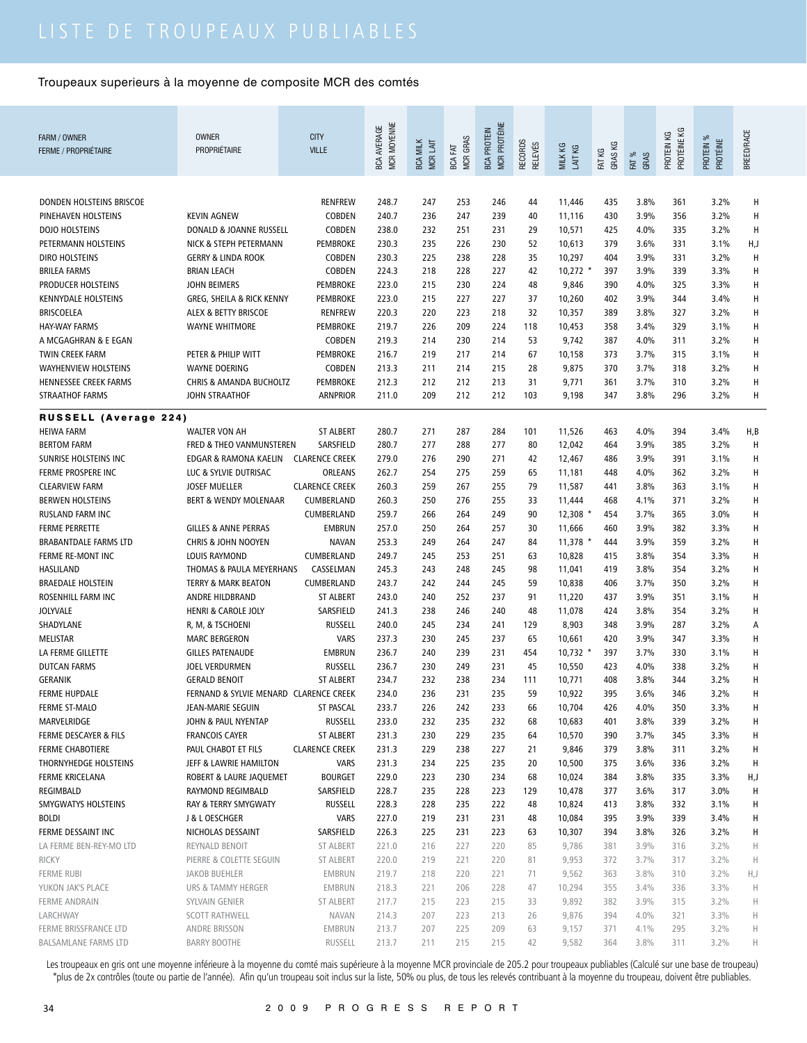|                              |                                        |                       | MCR MOYENNE        |                             |                               | <b>MCR PROTÉINE</b> |                                  |                    |                   |               |                           |                              |            |
|------------------------------|----------------------------------------|-----------------------|--------------------|-----------------------------|-------------------------------|---------------------|----------------------------------|--------------------|-------------------|---------------|---------------------------|------------------------------|------------|
| FARM / OWNER                 | <b>OWNER</b>                           | <b>CITY</b>           |                    |                             |                               |                     |                                  |                    |                   |               |                           |                              |            |
| <b>FERME / PROPRIÉTAIRE</b>  | PROPRIÉTAIRE                           | <b>VILLE</b>          | <b>BCA AVERAGE</b> | <b>BCA MILK</b><br>MCR LAIT | <b>MCR GRAS</b><br>EXT<br>BCA | <b>BCA PROTEIN</b>  | <b>RECORDS</b><br><b>RELEVÉS</b> | MILK KG<br>LAIT KG | GRAS KG<br>FAT KG | FAT %<br>GRAS | PROTÉINE KG<br>PROTEIN KG | PROTEIN %<br><b>PROTÉINE</b> | BREED/RACE |
|                              |                                        |                       |                    |                             |                               |                     |                                  |                    |                   |               |                           |                              |            |
|                              |                                        |                       |                    |                             |                               |                     |                                  |                    |                   |               |                           |                              |            |
| DONDEN HOLSTEINS BRISCOE     |                                        | <b>RENFREW</b>        | 248.7              | 247                         | 253                           | 246                 | 44                               | 11,446             | 435               | 3.8%          | 361                       | 3.2%                         | Н          |
| PINEHAVEN HOLSTEINS          | <b>KEVIN AGNEW</b>                     | <b>COBDEN</b>         | 240.7              | 236                         | 247                           | 239                 | 40                               | 11,116             | 430               | 3.9%          | 356                       | 3.2%                         | Н          |
| DOJO HOLSTEINS               | DONALD & JOANNE RUSSELL                | <b>COBDEN</b>         | 238.0              | 232                         | 251                           | 231                 | 29                               | 10,571             | 425               | 4.0%          | 335                       | 3.2%                         | Н          |
| PETERMANN HOLSTEINS          | NICK & STEPH PETERMANN                 | PEMBROKE              | 230.3              | 235                         | 226                           | 230                 | 52                               | 10,613             | 379               | 3.6%          | 331                       | 3.1%                         | H,J        |
| <b>DIRO HOLSTEINS</b>        | <b>GERRY &amp; LINDA ROOK</b>          | <b>COBDEN</b>         | 230.3              | 225                         | 238                           | 228                 | 35                               | 10,297             | 404               | 3.9%          | 331                       | 3.2%                         | Н          |
| <b>BRILEA FARMS</b>          | <b>BRIAN LEACH</b>                     | COBDEN                | 224.3              | 218                         | 228                           | 227                 | 42                               | $10,272$ *         | 397               | 3.9%          | 339                       | 3.3%                         | Н          |
| PRODUCER HOLSTEINS           | <b>JOHN BEIMERS</b>                    | <b>PEMBROKE</b>       | 223.0              | 215                         | 230                           | 224                 | 48                               | 9,846              | 390               | 4.0%          | 325                       | 3.3%                         | Н          |
| KENNYDALE HOLSTEINS          | GREG, SHEILA & RICK KENNY              | PEMBROKE              | 223.0              | 215                         | 227                           | 227                 | 37                               | 10,260             | 402               | 3.9%          | 344                       | 3.4%                         | Н          |
| <b>BRISCOELEA</b>            | ALEX & BETTY BRISCOE                   | <b>RENFREW</b>        | 220.3              | 220                         | 223                           | 218                 | 32                               | 10,357             | 389               | 3.8%          | 327                       | 3.2%                         | Н          |
| <b>HAY-WAY FARMS</b>         | WAYNE WHITMORE                         | PEMBROKE              | 219.7              | 226                         | 209                           | 224                 | 118                              | 10,453             | 358               | 3.4%          | 329                       | 3.1%                         | Н          |
| A MCGAGHRAN & E EGAN         |                                        | <b>COBDEN</b>         | 219.3              | 214                         | 230                           | 214                 | 53                               | 9,742              | 387               | 4.0%          | 311                       | 3.2%                         | н          |
| <b>TWIN CREEK FARM</b>       | PETER & PHILIP WITT                    | PEMBROKE              | 216.7              | 219                         | 217                           | 214                 | 67                               | 10,158             | 373               | 3.7%          | 315                       | 3.1%                         | H          |
| <b>WAYHENVIEW HOLSTEINS</b>  | <b>WAYNE DOERING</b>                   | <b>COBDEN</b>         | 213.3              | 211                         | 214                           | 215                 | 28                               | 9,875              | 370               | 3.7%          | 318                       | 3.2%                         | Н          |
| <b>HENNESSEE CREEK FARMS</b> | <b>CHRIS &amp; AMANDA BUCHOLTZ</b>     | PEMBROKE              | 212.3              | 212                         | 212                           | 213                 | 31                               | 9,771              | 361               | 3.7%          | 310                       | 3.2%                         | H          |
| <b>STRAATHOF FARMS</b>       | JOHN STRAATHOF                         | <b>ARNPRIOR</b>       | 211.0              | 209                         | 212                           | 212                 | 103                              | 9,198              | 347               | 3.8%          | 296                       | 3.2%                         | н          |
| <b>RUSSELL (Average 224)</b> |                                        |                       |                    |                             |                               |                     |                                  |                    |                   |               |                           |                              |            |
| <b>HEIWA FARM</b>            | <b>WALTER VON AH</b>                   | <b>ST ALBERT</b>      | 280.7              | 271                         | 287                           | 284                 | 101                              | 11,526             | 463               | 4.0%          | 394                       | 3.4%                         | H,B        |
| <b>BERTOM FARM</b>           | FRED & THEO VANMUNSTEREN               | SARSFIELD             | 280.7              | 277                         | 288                           | 277                 | 80                               | 12,042             | 464               | 3.9%          | 385                       | 3.2%                         | H          |
| SUNRISE HOLSTEINS INC        | EDGAR & RAMONA KAELIN                  | <b>CLARENCE CREEK</b> | 279.0              | 276                         | 290                           | 271                 | 42                               | 12,467             | 486               | 3.9%          | 391                       | 3.1%                         | Н          |
| FERME PROSPERE INC           | LUC & SYLVIE DUTRISAC                  | ORLEANS               | 262.7              | 254                         | 275                           | 259                 | 65                               | 11,181             | 448               | 4.0%          | 362                       | 3.2%                         | H          |
| <b>CLEARVIEW FARM</b>        | <b>JOSEF MUELLER</b>                   | <b>CLARENCE CREEK</b> | 260.3              | 259                         | 267                           | 255                 | 79                               | 11,587             | 441               | 3.8%          | 363                       | 3.1%                         | Н          |
| <b>BERWEN HOLSTEINS</b>      | BERT & WENDY MOLENAAR                  | CUMBERLAND            | 260.3              | 250                         | 276                           | 255                 | 33                               | 11,444             | 468               | 4.1%          | 371                       | 3.2%                         | H          |
| RUSLAND FARM INC             |                                        | CUMBERLAND            | 259.7              | 266                         | 264                           | 249                 | 90                               | 12,308             | 454               | 3.7%          | 365                       | 3.0%                         | H          |
| <b>FERME PERRETTE</b>        | <b>GILLES &amp; ANNE PERRAS</b>        | <b>EMBRUN</b>         | 257.0              | 250                         | 264                           | 257                 | 30                               | 11,666             | 460               | 3.9%          | 382                       | 3.3%                         | H          |
| <b>BRABANTDALE FARMS LTD</b> | <b>CHRIS &amp; JOHN NOOYEN</b>         | <b>NAVAN</b>          | 253.3              | 249                         | 264                           | 247                 | 84                               | $11,378$ *         | 444               | 3.9%          | 359                       | 3.2%                         | Н          |
| FERME RE-MONT INC            | LOUIS RAYMOND                          | CUMBERLAND            | 249.7              | 245                         | 253                           | 251                 | 63                               | 10,828             | 415               | 3.8%          | 354                       | 3.3%                         | H          |
| HASLILAND                    | THOMAS & PAULA MEYERHANS               | CASSELMAN             | 245.3              | 243                         | 248                           | 245                 | 98                               | 11,041             | 419               | 3.8%          | 354                       | 3.2%                         | H          |
| <b>BRAEDALE HOLSTEIN</b>     | <b>TERRY &amp; MARK BEATON</b>         | CUMBERLAND            | 243.7              | 242                         | 244                           | 245                 | 59                               | 10,838             | 406               | 3.7%          | 350                       | 3.2%                         | H          |
| ROSENHILL FARM INC           | ANDRE HILDBRAND                        | <b>ST ALBERT</b>      | 243.0              | 240                         | 252                           | 237                 | 91                               | 11,220             | 437               | 3.9%          | 351                       | 3.1%                         | H          |
| <b>JOLYVALE</b>              | <b>HENRI &amp; CAROLE JOLY</b>         | SARSFIELD             | 241.3              | 238                         | 246                           | 240                 | 48                               | 11,078             | 424               | 3.8%          | 354                       | 3.2%                         | H          |
| SHADYLANE                    | R, M, & TSCHOENI                       | <b>RUSSELL</b>        | 240.0              | 245                         | 234                           | 241                 | 129                              | 8,903              | 348               | 3.9%          | 287                       | 3.2%                         | Α          |
| <b>MELISTAR</b>              | <b>MARC BERGERON</b>                   | <b>VARS</b>           | 237.3              | 230                         | 245                           | 237                 | 65                               | 10,661             | 420               | 3.9%          | 347                       | 3.3%                         | H          |
| LA FERME GILLETTE            | <b>GILLES PATENAUDE</b>                | <b>EMBRUN</b>         | 236.7              | 240                         | 239                           | 231                 | 454                              | $10,732$ *         | 397               | 3.7%          | 330                       | 3.1%                         | Н          |
| <b>DUTCAN FARMS</b>          | JOEL VERDURMEN                         | <b>RUSSELL</b>        | 236.7              | 230                         | 249                           | 231                 | 45                               | 10,550             | 423               | 4.0%          | 338                       | 3.2%                         | н          |
| <b>GERANIK</b>               | <b>GERALD BENOIT</b>                   | <b>ST ALBERT</b>      | 234.7              | 232                         | 238                           | 234                 | 111                              | 10,771             | 408               | 3.8%          | 344                       | 3.2%                         | Н          |
| <b>FERME HUPDALE</b>         | FERNAND & SYLVIE MENARD CLARENCE CREEK |                       | 234.0              | 236                         | 231                           | 235                 | 59                               | 10,922             | 395               | 3.6%          | 346                       | 3.2%                         |            |
| FERME ST-MALO                | JEAN-MARIE SEGUIN                      | ST PASCAL             | 233.7              | 226                         | 242                           | 233                 | 66                               | 10,704             | 426               | 4.0%          | 350                       | 3.3%                         | н          |
| MARVELRIDGE                  | JOHN & PAUL NYENTAP                    | <b>RUSSELL</b>        | 233.0              | 232                         | 235                           | 232                 | 68                               | 10,683             | 401               | 3.8%          | 339                       | 3.2%                         | н          |
| FERME DESCAYER & FILS        | <b>FRANCOIS CAYER</b>                  | <b>ST ALBERT</b>      | 231.3              | 230                         | 229                           | 235                 | 64                               | 10,570             | 390               | 3.7%          | 345                       | 3.3%                         | н          |
| <b>FERME CHABOTIERE</b>      | PAUL CHABOT ET FILS                    | <b>CLARENCE CREEK</b> | 231.3              | 229                         | 238                           | 227                 | 21                               | 9,846              | 379               | 3.8%          | 311                       | 3.2%                         | Н          |
| THORNYHEDGE HOLSTEINS        | JEFF & LAWRIE HAMILTON                 | <b>VARS</b>           | 231.3              | 234                         | 225                           | 235                 | 20                               | 10,500             | 375               | 3.6%          | 336                       | 3.2%                         | Н          |
| <b>FERME KRICELANA</b>       | ROBERT & LAURE JAQUEMET                | <b>BOURGET</b>        | 229.0              | 223                         | 230                           | 234                 | 68                               | 10,024             | 384               | 3.8%          | 335                       | 3.3%                         | H,J        |
| REGIMBALD                    | RAYMOND REGIMBALD                      | SARSFIELD             | 228.7              | 235                         | 228                           | 223                 | 129                              | 10,478             | 377               | 3.6%          | 317                       | 3.0%                         | Н          |
| SMYGWATYS HOLSTEINS          | RAY & TERRY SMYGWATY                   | <b>RUSSELL</b>        | 228.3              | 228                         | 235                           | 222                 | 48                               | 10,824             | 413               | 3.8%          | 332                       | 3.1%                         | н          |
| <b>BOLDI</b>                 | J & L OESCHGER                         | <b>VARS</b>           | 227.0              | 219                         | 231                           | 231                 | 48                               | 10,084             | 395               | 3.9%          | 339                       | 3.4%                         | н          |
| FERME DESSAINT INC           | NICHOLAS DESSAINT                      | SARSFIELD             | 226.3              | 225                         | 231                           | 223                 | 63                               | 10,307             | 394               | 3.8%          | 326                       | 3.2%                         | н          |
| LA FERME BEN-REY-MO LTD      | REYNALD BENOIT                         | <b>ST ALBERT</b>      | 221.0              | 216                         | 227                           | 220                 | 85                               | 9,786              | 381               | 3.9%          | 316                       | 3.2%                         | H          |
| <b>RICKY</b>                 | PIERRE & COLETTE SEGUIN                | <b>ST ALBERT</b>      | 220.0              | 219                         | 221                           | 220                 | 81                               | 9,953              | 372               | 3.7%          | 317                       | 3.2%                         | H          |
| FERME RUBI                   | JAKOB BUEHLER                          | EMBRUN                | 219.7              | 218                         | 220                           | 221                 | 71                               | 9,562              | 363               | 3.8%          | 310                       | 3.2%                         | H,J        |
| YUKON JAK'S PLACE            | URS & TAMMY HERGER                     | EMBRUN                | 218.3              | 221                         | 206                           | 228                 | 47                               | 10,294             | 355               | 3.4%          | 336                       | 3.3%                         | H          |
| <b>FERME ANDRAIN</b>         | SYLVAIN GENIER                         | ST ALBERT             | 217.7              | 215                         | 223                           | 215                 | 33                               | 9,892              | 382               | 3.9%          | 315                       | 3.2%                         | H          |
| LARCHWAY                     | <b>SCOTT RATHWELL</b>                  | <b>NAVAN</b>          | 214.3              | 207                         | 223                           | 213                 | 26                               | 9,876              | 394               | 4.0%          | 321                       | 3.3%                         | H          |
| FERME BRISSFRANCE LTD        | ANDRE BRISSON                          | EMBRUN                | 213.7              | 207                         | 225                           | 209                 | 63                               | 9,157              | 371               | 4.1%          | 295                       | 3.2%                         | H          |
| <b>BALSAMLANE FARMS LTD</b>  | <b>BARRY BOOTHE</b>                    | RUSSELL               | 213.7              | 211                         | 215                           | 215                 | 42                               | 9,582              | 364               | 3.8%          | 311                       | 3.2%                         | H.         |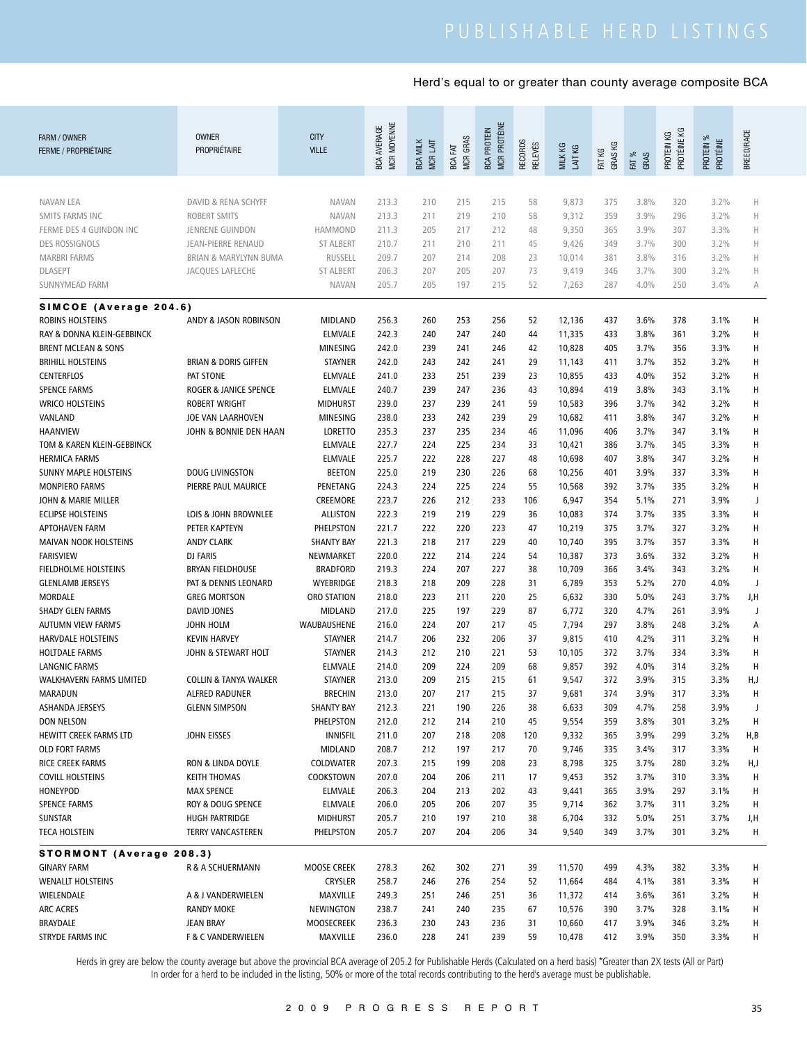| FARM / OWNER<br><b>FERME / PROPRIÉTAIRE</b>    | <b>OWNER</b><br>PROPRIÉTAIRE             | <b>CITY</b><br><b>VILLE</b>      | MCR MOYENNE<br><b>BCA AVERAGE</b> | <b>BCA MILK</b><br>MCR LAIT | MCR GRAS<br>BCA FAT | <b>MCR PROTÉINE</b><br><b>BCA PROTEIN</b> | RECORDS<br><b>RELEVÉS</b> | MILK KG<br>LAIT KG | GRAS KG<br>FAT KG | FAT %<br>GRAS | PROTÉINE KG<br>PROTEIN KG | PROTEIN %<br>PROTÉINE | <b>BREED/RACE</b> |
|------------------------------------------------|------------------------------------------|----------------------------------|-----------------------------------|-----------------------------|---------------------|-------------------------------------------|---------------------------|--------------------|-------------------|---------------|---------------------------|-----------------------|-------------------|
|                                                |                                          |                                  |                                   |                             |                     |                                           |                           |                    |                   |               |                           |                       |                   |
| <b>NAVAN LEA</b>                               | DAVID & RENA SCHYFF                      | <b>NAVAN</b>                     | 213.3                             | 210                         | 215                 | 215                                       | 58                        | 9,873              | 375               | 3.8%          | 320                       | 3.2%                  | Н                 |
| SMITS FARMS INC                                | <b>ROBERT SMITS</b>                      | <b>NAVAN</b>                     | 213.3                             | 211                         | 219                 | 210                                       | 58                        | 9,312              | 359               | 3.9%          | 296                       | 3.2%                  | $\mathbb H$       |
| FERME DES 4 GUINDON INC                        | JENRENE GUINDON                          | <b>HAMMOND</b>                   | 211.3                             | 205                         | 217                 | 212                                       | 48                        | 9,350              | 365               | 3.9%          | 307                       | 3.3%                  | Н                 |
| <b>DES ROSSIGNOLS</b>                          | <b>JEAN-PIERRE RENAUD</b>                | <b>ST ALBERT</b>                 | 210.7                             | 211                         | 210                 | 211                                       | 45                        | 9,426              | 349               | 3.7%          | 300                       | 3.2%                  | Н                 |
| <b>MARBRI FARMS</b>                            | BRIAN & MARYLYNN BUMA                    | <b>RUSSELL</b>                   | 209.7                             | 207                         | 214                 | 208                                       | 23                        | 10,014             | 381               | 3.8%          | 316                       | 3.2%                  | Н                 |
| <b>DLASEPT</b><br>SUNNYMEAD FARM               | JACQUES LAFLECHE                         | <b>ST ALBERT</b><br><b>NAVAN</b> | 206.3<br>205.7                    | 207<br>205                  | 205<br>197          | 207<br>215                                | 73<br>52                  | 9,419<br>7,263     | 346<br>287        | 3.7%<br>4.0%  | 300<br>250                | 3.2%<br>3.4%          | Н<br>А            |
| SIMCOE (Average 204.6)                         |                                          |                                  |                                   |                             |                     |                                           |                           |                    |                   |               |                           |                       |                   |
| ROBINS HOLSTEINS                               | ANDY & JASON ROBINSON                    | MIDLAND                          | 256.3                             | 260                         | 253                 | 256                                       | 52                        | 12,136             | 437               | 3.6%          | 378                       | 3.1%                  | Н                 |
| RAY & DONNA KLEIN-GEBBINCK                     |                                          | <b>ELMVALE</b>                   | 242.3                             | 240                         | 247                 | 240                                       | 44                        | 11,335             | 433               | 3.8%          | 361                       | 3.2%                  | H                 |
| <b>BRENT MCLEAN &amp; SONS</b>                 |                                          | MINESING                         | 242.0                             | 239                         | 241                 | 246                                       | 42                        | 10,828             | 405               | 3.7%          | 356                       | 3.3%                  | H                 |
| <b>BRIHILL HOLSTEINS</b>                       | <b>BRIAN &amp; DORIS GIFFEN</b>          | <b>STAYNER</b>                   | 242.0                             | 243                         | 242                 | 241                                       | 29                        | 11,143             | 411               | 3.7%          | 352                       | 3.2%                  | H                 |
| <b>CENTERFLOS</b>                              | PAT STONE                                | <b>ELMVALE</b>                   | 241.0                             | 233                         | 251                 | 239                                       | 23                        | 10,855             | 433               | 4.0%          | 352                       | 3.2%                  | Н                 |
| <b>SPENCE FARMS</b>                            | <b>ROGER &amp; JANICE SPENCE</b>         | <b>ELMVALE</b>                   | 240.7                             | 239                         | 247                 | 236                                       | 43                        | 10,894             | 419               | 3.8%          | 343                       | 3.1%                  | H                 |
| <b>WRICO HOLSTEINS</b>                         | <b>ROBERT WRIGHT</b>                     | <b>MIDHURST</b>                  | 239.0                             | 237                         | 239                 | 241                                       | 59                        | 10,583             | 396               | 3.7%          | 342                       | 3.2%                  | H                 |
| VANLAND                                        | JOE VAN LAARHOVEN                        | MINESING                         | 238.0                             | 233                         | 242                 | 239                                       | 29                        | 10,682             | 411               | 3.8%          | 347                       | 3.2%                  | н                 |
| <b>HAANVIEW</b>                                | JOHN & BONNIE DEN HAAN                   | <b>LORETTO</b>                   | 235.3                             | 237                         | 235                 | 234                                       | 46                        | 11,096             | 406               | 3.7%          | 347                       | 3.1%                  | н                 |
| TOM & KAREN KLEIN-GEBBINCK                     |                                          | ELMVALE                          | 227.7                             | 224                         | 225                 | 234                                       | 33                        | 10,421             | 386               | 3.7%          | 345                       | 3.3%                  | H                 |
| <b>HERMICA FARMS</b>                           |                                          | ELMVALE                          | 225.7                             | 222                         | 228                 | 227                                       | 48                        | 10,698             | 407               | 3.8%          | 347                       | 3.2%                  | Н                 |
| <b>SUNNY MAPLE HOLSTEINS</b>                   | <b>DOUG LIVINGSTON</b>                   | <b>BEETON</b>                    | 225.0                             | 219                         | 230                 | 226                                       | 68                        | 10,256             | 401               | 3.9%          | 337                       | 3.3%                  | н                 |
| <b>MONPIERO FARMS</b>                          | PIERRE PAUL MAURICE                      | PENETANG                         | 224.3                             | 224                         | 225                 | 224                                       | 55                        | 10,568             | 392               | 3.7%          | 335                       | 3.2%                  | H                 |
| JOHN & MARIE MILLER                            |                                          | CREEMORE                         | 223.7                             | 226                         | 212                 | 233                                       | 106                       | 6,947              | 354               | 5.1%          | 271                       | 3.9%                  | J                 |
| <b>ECLIPSE HOLSTEINS</b>                       | LOIS & JOHN BROWNLEE                     | <b>ALLISTON</b>                  | 222.3                             | 219                         | 219                 | 229                                       | 36                        | 10,083             | 374               | 3.7%          | 335                       | 3.3%                  | н                 |
| <b>APTOHAVEN FARM</b>                          | PETER KAPTEYN                            | PHELPSTON                        | 221.7                             | 222                         | 220                 | 223                                       | 47                        | 10,219             | 375               | 3.7%          | 327                       | 3.2%                  | н                 |
| MAIVAN NOOK HOLSTEINS                          | <b>ANDY CLARK</b>                        | <b>SHANTY BAY</b>                | 221.3                             | 218                         | 217                 | 229                                       | 40                        | 10,740             | 395               | 3.7%          | 357                       | 3.3%                  | н                 |
| <b>FARISVIEW</b>                               | <b>DJ FARIS</b>                          | NEWMARKET                        | 220.0                             | 222                         | 214                 | 224                                       | 54                        | 10,387             | 373               | 3.6%          | 332                       | 3.2%                  | Н                 |
| FIELDHOLME HOLSTEINS                           | <b>BRYAN FIELDHOUSE</b>                  | <b>BRADFORD</b>                  | 219.3                             | 224                         | 207                 | 227                                       | 38                        | 10,709             | 366               | 3.4%          | 343                       | 3.2%                  | Н                 |
| <b>GLENLAMB JERSEYS</b>                        | PAT & DENNIS LEONARD                     | WYEBRIDGE                        | 218.3                             | 218                         | 209                 | 228                                       | 31                        | 6,789              | 353               | 5.2%          | 270                       | 4.0%                  | J                 |
| <b>MORDALE</b>                                 | <b>GREG MORTSON</b>                      | ORO STATION                      | 218.0                             | 223                         | 211                 | 220                                       | 25                        | 6,632              | 330               | 5.0%          | 243                       | 3.7%                  | J,H               |
| <b>SHADY GLEN FARMS</b>                        | DAVID JONES                              | MIDLAND                          | 217.0                             | 225                         | 197                 | 229                                       | 87                        | 6,772              | 320               | 4.7%          | 261                       | 3.9%                  | J                 |
| <b>AUTUMN VIEW FARM'S</b>                      | JOHN HOLM                                | WAUBAUSHENE                      | 216.0                             | 224                         | 207                 | 217                                       | 45                        | 7,794              | 297               | 3.8%          | 248                       | 3.2%                  | Α                 |
| <b>HARVDALE HOLSTEINS</b>                      | <b>KEVIN HARVEY</b>                      | <b>STAYNER</b>                   | 214.7                             | 206                         | 232                 | 206                                       | 37                        | 9,815              | 410               | 4.2%          | 311                       | 3.2%                  | Н                 |
| <b>HOLTDALE FARMS</b>                          | JOHN & STEWART HOLT                      | <b>STAYNER</b>                   | 214.3                             | 212                         | 210                 | 221                                       | 53                        | 10,105             | 372               | 3.7%          | 334                       | 3.3%                  | н                 |
| <b>LANGNIC FARMS</b>                           |                                          | <b>ELMVALE</b>                   | 214.0                             | 209                         | 224                 | 209                                       | 68                        | 9,857              | 392               | 4.0%          | 314                       | 3.2%                  | H                 |
| WALKHAVERN FARMS LIMITED                       | <b>COLLIN &amp; TANYA WALKER</b>         | STAYNER                          | 213.0                             | 209                         | 215                 | 215                                       | 61                        | 9,547              | 372               | 3.9%          | 315                       | 3.3%                  | H,J               |
| MARADUN                                        | <b>ALFRED RADUNER</b>                    | BRECHIN                          | 213.0                             | 207                         | 217                 | 215                                       | 37                        | 9,681              | 374               | 3.9%          | 317                       | 3.3%                  | Н                 |
| ASHANDA JERSEYS                                | <b>GLENN SIMPSON</b>                     | <b>SHANTY BAY</b>                | 212.3                             | 221                         | 190                 | 226                                       | 38                        | 6,633              | 309               | 4.7%          | 258                       | 3.9%                  | J                 |
| <b>DON NELSON</b>                              |                                          | PHELPSTON                        | 212.0                             | 212                         | 214                 | 210                                       | 45                        | 9,554              | 359               | 3.8%          | 301                       | 3.2%                  | H                 |
| HEWITT CREEK FARMS LTD                         | JOHN EISSES                              | <b>INNISFIL</b>                  | 211.0                             | 207                         | 218                 | 208                                       | 120                       | 9,332              | 365               | 3.9%          | 299                       | 3.2%                  | H,B               |
| <b>OLD FORT FARMS</b>                          |                                          | MIDLAND                          | 208.7                             | 212                         | 197                 | 217                                       | 70                        | 9,746              | 335               | 3.4%          | 317                       | 3.3%                  | H                 |
| RICE CREEK FARMS                               | RON & LINDA DOYLE                        | COLDWATER                        | 207.3                             | 215                         | 199                 | 208                                       | 23                        | 8,798              | 325               | 3.7%          | 280                       | 3.2%                  | H,J               |
| <b>COVILL HOLSTEINS</b><br>HONEYPOD            | <b>KEITH THOMAS</b><br><b>MAX SPENCE</b> | COOKSTOWN<br>ELMVALE             | 207.0<br>206.3                    | 204<br>204                  | 206<br>213          | 211<br>202                                | 17                        | 9,453<br>9,441     | 352<br>365        | 3.7%<br>3.9%  | 310<br>297                | 3.3%<br>3.1%          | H                 |
| <b>SPENCE FARMS</b>                            | ROY & DOUG SPENCE                        | <b>ELMVALE</b>                   | 206.0                             | 205                         | 206                 | 207                                       | 43                        | 9,714              | 362               | 3.7%          | 311                       | 3.2%                  | H<br>H            |
| SUNSTAR                                        | HUGH PARTRIDGE                           | MIDHURST                         | 205.7                             | 210                         | 197                 | 210                                       | 35<br>38                  | 6,704              | 332               | 5.0%          | 251                       | 3.7%                  |                   |
| <b>TECA HOLSTEIN</b>                           | <b>TERRY VANCASTEREN</b>                 | PHELPSTON                        | 205.7                             | 207                         | 204                 | 206                                       | 34                        | 9,540              | 349               | 3.7%          | 301                       | 3.2%                  | J,H<br>Н          |
|                                                |                                          |                                  |                                   |                             |                     |                                           |                           |                    |                   |               |                           |                       |                   |
| STORMONT (Average 208.3)<br><b>GINARY FARM</b> | R & A SCHUERMANN                         | MOOSE CREEK                      | 278.3                             | 262                         | 302                 | 271                                       | 39                        | 11,570             | 499               | 4.3%          | 382                       | 3.3%                  | Н                 |
| <b>WENALLT HOLSTEINS</b>                       |                                          | <b>CRYSLER</b>                   | 258.7                             | 246                         | 276                 | 254                                       | 52                        | 11,664             | 484               | 4.1%          | 381                       | 3.3%                  | Н                 |
| WIELENDALE                                     | A & J VANDERWIELEN                       | MAXVILLE                         | 249.3                             | 251                         | 246                 | 251                                       | 36                        | 11,372             | 414               | 3.6%          | 361                       | 3.2%                  | Н                 |
| <b>ARC ACRES</b>                               | <b>RANDY MOKE</b>                        | NEWINGTON                        | 238.7                             | 241                         | 240                 | 235                                       | 67                        | 10,576             | 390               | 3.7%          | 328                       | 3.1%                  | H                 |
| BRAYDALE                                       | JEAN BRAY                                | MOOSECREEK                       | 236.3                             | 230                         | 243                 | 236                                       | 31                        | 10,660             | 417               | 3.9%          | 346                       | 3.2%                  | н                 |
| STRYDE FARMS INC                               | <b>F &amp; C VANDERWIELEN</b>            | MAXVILLE                         | 236.0                             | 228                         | 241                 | 239                                       | 59                        | 10,478             | 412               | 3.9%          | 350                       | 3.3%                  | н                 |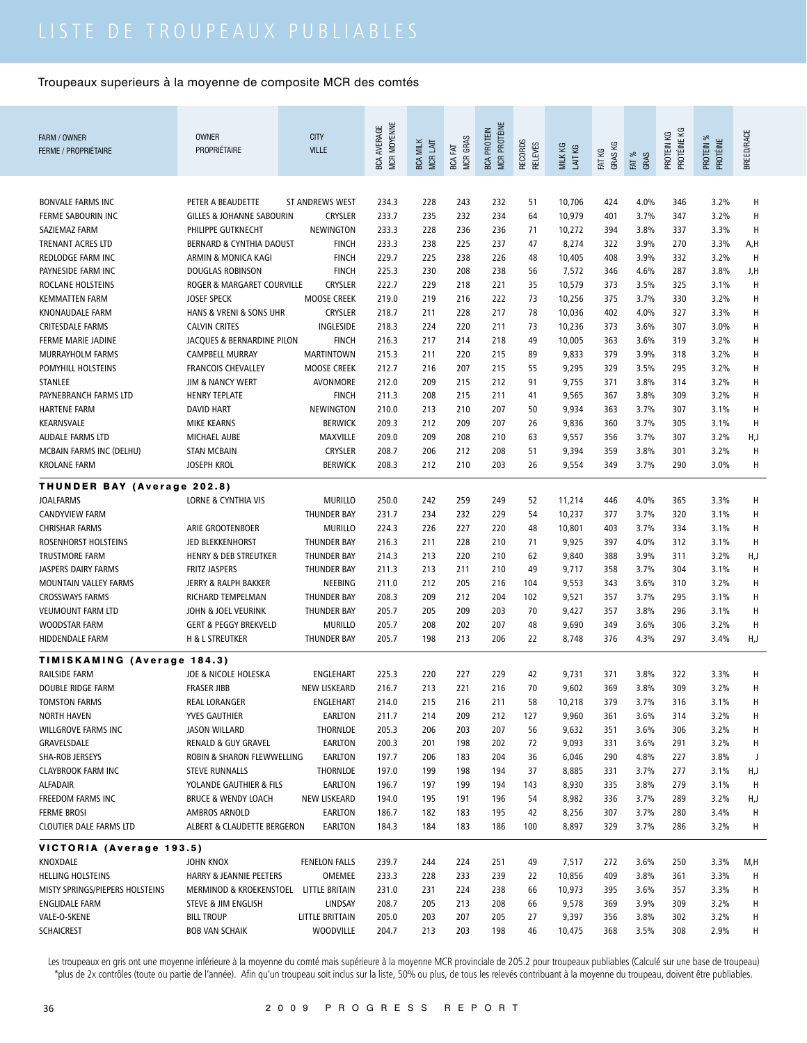| FARM / OWNER                                    | <b>OWNER</b>                                  | <b>CITY</b>                          |                                   |                             |                               |                                           |                                  |                    |                   |               |                           |                       |            |
|-------------------------------------------------|-----------------------------------------------|--------------------------------------|-----------------------------------|-----------------------------|-------------------------------|-------------------------------------------|----------------------------------|--------------------|-------------------|---------------|---------------------------|-----------------------|------------|
| <b>FERME / PROPRIÉTAIRE</b>                     | <b>PROPRIÉTAIRE</b>                           | <b>VILLE</b>                         | MCR MOYENNE<br><b>BCA AVERAGE</b> | <b>BCA MILK</b><br>MCR LAIT | <b>MCR GRAS</b><br>EXT<br>BCA | <b>MCR PROTÉINE</b><br><b>BCA PROTEIN</b> | <b>RECORDS</b><br><b>RELEVÉS</b> | MILK KG<br>LAIT KG | GRAS KG<br>FAT KG | FAT %<br>GRAS | PROTÉINE KG<br>PROTEIN KG | PROTEIN %<br>PROTÉINE | BREED/RACE |
|                                                 |                                               |                                      |                                   |                             |                               |                                           |                                  |                    |                   |               |                           |                       |            |
|                                                 |                                               |                                      |                                   |                             |                               |                                           |                                  |                    |                   |               |                           |                       |            |
| <b>BONVALE FARMS INC</b>                        | PETER A BEAUDETTE                             | <b>ST ANDREWS WEST</b>               | 234.3                             | 228                         | 243                           | 232                                       | 51                               | 10,706             | 424               | 4.0%          | 346                       | 3.2%                  | Н          |
| FERME SABOURIN INC                              | <b>GILLES &amp; JOHANNE SABOURIN</b>          | <b>CRYSLER</b>                       | 233.7                             | 235                         | 232                           | 234                                       | 64                               | 10,979             | 401               | 3.7%          | 347                       | $3.2\%$               | H          |
| SAZIEMAZ FARM                                   | PHILIPPE GUTKNECHT                            | NEWINGTON                            | 233.3                             | 228                         | 236                           | 236                                       | 71                               | 10,272             | 394               | 3.8%          | 337                       | 3.3%                  | H          |
| <b>TRENANT ACRES LTD</b>                        | <b>BERNARD &amp; CYNTHIA DAOUST</b>           | <b>FINCH</b>                         | 233.3                             | 238                         | 225                           | 237                                       | 47                               | 8,274              | 322               | 3.9%          | 270                       | 3.3%                  | A,H        |
| REDLODGE FARM INC                               | ARMIN & MONICA KAGI                           | <b>FINCH</b>                         | 229.7                             | 225                         | 238                           | 226                                       | 48                               | 10,405             | 408               | 3.9%          | 332                       | 3.2%                  | H          |
| PAYNESIDE FARM INC                              | <b>DOUGLAS ROBINSON</b>                       | <b>FINCH</b>                         | 225.3                             | 230                         | 208                           | 238                                       | 56                               | 7,572              | 346               | 4.6%          | 287                       | 3.8%                  | J,H        |
| ROCLANE HOLSTEINS                               | ROGER & MARGARET COURVILLE                    | <b>CRYSLER</b>                       | 222.7                             | 229                         | 218                           | 221                                       | 35                               | 10,579             | 373               | 3.5%          | 325                       | 3.1%                  | H          |
| <b>KEMMATTEN FARM</b>                           | <b>JOSEF SPECK</b><br>HANS & VRENI & SONS UHR | <b>MOOSE CREEK</b><br><b>CRYSLER</b> | 219.0<br>218.7                    | 219<br>211                  | 216<br>228                    | 222<br>217                                | 73<br>78                         | 10,256             | 375<br>402        | 3.7%<br>4.0%  | 330<br>327                | $3.2\%$<br>3.3%       | H<br>н     |
| KNONAUDALE FARM<br><b>CRITESDALE FARMS</b>      | <b>CALVIN CRITES</b>                          | INGLESIDE                            | 218.3                             | 224                         | 220                           | 211                                       | 73                               | 10,036<br>10,236   | 373               | 3.6%          | 307                       | 3.0%                  | н          |
| FERME MARIE JADINE                              | JACQUES & BERNARDINE PILON                    | <b>FINCH</b>                         | 216.3                             | 217                         | 214                           | 218                                       | 49                               | 10,005             | 363               | 3.6%          | 319                       | 3.2%                  | н          |
| MURRAYHOLM FARMS                                | <b>CAMPBELL MURRAY</b>                        | <b>MARTINTOWN</b>                    | 215.3                             | 211                         | 220                           | 215                                       | 89                               | 9,833              | 379               | 3.9%          | 318                       | 3.2%                  | H          |
| <b>POMYHILL HOLSTEINS</b>                       | <b>FRANCOIS CHEVALLEY</b>                     | <b>MOOSE CREEK</b>                   | 212.7                             | 216                         | 207                           | 215                                       | 55                               | 9,295              | 329               | 3.5%          | 295                       | 3.2%                  | H          |
| STANLEE                                         | <b>JIM &amp; NANCY WERT</b>                   | AVONMORE                             | 212.0                             | 209                         | 215                           | 212                                       | 91                               | 9,755              | 371               | 3.8%          | 314                       | 3.2%                  | H          |
| PAYNEBRANCH FARMS LTD                           | <b>HENRY TEPLATE</b>                          | <b>FINCH</b>                         | 211.3                             | 208                         | 215                           | 211                                       | 41                               | 9,565              | 367               | 3.8%          | 309                       | 3.2%                  | H          |
| <b>HARTENE FARM</b>                             | <b>DAVID HART</b>                             | NEWINGTON                            | 210.0                             | 213                         | 210                           | 207                                       | 50                               | 9,934              | 363               | 3.7%          | 307                       | 3.1%                  | H          |
| KEARNSVALE                                      | <b>MIKE KEARNS</b>                            | <b>BERWICK</b>                       | 209.3                             | 212                         | 209                           | 207                                       | 26                               | 9,836              | 360               | 3.7%          | 305                       | 3.1%                  | H          |
| <b>AUDALE FARMS LTD</b>                         | <b>MICHAEL AUBE</b>                           | MAXVILLE                             | 209.0                             | 209                         | 208                           | 210                                       | 63                               | 9,557              | 356               | 3.7%          | 307                       | 3.2%                  | H,J        |
| MCBAIN FARMS INC (DELHU)                        | <b>STAN MCBAIN</b>                            | <b>CRYSLER</b>                       | 208.7                             | 206                         | 212                           | 208                                       | 51                               | 9,394              | 359               | 3.8%          | 301                       | 3.2%                  | H          |
| <b>KROLANE FARM</b>                             | JOSEPH KROL                                   | <b>BERWICK</b>                       | 208.3                             | 212                         | 210                           | 203                                       | 26                               | 9,554              | 349               | 3.7%          | 290                       | 3.0%                  | H          |
|                                                 |                                               |                                      |                                   |                             |                               |                                           |                                  |                    |                   |               |                           |                       |            |
| THUNDER BAY (Average 202.8)<br><b>JOALFARMS</b> | <b>LORNE &amp; CYNTHIA VIS</b>                | <b>MURILLO</b>                       | 250.0                             | 242                         | 259                           | 249                                       |                                  |                    |                   | 4.0%          | 365                       |                       | H          |
| <b>CANDYVIEW FARM</b>                           |                                               | THUNDER BAY                          | 231.7                             | 234                         | 232                           | 229                                       | 52<br>54                         | 11,214<br>10,237   | 446<br>377        | 3.7%          | 320                       | 3.3%<br>3.1%          | H          |
| <b>CHRISHAR FARMS</b>                           | ARIE GROOTENBOER                              | <b>MURILLO</b>                       | 224.3                             | 226                         | 227                           | 220                                       | 48                               | 10,801             | 403               | 3.7%          | 334                       | 3.1%                  | H          |
| ROSENHORST HOLSTEINS                            | JED BLEKKENHORST                              | <b>THUNDER BAY</b>                   | 216.3                             | 211                         | 228                           | 210                                       | 71                               | 9,925              | 397               | 4.0%          | 312                       | 3.1%                  | H          |
| <b>TRUSTMORE FARM</b>                           | <b>HENRY &amp; DEB STREUTKER</b>              | <b>THUNDER BAY</b>                   | 214.3                             | 213                         | 220                           | 210                                       | 62                               | 9,840              | 388               | 3.9%          | 311                       | 3.2%                  | H,J        |
| JASPERS DAIRY FARMS                             | <b>FRITZ JASPERS</b>                          | THUNDER BAY                          | 211.3                             | 213                         | 211                           | 210                                       | 49                               | 9,717              | 358               | 3.7%          | 304                       | 3.1%                  | H          |
| <b>MOUNTAIN VALLEY FARMS</b>                    | JERRY & RALPH BAKKER                          | NEEBING                              | 211.0                             | 212                         | 205                           | 216                                       | 104                              | 9,553              | 343               | 3.6%          | 310                       | 3.2%                  | H          |
| <b>CROSSWAYS FARMS</b>                          | RICHARD TEMPELMAN                             | <b>THUNDER BAY</b>                   | 208.3                             | 209                         | 212                           | 204                                       | 102                              | 9,521              | 357               | 3.7%          | 295                       | 3.1%                  | H          |
| <b>VEUMOUNT FARM LTD</b>                        | JOHN & JOEL VEURINK                           | <b>THUNDER BAY</b>                   | 205.7                             | 205                         | 209                           | 203                                       | 70                               | 9,427              | 357               | 3.8%          | 296                       | 3.1%                  | H          |
| WOODSTAR FARM                                   | <b>GERT &amp; PEGGY BREKVELD</b>              | <b>MURILLO</b>                       | 205.7                             | 208                         | 202                           | 207                                       | 48                               | 9,690              | 349               | 3.6%          | 306                       | 3.2%                  | Н          |
| HIDDENDALE FARM                                 | H & L STREUTKER                               | THUNDER BAY                          | 205.7                             | 198                         | 213                           | 206                                       | 22                               | 8,748              | 376               | 4.3%          | 297                       | 3.4%                  | H, J       |
| TIMISKAMING (Average 184.3)                     |                                               |                                      |                                   |                             |                               |                                           |                                  |                    |                   |               |                           |                       |            |
| RAILSIDE FARM                                   | JOE & NICOLE HOLESKA                          | ENGLEHART                            | 225.3                             | 220                         | 227                           | 229                                       | 42                               | 9,731              | 371               | 3.8%          | 322                       | 3.3%                  | Н          |
| DOUBLE RIDGE FARM                               | <b>FRASER JIBB</b>                            | <b>NEW LISKEARD</b>                  | 216.7                             | 213                         | 221                           | 216                                       | 70                               | 9,602              | 369               | 3.8%          | 309                       | 3.2%                  | Н          |
| <b>TOMSTON FARMS</b>                            | <b>REAL LORANGER</b>                          | ENGLEHART                            | 214.0                             | 215                         | 216                           | 211                                       | 58                               | 10,218             | 379               | 3.7%          | 316                       | 3.1%                  | Н          |
| <b>NORTH HAVEN</b>                              | YVES GAUTHIER                                 | EARLTON                              | 211.7                             | 214                         | 209                           | 212                                       | 127                              | 9,960              | 361               | 3.6%          | 314                       | 3.2%                  | Н          |
| WILLGROVE FARMS INC                             | <b>JASON WILLARD</b>                          | THORNLOE                             | 205.3                             | 206                         | 203                           | 207                                       | 56                               | 9,632              | 351               | 3.6%          | 306                       | 3.2%                  | Н          |
| GRAVELSDALE                                     | <b>RENALD &amp; GUY GRAVEL</b>                | EARLTON                              | 200.3                             | 201                         | 198                           | 202                                       | 72                               | 9,093              | 331               | 3.6%          | 291                       | 3.2%                  | Н          |
| SHA-ROB JERSEYS                                 | ROBIN & SHARON FLEWWELLING                    | <b>EARLTON</b>                       | 197.7                             | 206                         | 183                           | 204                                       | 36                               | 6,046              | 290               | 4.8%          | 227                       | 3.8%                  | $\,$ J     |
| <b>CLAYBROOK FARM INC</b>                       | <b>STEVE RUNNALLS</b>                         | THORNLOE                             | 197.0                             | 199                         | 198                           | 194                                       | 37                               | 8,885              | 331               | 3.7%          | 277                       | 3.1%                  | H,J        |
| <b>ALFADAIR</b>                                 | YOLANDE GAUTHIER & FILS                       | EARLTON                              | 196.7                             | 197                         | 199                           | 194                                       | 143                              | 8,930              | 335               | 3.8%          | 279                       | 3.1%                  | H          |
| FREEDOM FARMS INC                               | <b>BRUCE &amp; WENDY LOACH</b>                | <b>NEW LISKEARD</b>                  | 194.0                             | 195                         | 191                           | 196                                       | 54                               | 8,982              | 336               | 3.7%          | 289                       | 3.2%                  | H,J        |
| <b>FERME BROSI</b>                              | AMBROS ARNOLD                                 | <b>EARLTON</b>                       | 186.7                             | 182                         | 183                           | 195                                       | 42                               | 8,256              | 307               | 3.7%          | 280                       | 3.4%                  | Н          |
| <b>CLOUTIER DALE FARMS LTD</b>                  | ALBERT & CLAUDETTE BERGERON                   | EARLTON                              | 184.3                             | 184                         | 183                           | 186                                       | 100                              | 8,897              | 329               | 3.7%          | 286                       | 3.2%                  | H          |
| VICTORIA (Average 193.5)                        |                                               |                                      |                                   |                             |                               |                                           |                                  |                    |                   |               |                           |                       |            |
| KNOXDALE                                        | JOHN KNOX                                     | FENELON FALLS                        | 239.7                             | 244                         | 224                           | 251                                       | 49                               | 7,517              | 272               | 3.6%          | 250                       | 3.3%                  | M,H        |
| HELLING HOLSTEINS                               | HARRY & JEANNIE PEETERS                       | OMEMEE                               | 233.3                             | 228                         | 233                           | 239                                       | 22                               | 10,856             | 409               | 3.8%          | 361                       | 3.3%                  | н          |
| MISTY SPRINGS/PIEPERS HOLSTEINS                 | MERMINOD & KROEKENSTOEL LITTLE BRITAIN        |                                      | 231.0                             | 231                         | 224                           | 238                                       | 66                               | 10,973             | 395               | 3.6%          | 357                       | 3.3%                  | Н          |
| ENGLIDALE FARM                                  | STEVE & JIM ENGLISH                           | LINDSAY                              | 208.7                             | 205                         | 213                           | 208                                       | 66                               | 9,578              | 369               | 3.9%          | 309                       | 3.2%                  | н          |
| VALE-O-SKENE                                    | <b>BILL TROUP</b>                             | LITTLE BRITTAIN                      | 205.0                             | 203                         | 207                           | 205                                       | 27                               | 9,397              | 356               | 3.8%          | 302                       | 3.2%                  | H          |
| <b>SCHAICREST</b>                               | <b>BOB VAN SCHAIK</b>                         | WOODVILLE                            | 204.7                             | 213                         | 203                           | 198                                       | 46                               | 10,475             | 368               | 3.5%          | 308                       | 2.9%                  | н          |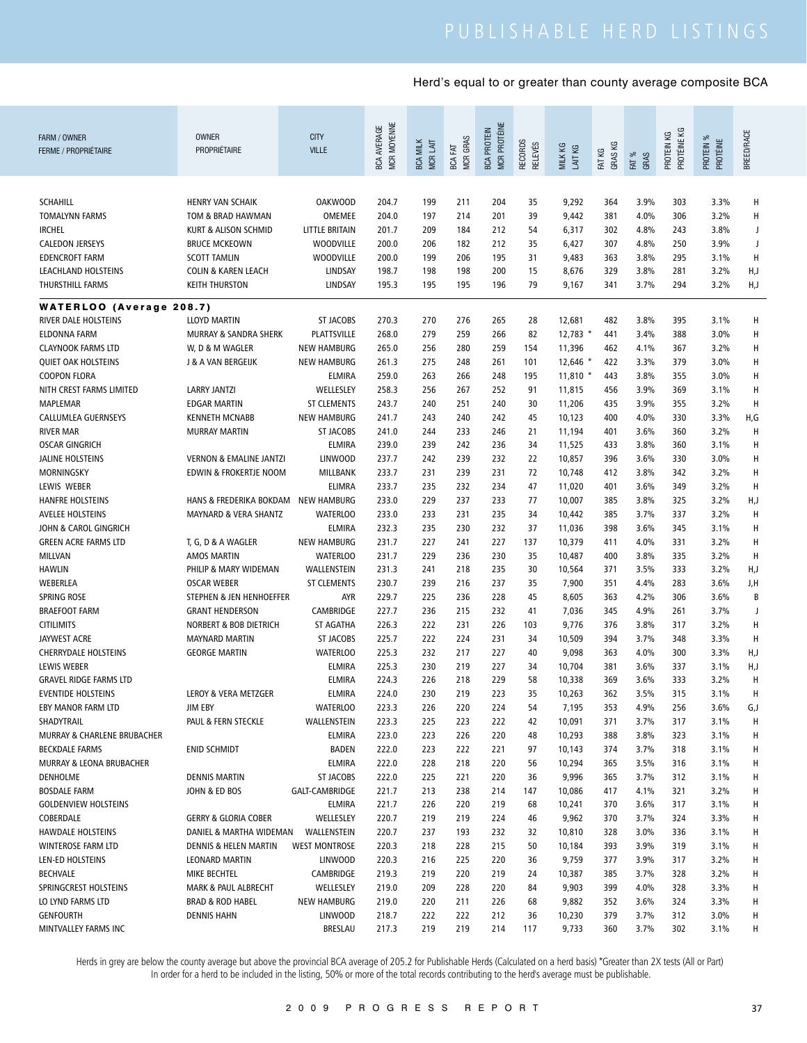| FARM / OWNER<br><b>FERME / PROPRIÉTAIRE</b> | <b>OWNER</b><br>PROPRIÉTAIRE       | <b>CITY</b><br><b>VILLE</b> | MCR MOYENNE<br><b>BCA AVERAGE</b> | <b>BCA MILK</b><br>MCR LAIT | <b>MCR GRAS</b><br>져<br>BCA | MCR PROTÉINE<br><b>BCA PROTEIN</b> | RECORDS<br>RELEVÉS | MILK KG<br>LAIT KG | FAT KG<br>GRAS KG | FAT %<br>GRAS | PROTÉINE KG<br>PROTEIN KG | PROTEIN %<br>PROTÉINE | BREED/RACE |
|---------------------------------------------|------------------------------------|-----------------------------|-----------------------------------|-----------------------------|-----------------------------|------------------------------------|--------------------|--------------------|-------------------|---------------|---------------------------|-----------------------|------------|
|                                             |                                    |                             |                                   |                             |                             |                                    |                    |                    |                   |               |                           |                       |            |
| <b>SCHAHILL</b>                             | <b>HENRY VAN SCHAIK</b>            | <b>OAKWOOD</b>              | 204.7                             | 199                         | 211                         | 204                                | 35                 | 9,292              | 364               | 3.9%          | 303                       | 3.3%                  | Н          |
| <b>TOMALYNN FARMS</b>                       | TOM & BRAD HAWMAN                  | OMEMEE                      | 204.0                             | 197                         | 214                         | 201                                | 39                 | 9,442              | 381               | 4.0%          | 306                       | 3.2%                  | Н          |
| <b>IRCHEL</b>                               | KURT & ALISON SCHMID               | LITTLE BRITAIN              | 201.7                             | 209                         | 184                         | 212                                | 54                 | 6,317              | 302               | 4.8%          | 243                       | 3.8%                  | J          |
| <b>CALEDON JERSEYS</b>                      | <b>BRUCE MCKEOWN</b>               | <b>WOODVILLE</b>            | 200.0                             | 206                         | 182                         | 212                                | 35                 | 6,427              | 307               | 4.8%          | 250                       | 3.9%                  | J          |
| <b>EDENCROFT FARM</b>                       | <b>SCOTT TAMLIN</b>                | <b>WOODVILLE</b>            | 200.0                             | 199                         | 206                         | 195                                | 31                 | 9,483              | 363               | 3.8%          | 295                       | 3.1%                  | Н          |
| LEACHLAND HOLSTEINS                         | <b>COLIN &amp; KAREN LEACH</b>     | LINDSAY                     | 198.7                             | 198                         | 198                         | 200                                | 15                 | 8,676              | 329               | 3.8%          | 281                       | 3.2%                  | H,J        |
| THURSTHILL FARMS                            | <b>KEITH THURSTON</b>              | LINDSAY                     | 195.3                             | 195                         | 195                         | 196                                | 79                 | 9,167              | 341               | 3.7%          | 294                       | 3.2%                  | H,J        |
| <b>WATERLOO (Average 208.7)</b>             |                                    |                             |                                   |                             |                             |                                    |                    |                    |                   |               |                           |                       |            |
| RIVER DALE HOLSTEINS                        | <b>LLOYD MARTIN</b>                | <b>ST JACOBS</b>            | 270.3                             | 270                         | 276                         | 265                                | 28                 | 12,681             | 482               | 3.8%          | 395                       | 3.1%                  | н          |
| <b>ELDONNA FARM</b>                         | MURRAY & SANDRA SHERK              | PLATTSVILLE                 | 268.0                             | 279                         | 259                         | 266                                | 82                 | $12,783$ *         | 441               | 3.4%          | 388                       | 3.0%                  | Н          |
| <b>CLAYNOOK FARMS LTD</b>                   | W, D & M WAGLER                    | <b>NEW HAMBURG</b>          | 265.0                             | 256                         | 280                         | 259                                | 154                | 11,396             | 462               | 4.1%          | 367                       | 3.2%                  | Н          |
| <b>OUIET OAK HOLSTEINS</b>                  | <b>J &amp; A VAN BERGEIJK</b>      | <b>NEW HAMBURG</b>          | 261.3                             | 275                         | 248                         | 261                                | 101                | 12,646 *           | 422               | 3.3%          | 379                       | 3.0%                  | Н          |
| <b>COOPON FLORA</b>                         |                                    | <b>ELMIRA</b>               | 259.0                             | 263                         | 266                         | 248                                | 195                | $11,810$ *         | 443               | 3.8%          | 355                       | 3.0%                  | Н          |
| NITH CREST FARMS LIMITED                    | <b>LARRY JANTZI</b>                | WELLESLEY                   | 258.3                             | 256                         | 267                         | 252                                | 91                 | 11,815             | 456               | 3.9%          | 369                       | 3.1%                  | Н          |
| <b>MAPLEMAR</b>                             | <b>EDGAR MARTIN</b>                | <b>ST CLEMENTS</b>          | 243.7                             | 240                         | 251                         | 240                                | 30                 | 11,206             | 435               | 3.9%          | 355                       | 3.2%                  | Н          |
| CALLUMLEA GUERNSEYS                         | <b>KENNETH MCNABB</b>              | <b>NEW HAMBURG</b>          | 241.7                             | 243                         | 240                         | 242                                | 45                 | 10,123             | 400               | 4.0%          | 330                       | 3.3%                  | H,G        |
| <b>RIVER MAR</b>                            | <b>MURRAY MARTIN</b>               | <b>ST JACOBS</b>            | 241.0                             | 244                         | 233                         | 246                                | 21                 | 11,194             | 401               | 3.6%          | 360                       | 3.2%                  | H          |
| <b>OSCAR GINGRICH</b>                       |                                    | <b>ELMIRA</b>               | 239.0                             | 239                         | 242                         | 236                                | 34                 | 11,525             | 433               | 3.8%          | 360                       | 3.1%                  | Н          |
| <b>JALINE HOLSTEINS</b>                     | <b>VERNON &amp; EMALINE JANTZI</b> | <b>LINWOOD</b>              | 237.7                             | 242                         | 239                         | 232                                | 22                 | 10,857             | 396               | 3.6%          | 330                       | 3.0%                  | Н          |
| MORNINGSKY                                  | <b>EDWIN &amp; FROKERTJE NOOM</b>  | MILLBANK                    | 233.7                             | 231                         | 239                         | 231                                | 72                 | 10,748             | 412               | 3.8%          | 342                       | 3.2%                  | Н          |
| LEWIS WEBER                                 |                                    | <b>ELIMRA</b>               | 233.7                             | 235                         | 232                         | 234                                | 47                 | 11,020             | 401               | 3.6%          | 349                       | 3.2%                  | H          |
| <b>HANFRE HOLSTEINS</b>                     | HANS & FREDERIKA BOKDAM            | <b>NEW HAMBURG</b>          | 233.0                             | 229                         | 237                         | 233                                | 77                 | 10,007             | 385               | 3.8%          | 325                       | 3.2%                  | H,J        |
| <b>AVELEE HOLSTEINS</b>                     | MAYNARD & VERA SHANTZ              | <b>WATERLOO</b>             | 233.0                             | 233                         | 231                         | 235                                | 34                 | 10,442             | 385               | 3.7%          | 337                       | 3.2%                  | H          |
| JOHN & CAROL GINGRICH                       |                                    | <b>ELMIRA</b>               | 232.3                             | 235                         | 230                         | 232                                | 37                 | 11,036             | 398               | 3.6%          | 345                       | 3.1%                  | Н          |
| <b>GREEN ACRE FARMS LTD</b>                 | T, G, D & A WAGLER                 | <b>NEW HAMBURG</b>          | 231.7                             | 227                         | 241                         | 227                                | 137                | 10,379             | 411               | 4.0%          | 331                       | 3.2%                  | H          |
| MILLVAN                                     | <b>AMOS MARTIN</b>                 | <b>WATERLOO</b>             | 231.7                             | 229                         | 236                         | 230                                | 35                 | 10,487             | 400               | 3.8%          | 335                       | 3.2%                  | H          |
| <b>HAWLIN</b>                               | PHILIP & MARY WIDEMAN              | WALLENSTEIN                 | 231.3                             | 241                         | 218                         | 235                                | 30                 | 10,564             | 371               | 3.5%          | 333                       | 3.2%                  | H,J        |
| WEBERLEA                                    | <b>OSCAR WEBER</b>                 | <b>ST CLEMENTS</b>          | 230.7                             | 239                         | 216                         | 237                                | 35                 | 7,900              | 351               | 4.4%          | 283                       | 3.6%                  | J,H        |
| <b>SPRING ROSE</b>                          | STEPHEN & JEN HENHOEFFER           | <b>AYR</b>                  | 229.7                             | 225                         | 236                         | 228                                | 45                 | 8,605              | 363               | 4.2%          | 306                       | 3.6%                  | B          |
| <b>BRAEFOOT FARM</b>                        | <b>GRANT HENDERSON</b>             | CAMBRIDGE                   | 227.7                             | 236                         | 215                         | 232                                | 41                 | 7,036              | 345               | 4.9%          | 261                       | 3.7%                  | J          |
| <b>CITILIMITS</b>                           | <b>NORBERT &amp; BOB DIETRICH</b>  | <b>ST AGATHA</b>            | 226.3                             | 222                         | 231                         | 226                                | 103                | 9,776              | 376               | 3.8%          | 317                       | 3.2%                  | H          |
| <b>JAYWEST ACRE</b>                         | <b>MAYNARD MARTIN</b>              | <b>ST JACOBS</b>            | 225.7                             | 222                         | 224                         | 231                                | 34                 | 10,509             | 394               | 3.7%          | 348                       | 3.3%                  | H          |
| <b>CHERRYDALE HOLSTEINS</b>                 | <b>GEORGE MARTIN</b>               | <b>WATERLOO</b>             | 225.3                             | 232                         | 217                         | 227                                | 40                 | 9,098              | 363               | 4.0%          | 300                       | 3.3%                  | H,J        |
| <b>LEWIS WEBER</b>                          |                                    | ELMIRA                      | 225.3                             | 230                         | 219                         | 227                                | 34                 | 10,704             | 381               | 3.6%          | 337                       | 3.1%                  | H,J        |
| <b>GRAVEL RIDGE FARMS LTD</b>               |                                    | <b>ELMIRA</b>               | 224.3                             | 226                         | 218                         | 229                                | 58                 | 10,338             | 369               | 3.6%          | 333                       | 3.2%                  | H          |
| <b>EVENTIDE HOLSTEINS</b>                   | LEROY & VERA METZGER               | <b>ELMIRA</b>               | 224.0                             | 230                         | 219                         | 223                                | 35                 | 10,263             | 362               | 3.5%          | 315                       | 3.1%                  | н          |
| EBY MANOR FARM LTD                          | JIM EBY                            | <b>WATERLOO</b>             | 223.3                             | 226                         | 220                         | 224                                | 54                 | 7,195              | 353               | 4.9%          | 256                       | 3.6%                  | G,J        |
| SHADYTRAIL                                  | PAUL & FERN STECKLE                | WALLENSTEIN                 | 223.3                             | 225                         | 223                         | 222                                | 42                 | 10,091             | 371               | 3.7%          | 317                       | 3.1%                  | Н          |
| MURRAY & CHARLENE BRUBACHER                 |                                    | <b>ELMIRA</b>               | 223.0                             | 223                         | 226                         | 220                                | 48                 | 10,293             | 388               | 3.8%          | 323                       | 3.1%                  | H          |
| <b>BECKDALE FARMS</b>                       | <b>ENID SCHMIDT</b>                | <b>BADEN</b>                | 222.0                             | 223                         | 222                         | 221                                | 97                 | 10,143             | 374               | 3.7%          | 318                       | 3.1%                  | Н          |
| MURRAY & LEONA BRUBACHER                    |                                    | <b>ELMIRA</b>               | 222.0                             | 228                         | 218                         | 220                                | 56                 | 10,294             | 365               | 3.5%          | 316                       | 3.1%                  | Н          |
| <b>DENHOLME</b>                             | <b>DENNIS MARTIN</b>               | ST JACOBS                   | 222.0                             | 225                         | 221                         | 220                                | 36                 | 9,996              | 365               | 3.7%          | 312                       | 3.1%                  | Н          |
| <b>BOSDALE FARM</b>                         | JOHN & ED BOS                      | GALT-CAMBRIDGE              | 221.7                             | 213                         | 238                         | 214                                | 147                | 10,086             | 417               | 4.1%          | 321                       | 3.2%                  | Н          |
| <b>GOLDENVIEW HOLSTEINS</b>                 |                                    | <b>ELMIRA</b>               | 221.7                             | 226                         | 220                         | 219                                | 68                 | 10,241             | 370               | 3.6%          | 317                       | 3.1%                  | Н          |
| COBERDALE                                   | <b>GERRY &amp; GLORIA COBER</b>    | WELLESLEY                   | 220.7                             | 219                         | 219                         | 224                                | 46                 | 9,962              | 370               | 3.7%          | 324                       | 3.3%                  | Н          |
| <b>HAWDALE HOLSTEINS</b>                    | DANIEL & MARTHA WIDEMAN            | WALLENSTEIN                 | 220.7                             | 237                         | 193                         | 232                                | 32                 | 10,810             | 328               | 3.0%          | 336                       | 3.1%                  | Н          |
| WINTEROSE FARM LTD                          | DENNIS & HELEN MARTIN              | <b>WEST MONTROSE</b>        | 220.3                             | 218                         | 228                         | 215                                | 50                 | 10,184             | 393               | 3.9%          | 319                       | 3.1%                  | Н          |
| LEN-ED HOLSTEINS                            | <b>LEONARD MARTIN</b>              | <b>LINWOOD</b>              | 220.3                             | 216                         | 225                         | 220                                | 36                 | 9,759              | 377               | 3.9%          | 317                       | 3.2%                  | Н          |
| <b>BECHVALE</b>                             | MIKE BECHTEL                       | CAMBRIDGE                   | 219.3                             | 219                         | 220                         | 219                                | 24                 | 10,387             | 385               | 3.7%          | 328                       | 3.2%                  | Н          |
| SPRINGCREST HOLSTEINS                       | <b>MARK &amp; PAUL ALBRECHT</b>    | WELLESLEY                   | 219.0                             | 209                         | 228                         | 220                                | 84                 | 9,903              | 399               | 4.0%          | 328                       | 3.3%                  | Н          |
| LO LYND FARMS LTD                           | <b>BRAD &amp; ROD HABEL</b>        | <b>NEW HAMBURG</b>          | 219.0                             | 220                         | 211                         | 226                                | 68                 | 9,882              | 352               | 3.6%          | 324                       | 3.3%                  | Н          |
| <b>GENFOURTH</b>                            | <b>DENNIS HAHN</b>                 | <b>LINWOOD</b>              | 218.7                             | 222                         | 222                         | 212                                | 36                 | 10,230             | 379               | 3.7%          | 312                       | 3.0%                  | Н          |
| MINTVALLEY FARMS INC                        |                                    | <b>BRESLAU</b>              | 217.3                             | 219                         | 219                         | 214                                | 117                | 9,733              | 360               | 3.7%          | 302                       | 3.1%                  | н          |
|                                             |                                    |                             |                                   |                             |                             |                                    |                    |                    |                   |               |                           |                       |            |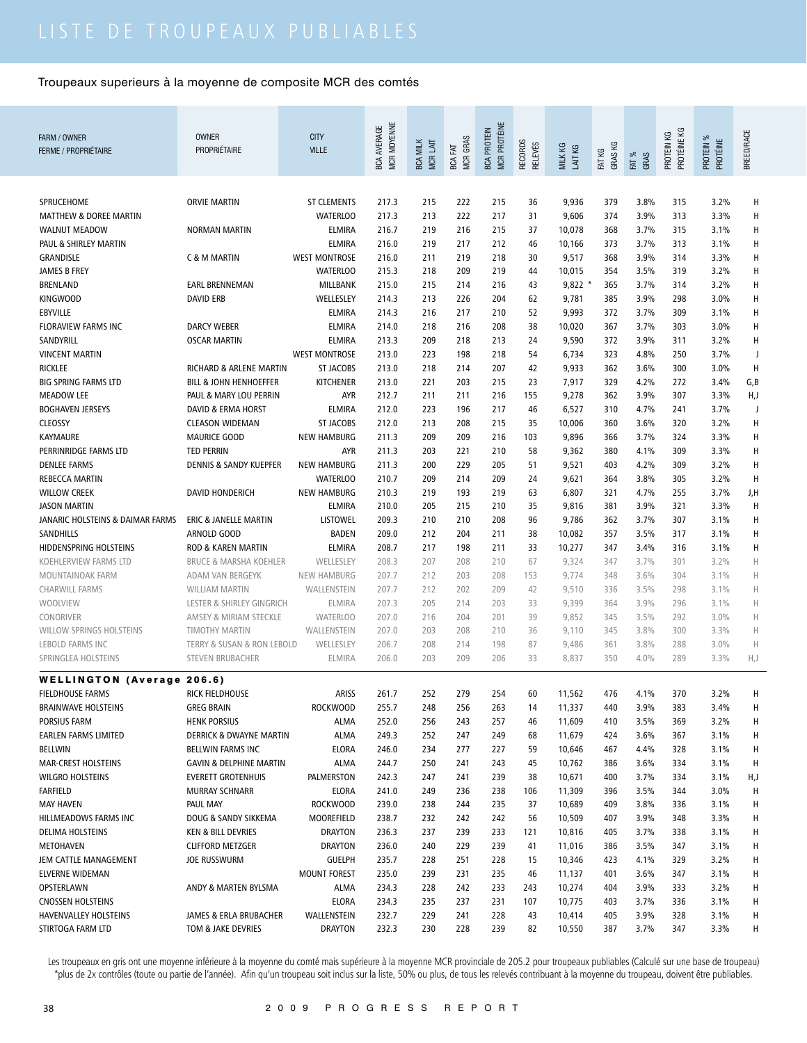| FARM / OWNER                               | <b>OWNER</b>                                 | <b>CITY</b>                   | MCR MOYENNE<br><b>BCA AVERAGE</b> |                             |                        | MCR PROTÉINE<br><b>BCA PROTEIN</b> |                                  |                    |            |               | PROTÉINE KG |                       | BREED/RACE |
|--------------------------------------------|----------------------------------------------|-------------------------------|-----------------------------------|-----------------------------|------------------------|------------------------------------|----------------------------------|--------------------|------------|---------------|-------------|-----------------------|------------|
| <b>FERME / PROPRIÉTAIRE</b>                | PROPRIÉTAIRE                                 | <b>VILLE</b>                  |                                   | <b>BCA MILK</b><br>MCR LAIT | <b>MCR GRAS</b><br>EXT |                                    | <b>RECORDS</b><br><b>RELEVÉS</b> | MILK KG<br>LAIT KG | GRAS KG    |               | PROTEIN KG  | PROTEIN %<br>PROTÉINE |            |
|                                            |                                              |                               |                                   |                             | BCA                    |                                    |                                  |                    | FAT KG     | FAT %<br>GRAS |             |                       |            |
|                                            |                                              |                               |                                   |                             |                        |                                    |                                  |                    |            |               |             |                       |            |
| SPRUCEHOME                                 | <b>ORVIE MARTIN</b>                          | <b>ST CLEMENTS</b>            | 217.3                             | 215                         | 222                    | 215                                | 36                               | 9,936              | 379        | 3.8%          | 315         | 3.2%                  | Н          |
| <b>MATTHEW &amp; DOREE MARTIN</b>          |                                              | <b>WATERLOO</b>               | 217.3                             | 213                         | 222                    | 217                                | 31                               | 9,606              | 374        | 3.9%          | 313         | 3.3%                  | Н          |
| <b>WALNUT MEADOW</b>                       | <b>NORMAN MARTIN</b>                         | <b>ELMIRA</b>                 | 216.7                             | 219                         | 216                    | 215                                | 37                               | 10,078             | 368        | 3.7%          | 315         | 3.1%                  | Н          |
| PAUL & SHIRLEY MARTIN                      |                                              | <b>ELMIRA</b>                 | 216.0                             | 219                         | 217                    | 212                                | 46                               | 10,166             | 373        | 3.7%          | 313         | 3.1%                  | Н          |
| GRANDISLE                                  | C & M MARTIN                                 | <b>WEST MONTROSE</b>          | 216.0                             | 211                         | 219                    | 218                                | 30                               | 9,517              | 368        | 3.9%          | 314         | 3.3%                  | Н          |
| <b>JAMES B FREY</b>                        |                                              | <b>WATERLOO</b>               | 215.3                             | 218                         | 209                    | 219                                | 44                               | 10,015             | 354        | 3.5%          | 319         | 3.2%                  | н          |
| <b>BRENLAND</b>                            | <b>EARL BRENNEMAN</b>                        | MILLBANK                      | 215.0                             | 215                         | 214                    | 216                                | 43                               | $9,822$ *          | 365        | 3.7%          | 314         | 3.2%                  | Н          |
| <b>KINGWOOD</b>                            | <b>DAVID ERB</b>                             | WELLESLEY                     | 214.3                             | 213                         | 226                    | 204                                | 62                               | 9,781              | 385        | 3.9%          | 298         | 3.0%                  | Н          |
| EBYVILLE                                   |                                              | <b>ELMIRA</b>                 | 214.3                             | 216                         | 217                    | 210                                | 52                               | 9,993              | 372        | 3.7%          | 309         | 3.1%                  | Н          |
| <b>FLORAVIEW FARMS INC</b>                 | <b>DARCY WEBER</b>                           | <b>ELMIRA</b>                 | 214.0                             | 218                         | 216                    | 208                                | 38                               | 10,020             | 367        | 3.7%          | 303         | 3.0%                  | Н          |
| SANDYRILL                                  | <b>OSCAR MARTIN</b>                          | <b>ELMIRA</b>                 | 213.3                             | 209                         | 218                    | 213                                | 24                               | 9,590              | 372        | 3.9%          | 311         | 3.2%                  | Н          |
| <b>VINCENT MARTIN</b>                      |                                              | <b>WEST MONTROSE</b>          | 213.0                             | 223                         | 198                    | 218                                | 54                               | 6,734              | 323        | 4.8%          | 250         | 3.7%                  | J          |
| <b>RICKLEE</b>                             | RICHARD & ARLENE MARTIN                      | <b>ST JACOBS</b>              | 213.0                             | 218                         | 214                    | 207                                | 42                               | 9,933              | 362        | 3.6%          | 300         | 3.0%                  | H          |
| <b>BIG SPRING FARMS LTD</b>                | <b>BILL &amp; JOHN HENHOEFFER</b>            | <b>KITCHENER</b>              | 213.0                             | 221                         | 203                    | 215                                | 23                               | 7,917              | 329        | 4.2%          | 272         | 3.4%                  | G,B        |
| <b>MEADOW LEE</b>                          | PAUL & MARY LOU PERRIN                       | AYR                           | 212.7                             | 211                         | 211                    | 216                                | 155                              | 9,278              | 362        | 3.9%          | 307         | 3.3%                  | H,J        |
| <b>BOGHAVEN JERSEYS</b>                    | <b>DAVID &amp; ERMA HORST</b>                | <b>ELMIRA</b>                 | 212.0                             | 223                         | 196                    | 217                                | 46                               | 6,527              | 310        | 4.7%          | 241         | 3.7%                  | J          |
| <b>CLEOSSY</b>                             | <b>CLEASON WIDEMAN</b>                       | <b>ST JACOBS</b>              | 212.0                             | 213                         | 208                    | 215                                | 35                               | 10,006             | 360        | 3.6%          | 320         | 3.2%                  | Н          |
| <b>KAYMAURE</b>                            | <b>MAURICE GOOD</b>                          | <b>NEW HAMBURG</b>            | 211.3                             | 209                         | 209                    | 216                                | 103                              | 9,896              | 366        | 3.7%          | 324         | 3.3%                  | н          |
| PERRINRIDGE FARMS LTD                      | <b>TED PERRIN</b>                            | <b>AYR</b>                    | 211.3                             | 203                         | 221                    | 210                                | 58                               | 9,362              | 380        | 4.1%          | 309         | 3.3%                  | Н          |
| <b>DENLEE FARMS</b>                        | <b>DENNIS &amp; SANDY KUEPFER</b>            | <b>NEW HAMBURG</b>            | 211.3                             | 200                         | 229                    | 205                                | 51                               | 9,521              | 403        | 4.2%          | 309         | 3.2%                  | Н          |
| <b>REBECCA MARTIN</b>                      |                                              | <b>WATERLOO</b>               | 210.7                             | 209                         | 214                    | 209                                | 24                               | 9,621              | 364        | 3.8%          | 305         | 3.2%                  | Н          |
| <b>WILLOW CREEK</b>                        | <b>DAVID HONDERICH</b>                       | <b>NEW HAMBURG</b>            | 210.3                             | 219                         | 193                    | 219                                | 63                               | 6,807              | 321        | 4.7%          | 255         | 3.7%                  | J,H        |
| <b>JASON MARTIN</b>                        |                                              | <b>ELMIRA</b>                 | 210.0                             | 205                         | 215                    | 210                                | 35                               | 9,816              | 381        | 3.9%          | 321         | 3.3%                  | H          |
| JANARIC HOLSTEINS & DAIMAR FARMS           | ERIC & JANELLE MARTIN                        | <b>LISTOWEL</b>               | 209.3                             | 210                         | 210                    | 208                                | 96                               | 9,786              | 362        | 3.7%          | 307         | 3.1%                  | Н          |
| SANDHILLS                                  | ARNOLD GOOD                                  | <b>BADEN</b>                  | 209.0                             | 212                         | 204                    | 211                                | 38                               | 10,082             | 357        | 3.5%          | 317         | 3.1%                  | Н          |
| HIDDENSPRING HOLSTEINS                     | ROD & KAREN MARTIN                           | <b>ELMIRA</b>                 | 208.7                             | 217                         | 198                    | 211                                | 33                               | 10,277             | 347        | 3.4%          | 316         | 3.1%                  | Н          |
| KOEHLERVIEW FARMS LTD                      | <b>BRUCE &amp; MARSHA KOEHLER</b>            | WELLESLEY                     | 208.3                             | 207                         | 208                    | 210                                | 67                               | 9,324              | 347        | 3.7%          | 301         | 3.2%                  | Н          |
| MOUNTAINOAK FARM                           | ADAM VAN BERGEYK                             | <b>NEW HAMBURG</b>            | 207.7                             | 212                         | 203                    | 208                                | 153                              | 9,774              | 348        | 3.6%          | 304         | 3.1%                  | Н          |
| <b>CHARWILL FARMS</b>                      | <b>WILLIAM MARTIN</b>                        | WALLENSTEIN                   | 207.7                             | 212                         | 202                    | 209                                | 42                               | 9,510              | 336        | 3.5%          | 298         | 3.1%                  | H          |
| WOOLVIEW                                   | LESTER & SHIRLEY GINGRICH                    | ELMIRA                        | 207.3                             | 205                         | 214                    | 203                                | 33                               | 9,399              | 364        | 3.9%          | 296         | 3.1%                  | H          |
| CONORIVER                                  | AMSEY & MIRIAM STECKLE                       | <b>WATERLOO</b>               | 207.0                             | 216                         | 204                    | 201                                | 39                               | 9,852              | 345        | 3.5%          | 292         | 3.0%                  | Н          |
| WILLOW SPRINGS HOLSTEINS                   | <b>TIMOTHY MARTIN</b>                        | WALLENSTEIN                   | 207.0                             | 203                         | 208                    | 210                                | 36                               | 9,110              | 345        | 3.8%          | 300         | 3.3%                  | Н          |
| <b>LEBOLD FARMS INC</b>                    | TERRY & SUSAN & RON LEBOLD                   | WELLESLEY                     | 206.7                             | 208                         | 214                    | 198                                | 87                               | 9,486              | 361        | 3.8%          | 288         | 3.0%                  | Н          |
| SPRINGLEA HOLSTEINS                        | <b>STEVEN BRUBACHER</b>                      | <b>ELMIRA</b>                 | 206.0                             | 203                         | 209                    | 206                                | 33                               | 8,837              | 350        | 4.0%          | 289         | 3.3%                  | H,J        |
|                                            |                                              |                               |                                   |                             |                        |                                    |                                  |                    |            |               |             |                       |            |
| <b>WELLINGTON (Average 206.6)</b>          |                                              |                               |                                   |                             |                        |                                    |                                  |                    |            |               |             |                       |            |
| <b>FIELDHOUSE FARMS</b>                    | RICK FIELDHOUSE                              | ARISS                         | 261.7                             | 252                         | 279                    | 254                                | 60                               | 11,562             | 476        | 4.1%          | 370         | 3.2%                  |            |
| <b>BRAINWAVE HOLSTEINS</b>                 | <b>GREG BRAIN</b>                            | <b>ROCKWOOD</b>               | 255.7                             | 248                         | 256                    | 263                                | 14                               | 11,337             | 440        | 3.9%          | 383         | 3.4%                  | н          |
| PORSIUS FARM                               | <b>HENK PORSIUS</b>                          | ALMA                          | 252.0                             | 256                         | 243                    | 257                                | 46                               | 11,609             | 410        | 3.5%          | 369         | 3.2%                  | н          |
| EARLEN FARMS LIMITED                       | <b>DERRICK &amp; DWAYNE MARTIN</b>           | <b>ALMA</b>                   | 249.3                             | 252                         | 247                    | 249                                | 68                               | 11,679             | 424        | 3.6%          | 367         | 3.1%                  | н          |
| <b>BELLWIN</b>                             | BELLWIN FARMS INC                            | <b>ELORA</b>                  | 246.0                             | 234                         | 277                    | 227                                | 59                               | 10,646             | 467        | 4.4%          | 328         | 3.1%                  | Н          |
| MAR-CREST HOLSTEINS                        | <b>GAVIN &amp; DELPHINE MARTIN</b>           | ALMA                          | 244.7                             | 250                         | 241                    | 243                                | 45                               | 10,762             | 386        | 3.6%          | 334         | 3.1%                  | H          |
| <b>WILGRO HOLSTEINS</b>                    | <b>EVERETT GROTENHUIS</b>                    | PALMERSTON                    | 242.3                             | 247                         | 241                    | 239                                | 38                               | 10,671             | 400        | 3.7%          | 334         | 3.1%                  | H,J        |
| <b>FARFIELD</b>                            | <b>MURRAY SCHNARR</b>                        | ELORA                         | 241.0                             | 249                         | 236                    | 238                                | 106                              | 11,309             | 396        | 3.5%          | 344         | 3.0%                  | Н          |
| <b>MAY HAVEN</b>                           | PAUL MAY                                     | <b>ROCKWOOD</b>               | 239.0                             | 238                         | 244                    | 235                                | 37                               | 10,689             | 409        | 3.8%          | 336         | 3.1%                  | Н          |
| HILLMEADOWS FARMS INC                      | DOUG & SANDY SIKKEMA                         | MOOREFIELD                    | 238.7                             | 232                         | 242                    | 242                                | 56                               | 10,509             | 407        | 3.9%          | 348         | 3.3%                  | н          |
| DELIMA HOLSTEINS                           | KEN & BILL DEVRIES                           | <b>DRAYTON</b>                | 236.3                             | 237                         | 239                    | 233                                | 121                              | 10,816             | 405        | 3.7%          | 338         | 3.1%                  | н          |
| METOHAVEN                                  | <b>CLIFFORD METZGER</b>                      | <b>DRAYTON</b>                | 236.0                             | 240                         | 229                    | 239                                | 41                               | 11,016             | 386        | 3.5%          | 347         | 3.1%                  | н          |
| JEM CATTLE MANAGEMENT                      | <b>JOE RUSSWURM</b>                          | <b>GUELPH</b>                 | 235.7                             | 228                         | 251                    | 228                                | 15                               | 10,346             | 423        | 4.1%          | 329         | 3.2%                  | н          |
| ELVERNE WIDEMAN                            |                                              | <b>MOUNT FOREST</b>           | 235.0                             | 239                         | 231                    | 235                                | 46                               | 11,137             | 401        | 3.6%          | 347         | 3.1%                  | Н          |
| OPSTERLAWN<br><b>CNOSSEN HOLSTEINS</b>     | ANDY & MARTEN BYLSMA                         | ALMA<br><b>ELORA</b>          | 234.3                             | 228<br>235                  | 242<br>237             | 233<br>231                         | 243<br>107                       | 10,274<br>10,775   | 404        | 3.9%<br>3.7%  | 333<br>336  | 3.2%<br>3.1%          | н<br>н     |
|                                            |                                              |                               | 234.3                             |                             |                        |                                    |                                  |                    | 403        |               |             |                       |            |
| HAVENVALLEY HOLSTEINS<br>STIRTOGA FARM LTD | JAMES & ERLA BRUBACHER<br>TOM & JAKE DEVRIES | WALLENSTEIN<br><b>DRAYTON</b> | 232.7<br>232.3                    | 229<br>230                  | 241<br>228             | 228<br>239                         | 43<br>82                         | 10,414<br>10,550   | 405<br>387 | 3.9%<br>3.7%  | 328<br>347  | 3.1%<br>3.3%          | н<br>H     |
|                                            |                                              |                               |                                   |                             |                        |                                    |                                  |                    |            |               |             |                       |            |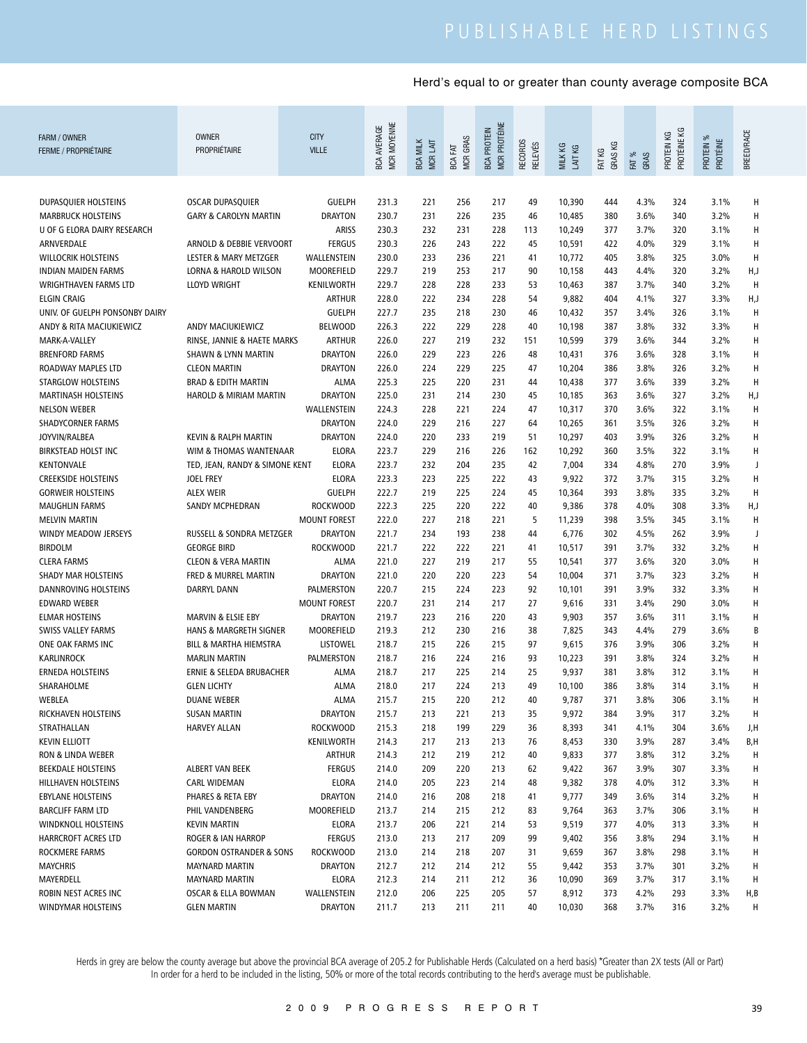| FARM / OWNER<br><b>FERME / PROPRIÉTAIRE</b>                | <b>OWNER</b><br>PROPRIÉTAIRE       | <b>CITY</b><br><b>VILLE</b>     | MCR MOYENNE<br><b>BCA AVERAGE</b> | <b>BCA MILK</b><br>MCR LAIT | <b>MCR GRAS</b><br>BCA FAT | MCR PROTÉINE<br><b>BCA PROTEIN</b> | <b>RECORDS</b><br><b>RELEVÉS</b> | MILK KG<br>LAIT KG | GRAS KG<br>FAT KG | FAT %<br>GRAS | PROTÉINE KG<br>PROTEIN KG | PROTEIN %<br>PROTÉINE | BREED/RACE |
|------------------------------------------------------------|------------------------------------|---------------------------------|-----------------------------------|-----------------------------|----------------------------|------------------------------------|----------------------------------|--------------------|-------------------|---------------|---------------------------|-----------------------|------------|
|                                                            |                                    |                                 |                                   |                             |                            |                                    |                                  |                    |                   |               |                           |                       |            |
| DUPASQUIER HOLSTEINS                                       | OSCAR DUPASQUIER                   | <b>GUELPH</b>                   | 231.3                             | 221                         | 256                        | 217                                | 49                               | 10,390             | 444               | 4.3%          | 324                       | 3.1%                  | Н          |
| <b>MARBRUCK HOLSTEINS</b>                                  | <b>GARY &amp; CAROLYN MARTIN</b>   | <b>DRAYTON</b>                  | 230.7                             | 231                         | 226                        | 235                                | 46                               | 10,485             | 380               | 3.6%          | 340                       | 3.2%                  | H          |
| U OF G ELORA DAIRY RESEARCH                                |                                    | <b>ARISS</b>                    | 230.3                             | 232                         | 231                        | 228                                | 113                              | 10,249             | 377               | 3.7%          | 320                       | 3.1%                  | H          |
| ARNVERDALE                                                 | ARNOLD & DEBBIE VERVOORT           | <b>FERGUS</b>                   | 230.3                             | 226                         | 243                        | 222                                | 45                               | 10,591             | 422               | 4.0%          | 329                       | 3.1%                  | H          |
| <b>WILLOCRIK HOLSTEINS</b>                                 | <b>LESTER &amp; MARY METZGER</b>   | WALLENSTEIN                     | 230.0                             | 233                         | 236                        | 221                                | 41                               | 10,772             | 405               | 3.8%          | 325                       | 3.0%                  | H          |
| <b>INDIAN MAIDEN FARMS</b>                                 | <b>LORNA &amp; HAROLD WILSON</b>   | MOOREFIELD                      | 229.7                             | 219                         | 253                        | 217                                | 90                               | 10,158             | 443               | 4.4%          | 320                       | 3.2%                  | H,J        |
| <b>WRIGHTHAVEN FARMS LTD</b><br><b>ELGIN CRAIG</b>         | <b>LLOYD WRIGHT</b>                | KENILWORTH                      | 229.7                             | 228<br>222                  | 228                        | 233<br>228                         | 53                               | 10,463             | 387               | 3.7%<br>4.1%  | 340                       | 3.2%<br>3.3%          | H          |
|                                                            |                                    | <b>ARTHUR</b>                   | 228.0                             |                             | 234                        |                                    | 54                               | 9,882              | 404               |               | 327                       |                       | H,J<br>H   |
| UNIV. OF GUELPH PONSONBY DAIRY<br>ANDY & RITA MACIUKIEWICZ | ANDY MACIUKIEWICZ                  | <b>GUELPH</b><br><b>BELWOOD</b> | 227.7<br>226.3                    | 235<br>222                  | 218<br>229                 | 230<br>228                         | 46<br>40                         | 10,432<br>10,198   | 357<br>387        | 3.4%<br>3.8%  | 326<br>332                | 3.1%<br>3.3%          | H          |
| MARK-A-VALLEY                                              | RINSE, JANNIE & HAETE MARKS        | <b>ARTHUR</b>                   | 226.0                             | 227                         | 219                        | 232                                | 151                              | 10,599             | 379               | 3.6%          | 344                       | 3.2%                  | H          |
| <b>BRENFORD FARMS</b>                                      | <b>SHAWN &amp; LYNN MARTIN</b>     | <b>DRAYTON</b>                  | 226.0                             | 229                         | 223                        | 226                                | 48                               | 10,431             | 376               | 3.6%          | 328                       | 3.1%                  | H          |
| ROADWAY MAPLES LTD                                         | <b>CLEON MARTIN</b>                | <b>DRAYTON</b>                  | 226.0                             | 224                         | 229                        | 225                                | 47                               | 10,204             | 386               | 3.8%          | 326                       | 3.2%                  | H          |
| STARGLOW HOLSTEINS                                         | <b>BRAD &amp; EDITH MARTIN</b>     | <b>ALMA</b>                     | 225.3                             | 225                         | 220                        | 231                                | 44                               | 10,438             | 377               | 3.6%          | 339                       | 3.2%                  | H          |
| <b>MARTINASH HOLSTEINS</b>                                 | <b>HAROLD &amp; MIRIAM MARTIN</b>  | <b>DRAYTON</b>                  | 225.0                             | 231                         | 214                        | 230                                | 45                               | 10,185             | 363               | 3.6%          | 327                       | 3.2%                  | H,J        |
| <b>NELSON WEBER</b>                                        |                                    | WALLENSTEIN                     | 224.3                             | 228                         | 221                        | 224                                | 47                               | 10,317             | 370               | 3.6%          | 322                       | 3.1%                  | H          |
| <b>SHADYCORNER FARMS</b>                                   |                                    | <b>DRAYTON</b>                  | 224.0                             | 229                         | 216                        | 227                                | 64                               | 10,265             | 361               | 3.5%          | 326                       | 3.2%                  | H          |
| JOYVIN/RALBEA                                              | KEVIN & RALPH MARTIN               | <b>DRAYTON</b>                  | 224.0                             | 220                         | 233                        | 219                                | 51                               | 10,297             | 403               | 3.9%          | 326                       | 3.2%                  | H          |
| <b>BIRKSTEAD HOLST INC</b>                                 | WIM & THOMAS WANTENAAR             | <b>ELORA</b>                    | 223.7                             | 229                         | 216                        | 226                                | 162                              | 10,292             | 360               | 3.5%          | 322                       | 3.1%                  | Н          |
| KENTONVALE                                                 | TED, JEAN, RANDY & SIMONE KENT     | <b>ELORA</b>                    | 223.7                             | 232                         | 204                        | 235                                | 42                               | 7,004              | 334               | 4.8%          | 270                       | 3.9%                  | J          |
| <b>CREEKSIDE HOLSTEINS</b>                                 | <b>JOEL FREY</b>                   | <b>ELORA</b>                    | 223.3                             | 223                         | 225                        | 222                                | 43                               | 9,922              | 372               | 3.7%          | 315                       | 3.2%                  | H          |
| <b>GORWEIR HOLSTEINS</b>                                   | <b>ALEX WEIR</b>                   | <b>GUELPH</b>                   | 222.7                             | 219                         | 225                        | 224                                | 45                               | 10,364             | 393               | 3.8%          | 335                       | 3.2%                  | H          |
| <b>MAUGHLIN FARMS</b>                                      | SANDY MCPHEDRAN                    | <b>ROCKWOOD</b>                 | 222.3                             | 225                         | 220                        | 222                                | 40                               | 9,386              | 378               | 4.0%          | 308                       | 3.3%                  | H,J        |
| <b>MELVIN MARTIN</b>                                       |                                    | <b>MOUNT FOREST</b>             | 222.0                             | 227                         | 218                        | 221                                | 5                                | 11,239             | 398               | 3.5%          | 345                       | 3.1%                  | Н          |
| WINDY MEADOW JERSEYS                                       | RUSSELL & SONDRA METZGER           | <b>DRAYTON</b>                  | 221.7                             | 234                         | 193                        | 238                                | 44                               | 6,776              | 302               | 4.5%          | 262                       | 3.9%                  | J          |
| <b>BIRDOLM</b>                                             | <b>GEORGE BIRD</b>                 | <b>ROCKWOOD</b>                 | 221.7                             | 222                         | 222                        | 221                                | 41                               | 10,517             | 391               | 3.7%          | 332                       | 3.2%                  | н          |
| <b>CLERA FARMS</b>                                         | <b>CLEON &amp; VERA MARTIN</b>     | <b>ALMA</b>                     | 221.0                             | 227                         | 219                        | 217                                | 55                               | 10,541             | 377               | 3.6%          | 320                       | 3.0%                  | н          |
| <b>SHADY MAR HOLSTEINS</b>                                 | FRED & MURREL MARTIN               | <b>DRAYTON</b>                  | 221.0                             | 220                         | 220                        | 223                                | 54                               | 10,004             | 371               | 3.7%          | 323                       | 3.2%                  | Н          |
| DANNROVING HOLSTEINS                                       | <b>DARRYL DANN</b>                 | PALMERSTON                      | 220.7                             | 215                         | 224                        | 223                                | 92                               | 10,101             | 391               | 3.9%          | 332                       | 3.3%                  | н          |
| <b>EDWARD WEBER</b>                                        |                                    | <b>MOUNT FOREST</b>             | 220.7                             | 231                         | 214                        | 217                                | 27                               | 9,616              | 331               | 3.4%          | 290                       | 3.0%                  | н          |
| <b>ELMAR HOSTEINS</b>                                      | MARVIN & ELSIE EBY                 | <b>DRAYTON</b>                  | 219.7                             | 223                         | 216                        | 220                                | 43                               | 9,903              | 357               | 3.6%          | 311                       | 3.1%                  | н          |
| SWISS VALLEY FARMS                                         | <b>HANS &amp; MARGRETH SIGNER</b>  | <b>MOOREFIELD</b>               | 219.3                             | 212                         | 230                        | 216                                | 38                               | 7,825              | 343               | 4.4%          | 279                       | 3.6%                  | B          |
| ONE OAK FARMS INC                                          | BILL & MARTHA HIEMSTRA             | <b>LISTOWEL</b>                 | 218.7                             | 215                         | 226                        | 215                                | 97                               | 9,615              | 376               | 3.9%          | 306                       | 3.2%                  | н          |
| <b>KARLINROCK</b>                                          | <b>MARLIN MARTIN</b>               | PALMERSTON                      | 218.7                             | 216                         | 224                        | 216                                | 93                               | 10,223             | 391               | 3.8%          | 324                       | 3.2%                  | н          |
| <b>ERNEDA HOLSTEINS</b>                                    | ERNIE & SELEDA BRUBACHER           | ALMA                            | 218.7                             | 217                         | 225                        | 214                                | 25                               | 9,937              | 381               | 3.8%          | 312                       | 3.1%                  | н          |
| SHARAHOLME                                                 | <b>GLEN LICHTY</b>                 | <b>ALMA</b>                     | 218.0                             | 217                         | 224                        | 213                                | 49                               | 10,100             | 386               | 3.8%          | 314                       | 3.1%                  | Н          |
| WEBLEA                                                     | DUANE WEBER                        | ALMA                            | 215.7                             | 215                         | 220                        | 212                                | 40                               | 9,787              | 371               | 3.8%          | 306                       | 3.1%                  | Н          |
| RICKHAVEN HOLSTEINS                                        | <b>SUSAN MARTIN</b>                | <b>DRAYTON</b>                  | 215.7                             | 213                         | 221                        | 213                                | 35                               | 9,972              | 384               | 3.9%          | 317                       | 3.2%                  | Н          |
| STRATHALLAN                                                | <b>HARVEY ALLAN</b>                | ROCKWOOD                        | 215.3                             | 218                         | 199                        | 229                                | 36                               | 8,393              | 341               | 4.1%          | 304                       | 3.6%                  | J,H        |
| <b>KEVIN ELLIOTT</b>                                       |                                    | KENILWORTH                      | 214.3                             | 217                         | 213                        | 213                                | 76                               | 8,453              | 330               | 3.9%          | 287                       | 3.4%                  | B,H        |
| RON & LINDA WEBER                                          |                                    | ARTHUR                          | 214.3                             | 212                         | 219                        | 212                                | 40                               | 9,833              | 377               | 3.8%          | 312                       | 3.2%                  | Н          |
| BEEKDALE HOLSTEINS                                         | ALBERT VAN BEEK                    | <b>FERGUS</b>                   | 214.0                             | 209                         | 220                        | 213                                | 62                               | 9,422              | 367               | 3.9%          | 307                       | 3.3%                  | Н          |
| HILLHAVEN HOLSTEINS                                        | <b>CARL WIDEMAN</b>                | <b>ELORA</b>                    | 214.0                             | 205                         | 223                        | 214                                | 48                               | 9,382              | 378               | 4.0%          | 312                       | 3.3%                  | н          |
| <b>EBYLANE HOLSTEINS</b>                                   | PHARES & RETA EBY                  | <b>DRAYTON</b>                  | 214.0                             | 216                         | 208                        | 218                                | 41                               | 9,777              | 349               | 3.6%          | 314                       | 3.2%                  | Н          |
| <b>BARCLIFF FARM LTD</b>                                   | PHIL VANDENBERG                    | MOOREFIELD                      | 213.7                             | 214                         | 215                        | 212                                | 83                               | 9,764              | 363               | 3.7%          | 306                       | 3.1%                  | Н          |
| WINDKNOLL HOLSTEINS                                        | <b>KEVIN MARTIN</b>                | <b>ELORA</b>                    | 213.7                             | 206                         | 221                        | 214                                | 53                               | 9,519              | 377               | 4.0%          | 313                       | 3.3%                  | н          |
| HARRCROFT ACRES LTD                                        | <b>ROGER &amp; IAN HARROP</b>      | <b>FERGUS</b>                   | 213.0                             | 213                         | 217                        | 209                                | 99                               | 9,402              | 356               | 3.8%          | 294                       | 3.1%                  | н          |
| ROCKMERE FARMS                                             | <b>GORDON OSTRANDER &amp; SONS</b> | <b>ROCKWOOD</b>                 | 213.0                             | 214                         | 218                        | 207                                | 31                               | 9,659              | 367               | 3.8%          | 298                       | 3.1%                  | Н          |
| <b>MAYCHRIS</b>                                            | <b>MAYNARD MARTIN</b>              | <b>DRAYTON</b>                  | 212.7                             | 212                         | 214                        | 212                                | 55                               | 9,442              | 353               | 3.7%          | 301                       | 3.2%                  | н          |
| MAYERDELL                                                  | <b>MAYNARD MARTIN</b>              | ELORA                           | 212.3                             | 214                         | 211                        | 212                                | 36                               | 10,090             | 369               | 3.7%          | 317                       | 3.1%                  | н          |
| ROBIN NEST ACRES INC                                       | OSCAR & ELLA BOWMAN                | WALLENSTEIN                     | 212.0                             | 206                         | 225                        | 205                                | 57                               | 8,912              | 373               | 4.2%          | 293                       | 3.3%                  | H,B        |
| <b>WINDYMAR HOLSTEINS</b>                                  | <b>GLEN MARTIN</b>                 | DRAYTON                         | 211.7                             | 213                         | 211                        | 211                                | 40                               | 10,030             | 368               | 3.7%          | 316                       | 3.2%                  | H          |